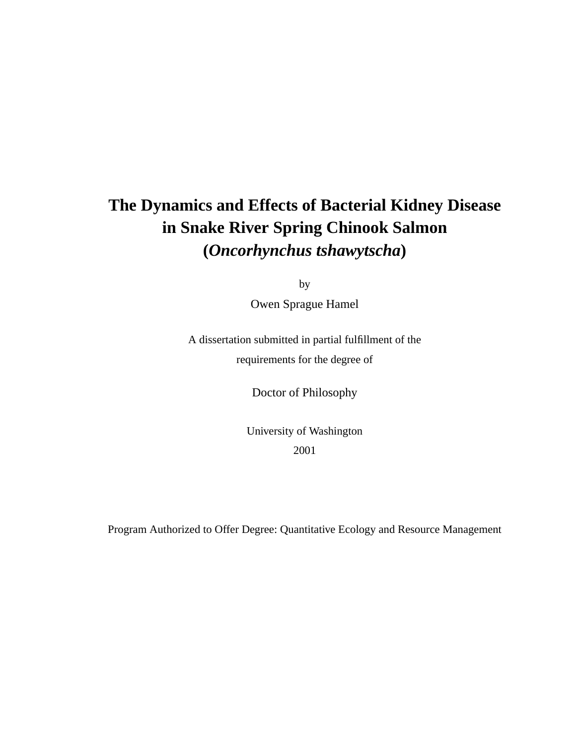# **The Dynamics and Effects of Bacterial Kidney Disease in Snake River Spring Chinook Salmon (***Oncorhynchus tshawytscha***)**

by

Owen Sprague Hamel

A dissertation submitted in partial fulfillment of the requirements for the degree of

Doctor of Philosophy

University of Washington 2001

Program Authorized to Offer Degree: Quantitative Ecology and Resource Management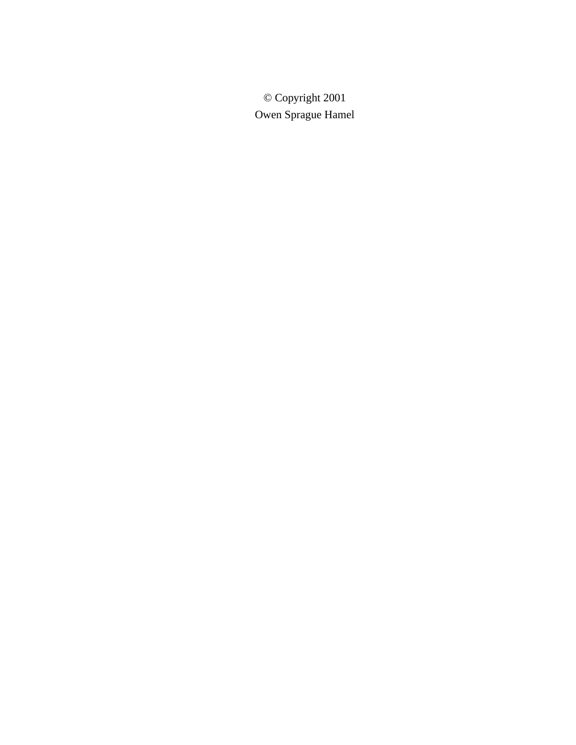© Copyright 2001 Owen Sprague Hamel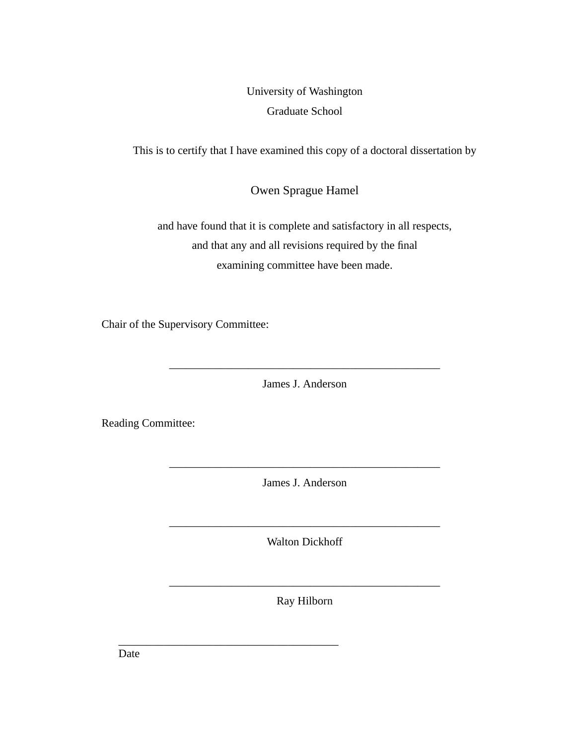University of Washington Graduate School

This is to certify that I have examined this copy of a doctoral dissertation by

Owen Sprague Hamel

and have found that it is complete and satisfactory in all respects, and that any and all revisions required by the final examining committee have been made.

Chair of the Supervisory Committee:

James J. Anderson

\_\_\_\_\_\_\_\_\_\_\_\_\_\_\_\_\_\_\_\_\_\_\_\_\_\_\_\_\_\_\_\_\_\_\_\_\_\_\_\_\_\_\_\_\_\_\_\_

Reading Committee:

James J. Anderson

\_\_\_\_\_\_\_\_\_\_\_\_\_\_\_\_\_\_\_\_\_\_\_\_\_\_\_\_\_\_\_\_\_\_\_\_\_\_\_\_\_\_\_\_\_\_\_\_

Walton Dickhoff

\_\_\_\_\_\_\_\_\_\_\_\_\_\_\_\_\_\_\_\_\_\_\_\_\_\_\_\_\_\_\_\_\_\_\_\_\_\_\_\_\_\_\_\_\_\_\_\_

Ray Hilborn

\_\_\_\_\_\_\_\_\_\_\_\_\_\_\_\_\_\_\_\_\_\_\_\_\_\_\_\_\_\_\_\_\_\_\_\_\_\_\_

\_\_\_\_\_\_\_\_\_\_\_\_\_\_\_\_\_\_\_\_\_\_\_\_\_\_\_\_\_\_\_\_\_\_\_\_\_\_\_\_\_\_\_\_\_\_\_\_

Date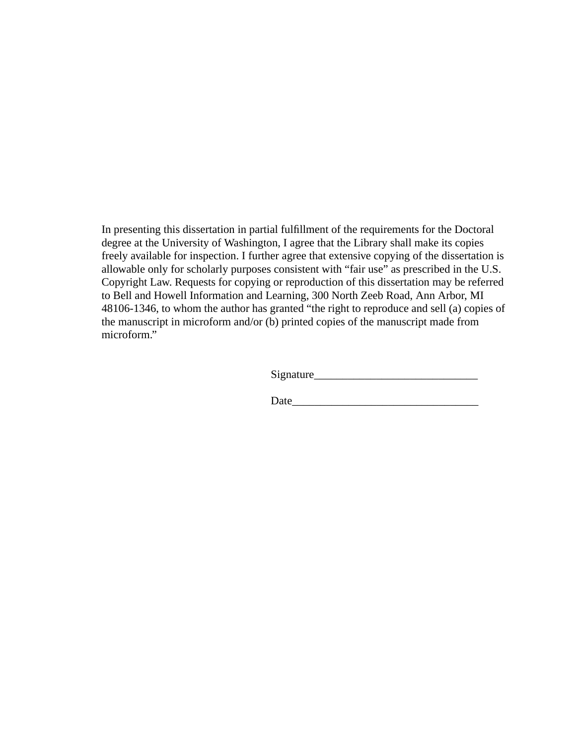In presenting this dissertation in partial fulfillment of the requirements for the Doctoral degree at the University of Washington, I agree that the Library shall make its copies freely available for inspection. I further agree that extensive copying of the dissertation is allowable only for scholarly purposes consistent with "fair use" as prescribed in the U.S. Copyright Law. Requests for copying or reproduction of this dissertation may be referred to Bell and Howell Information and Learning, 300 North Zeeb Road, Ann Arbor, MI 48106-1346, to whom the author has granted "the right to reproduce and sell (a) copies of the manuscript in microform and/or (b) printed copies of the manuscript made from microform."

Signature\_\_\_\_\_\_\_\_\_\_\_\_\_\_\_\_\_\_\_\_\_\_\_\_\_\_\_\_\_

Date\_\_\_\_\_\_\_\_\_\_\_\_\_\_\_\_\_\_\_\_\_\_\_\_\_\_\_\_\_\_\_\_\_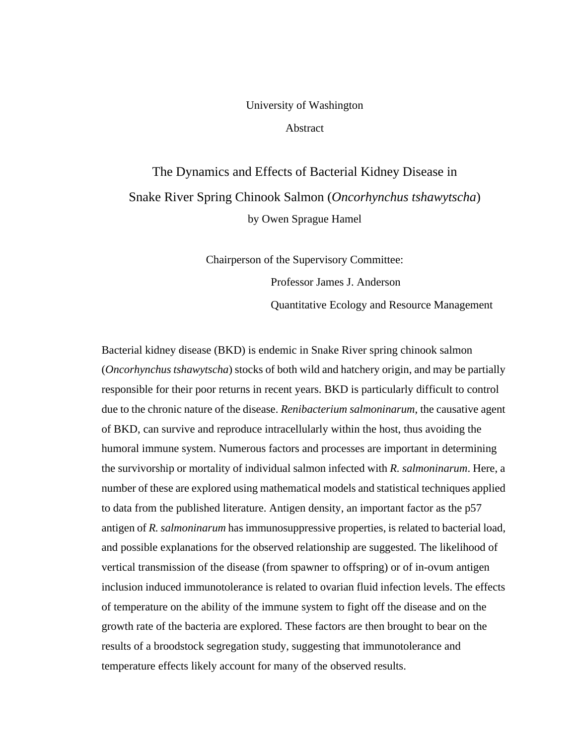#### University of Washington

Abstract

The Dynamics and Effects of Bacterial Kidney Disease in Snake River Spring Chinook Salmon (*Oncorhynchus tshawytscha*) by Owen Sprague Hamel

> Chairperson of the Supervisory Committee: Professor James J. Anderson Quantitative Ecology and Resource Management

Bacterial kidney disease (BKD) is endemic in Snake River spring chinook salmon (*Oncorhynchus tshawytscha*) stocks of both wild and hatchery origin, and may be partially responsible for their poor returns in recent years. BKD is particularly difficult to control due to the chronic nature of the disease. *Renibacterium salmoninarum*, the causative agent of BKD, can survive and reproduce intracellularly within the host, thus avoiding the humoral immune system. Numerous factors and processes are important in determining the survivorship or mortality of individual salmon infected with *R. salmoninarum*. Here, a number of these are explored using mathematical models and statistical techniques applied to data from the published literature. Antigen density, an important factor as the p57 antigen of *R. salmoninarum* has immunosuppressive properties, is related to bacterial load, and possible explanations for the observed relationship are suggested. The likelihood of vertical transmission of the disease (from spawner to offspring) or of in-ovum antigen inclusion induced immunotolerance is related to ovarian fluid infection levels. The effects of temperature on the ability of the immune system to fight off the disease and on the growth rate of the bacteria are explored. These factors are then brought to bear on the results of a broodstock segregation study, suggesting that immunotolerance and temperature effects likely account for many of the observed results.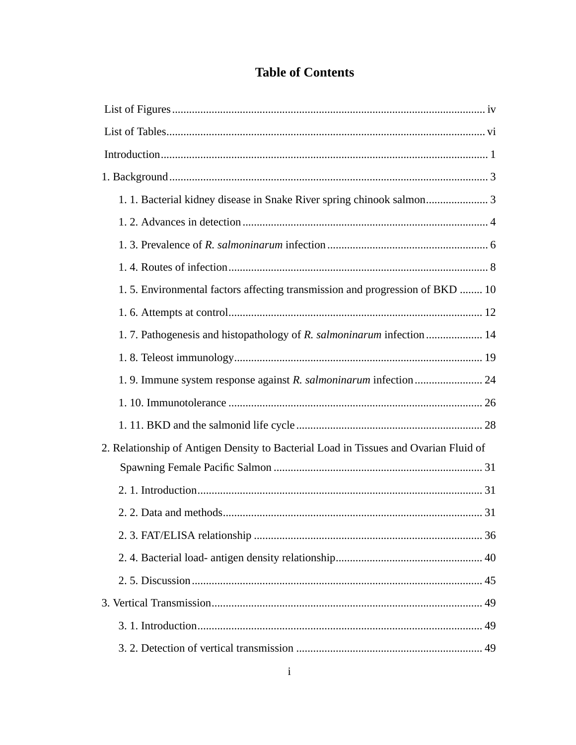### **Table of Contents**

| 1.5. Environmental factors affecting transmission and progression of BKD  10         |
|--------------------------------------------------------------------------------------|
|                                                                                      |
| 1.7. Pathogenesis and histopathology of R. salmoninarum infection  14                |
|                                                                                      |
|                                                                                      |
|                                                                                      |
|                                                                                      |
| 2. Relationship of Antigen Density to Bacterial Load in Tissues and Ovarian Fluid of |
|                                                                                      |
|                                                                                      |
|                                                                                      |
|                                                                                      |
|                                                                                      |
|                                                                                      |
|                                                                                      |
|                                                                                      |
|                                                                                      |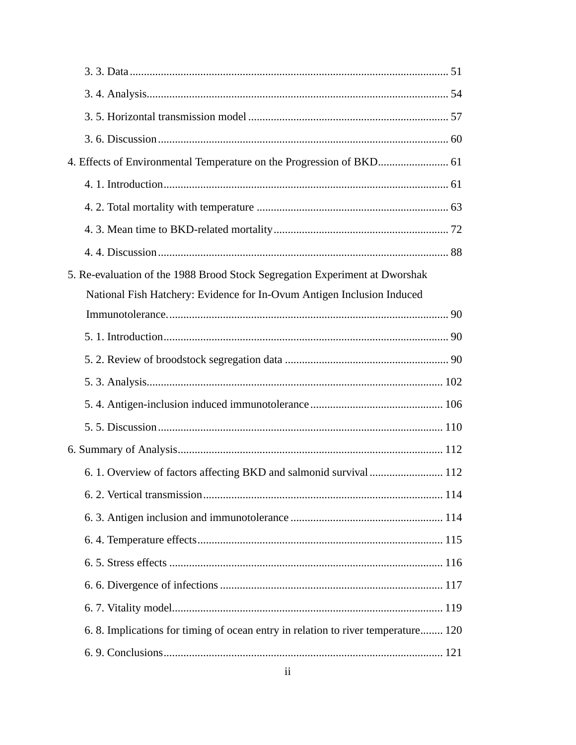| 5. Re-evaluation of the 1988 Brood Stock Segregation Experiment at Dworshak      |
|----------------------------------------------------------------------------------|
| National Fish Hatchery: Evidence for In-Ovum Antigen Inclusion Induced           |
|                                                                                  |
|                                                                                  |
|                                                                                  |
|                                                                                  |
|                                                                                  |
|                                                                                  |
|                                                                                  |
|                                                                                  |
|                                                                                  |
|                                                                                  |
|                                                                                  |
|                                                                                  |
|                                                                                  |
|                                                                                  |
| 6.8. Implications for timing of ocean entry in relation to river temperature 120 |
|                                                                                  |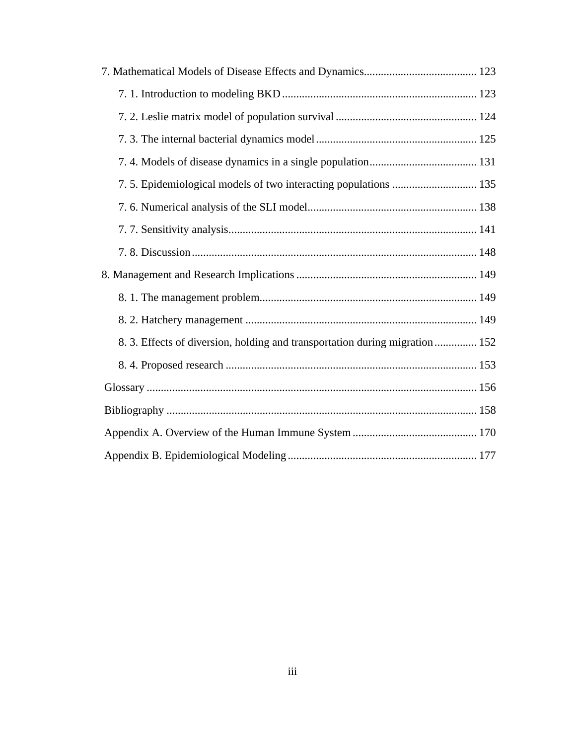| 8. 3. Effects of diversion, holding and transportation during migration  152 |
|------------------------------------------------------------------------------|
|                                                                              |
|                                                                              |
|                                                                              |
|                                                                              |
|                                                                              |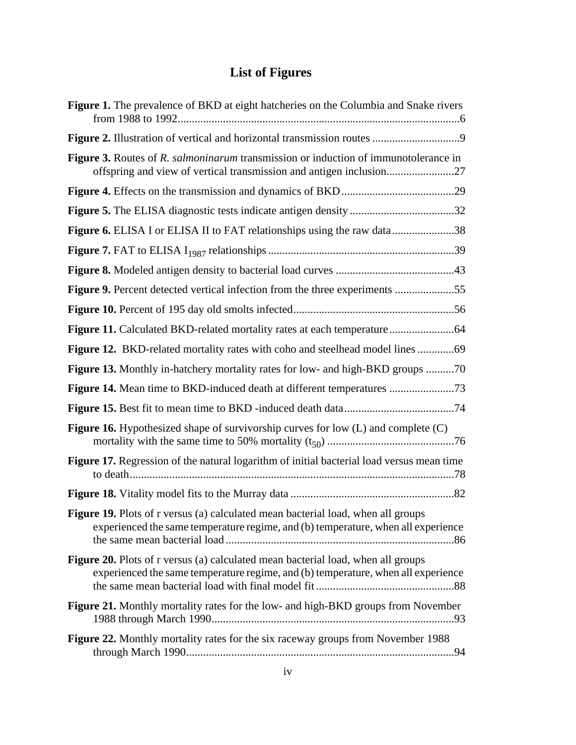## **List of Figures**

| Figure 1. The prevalence of BKD at eight hatcheries on the Columbia and Snake rivers                                                                                         |
|------------------------------------------------------------------------------------------------------------------------------------------------------------------------------|
|                                                                                                                                                                              |
| <b>Figure 3.</b> Routes of R. <i>salmoninarum</i> transmission or induction of immunotolerance in<br>offspring and view of vertical transmission and antigen inclusion27     |
|                                                                                                                                                                              |
|                                                                                                                                                                              |
| Figure 6. ELISA I or ELISA II to FAT relationships using the raw data38                                                                                                      |
|                                                                                                                                                                              |
|                                                                                                                                                                              |
| <b>Figure 9.</b> Percent detected vertical infection from the three experiments 55                                                                                           |
|                                                                                                                                                                              |
|                                                                                                                                                                              |
| Figure 12. BKD-related mortality rates with coho and steelhead model lines                                                                                                   |
| <b>Figure 13.</b> Monthly in-hatchery mortality rates for low- and high-BKD groups 70                                                                                        |
|                                                                                                                                                                              |
|                                                                                                                                                                              |
| <b>Figure 16.</b> Hypothesized shape of survivorship curves for low (L) and complete (C)                                                                                     |
| Figure 17. Regression of the natural logarithm of initial bacterial load versus mean time                                                                                    |
|                                                                                                                                                                              |
| <b>Figure 19.</b> Plots of r versus (a) calculated mean bacterial load, when all groups<br>experienced the same temperature regime, and (b) temperature, when all experience |
| Figure 20. Plots of r versus (a) calculated mean bacterial load, when all groups<br>experienced the same temperature regime, and (b) temperature, when all experience        |
| Figure 21. Monthly mortality rates for the low- and high-BKD groups from November                                                                                            |
| Figure 22. Monthly mortality rates for the six raceway groups from November 1988                                                                                             |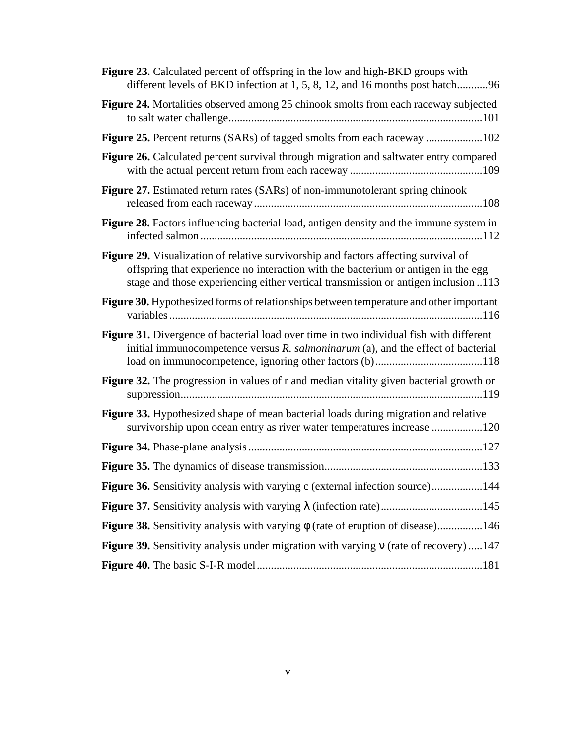| <b>Figure 23.</b> Calculated percent of offspring in the low and high-BKD groups with<br>different levels of BKD infection at 1, 5, 8, 12, and 16 months post hatch96                                                                                          |
|----------------------------------------------------------------------------------------------------------------------------------------------------------------------------------------------------------------------------------------------------------------|
| Figure 24. Mortalities observed among 25 chinook smolts from each raceway subjected                                                                                                                                                                            |
| Figure 25. Percent returns (SARs) of tagged smolts from each raceway 102                                                                                                                                                                                       |
| Figure 26. Calculated percent survival through migration and saltwater entry compared                                                                                                                                                                          |
| Figure 27. Estimated return rates (SARs) of non-immunotolerant spring chinook                                                                                                                                                                                  |
| Figure 28. Factors influencing bacterial load, antigen density and the immune system in                                                                                                                                                                        |
| Figure 29. Visualization of relative survivorship and factors affecting survival of<br>offspring that experience no interaction with the bacterium or antigen in the egg<br>stage and those experiencing either vertical transmission or antigen inclusion 113 |
| Figure 30. Hypothesized forms of relationships between temperature and other important                                                                                                                                                                         |
| Figure 31. Divergence of bacterial load over time in two individual fish with different<br>initial immunocompetence versus R. salmoninarum (a), and the effect of bacterial                                                                                    |
| <b>Figure 32.</b> The progression in values of r and median vitality given bacterial growth or                                                                                                                                                                 |
| Figure 33. Hypothesized shape of mean bacterial loads during migration and relative<br>survivorship upon ocean entry as river water temperatures increase 120                                                                                                  |
|                                                                                                                                                                                                                                                                |
|                                                                                                                                                                                                                                                                |
| Figure 36. Sensitivity analysis with varying c (external infection source)144                                                                                                                                                                                  |
|                                                                                                                                                                                                                                                                |
| Figure 38. Sensitivity analysis with varying $\phi$ (rate of eruption of disease)146                                                                                                                                                                           |
| Figure 39. Sensitivity analysis under migration with varying $\nu$ (rate of recovery) 147                                                                                                                                                                      |
|                                                                                                                                                                                                                                                                |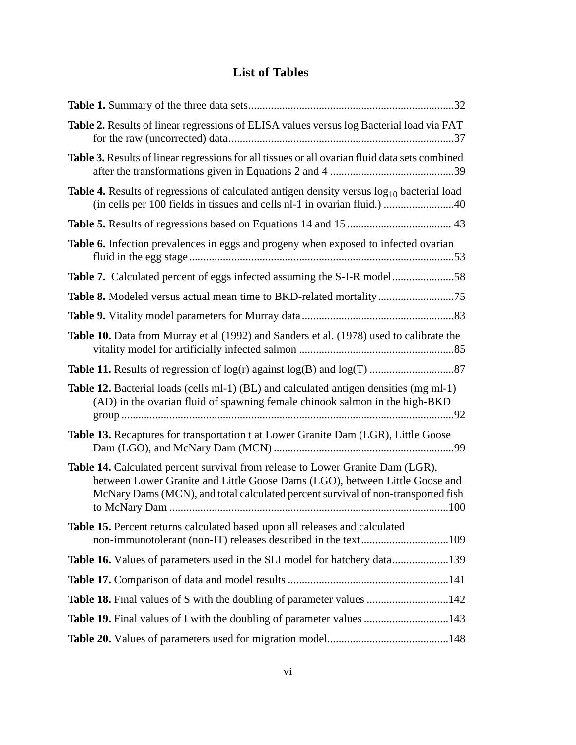## **List of Tables**

| Table 2. Results of linear regressions of ELISA values versus log Bacterial load via FAT                                                                                                                                                          |
|---------------------------------------------------------------------------------------------------------------------------------------------------------------------------------------------------------------------------------------------------|
| Table 3. Results of linear regressions for all tissues or all ovarian fluid data sets combined                                                                                                                                                    |
| Table 4. Results of regressions of calculated antigen density versus $log_{10}$ bacterial load                                                                                                                                                    |
|                                                                                                                                                                                                                                                   |
| Table 6. Infection prevalences in eggs and progeny when exposed to infected ovarian                                                                                                                                                               |
| Table 7. Calculated percent of eggs infected assuming the S-I-R model58                                                                                                                                                                           |
|                                                                                                                                                                                                                                                   |
|                                                                                                                                                                                                                                                   |
| Table 10. Data from Murray et al (1992) and Sanders et al. (1978) used to calibrate the                                                                                                                                                           |
|                                                                                                                                                                                                                                                   |
| <b>Table 12.</b> Bacterial loads (cells ml-1) (BL) and calculated antigen densities (mg ml-1)<br>(AD) in the ovarian fluid of spawning female chinook salmon in the high-BKD                                                                      |
| Table 13. Recaptures for transportation t at Lower Granite Dam (LGR), Little Goose                                                                                                                                                                |
| Table 14. Calculated percent survival from release to Lower Granite Dam (LGR),<br>between Lower Granite and Little Goose Dams (LGO), between Little Goose and<br>McNary Dams (MCN), and total calculated percent survival of non-transported fish |
| Table 15. Percent returns calculated based upon all releases and calculated                                                                                                                                                                       |
| Table 16. Values of parameters used in the SLI model for hatchery data139                                                                                                                                                                         |
|                                                                                                                                                                                                                                                   |
| <b>Table 18.</b> Final values of S with the doubling of parameter values 142                                                                                                                                                                      |
| Table 19. Final values of I with the doubling of parameter values 143                                                                                                                                                                             |
|                                                                                                                                                                                                                                                   |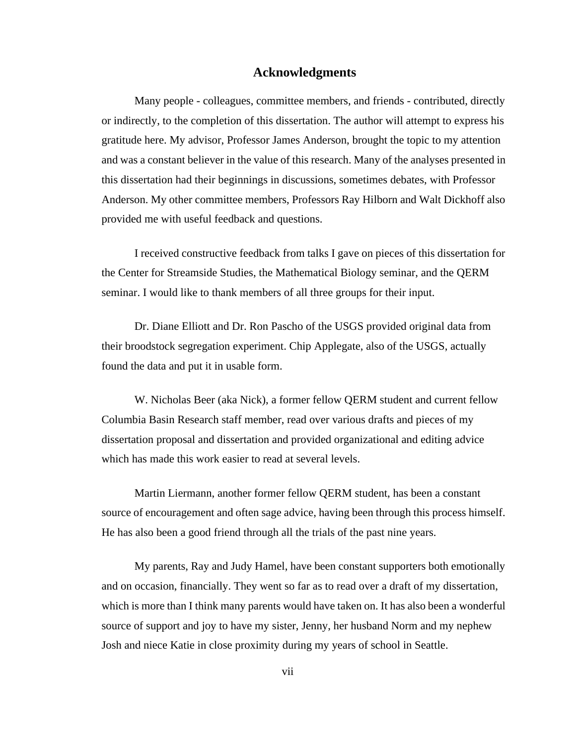#### **Acknowledgments**

Many people - colleagues, committee members, and friends - contributed, directly or indirectly, to the completion of this dissertation. The author will attempt to express his gratitude here. My advisor, Professor James Anderson, brought the topic to my attention and was a constant believer in the value of this research. Many of the analyses presented in this dissertation had their beginnings in discussions, sometimes debates, with Professor Anderson. My other committee members, Professors Ray Hilborn and Walt Dickhoff also provided me with useful feedback and questions.

I received constructive feedback from talks I gave on pieces of this dissertation for the Center for Streamside Studies, the Mathematical Biology seminar, and the QERM seminar. I would like to thank members of all three groups for their input.

Dr. Diane Elliott and Dr. Ron Pascho of the USGS provided original data from their broodstock segregation experiment. Chip Applegate, also of the USGS, actually found the data and put it in usable form.

W. Nicholas Beer (aka Nick), a former fellow QERM student and current fellow Columbia Basin Research staff member, read over various drafts and pieces of my dissertation proposal and dissertation and provided organizational and editing advice which has made this work easier to read at several levels.

Martin Liermann, another former fellow QERM student, has been a constant source of encouragement and often sage advice, having been through this process himself. He has also been a good friend through all the trials of the past nine years.

My parents, Ray and Judy Hamel, have been constant supporters both emotionally and on occasion, financially. They went so far as to read over a draft of my dissertation, which is more than I think many parents would have taken on. It has also been a wonderful source of support and joy to have my sister, Jenny, her husband Norm and my nephew Josh and niece Katie in close proximity during my years of school in Seattle.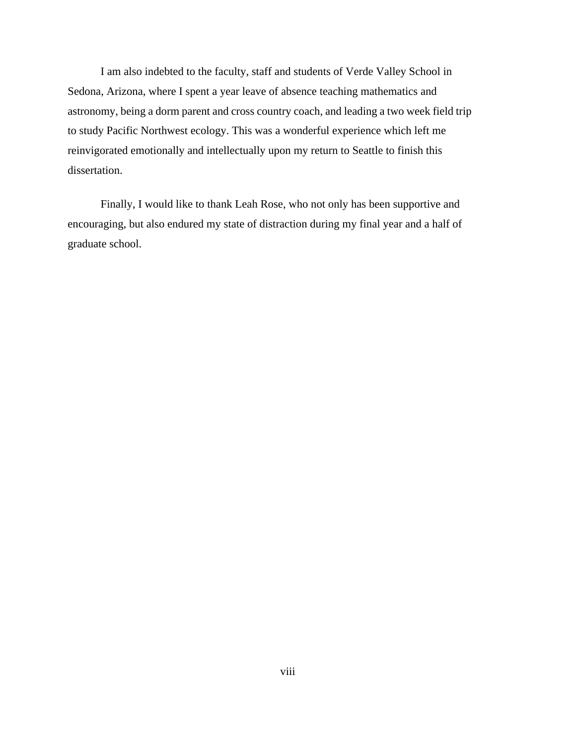I am also indebted to the faculty, staff and students of Verde Valley School in Sedona, Arizona, where I spent a year leave of absence teaching mathematics and astronomy, being a dorm parent and cross country coach, and leading a two week field trip to study Pacific Northwest ecology. This was a wonderful experience which left me reinvigorated emotionally and intellectually upon my return to Seattle to finish this dissertation.

Finally, I would like to thank Leah Rose, who not only has been supportive and encouraging, but also endured my state of distraction during my final year and a half of graduate school.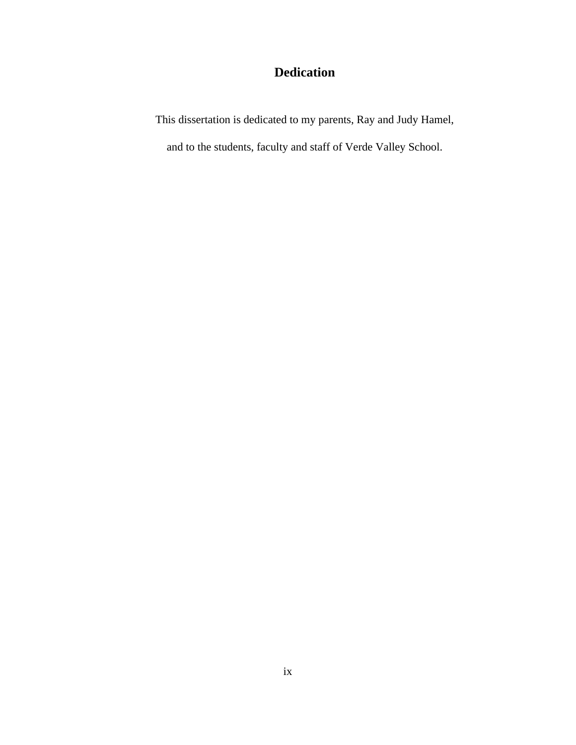### **Dedication**

This dissertation is dedicated to my parents, Ray and Judy Hamel,

and to the students, faculty and staff of Verde Valley School.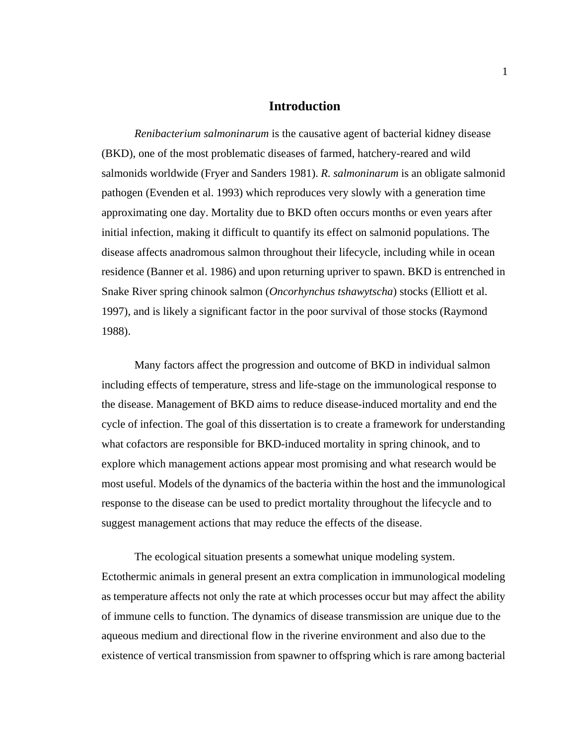#### **Introduction**

*Renibacterium salmoninarum* is the causative agent of bacterial kidney disease (BKD), one of the most problematic diseases of farmed, hatchery-reared and wild salmonids worldwide (Fryer and Sanders 1981). *R. salmoninarum* is an obligate salmonid pathogen (Evenden et al. 1993) which reproduces very slowly with a generation time approximating one day. Mortality due to BKD often occurs months or even years after initial infection, making it difficult to quantify its effect on salmonid populations. The disease affects anadromous salmon throughout their lifecycle, including while in ocean residence (Banner et al. 1986) and upon returning upriver to spawn. BKD is entrenched in Snake River spring chinook salmon (*Oncorhynchus tshawytscha*) stocks (Elliott et al. 1997), and is likely a significant factor in the poor survival of those stocks (Raymond 1988).

Many factors affect the progression and outcome of BKD in individual salmon including effects of temperature, stress and life-stage on the immunological response to the disease. Management of BKD aims to reduce disease-induced mortality and end the cycle of infection. The goal of this dissertation is to create a framework for understanding what cofactors are responsible for BKD-induced mortality in spring chinook, and to explore which management actions appear most promising and what research would be most useful. Models of the dynamics of the bacteria within the host and the immunological response to the disease can be used to predict mortality throughout the lifecycle and to suggest management actions that may reduce the effects of the disease.

The ecological situation presents a somewhat unique modeling system. Ectothermic animals in general present an extra complication in immunological modeling as temperature affects not only the rate at which processes occur but may affect the ability of immune cells to function. The dynamics of disease transmission are unique due to the aqueous medium and directional flow in the riverine environment and also due to the existence of vertical transmission from spawner to offspring which is rare among bacterial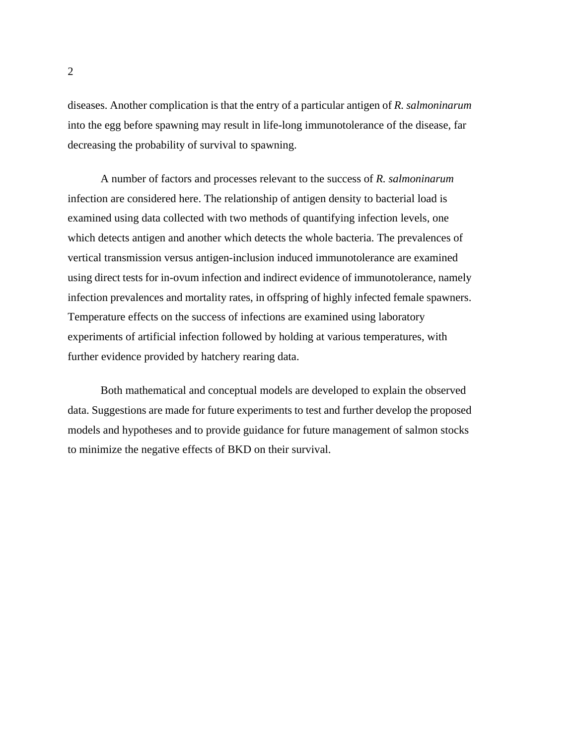diseases. Another complication is that the entry of a particular antigen of *R. salmoninarum* into the egg before spawning may result in life-long immunotolerance of the disease, far decreasing the probability of survival to spawning.

A number of factors and processes relevant to the success of *R. salmoninarum* infection are considered here. The relationship of antigen density to bacterial load is examined using data collected with two methods of quantifying infection levels, one which detects antigen and another which detects the whole bacteria. The prevalences of vertical transmission versus antigen-inclusion induced immunotolerance are examined using direct tests for in-ovum infection and indirect evidence of immunotolerance, namely infection prevalences and mortality rates, in offspring of highly infected female spawners. Temperature effects on the success of infections are examined using laboratory experiments of artificial infection followed by holding at various temperatures, with further evidence provided by hatchery rearing data.

Both mathematical and conceptual models are developed to explain the observed data. Suggestions are made for future experiments to test and further develop the proposed models and hypotheses and to provide guidance for future management of salmon stocks to minimize the negative effects of BKD on their survival.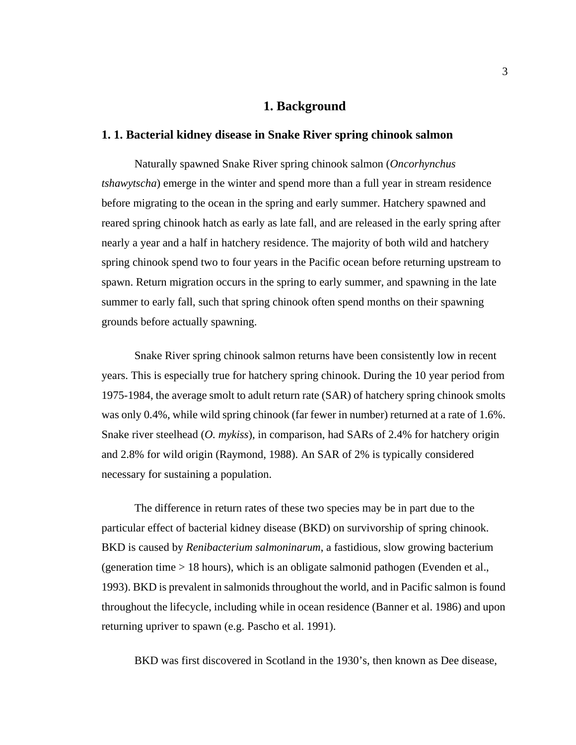#### **1. Background**

#### **1. 1. Bacterial kidney disease in Snake River spring chinook salmon**

Naturally spawned Snake River spring chinook salmon (*Oncorhynchus tshawytscha*) emerge in the winter and spend more than a full year in stream residence before migrating to the ocean in the spring and early summer. Hatchery spawned and reared spring chinook hatch as early as late fall, and are released in the early spring after nearly a year and a half in hatchery residence. The majority of both wild and hatchery spring chinook spend two to four years in the Pacific ocean before returning upstream to spawn. Return migration occurs in the spring to early summer, and spawning in the late summer to early fall, such that spring chinook often spend months on their spawning grounds before actually spawning.

Snake River spring chinook salmon returns have been consistently low in recent years. This is especially true for hatchery spring chinook. During the 10 year period from 1975-1984, the average smolt to adult return rate (SAR) of hatchery spring chinook smolts was only 0.4%, while wild spring chinook (far fewer in number) returned at a rate of 1.6%. Snake river steelhead (*O. mykiss*), in comparison, had SARs of 2.4% for hatchery origin and 2.8% for wild origin (Raymond, 1988). An SAR of 2% is typically considered necessary for sustaining a population.

The difference in return rates of these two species may be in part due to the particular effect of bacterial kidney disease (BKD) on survivorship of spring chinook. BKD is caused by *Renibacterium salmoninarum*, a fastidious, slow growing bacterium (generation time > 18 hours), which is an obligate salmonid pathogen (Evenden et al., 1993). BKD is prevalent in salmonids throughout the world, and in Pacific salmon is found throughout the lifecycle, including while in ocean residence (Banner et al. 1986) and upon returning upriver to spawn (e.g. Pascho et al. 1991).

BKD was first discovered in Scotland in the 1930's, then known as Dee disease,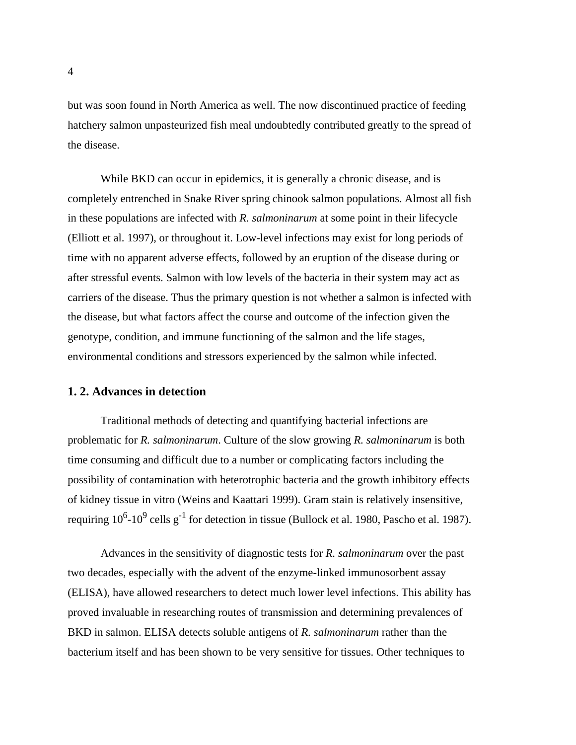<span id="page-17-0"></span>but was soon found in North America as well. The now discontinued practice of feeding hatchery salmon unpasteurized fish meal undoubtedly contributed greatly to the spread of the disease.

While BKD can occur in epidemics, it is generally a chronic disease, and is completely entrenched in Snake River spring chinook salmon populations. Almost all fish in these populations are infected with *R. salmoninarum* at some point in their lifecycle (Elliott et al. 1997), or throughout it. Low-level infections may exist for long periods of time with no apparent adverse effects, followed by an eruption of the disease during or after stressful events. Salmon with low levels of the bacteria in their system may act as carriers of the disease. Thus the primary question is not whether a salmon is infected with the disease, but what factors affect the course and outcome of the infection given the genotype, condition, and immune functioning of the salmon and the life stages, environmental conditions and stressors experienced by the salmon while infected.

#### **1. 2. Advances in detection**

Traditional methods of detecting and quantifying bacterial infections are problematic for *R. salmoninarum*. Culture of the slow growing *R. salmoninarum* is both time consuming and difficult due to a number or complicating factors including the possibility of contamination with heterotrophic bacteria and the growth inhibitory effects of kidney tissue in vitro (Weins and Kaattari 1999). Gram stain is relatively insensitive, requiring  $10^6$ - $10^9$  cells g<sup>-1</sup> for detection in tissue (Bullock et al. 1980, Pascho et al. 1987).

Advances in the sensitivity of diagnostic tests for *R. salmoninarum* over the past two decades, especially with the advent of the enzyme-linked immunosorbent assay (ELISA), have allowed researchers to detect much lower level infections. This ability has proved invaluable in researching routes of transmission and determining prevalences of BKD in salmon. ELISA detects soluble antigens of *R. salmoninarum* rather than the bacterium itself and has been shown to be very sensitive for tissues. Other techniques to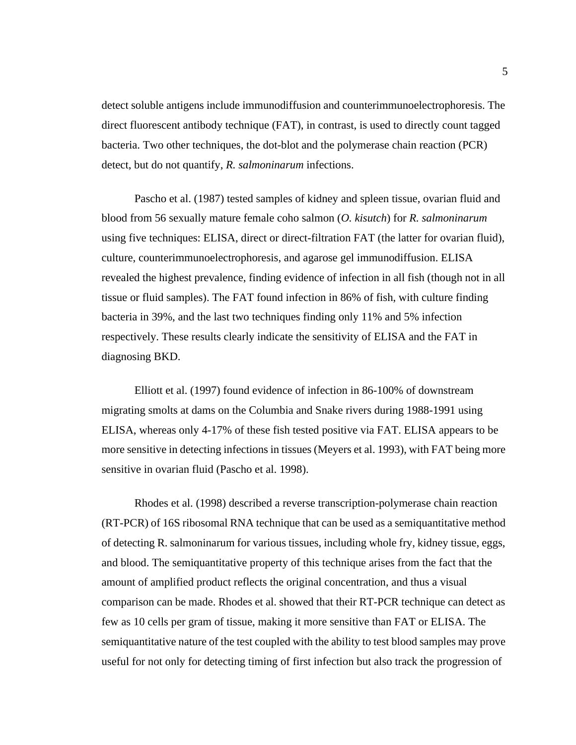detect soluble antigens include immunodiffusion and counterimmunoelectrophoresis. The direct fluorescent antibody technique (FAT), in contrast, is used to directly count tagged bacteria. Two other techniques, the dot-blot and the polymerase chain reaction (PCR) detect, but do not quantify, *R. salmoninarum* infections.

Pascho et al. (1987) tested samples of kidney and spleen tissue, ovarian fluid and blood from 56 sexually mature female coho salmon (*O. kisutch*) for *R. salmoninarum* using five techniques: ELISA, direct or direct-filtration FAT (the latter for ovarian fluid), culture, counterimmunoelectrophoresis, and agarose gel immunodiffusion. ELISA revealed the highest prevalence, finding evidence of infection in all fish (though not in all tissue or fluid samples). The FAT found infection in 86% of fish, with culture finding bacteria in 39%, and the last two techniques finding only 11% and 5% infection respectively. These results clearly indicate the sensitivity of ELISA and the FAT in diagnosing BKD.

Elliott et al. (1997) found evidence of infection in 86-100% of downstream migrating smolts at dams on the Columbia and Snake rivers during 1988-1991 using ELISA, whereas only 4-17% of these fish tested positive via FAT. ELISA appears to be more sensitive in detecting infections in tissues (Meyers et al. 1993), with FAT being more sensitive in ovarian fluid (Pascho et al. 1998).

Rhodes et al. (1998) described a reverse transcription-polymerase chain reaction (RT-PCR) of 16S ribosomal RNA technique that can be used as a semiquantitative method of detecting R. salmoninarum for various tissues, including whole fry, kidney tissue, eggs, and blood. The semiquantitative property of this technique arises from the fact that the amount of amplified product reflects the original concentration, and thus a visual comparison can be made. Rhodes et al. showed that their RT-PCR technique can detect as few as 10 cells per gram of tissue, making it more sensitive than FAT or ELISA. The semiquantitative nature of the test coupled with the ability to test blood samples may prove useful for not only for detecting timing of first infection but also track the progression of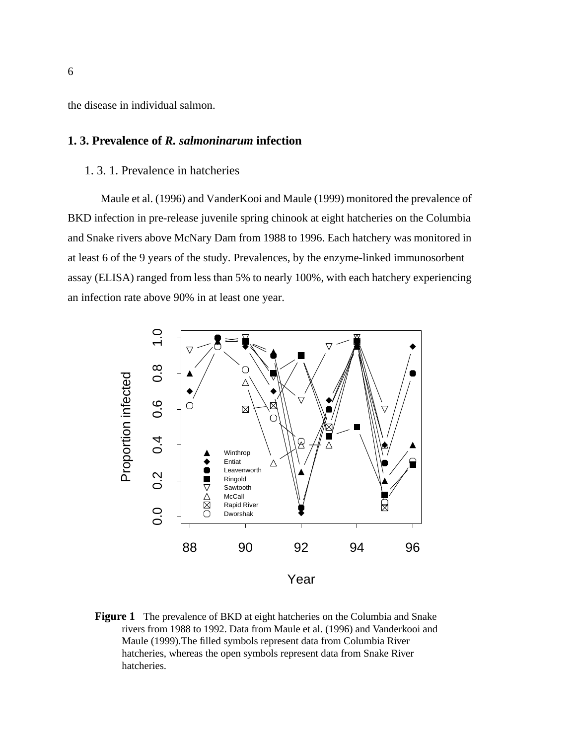<span id="page-19-0"></span>the disease in individual salmon.

#### **1. 3. Prevalence of** *R. salmoninarum* **infection**

#### 1. 3. 1. Prevalence in hatcheries

Maule et al. (1996) and VanderKooi and Maule (1999) monitored the prevalence of BKD infection in pre-release juvenile spring chinook at eight hatcheries on the Columbia and Snake rivers above McNary Dam from 1988 to 1996. Each hatchery was monitored in at least 6 of the 9 years of the study. Prevalences, by the enzyme-linked immunosorbent assay (ELISA) ranged from less than 5% to nearly 100%, with each hatchery experiencing an infection rate above 90% in at least one year.



**Figure 1** The prevalence of BKD at eight hatcheries on the Columbia and Snake rivers from 1988 to 1992. Data from Maule et al. (1996) and Vanderkooi and Maule (1999).The filled symbols represent data from Columbia River hatcheries, whereas the open symbols represent data from Snake River hatcheries.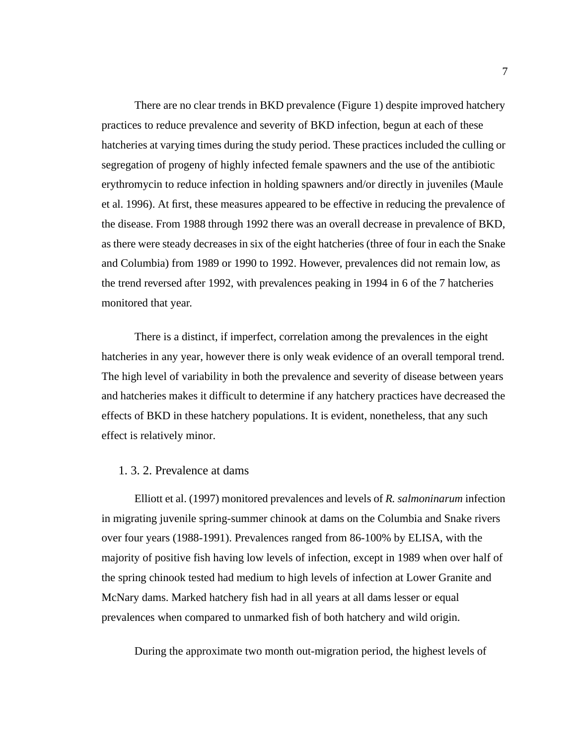There are no clear trends in BKD prevalence [\(Figure 1](#page-19-0)) despite improved hatchery practices to reduce prevalence and severity of BKD infection, begun at each of these hatcheries at varying times during the study period. These practices included the culling or segregation of progeny of highly infected female spawners and the use of the antibiotic erythromycin to reduce infection in holding spawners and/or directly in juveniles (Maule et al. 1996). At first, these measures appeared to be effective in reducing the prevalence of the disease. From 1988 through 1992 there was an overall decrease in prevalence of BKD, as there were steady decreases in six of the eight hatcheries (three of four in each the Snake and Columbia) from 1989 or 1990 to 1992. However, prevalences did not remain low, as the trend reversed after 1992, with prevalences peaking in 1994 in 6 of the 7 hatcheries monitored that year.

There is a distinct, if imperfect, correlation among the prevalences in the eight hatcheries in any year, however there is only weak evidence of an overall temporal trend. The high level of variability in both the prevalence and severity of disease between years and hatcheries makes it difficult to determine if any hatchery practices have decreased the effects of BKD in these hatchery populations. It is evident, nonetheless, that any such effect is relatively minor.

#### 1. 3. 2. Prevalence at dams

Elliott et al. (1997) monitored prevalences and levels of *R. salmoninarum* infection in migrating juvenile spring-summer chinook at dams on the Columbia and Snake rivers over four years (1988-1991). Prevalences ranged from 86-100% by ELISA, with the majority of positive fish having low levels of infection, except in 1989 when over half of the spring chinook tested had medium to high levels of infection at Lower Granite and McNary dams. Marked hatchery fish had in all years at all dams lesser or equal prevalences when compared to unmarked fish of both hatchery and wild origin.

During the approximate two month out-migration period, the highest levels of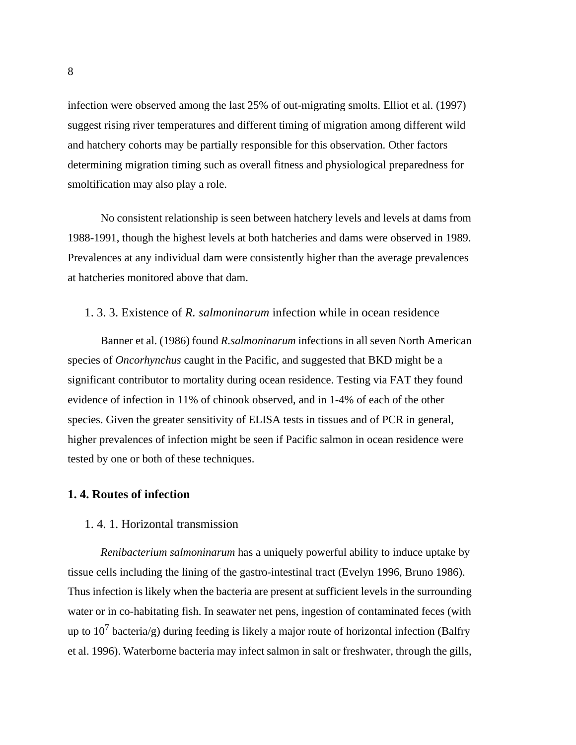infection were observed among the last 25% of out-migrating smolts. Elliot et al. (1997) suggest rising river temperatures and different timing of migration among different wild and hatchery cohorts may be partially responsible for this observation. Other factors determining migration timing such as overall fitness and physiological preparedness for smoltification may also play a role.

No consistent relationship is seen between hatchery levels and levels at dams from 1988-1991, though the highest levels at both hatcheries and dams were observed in 1989. Prevalences at any individual dam were consistently higher than the average prevalences at hatcheries monitored above that dam.

#### 1. 3. 3. Existence of *R. salmoninarum* infection while in ocean residence

Banner et al. (1986) found *R.salmoninarum* infections in all seven North American species of *Oncorhynchus* caught in the Pacific, and suggested that BKD might be a significant contributor to mortality during ocean residence. Testing via FAT they found evidence of infection in 11% of chinook observed, and in 1-4% of each of the other species. Given the greater sensitivity of ELISA tests in tissues and of PCR in general, higher prevalences of infection might be seen if Pacific salmon in ocean residence were tested by one or both of these techniques.

#### **1. 4. Routes of infection**

#### 1. 4. 1. Horizontal transmission

*Renibacterium salmoninarum* has a uniquely powerful ability to induce uptake by tissue cells including the lining of the gastro-intestinal tract (Evelyn 1996, Bruno 1986). Thus infection is likely when the bacteria are present at sufficient levels in the surrounding water or in co-habitating fish. In seawater net pens, ingestion of contaminated feces (with up to 10<sup>7</sup> bacteria/g) during feeding is likely a major route of horizontal infection (Balfry et al. 1996). Waterborne bacteria may infect salmon in salt or freshwater, through the gills,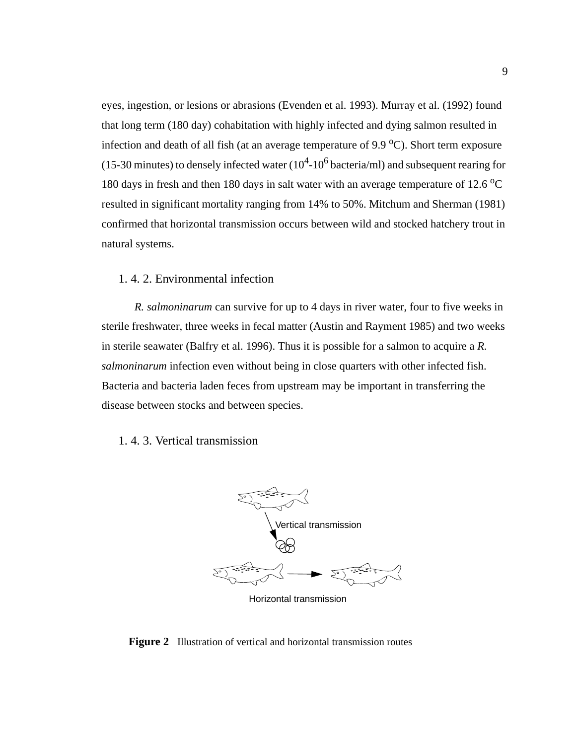<span id="page-22-0"></span>eyes, ingestion, or lesions or abrasions (Evenden et al. 1993). Murray et al. (1992) found that long term (180 day) cohabitation with highly infected and dying salmon resulted in infection and death of all fish (at an average temperature of  $9.9 \text{ °C}$ ). Short term exposure (15-30 minutes) to densely infected water  $(10^4$ -10<sup>6</sup> bacteria/ml) and subsequent rearing for 180 days in fresh and then 180 days in salt water with an average temperature of 12.6  $^{\circ}$ C resulted in significant mortality ranging from 14% to 50%. Mitchum and Sherman (1981) confirmed that horizontal transmission occurs between wild and stocked hatchery trout in natural systems.

#### 1. 4. 2. Environmental infection

*R. salmoninarum* can survive for up to 4 days in river water, four to five weeks in sterile freshwater, three weeks in fecal matter (Austin and Rayment 1985) and two weeks in sterile seawater (Balfry et al. 1996). Thus it is possible for a salmon to acquire a *R. salmoninarum* infection even without being in close quarters with other infected fish. Bacteria and bacteria laden feces from upstream may be important in transferring the disease between stocks and between species.

#### 1. 4. 3. Vertical transmission



Horizontal transmission

#### **Figure 2** Illustration of vertical and horizontal transmission routes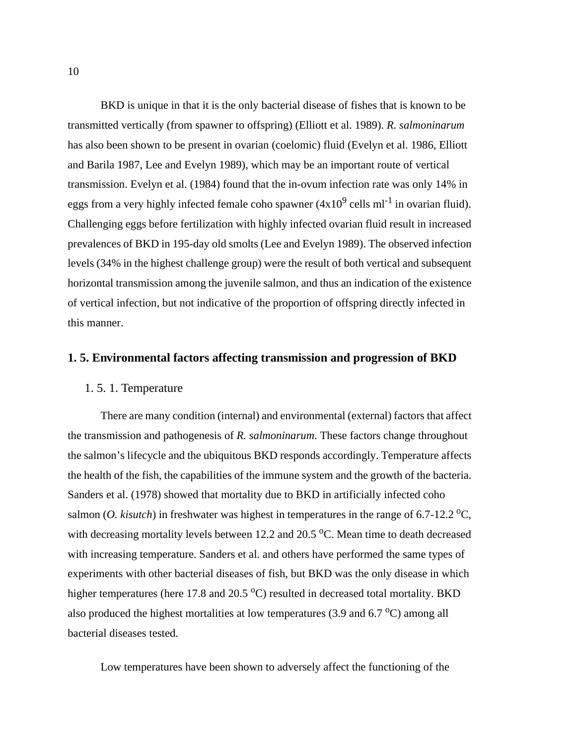BKD is unique in that it is the only bacterial disease of fishes that is known to be transmitted vertically (from spawner to offspring) (Elliott et al. 1989). *R. salmoninarum* has also been shown to be present in ovarian (coelomic) fluid (Evelyn et al. 1986, Elliott and Barila 1987, Lee and Evelyn 1989), which may be an important route of vertical transmission. Evelyn et al. (1984) found that the in-ovum infection rate was only 14% in eggs from a very highly infected female coho spawner  $(4x10^9 \text{ cells ml}^{-1})$  in ovarian fluid). Challenging eggs before fertilization with highly infected ovarian fluid result in increased prevalences of BKD in 195-day old smolts (Lee and Evelyn 1989). The observed infection levels (34% in the highest challenge group) were the result of both vertical and subsequent horizontal transmission among the juvenile salmon, and thus an indication of the existence of vertical infection, but not indicative of the proportion of offspring directly infected in this manner.

#### **1. 5. Environmental factors affecting transmission and progression of BKD**

#### 1. 5. 1. Temperature

There are many condition (internal) and environmental (external) factors that affect the transmission and pathogenesis of *R. salmoninarum*. These factors change throughout the salmon's lifecycle and the ubiquitous BKD responds accordingly. Temperature affects the health of the fish, the capabilities of the immune system and the growth of the bacteria. Sanders et al. (1978) showed that mortality due to BKD in artificially infected coho salmon (*O. kisutch*) in freshwater was highest in temperatures in the range of 6.7-12.2 <sup>o</sup>C, with decreasing mortality levels between 12.2 and 20.5  $^{\circ}$ C. Mean time to death decreased with increasing temperature. Sanders et al. and others have performed the same types of experiments with other bacterial diseases of fish, but BKD was the only disease in which higher temperatures (here 17.8 and  $20.5\text{ °C}$ ) resulted in decreased total mortality. BKD also produced the highest mortalities at low temperatures  $(3.9 \text{ and } 6.7 \text{ °C})$  among all bacterial diseases tested.

Low temperatures have been shown to adversely affect the functioning of the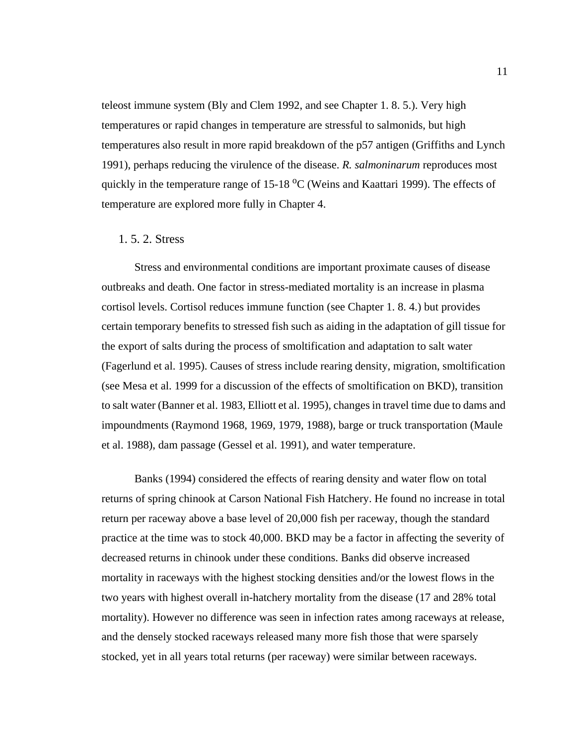teleost immune system (Bly and Clem 1992, and see [Chapter 1. 8. 5.](#page-36-0)). Very high temperatures or rapid changes in temperature are stressful to salmonids, but high temperatures also result in more rapid breakdown of the p57 antigen (Griffiths and Lynch 1991), perhaps reducing the virulence of the disease. *R. salmoninarum* reproduces most quickly in the temperature range of 15-18 <sup>o</sup>C (Weins and Kaattari 1999). The effects of temperature are explored more fully in Chapter 4.

#### 1. 5. 2. Stress

Stress and environmental conditions are important proximate causes of disease outbreaks and death. One factor in stress-mediated mortality is an increase in plasma cortisol levels. Cortisol reduces immune function (see [Chapter 1. 8. 4.\)](#page-36-0) but provides certain temporary benefits to stressed fish such as aiding in the adaptation of gill tissue for the export of salts during the process of smoltification and adaptation to salt water (Fagerlund et al. 1995). Causes of stress include rearing density, migration, smoltification (see Mesa et al. 1999 for a discussion of the effects of smoltification on BKD), transition to salt water (Banner et al. 1983, Elliott et al. 1995), changes in travel time due to dams and impoundments (Raymond 1968, 1969, 1979, 1988), barge or truck transportation (Maule et al. 1988), dam passage (Gessel et al. 1991), and water temperature.

Banks (1994) considered the effects of rearing density and water flow on total returns of spring chinook at Carson National Fish Hatchery. He found no increase in total return per raceway above a base level of 20,000 fish per raceway, though the standard practice at the time was to stock 40,000. BKD may be a factor in affecting the severity of decreased returns in chinook under these conditions. Banks did observe increased mortality in raceways with the highest stocking densities and/or the lowest flows in the two years with highest overall in-hatchery mortality from the disease (17 and 28% total mortality). However no difference was seen in infection rates among raceways at release, and the densely stocked raceways released many more fish those that were sparsely stocked, yet in all years total returns (per raceway) were similar between raceways.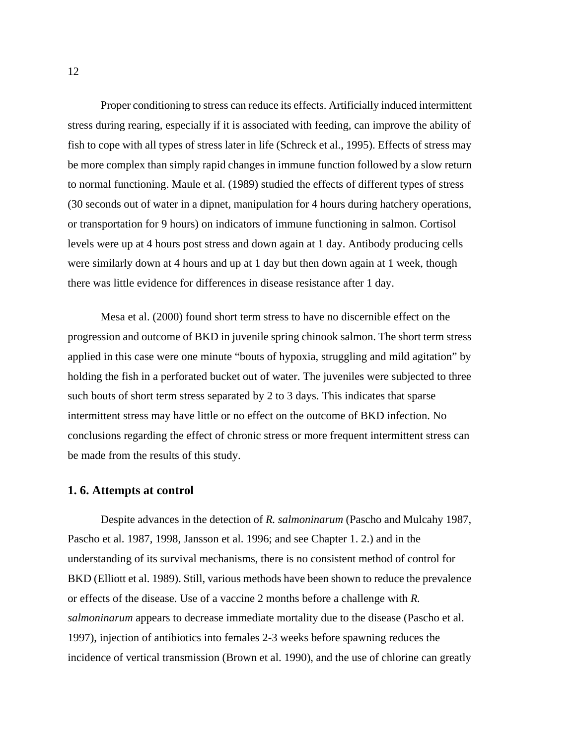Proper conditioning to stress can reduce its effects. Artificially induced intermittent stress during rearing, especially if it is associated with feeding, can improve the ability of fish to cope with all types of stress later in life (Schreck et al., 1995). Effects of stress may be more complex than simply rapid changes in immune function followed by a slow return to normal functioning. Maule et al. (1989) studied the effects of different types of stress (30 seconds out of water in a dipnet, manipulation for 4 hours during hatchery operations, or transportation for 9 hours) on indicators of immune functioning in salmon. Cortisol levels were up at 4 hours post stress and down again at 1 day. Antibody producing cells were similarly down at 4 hours and up at 1 day but then down again at 1 week, though there was little evidence for differences in disease resistance after 1 day.

Mesa et al. (2000) found short term stress to have no discernible effect on the progression and outcome of BKD in juvenile spring chinook salmon. The short term stress applied in this case were one minute "bouts of hypoxia, struggling and mild agitation" by holding the fish in a perforated bucket out of water. The juveniles were subjected to three such bouts of short term stress separated by 2 to 3 days. This indicates that sparse intermittent stress may have little or no effect on the outcome of BKD infection. No conclusions regarding the effect of chronic stress or more frequent intermittent stress can be made from the results of this study.

#### **1. 6. Attempts at control**

Despite advances in the detection of *R. salmoninarum* (Pascho and Mulcahy 1987, Pascho et al. 1987, 1998, Jansson et al. 1996; and see [Chapter 1. 2.\)](#page-17-0) and in the understanding of its survival mechanisms, there is no consistent method of control for BKD (Elliott et al. 1989). Still, various methods have been shown to reduce the prevalence or effects of the disease. Use of a vaccine 2 months before a challenge with *R. salmoninarum* appears to decrease immediate mortality due to the disease (Pascho et al. 1997), injection of antibiotics into females 2-3 weeks before spawning reduces the incidence of vertical transmission (Brown et al. 1990), and the use of chlorine can greatly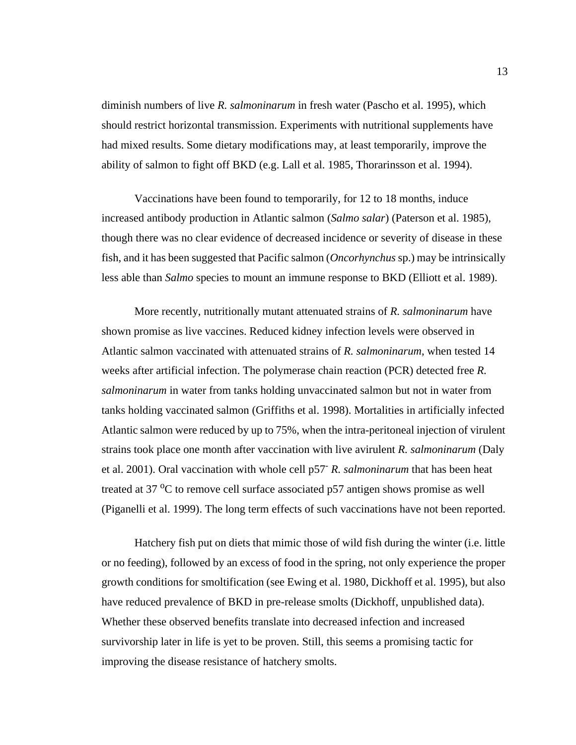diminish numbers of live *R. salmoninarum* in fresh water (Pascho et al. 1995), which should restrict horizontal transmission. Experiments with nutritional supplements have had mixed results. Some dietary modifications may, at least temporarily, improve the ability of salmon to fight off BKD (e.g. Lall et al. 1985, Thorarinsson et al. 1994).

Vaccinations have been found to temporarily, for 12 to 18 months, induce increased antibody production in Atlantic salmon (*Salmo salar*) (Paterson et al. 1985), though there was no clear evidence of decreased incidence or severity of disease in these fish, and it has been suggested that Pacific salmon (*Oncorhynchus* sp.) may be intrinsically less able than *Salmo* species to mount an immune response to BKD (Elliott et al. 1989).

More recently, nutritionally mutant attenuated strains of *R. salmoninarum* have shown promise as live vaccines. Reduced kidney infection levels were observed in Atlantic salmon vaccinated with attenuated strains of *R. salmoninarum*, when tested 14 weeks after artificial infection. The polymerase chain reaction (PCR) detected free *R. salmoninarum* in water from tanks holding unvaccinated salmon but not in water from tanks holding vaccinated salmon (Griffiths et al. 1998). Mortalities in artificially infected Atlantic salmon were reduced by up to 75%, when the intra-peritoneal injection of virulent strains took place one month after vaccination with live avirulent *R. salmoninarum* (Daly et al. 2001). Oral vaccination with whole cell p57- *R. salmoninarum* that has been heat treated at 37  $\rm{^{\circ}C}$  to remove cell surface associated p57 antigen shows promise as well (Piganelli et al. 1999). The long term effects of such vaccinations have not been reported.

Hatchery fish put on diets that mimic those of wild fish during the winter (i.e. little or no feeding), followed by an excess of food in the spring, not only experience the proper growth conditions for smoltification (see Ewing et al. 1980, Dickhoff et al. 1995), but also have reduced prevalence of BKD in pre-release smolts (Dickhoff, unpublished data). Whether these observed benefits translate into decreased infection and increased survivorship later in life is yet to be proven. Still, this seems a promising tactic for improving the disease resistance of hatchery smolts.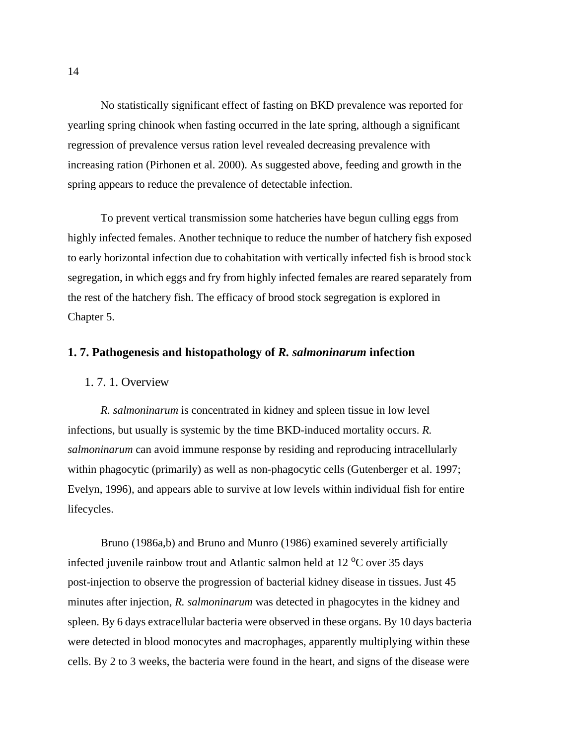No statistically significant effect of fasting on BKD prevalence was reported for yearling spring chinook when fasting occurred in the late spring, although a significant regression of prevalence versus ration level revealed decreasing prevalence with increasing ration (Pirhonen et al. 2000). As suggested above, feeding and growth in the spring appears to reduce the prevalence of detectable infection.

To prevent vertical transmission some hatcheries have begun culling eggs from highly infected females. Another technique to reduce the number of hatchery fish exposed to early horizontal infection due to cohabitation with vertically infected fish is brood stock segregation, in which eggs and fry from highly infected females are reared separately from the rest of the hatchery fish. The efficacy of brood stock segregation is explored in Chapter 5.

#### **1. 7. Pathogenesis and histopathology of** *R. salmoninarum* **infection**

#### 1. 7. 1. Overview

*R. salmoninarum* is concentrated in kidney and spleen tissue in low level infections, but usually is systemic by the time BKD-induced mortality occurs. *R. salmoninarum* can avoid immune response by residing and reproducing intracellularly within phagocytic (primarily) as well as non-phagocytic cells (Gutenberger et al. 1997; Evelyn, 1996), and appears able to survive at low levels within individual fish for entire lifecycles.

Bruno (1986a,b) and Bruno and Munro (1986) examined severely artificially infected juvenile rainbow trout and Atlantic salmon held at  $12 \degree C$  over 35 days post-injection to observe the progression of bacterial kidney disease in tissues. Just 45 minutes after injection, *R. salmoninarum* was detected in phagocytes in the kidney and spleen. By 6 days extracellular bacteria were observed in these organs. By 10 days bacteria were detected in blood monocytes and macrophages, apparently multiplying within these cells. By 2 to 3 weeks, the bacteria were found in the heart, and signs of the disease were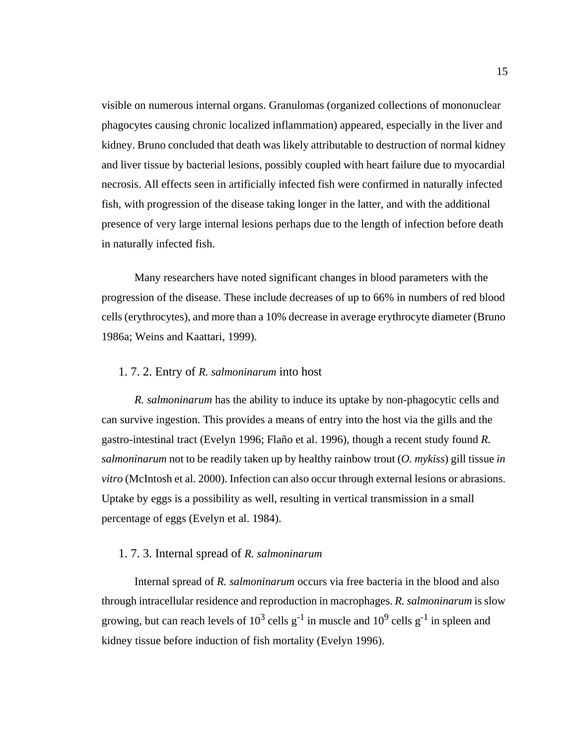visible on numerous internal organs. Granulomas (organized collections of mononuclear phagocytes causing chronic localized inflammation) appeared, especially in the liver and kidney. Bruno concluded that death was likely attributable to destruction of normal kidney and liver tissue by bacterial lesions, possibly coupled with heart failure due to myocardial necrosis. All effects seen in artificially infected fish were confirmed in naturally infected fish, with progression of the disease taking longer in the latter, and with the additional presence of very large internal lesions perhaps due to the length of infection before death in naturally infected fish.

Many researchers have noted significant changes in blood parameters with the progression of the disease. These include decreases of up to 66% in numbers of red blood cells (erythrocytes), and more than a 10% decrease in average erythrocyte diameter (Bruno 1986a; Weins and Kaattari, 1999).

#### 1. 7. 2. Entry of *R. salmoninarum* into host

*R. salmoninarum* has the ability to induce its uptake by non-phagocytic cells and can survive ingestion. This provides a means of entry into the host via the gills and the gastro-intestinal tract (Evelyn 1996; Flaño et al. 1996), though a recent study found *R. salmoninarum* not to be readily taken up by healthy rainbow trout (*O. mykiss*) gill tissue *in vitro* (McIntosh et al. 2000). Infection can also occur through external lesions or abrasions. Uptake by eggs is a possibility as well, resulting in vertical transmission in a small percentage of eggs (Evelyn et al. 1984).

#### 1. 7. 3. Internal spread of *R. salmoninarum*

Internal spread of *R. salmoninarum* occurs via free bacteria in the blood and also through intracellular residence and reproduction in macrophages. *R. salmoninarum* is slow growing, but can reach levels of  $10^3$  cells g<sup>-1</sup> in muscle and  $10^9$  cells g<sup>-1</sup> in spleen and kidney tissue before induction of fish mortality (Evelyn 1996).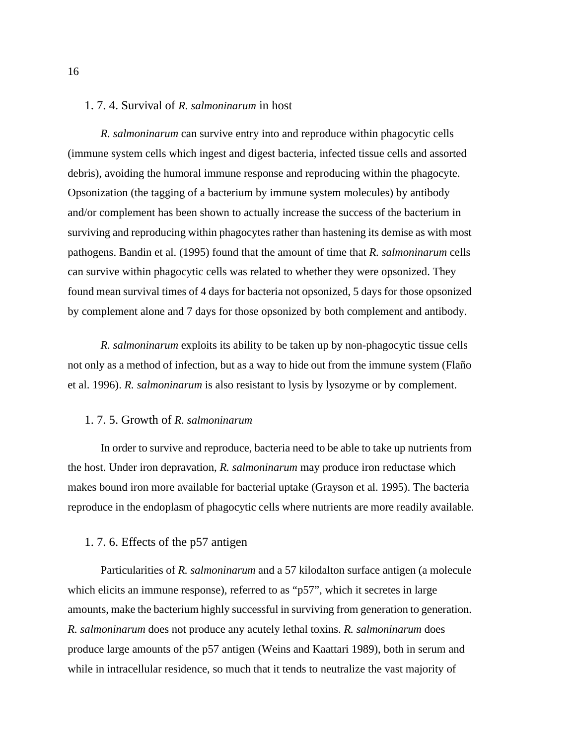#### 1. 7. 4. Survival of *R. salmoninarum* in host

*R. salmoninarum* can survive entry into and reproduce within phagocytic cells (immune system cells which ingest and digest bacteria, infected tissue cells and assorted debris), avoiding the humoral immune response and reproducing within the phagocyte. Opsonization (the tagging of a bacterium by immune system molecules) by antibody and/or complement has been shown to actually increase the success of the bacterium in surviving and reproducing within phagocytes rather than hastening its demise as with most pathogens. Bandin et al. (1995) found that the amount of time that *R. salmoninarum* cells can survive within phagocytic cells was related to whether they were opsonized. They found mean survival times of 4 days for bacteria not opsonized, 5 days for those opsonized by complement alone and 7 days for those opsonized by both complement and antibody.

*R. salmoninarum* exploits its ability to be taken up by non-phagocytic tissue cells not only as a method of infection, but as a way to hide out from the immune system (Flaño et al. 1996). *R. salmoninarum* is also resistant to lysis by lysozyme or by complement.

#### 1. 7. 5. Growth of *R. salmoninarum*

In order to survive and reproduce, bacteria need to be able to take up nutrients from the host. Under iron depravation, *R. salmoninarum* may produce iron reductase which makes bound iron more available for bacterial uptake (Grayson et al. 1995). The bacteria reproduce in the endoplasm of phagocytic cells where nutrients are more readily available.

#### 1. 7. 6. Effects of the p57 antigen

Particularities of *R. salmoninarum* and a 57 kilodalton surface antigen (a molecule which elicits an immune response), referred to as "p57", which it secretes in large amounts, make the bacterium highly successful in surviving from generation to generation. *R. salmoninarum* does not produce any acutely lethal toxins. *R. salmoninarum* does produce large amounts of the p57 antigen (Weins and Kaattari 1989), both in serum and while in intracellular residence, so much that it tends to neutralize the vast majority of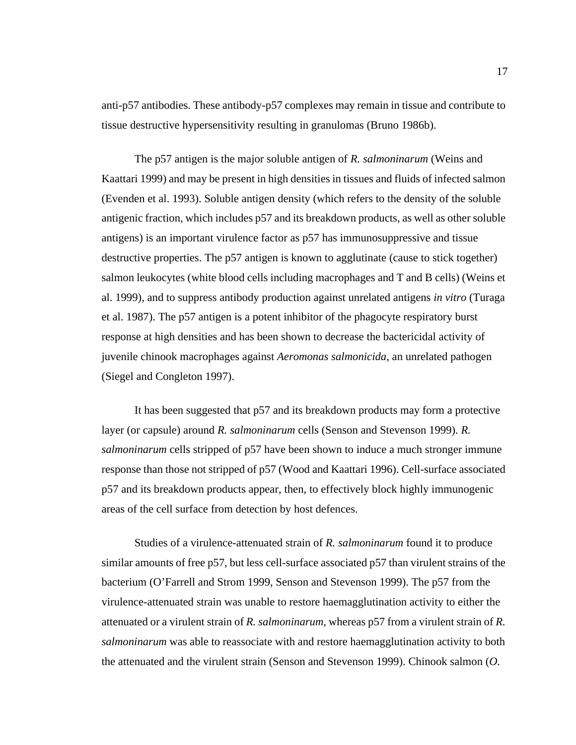anti-p57 antibodies. These antibody-p57 complexes may remain in tissue and contribute to tissue destructive hypersensitivity resulting in granulomas (Bruno 1986b).

The p57 antigen is the major soluble antigen of *R. salmoninarum* (Weins and Kaattari 1999) and may be present in high densities in tissues and fluids of infected salmon (Evenden et al. 1993). Soluble antigen density (which refers to the density of the soluble antigenic fraction, which includes p57 and its breakdown products, as well as other soluble antigens) is an important virulence factor as p57 has immunosuppressive and tissue destructive properties. The p57 antigen is known to agglutinate (cause to stick together) salmon leukocytes (white blood cells including macrophages and T and B cells) (Weins et al. 1999), and to suppress antibody production against unrelated antigens *in vitro* (Turaga et al. 1987). The p57 antigen is a potent inhibitor of the phagocyte respiratory burst response at high densities and has been shown to decrease the bactericidal activity of juvenile chinook macrophages against *Aeromonas salmonicida*, an unrelated pathogen (Siegel and Congleton 1997).

It has been suggested that p57 and its breakdown products may form a protective layer (or capsule) around *R. salmoninarum* cells (Senson and Stevenson 1999). *R. salmoninarum* cells stripped of p57 have been shown to induce a much stronger immune response than those not stripped of p57 (Wood and Kaattari 1996). Cell-surface associated p57 and its breakdown products appear, then, to effectively block highly immunogenic areas of the cell surface from detection by host defences.

Studies of a virulence-attenuated strain of *R. salmoninarum* found it to produce similar amounts of free p57, but less cell-surface associated p57 than virulent strains of the bacterium (O'Farrell and Strom 1999, Senson and Stevenson 1999). The p57 from the virulence-attenuated strain was unable to restore haemagglutination activity to either the attenuated or a virulent strain of *R. salmoninarum,* whereas p57 from a virulent strain of *R. salmoninarum* was able to reassociate with and restore haemagglutination activity to both the attenuated and the virulent strain (Senson and Stevenson 1999). Chinook salmon (*O.*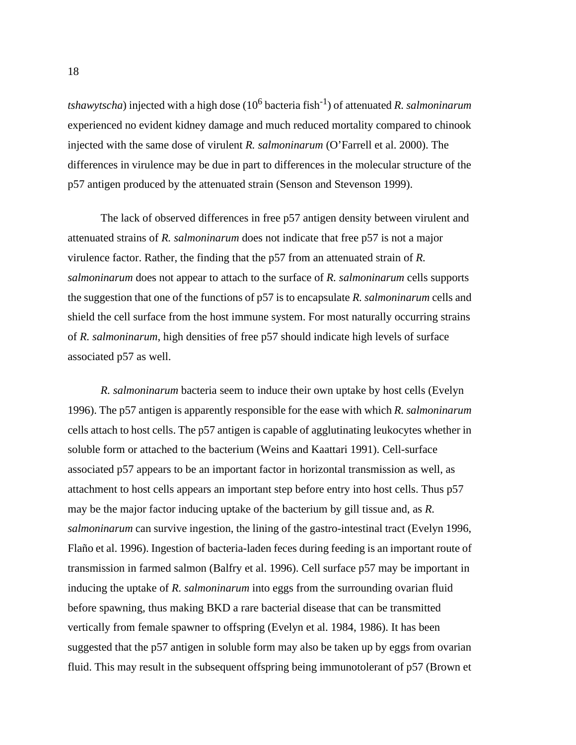*tshawytscha*) injected with a high dose (10<sup>6</sup> bacteria fish-1) of attenuated *R. salmoninarum* experienced no evident kidney damage and much reduced mortality compared to chinook injected with the same dose of virulent *R. salmoninarum* (O'Farrell et al. 2000). The differences in virulence may be due in part to differences in the molecular structure of the p57 antigen produced by the attenuated strain (Senson and Stevenson 1999).

The lack of observed differences in free p57 antigen density between virulent and attenuated strains of *R. salmoninarum* does not indicate that free p57 is not a major virulence factor. Rather, the finding that the p57 from an attenuated strain of *R. salmoninarum* does not appear to attach to the surface of *R. salmoninarum* cells supports the suggestion that one of the functions of p57 is to encapsulate *R. salmoninarum* cells and shield the cell surface from the host immune system. For most naturally occurring strains of *R. salmoninarum*, high densities of free p57 should indicate high levels of surface associated p57 as well.

*R. salmoninarum* bacteria seem to induce their own uptake by host cells (Evelyn 1996). The p57 antigen is apparently responsible for the ease with which *R. salmoninarum* cells attach to host cells. The p57 antigen is capable of agglutinating leukocytes whether in soluble form or attached to the bacterium (Weins and Kaattari 1991). Cell-surface associated p57 appears to be an important factor in horizontal transmission as well, as attachment to host cells appears an important step before entry into host cells. Thus p57 may be the major factor inducing uptake of the bacterium by gill tissue and, as *R. salmoninarum* can survive ingestion, the lining of the gastro-intestinal tract (Evelyn 1996, Flaño et al. 1996). Ingestion of bacteria-laden feces during feeding is an important route of transmission in farmed salmon (Balfry et al. 1996). Cell surface p57 may be important in inducing the uptake of *R. salmoninarum* into eggs from the surrounding ovarian fluid before spawning, thus making BKD a rare bacterial disease that can be transmitted vertically from female spawner to offspring (Evelyn et al. 1984, 1986). It has been suggested that the p57 antigen in soluble form may also be taken up by eggs from ovarian fluid. This may result in the subsequent offspring being immunotolerant of p57 (Brown et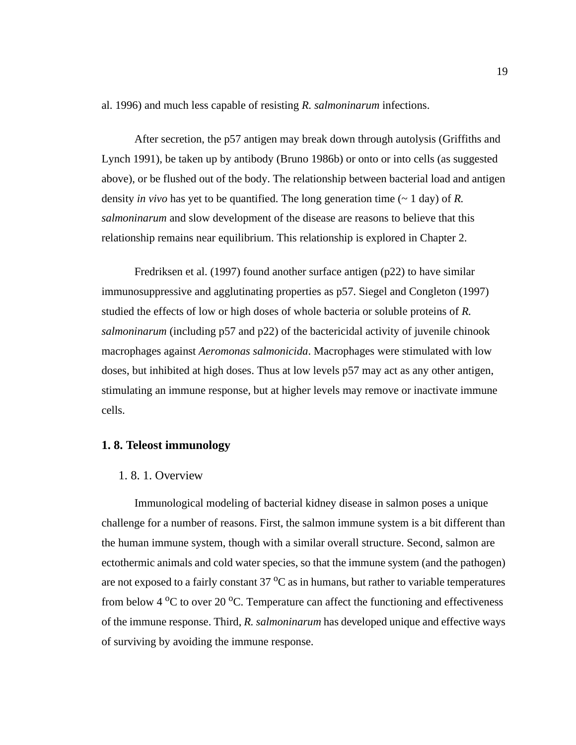al. 1996) and much less capable of resisting *R. salmoninarum* infections.

After secretion, the p57 antigen may break down through autolysis (Griffiths and Lynch 1991), be taken up by antibody (Bruno 1986b) or onto or into cells (as suggested above), or be flushed out of the body. The relationship between bacterial load and antigen density *in vivo* has yet to be quantified. The long generation time (~ 1 day) of *R. salmoninarum* and slow development of the disease are reasons to believe that this relationship remains near equilibrium. This relationship is explored in Chapter 2.

Fredriksen et al. (1997) found another surface antigen (p22) to have similar immunosuppressive and agglutinating properties as p57. Siegel and Congleton (1997) studied the effects of low or high doses of whole bacteria or soluble proteins of *R. salmoninarum* (including p57 and p22) of the bactericidal activity of juvenile chinook macrophages against *Aeromonas salmonicida*. Macrophages were stimulated with low doses, but inhibited at high doses. Thus at low levels p57 may act as any other antigen, stimulating an immune response, but at higher levels may remove or inactivate immune cells.

#### **1. 8. Teleost immunology**

#### 1. 8. 1. Overview

Immunological modeling of bacterial kidney disease in salmon poses a unique challenge for a number of reasons. First, the salmon immune system is a bit different than the human immune system, though with a similar overall structure. Second, salmon are ectothermic animals and cold water species, so that the immune system (and the pathogen) are not exposed to a fairly constant  $37 \,^{\circ}\text{C}$  as in humans, but rather to variable temperatures from below 4  $\rm{^0C}$  to over 20  $\rm{^0C}$ . Temperature can affect the functioning and effectiveness of the immune response. Third, *R. salmoninarum* has developed unique and effective ways of surviving by avoiding the immune response.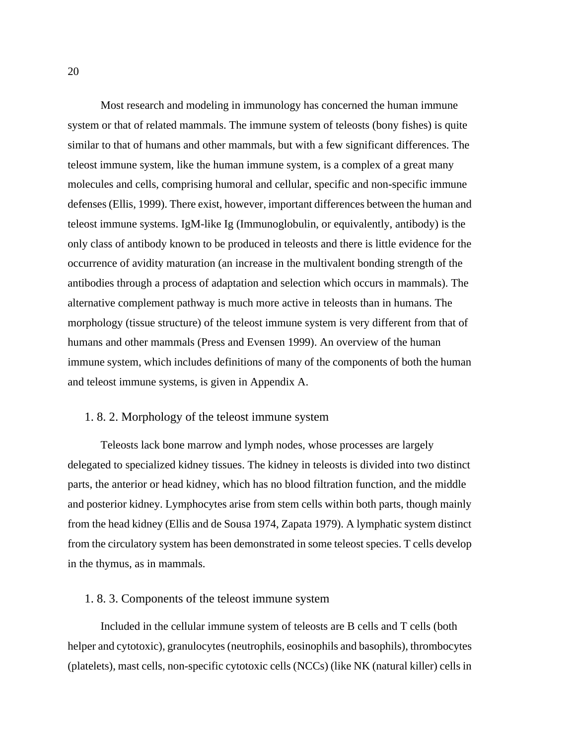Most research and modeling in immunology has concerned the human immune system or that of related mammals. The immune system of teleosts (bony fishes) is quite similar to that of humans and other mammals, but with a few significant differences. The teleost immune system, like the human immune system, is a complex of a great many molecules and cells, comprising humoral and cellular, specific and non-specific immune defenses (Ellis, 1999). There exist, however, important differences between the human and teleost immune systems. IgM-like Ig (Immunoglobulin, or equivalently, antibody) is the only class of antibody known to be produced in teleosts and there is little evidence for the occurrence of avidity maturation (an increase in the multivalent bonding strength of the antibodies through a process of adaptation and selection which occurs in mammals). The alternative complement pathway is much more active in teleosts than in humans. The morphology (tissue structure) of the teleost immune system is very different from that of humans and other mammals (Press and Evensen 1999). An overview of the human immune system, which includes definitions of many of the components of both the human and teleost immune systems, is given in Appendix A.

#### 1. 8. 2. Morphology of the teleost immune system

Teleosts lack bone marrow and lymph nodes, whose processes are largely delegated to specialized kidney tissues. The kidney in teleosts is divided into two distinct parts, the anterior or head kidney, which has no blood filtration function, and the middle and posterior kidney. Lymphocytes arise from stem cells within both parts, though mainly from the head kidney (Ellis and de Sousa 1974, Zapata 1979). A lymphatic system distinct from the circulatory system has been demonstrated in some teleost species. T cells develop in the thymus, as in mammals.

#### 1. 8. 3. Components of the teleost immune system

Included in the cellular immune system of teleosts are B cells and T cells (both helper and cytotoxic), granulocytes (neutrophils, eosinophils and basophils), thrombocytes (platelets), mast cells, non-specific cytotoxic cells (NCCs) (like NK (natural killer) cells in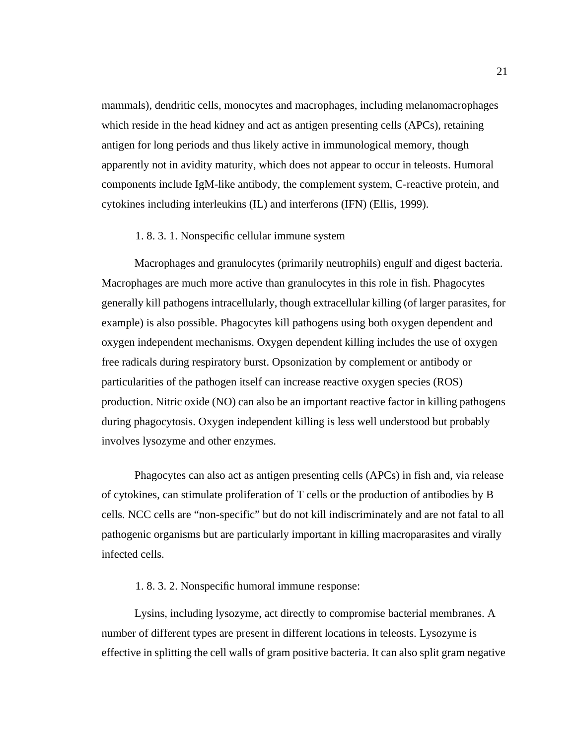mammals), dendritic cells, monocytes and macrophages, including melanomacrophages which reside in the head kidney and act as antigen presenting cells (APCs), retaining antigen for long periods and thus likely active in immunological memory, though apparently not in avidity maturity, which does not appear to occur in teleosts. Humoral components include IgM-like antibody, the complement system, C-reactive protein, and cytokines including interleukins (IL) and interferons (IFN) (Ellis, 1999).

#### 1. 8. 3. 1. Nonspecific cellular immune system

Macrophages and granulocytes (primarily neutrophils) engulf and digest bacteria. Macrophages are much more active than granulocytes in this role in fish. Phagocytes generally kill pathogens intracellularly, though extracellular killing (of larger parasites, for example) is also possible. Phagocytes kill pathogens using both oxygen dependent and oxygen independent mechanisms. Oxygen dependent killing includes the use of oxygen free radicals during respiratory burst. Opsonization by complement or antibody or particularities of the pathogen itself can increase reactive oxygen species (ROS) production. Nitric oxide (NO) can also be an important reactive factor in killing pathogens during phagocytosis. Oxygen independent killing is less well understood but probably involves lysozyme and other enzymes.

Phagocytes can also act as antigen presenting cells (APCs) in fish and, via release of cytokines, can stimulate proliferation of T cells or the production of antibodies by B cells. NCC cells are "non-specific" but do not kill indiscriminately and are not fatal to all pathogenic organisms but are particularly important in killing macroparasites and virally infected cells.

#### 1. 8. 3. 2. Nonspecific humoral immune response:

Lysins, including lysozyme, act directly to compromise bacterial membranes. A number of different types are present in different locations in teleosts. Lysozyme is effective in splitting the cell walls of gram positive bacteria. It can also split gram negative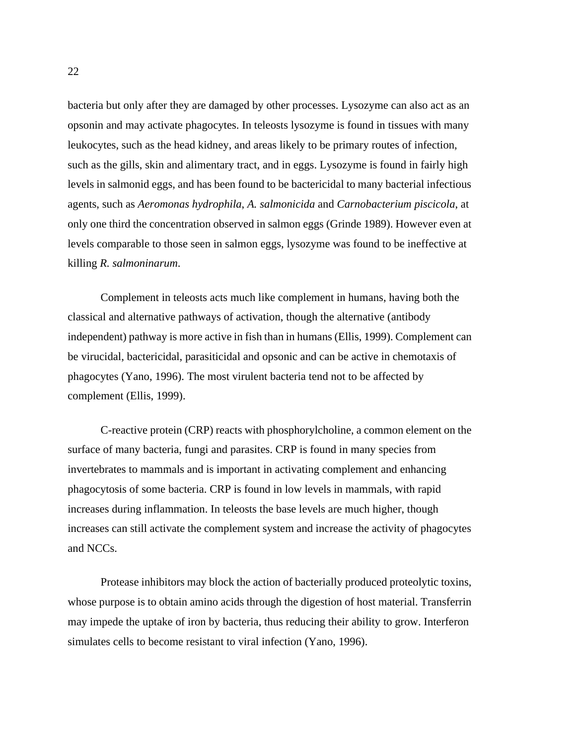bacteria but only after they are damaged by other processes. Lysozyme can also act as an opsonin and may activate phagocytes. In teleosts lysozyme is found in tissues with many leukocytes, such as the head kidney, and areas likely to be primary routes of infection, such as the gills, skin and alimentary tract, and in eggs. Lysozyme is found in fairly high levels in salmonid eggs, and has been found to be bactericidal to many bacterial infectious agents, such as *Aeromonas hydrophila*, *A. salmonicida* and *Carnobacterium piscicola*, at only one third the concentration observed in salmon eggs (Grinde 1989). However even at levels comparable to those seen in salmon eggs, lysozyme was found to be ineffective at killing *R. salmoninarum*.

Complement in teleosts acts much like complement in humans, having both the classical and alternative pathways of activation, though the alternative (antibody independent) pathway is more active in fish than in humans (Ellis, 1999). Complement can be virucidal, bactericidal, parasiticidal and opsonic and can be active in chemotaxis of phagocytes (Yano, 1996). The most virulent bacteria tend not to be affected by complement (Ellis, 1999).

C-reactive protein (CRP) reacts with phosphorylcholine, a common element on the surface of many bacteria, fungi and parasites. CRP is found in many species from invertebrates to mammals and is important in activating complement and enhancing phagocytosis of some bacteria. CRP is found in low levels in mammals, with rapid increases during inflammation. In teleosts the base levels are much higher, though increases can still activate the complement system and increase the activity of phagocytes and NCCs.

Protease inhibitors may block the action of bacterially produced proteolytic toxins, whose purpose is to obtain amino acids through the digestion of host material. Transferrin may impede the uptake of iron by bacteria, thus reducing their ability to grow. Interferon simulates cells to become resistant to viral infection (Yano, 1996).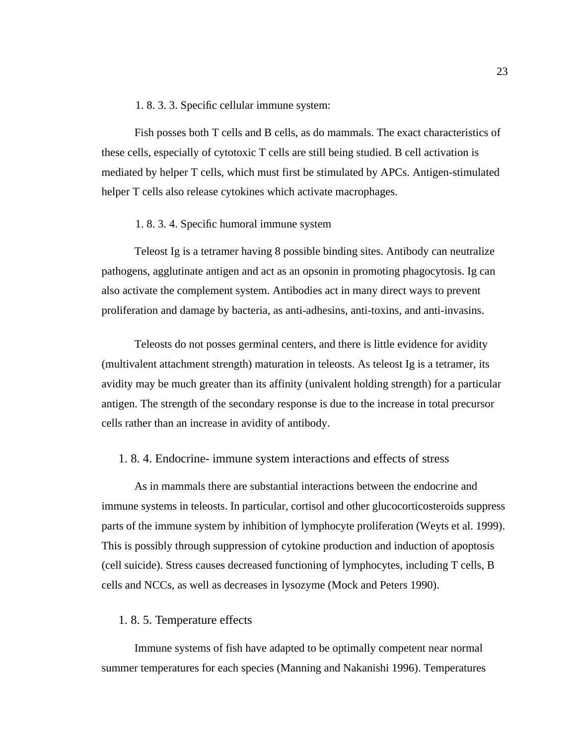## 1. 8. 3. 3. Specific cellular immune system:

Fish posses both T cells and B cells, as do mammals. The exact characteristics of these cells, especially of cytotoxic T cells are still being studied. B cell activation is mediated by helper T cells, which must first be stimulated by APCs. Antigen-stimulated helper T cells also release cytokines which activate macrophages.

## 1. 8. 3. 4. Specific humoral immune system

Teleost Ig is a tetramer having 8 possible binding sites. Antibody can neutralize pathogens, agglutinate antigen and act as an opsonin in promoting phagocytosis. Ig can also activate the complement system. Antibodies act in many direct ways to prevent proliferation and damage by bacteria, as anti-adhesins, anti-toxins, and anti-invasins.

Teleosts do not posses germinal centers, and there is little evidence for avidity (multivalent attachment strength) maturation in teleosts. As teleost Ig is a tetramer, its avidity may be much greater than its affinity (univalent holding strength) for a particular antigen. The strength of the secondary response is due to the increase in total precursor cells rather than an increase in avidity of antibody.

#### 1. 8. 4. Endocrine- immune system interactions and effects of stress

As in mammals there are substantial interactions between the endocrine and immune systems in teleosts. In particular, cortisol and other glucocorticosteroids suppress parts of the immune system by inhibition of lymphocyte proliferation (Weyts et al. 1999). This is possibly through suppression of cytokine production and induction of apoptosis (cell suicide). Stress causes decreased functioning of lymphocytes, including T cells, B cells and NCCs, as well as decreases in lysozyme (Mock and Peters 1990).

## 1. 8. 5. Temperature effects

Immune systems of fish have adapted to be optimally competent near normal summer temperatures for each species (Manning and Nakanishi 1996). Temperatures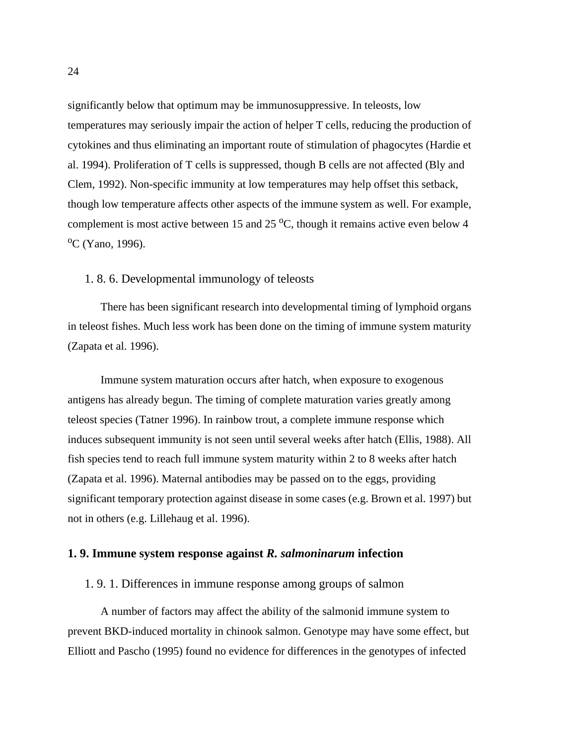significantly below that optimum may be immunosuppressive. In teleosts, low temperatures may seriously impair the action of helper T cells, reducing the production of cytokines and thus eliminating an important route of stimulation of phagocytes (Hardie et al. 1994). Proliferation of T cells is suppressed, though B cells are not affected (Bly and Clem, 1992). Non-specific immunity at low temperatures may help offset this setback, though low temperature affects other aspects of the immune system as well. For example, complement is most active between 15 and 25  $^{\circ}$ C, though it remains active even below 4 <sup>o</sup>C (Yano, 1996).

## 1. 8. 6. Developmental immunology of teleosts

There has been significant research into developmental timing of lymphoid organs in teleost fishes. Much less work has been done on the timing of immune system maturity (Zapata et al. 1996).

Immune system maturation occurs after hatch, when exposure to exogenous antigens has already begun. The timing of complete maturation varies greatly among teleost species (Tatner 1996). In rainbow trout, a complete immune response which induces subsequent immunity is not seen until several weeks after hatch (Ellis, 1988). All fish species tend to reach full immune system maturity within 2 to 8 weeks after hatch (Zapata et al. 1996). Maternal antibodies may be passed on to the eggs, providing significant temporary protection against disease in some cases (e.g. Brown et al. 1997) but not in others (e.g. Lillehaug et al. 1996).

## **1. 9. Immune system response against** *R. salmoninarum* **infection**

### 1. 9. 1. Differences in immune response among groups of salmon

A number of factors may affect the ability of the salmonid immune system to prevent BKD-induced mortality in chinook salmon. Genotype may have some effect, but Elliott and Pascho (1995) found no evidence for differences in the genotypes of infected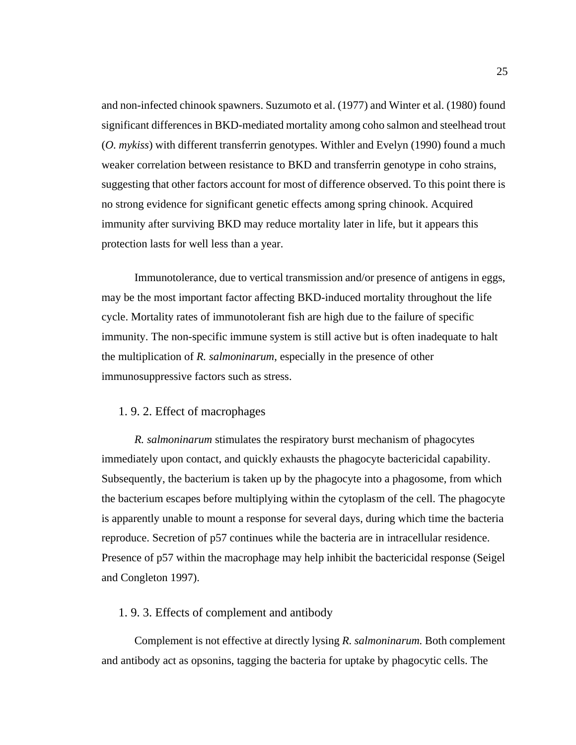and non-infected chinook spawners. Suzumoto et al. (1977) and Winter et al. (1980) found significant differences in BKD-mediated mortality among coho salmon and steelhead trout (*O. mykiss*) with different transferrin genotypes. Withler and Evelyn (1990) found a much weaker correlation between resistance to BKD and transferrin genotype in coho strains, suggesting that other factors account for most of difference observed. To this point there is no strong evidence for significant genetic effects among spring chinook. Acquired immunity after surviving BKD may reduce mortality later in life, but it appears this protection lasts for well less than a year.

Immunotolerance, due to vertical transmission and/or presence of antigens in eggs, may be the most important factor affecting BKD-induced mortality throughout the life cycle. Mortality rates of immunotolerant fish are high due to the failure of specific immunity. The non-specific immune system is still active but is often inadequate to halt the multiplication of *R. salmoninarum*, especially in the presence of other immunosuppressive factors such as stress.

## 1. 9. 2. Effect of macrophages

*R. salmoninarum* stimulates the respiratory burst mechanism of phagocytes immediately upon contact, and quickly exhausts the phagocyte bactericidal capability. Subsequently, the bacterium is taken up by the phagocyte into a phagosome, from which the bacterium escapes before multiplying within the cytoplasm of the cell. The phagocyte is apparently unable to mount a response for several days, during which time the bacteria reproduce. Secretion of p57 continues while the bacteria are in intracellular residence. Presence of p57 within the macrophage may help inhibit the bactericidal response (Seigel and Congleton 1997).

## 1. 9. 3. Effects of complement and antibody

Complement is not effective at directly lysing *R. salmoninarum.* Both complement and antibody act as opsonins, tagging the bacteria for uptake by phagocytic cells. The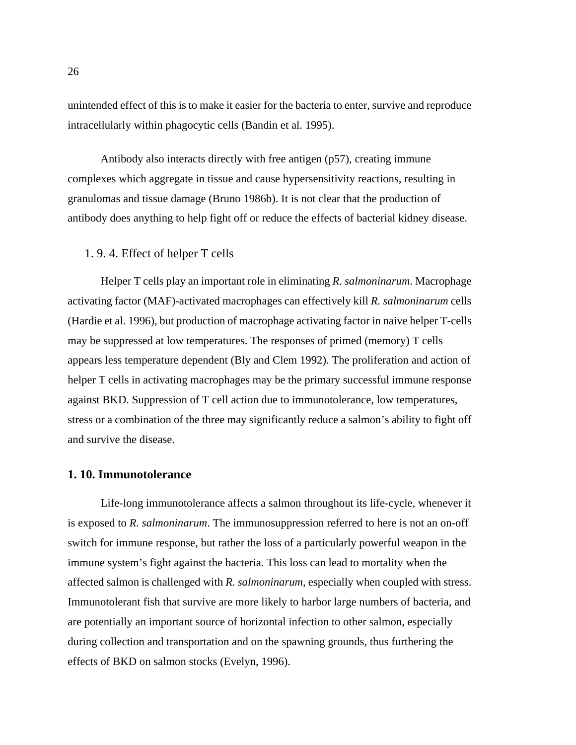unintended effect of this is to make it easier for the bacteria to enter, survive and reproduce intracellularly within phagocytic cells (Bandin et al. 1995).

Antibody also interacts directly with free antigen (p57), creating immune complexes which aggregate in tissue and cause hypersensitivity reactions, resulting in granulomas and tissue damage (Bruno 1986b). It is not clear that the production of antibody does anything to help fight off or reduce the effects of bacterial kidney disease.

# 1. 9. 4. Effect of helper T cells

Helper T cells play an important role in eliminating *R. salmoninarum*. Macrophage activating factor (MAF)-activated macrophages can effectively kill *R. salmoninarum* cells (Hardie et al. 1996), but production of macrophage activating factor in naive helper T-cells may be suppressed at low temperatures. The responses of primed (memory) T cells appears less temperature dependent (Bly and Clem 1992). The proliferation and action of helper T cells in activating macrophages may be the primary successful immune response against BKD. Suppression of T cell action due to immunotolerance, low temperatures, stress or a combination of the three may significantly reduce a salmon's ability to fight off and survive the disease.

### **1. 10. Immunotolerance**

Life-long immunotolerance affects a salmon throughout its life-cycle, whenever it is exposed to *R. salmoninarum*. The immunosuppression referred to here is not an on-off switch for immune response, but rather the loss of a particularly powerful weapon in the immune system's fight against the bacteria. This loss can lead to mortality when the affected salmon is challenged with *R. salmoninarum*, especially when coupled with stress. Immunotolerant fish that survive are more likely to harbor large numbers of bacteria, and are potentially an important source of horizontal infection to other salmon, especially during collection and transportation and on the spawning grounds, thus furthering the effects of BKD on salmon stocks (Evelyn, 1996).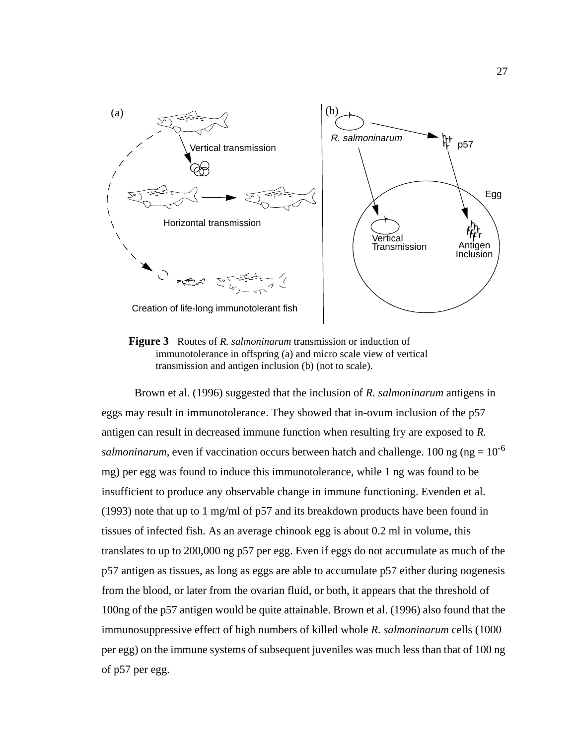

**Figure 3** Routes of *R. salmoninarum* transmission or induction of immunotolerance in offspring (a) and micro scale view of vertical transmission and antigen inclusion (b) (not to scale).

Brown et al. (1996) suggested that the inclusion of *R. salmoninarum* antigens in eggs may result in immunotolerance. They showed that in-ovum inclusion of the p57 antigen can result in decreased immune function when resulting fry are exposed to *R. salmoninarum*, even if vaccination occurs between hatch and challenge. 100 ng ( $ng = 10^{-6}$ ) mg) per egg was found to induce this immunotolerance, while 1 ng was found to be insufficient to produce any observable change in immune functioning. Evenden et al. (1993) note that up to 1 mg/ml of p57 and its breakdown products have been found in tissues of infected fish. As an average chinook egg is about 0.2 ml in volume, this translates to up to 200,000 ng p57 per egg. Even if eggs do not accumulate as much of the p57 antigen as tissues, as long as eggs are able to accumulate p57 either during oogenesis from the blood, or later from the ovarian fluid, or both, it appears that the threshold of 100ng of the p57 antigen would be quite attainable. Brown et al. (1996) also found that the immunosuppressive effect of high numbers of killed whole *R. salmoninarum* cells (1000 per egg) on the immune systems of subsequent juveniles was much less than that of 100 ng of p57 per egg.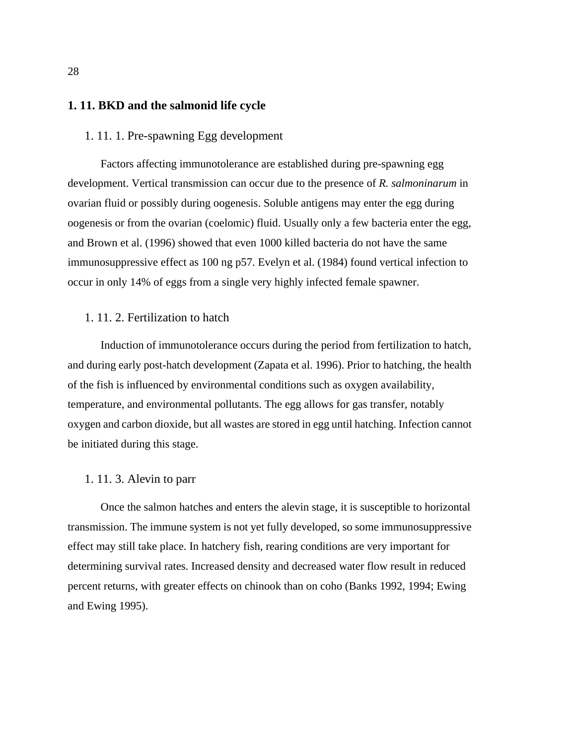# **1. 11. BKD and the salmonid life cycle**

## 1. 11. 1. Pre-spawning Egg development

Factors affecting immunotolerance are established during pre-spawning egg development. Vertical transmission can occur due to the presence of *R. salmoninarum* in ovarian fluid or possibly during oogenesis. Soluble antigens may enter the egg during oogenesis or from the ovarian (coelomic) fluid. Usually only a few bacteria enter the egg, and Brown et al. (1996) showed that even 1000 killed bacteria do not have the same immunosuppressive effect as 100 ng p57. Evelyn et al. (1984) found vertical infection to occur in only 14% of eggs from a single very highly infected female spawner.

# 1. 11. 2. Fertilization to hatch

Induction of immunotolerance occurs during the period from fertilization to hatch, and during early post-hatch development (Zapata et al. 1996). Prior to hatching, the health of the fish is influenced by environmental conditions such as oxygen availability, temperature, and environmental pollutants. The egg allows for gas transfer, notably oxygen and carbon dioxide, but all wastes are stored in egg until hatching. Infection cannot be initiated during this stage.

### 1. 11. 3. Alevin to parr

Once the salmon hatches and enters the alevin stage, it is susceptible to horizontal transmission. The immune system is not yet fully developed, so some immunosuppressive effect may still take place. In hatchery fish, rearing conditions are very important for determining survival rates. Increased density and decreased water flow result in reduced percent returns, with greater effects on chinook than on coho (Banks 1992, 1994; Ewing and Ewing 1995).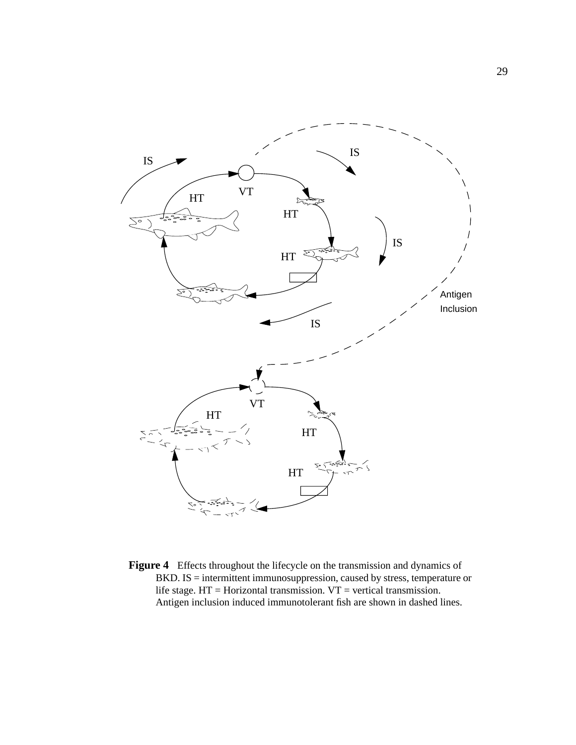

**Figure 4** Effects throughout the lifecycle on the transmission and dynamics of BKD. IS = intermittent immunosuppression, caused by stress, temperature or life stage.  $HT = Horizontal$  transmission.  $VT = vertical$  transmission. Antigen inclusion induced immunotolerant fish are shown in dashed lines.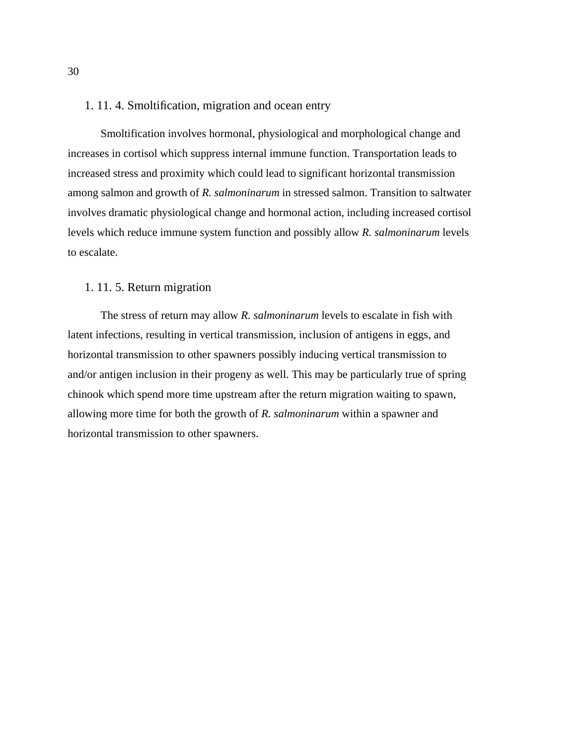## 1. 11. 4. Smoltification, migration and ocean entry

Smoltification involves hormonal, physiological and morphological change and increases in cortisol which suppress internal immune function. Transportation leads to increased stress and proximity which could lead to significant horizontal transmission among salmon and growth of *R. salmoninarum* in stressed salmon. Transition to saltwater involves dramatic physiological change and hormonal action, including increased cortisol levels which reduce immune system function and possibly allow *R. salmoninarum* levels to escalate.

## 1. 11. 5. Return migration

The stress of return may allow *R. salmoninarum* levels to escalate in fish with latent infections, resulting in vertical transmission, inclusion of antigens in eggs, and horizontal transmission to other spawners possibly inducing vertical transmission to and/or antigen inclusion in their progeny as well. This may be particularly true of spring chinook which spend more time upstream after the return migration waiting to spawn, allowing more time for both the growth of *R. salmoninarum* within a spawner and horizontal transmission to other spawners.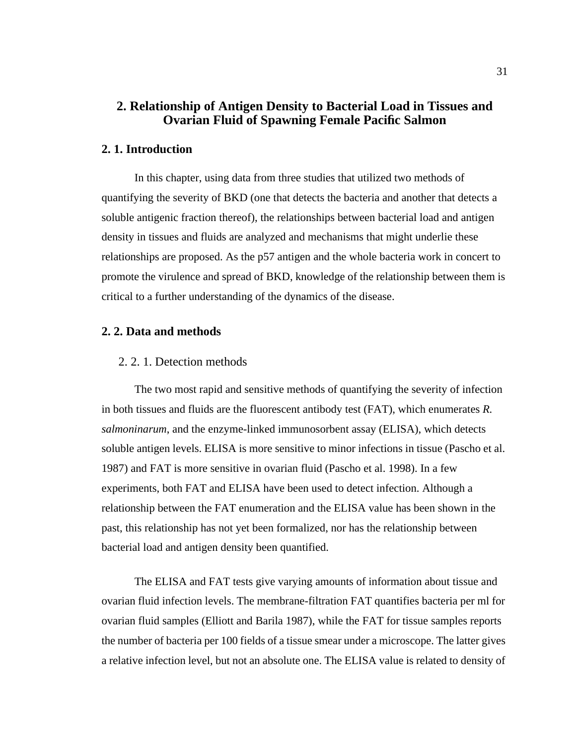# **2. Relationship of Antigen Density to Bacterial Load in Tissues and Ovarian Fluid of Spawning Female Pacific Salmon**

### **2. 1. Introduction**

In this chapter, using data from three studies that utilized two methods of quantifying the severity of BKD (one that detects the bacteria and another that detects a soluble antigenic fraction thereof), the relationships between bacterial load and antigen density in tissues and fluids are analyzed and mechanisms that might underlie these relationships are proposed. As the p57 antigen and the whole bacteria work in concert to promote the virulence and spread of BKD, knowledge of the relationship between them is critical to a further understanding of the dynamics of the disease.

# **2. 2. Data and methods**

### 2. 2. 1. Detection methods

The two most rapid and sensitive methods of quantifying the severity of infection in both tissues and fluids are the fluorescent antibody test (FAT), which enumerates *R. salmoninarum*, and the enzyme-linked immunosorbent assay (ELISA), which detects soluble antigen levels. ELISA is more sensitive to minor infections in tissue (Pascho et al. 1987) and FAT is more sensitive in ovarian fluid (Pascho et al. 1998). In a few experiments, both FAT and ELISA have been used to detect infection. Although a relationship between the FAT enumeration and the ELISA value has been shown in the past, this relationship has not yet been formalized, nor has the relationship between bacterial load and antigen density been quantified.

The ELISA and FAT tests give varying amounts of information about tissue and ovarian fluid infection levels. The membrane-filtration FAT quantifies bacteria per ml for ovarian fluid samples (Elliott and Barila 1987), while the FAT for tissue samples reports the number of bacteria per 100 fields of a tissue smear under a microscope. The latter gives a relative infection level, but not an absolute one. The ELISA value is related to density of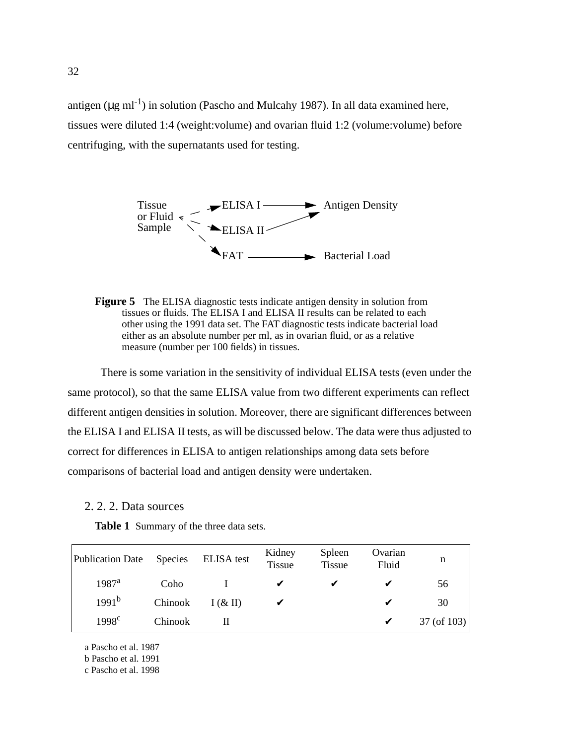<span id="page-45-0"></span>antigen ( $\mu$ g ml<sup>-1</sup>) in solution (Pascho and Mulcahy 1987). In all data examined here, tissues were diluted 1:4 (weight:volume) and ovarian fluid 1:2 (volume:volume) before centrifuging, with the supernatants used for testing.





There is some variation in the sensitivity of individual ELISA tests (even under the same protocol), so that the same ELISA value from two different experiments can reflect different antigen densities in solution. Moreover, there are significant differences between the ELISA I and ELISA II tests, as will be discussed below. The data were thus adjusted to correct for differences in ELISA to antigen relationships among data sets before comparisons of bacterial load and antigen density were undertaken.

### 2. 2. 2. Data sources

**Table 1** Summary of the three data sets.

| Publication Date  | Species | <b>ELISA</b> test | Kidney<br><b>Tissue</b> | Spleen<br><b>Tissue</b> | Ovarian<br>Fluid | n           |
|-------------------|---------|-------------------|-------------------------|-------------------------|------------------|-------------|
| $1987^{\rm a}$    | Coho    |                   | V                       |                         |                  | 56          |
| 1991 <sup>b</sup> | Chinook | $I(\& II)$        |                         |                         | ✔                | 30          |
| 1998 <sup>c</sup> | Chinook |                   |                         |                         | V                | 37 (of 103) |

a Pascho et al. 1987

b Pascho et al. 1991

c Pascho et al. 1998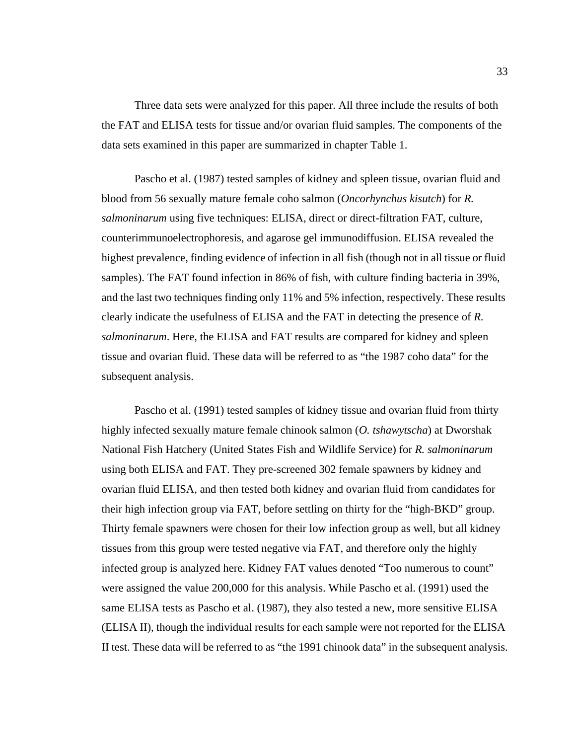Three data sets were analyzed for this paper. All three include the results of both the FAT and ELISA tests for tissue and/or ovarian fluid samples. The components of the data sets examined in this paper are summarized in [chapter Table 1](#page-45-0).

Pascho et al. (1987) tested samples of kidney and spleen tissue, ovarian fluid and blood from 56 sexually mature female coho salmon (*Oncorhynchus kisutch*) for *R. salmoninarum* using five techniques: ELISA, direct or direct-filtration FAT, culture, counterimmunoelectrophoresis, and agarose gel immunodiffusion. ELISA revealed the highest prevalence, finding evidence of infection in all fish (though not in all tissue or fluid samples). The FAT found infection in 86% of fish, with culture finding bacteria in 39%, and the last two techniques finding only 11% and 5% infection, respectively. These results clearly indicate the usefulness of ELISA and the FAT in detecting the presence of *R. salmoninarum*. Here, the ELISA and FAT results are compared for kidney and spleen tissue and ovarian fluid. These data will be referred to as "the 1987 coho data" for the subsequent analysis.

Pascho et al. (1991) tested samples of kidney tissue and ovarian fluid from thirty highly infected sexually mature female chinook salmon (*O. tshawytscha*) at Dworshak National Fish Hatchery (United States Fish and Wildlife Service) for *R. salmoninarum* using both ELISA and FAT. They pre-screened 302 female spawners by kidney and ovarian fluid ELISA, and then tested both kidney and ovarian fluid from candidates for their high infection group via FAT, before settling on thirty for the "high-BKD" group. Thirty female spawners were chosen for their low infection group as well, but all kidney tissues from this group were tested negative via FAT, and therefore only the highly infected group is analyzed here. Kidney FAT values denoted "Too numerous to count" were assigned the value 200,000 for this analysis. While Pascho et al. (1991) used the same ELISA tests as Pascho et al. (1987), they also tested a new, more sensitive ELISA (ELISA II), though the individual results for each sample were not reported for the ELISA II test. These data will be referred to as "the 1991 chinook data" in the subsequent analysis.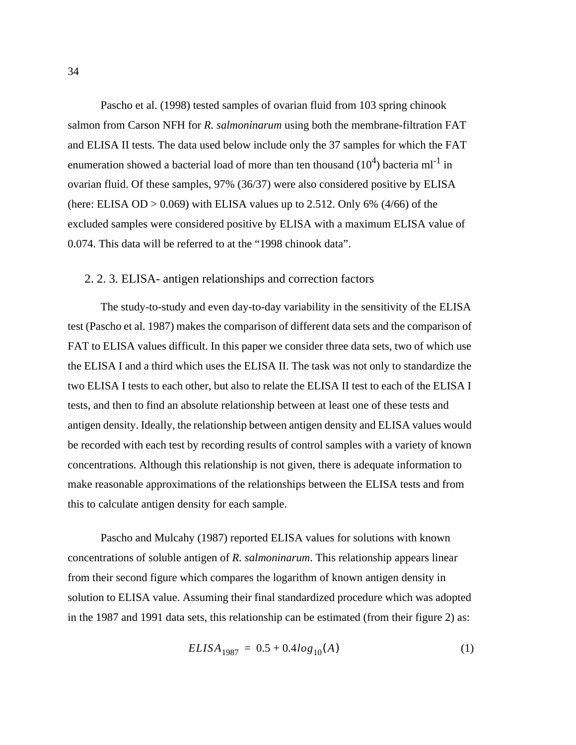<span id="page-47-0"></span>Pascho et al. (1998) tested samples of ovarian fluid from 103 spring chinook salmon from Carson NFH for *R. salmoninarum* using both the membrane-filtration FAT and ELISA II tests. The data used below include only the 37 samples for which the FAT enumeration showed a bacterial load of more than ten thousand  $(10^4)$  bacteria ml<sup>-1</sup> in ovarian fluid. Of these samples, 97% (36/37) were also considered positive by ELISA (here: ELISA OD  $> 0.069$ ) with ELISA values up to 2.512. Only 6% (4/66) of the excluded samples were considered positive by ELISA with a maximum ELISA value of 0.074. This data will be referred to at the "1998 chinook data".

## 2. 2. 3. ELISA- antigen relationships and correction factors

The study-to-study and even day-to-day variability in the sensitivity of the ELISA test (Pascho et al. 1987) makes the comparison of different data sets and the comparison of FAT to ELISA values difficult. In this paper we consider three data sets, two of which use the ELISA I and a third which uses the ELISA II. The task was not only to standardize the two ELISA I tests to each other, but also to relate the ELISA II test to each of the ELISA I tests, and then to find an absolute relationship between at least one of these tests and antigen density. Ideally, the relationship between antigen density and ELISA values would be recorded with each test by recording results of control samples with a variety of known concentrations. Although this relationship is not given, there is adequate information to make reasonable approximations of the relationships between the ELISA tests and from this to calculate antigen density for each sample.

Pascho and Mulcahy (1987) reported ELISA values for solutions with known concentrations of soluble antigen of *R. salmoninarum*. This relationship appears linear from their second figure which compares the logarithm of known antigen density in solution to ELISA value. Assuming their final standardized procedure which was adopted in the 1987 and 1991 data sets, this relationship can be estimated (from their figure 2) as:

$$
ELISA_{1987} = 0.5 + 0.4log_{10}(A)
$$
 (1)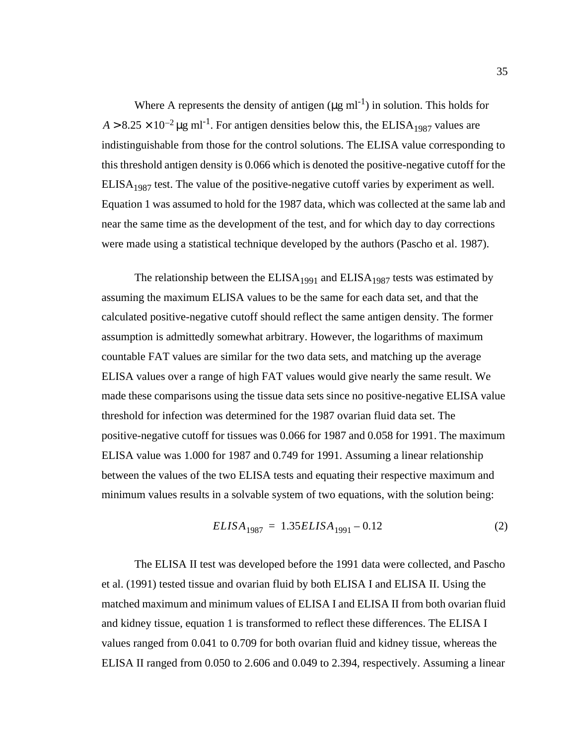<span id="page-48-0"></span>Where A represents the density of antigen  $(\mu g \text{ ml}^{-1})$  in solution. This holds for  $A > 8.25 \times 10^{-2} \,\mu g \text{ ml}^{-1}$ . For antigen densities below this, the ELISA<sub>1987</sub> values are indistinguishable from those for the control solutions. The ELISA value corresponding to this threshold antigen density is 0.066 which is denoted the positive-negative cutoff for the  $ELISA<sub>1987</sub>$  test. The value of the positive-negative cutoff varies by experiment as well. [Equation 1](#page-47-0) was assumed to hold for the 1987 data, which was collected at the same lab and near the same time as the development of the test, and for which day to day corrections were made using a statistical technique developed by the authors (Pascho et al. 1987).

The relationship between the  $ELISA<sub>1991</sub>$  and  $ELISA<sub>1987</sub>$  tests was estimated by assuming the maximum ELISA values to be the same for each data set, and that the calculated positive-negative cutoff should reflect the same antigen density. The former assumption is admittedly somewhat arbitrary. However, the logarithms of maximum countable FAT values are similar for the two data sets, and matching up the average ELISA values over a range of high FAT values would give nearly the same result. We made these comparisons using the tissue data sets since no positive-negative ELISA value threshold for infection was determined for the 1987 ovarian fluid data set. The positive-negative cutoff for tissues was 0.066 for 1987 and 0.058 for 1991. The maximum ELISA value was 1.000 for 1987 and 0.749 for 1991. Assuming a linear relationship between the values of the two ELISA tests and equating their respective maximum and minimum values results in a solvable system of two equations, with the solution being:

$$
ELISA_{1987} = 1.35ELISA_{1991} - 0.12\tag{2}
$$

The ELISA II test was developed before the 1991 data were collected, and Pascho et al. (1991) tested tissue and ovarian fluid by both ELISA I and ELISA II. Using the matched maximum and minimum values of ELISA I and ELISA II from both ovarian fluid and kidney tissue, equation 1 is transformed to reflect these differences. The ELISA I values ranged from 0.041 to 0.709 for both ovarian fluid and kidney tissue, whereas the ELISA II ranged from 0.050 to 2.606 and 0.049 to 2.394, respectively. Assuming a linear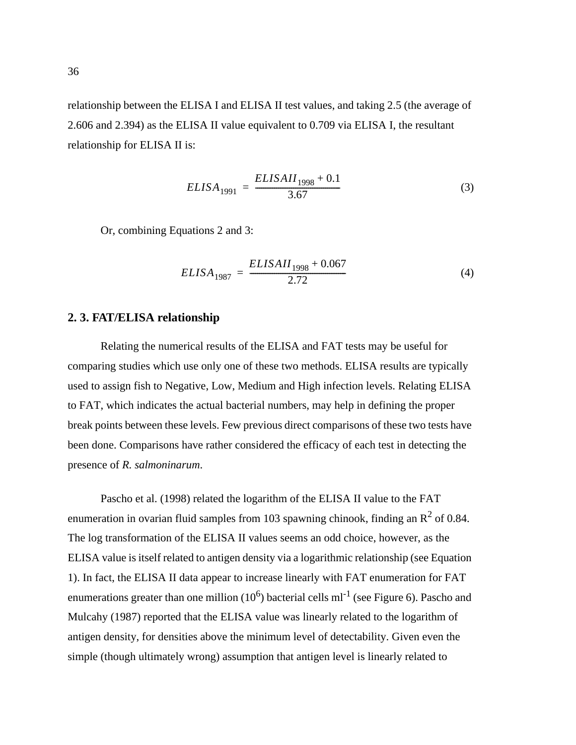<span id="page-49-0"></span>relationship between the ELISA I and ELISA II test values, and taking 2.5 (the average of 2.606 and 2.394) as the ELISA II value equivalent to 0.709 via ELISA I, the resultant relationship for ELISA II is:

$$
ELISA_{1991} = \frac{ELISAII_{1998} + 0.1}{3.67}
$$
 (3)

Or, combining [Equations 2 and](#page-48-0) 3:

$$
ELISA_{1987} = \frac{ELISAII_{1998} + 0.067}{2.72}
$$
 (4)

# **2. 3. FAT/ELISA relationship**

Relating the numerical results of the ELISA and FAT tests may be useful for comparing studies which use only one of these two methods. ELISA results are typically used to assign fish to Negative, Low, Medium and High infection levels. Relating ELISA to FAT, which indicates the actual bacterial numbers, may help in defining the proper break points between these levels. Few previous direct comparisons of these two tests have been done. Comparisons have rather considered the efficacy of each test in detecting the presence of *R. salmoninarum*.

Pascho et al. (1998) related the logarithm of the ELISA II value to the FAT enumeration in ovarian fluid samples from 103 spawning chinook, finding an  $R^2$  of 0.84. The log transformation of the ELISA II values seems an odd choice, however, as the ELISA value is itself related to antigen density via a logarithmic relationship (see [Equation](#page-47-0) [1](#page-47-0)). In fact, the ELISA II data appear to increase linearly with FAT enumeration for FAT enumerations greater than one million  $(10^6)$  bacterial cells ml<sup>-1</sup> (see [Figure 6\)](#page-51-0). Pascho and Mulcahy (1987) reported that the ELISA value was linearly related to the logarithm of antigen density, for densities above the minimum level of detectability. Given even the simple (though ultimately wrong) assumption that antigen level is linearly related to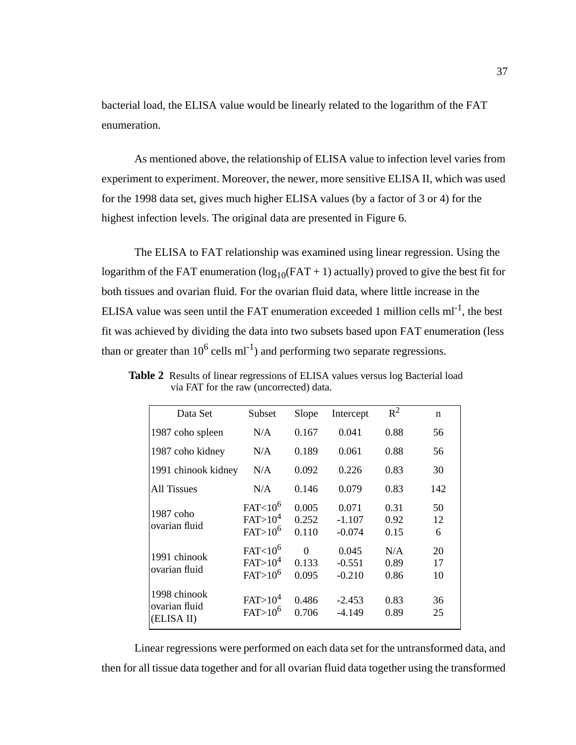<span id="page-50-0"></span>bacterial load, the ELISA value would be linearly related to the logarithm of the FAT enumeration.

As mentioned above, the relationship of ELISA value to infection level varies from experiment to experiment. Moreover, the newer, more sensitive ELISA II, which was used for the 1998 data set, gives much higher ELISA values (by a factor of 3 or 4) for the highest infection levels. The original data are presented in [Figure 6.](#page-51-0)

The ELISA to FAT relationship was examined using linear regression. Using the logarithm of the FAT enumeration  $(log_{10}(FAT + 1)$  actually) proved to give the best fit for both tissues and ovarian fluid. For the ovarian fluid data, where little increase in the ELISA value was seen until the FAT enumeration exceeded 1 million cells  $ml^{-1}$ , the best fit was achieved by dividing the data into two subsets based upon FAT enumeration (less than or greater than  $10^6$  cells ml<sup>-1</sup>) and performing two separate regressions.

| Data Set                                    | Subset                                                              | Slope                      | Intercept                     | $R^2$                | n              |
|---------------------------------------------|---------------------------------------------------------------------|----------------------------|-------------------------------|----------------------|----------------|
| 1987 coho spleen                            | N/A                                                                 | 0.167                      | 0.041                         | 0.88                 | 56             |
| 1987 coho kidney                            | N/A                                                                 | 0.189                      | 0.061                         | 0.88                 | 56             |
| 1991 chinook kidney                         | N/A                                                                 | 0.092                      | 0.226                         | 0.83                 | 30             |
| All Tissues                                 | N/A                                                                 | 0.146                      | 0.079                         | 0.83                 | 142            |
| 1987 coho<br>ovarian fluid                  | FAT <sub>10</sub> <sup>6</sup><br>FAT>10 <sup>4</sup><br>$FAT>10^6$ | 0.005<br>0.252<br>0.110    | 0.071<br>$-1.107$<br>$-0.074$ | 0.31<br>0.92<br>0.15 | 50<br>12<br>6  |
| 1991 chinook<br>ovarian fluid               | $FAT < 10^6$<br>FAT>10 <sup>4</sup><br>$FAT>10^6$                   | $\Omega$<br>0.133<br>0.095 | 0.045<br>$-0.551$<br>$-0.210$ | N/A<br>0.89<br>0.86  | 20<br>17<br>10 |
| 1998 chinook<br>ovarian fluid<br>(ELISA II) | FAT>10 <sup>4</sup><br>$FAT>10^6$                                   | 0.486<br>0.706             | $-2.453$<br>$-4.149$          | 0.83<br>0.89         | 36<br>25       |

**Table 2** Results of linear regressions of ELISA values versus log Bacterial load via FAT for the raw (uncorrected) data.

Linear regressions were performed on each data set for the untransformed data, and then for all tissue data together and for all ovarian fluid data together using the transformed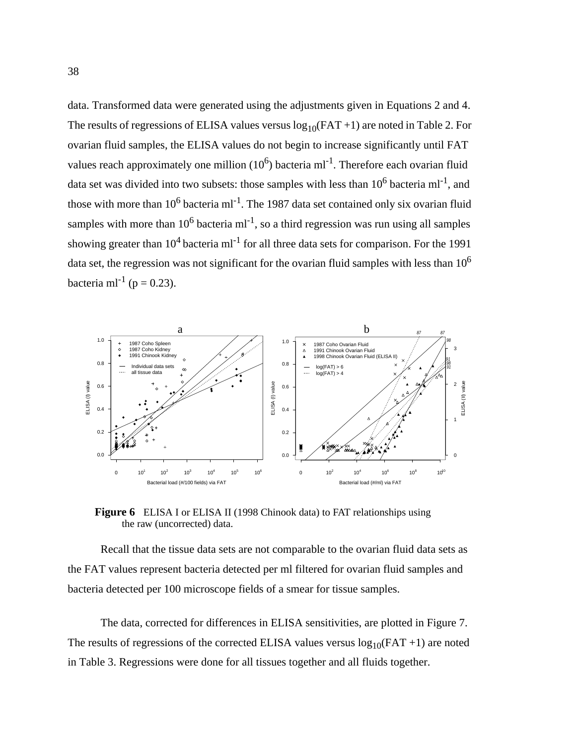<span id="page-51-0"></span>data. Transformed data were generated using the adjustments given in Equations [2](#page-48-0) and [4](#page-49-0). The results of regressions of ELISA values versus  $log_{10}(FAT + 1)$  are noted in [Table 2](#page-50-0). For ovarian fluid samples, the ELISA values do not begin to increase significantly until FAT values reach approximately one million  $(10^6)$  bacteria ml<sup>-1</sup>. Therefore each ovarian fluid data set was divided into two subsets: those samples with less than  $10^6$  bacteria ml<sup>-1</sup>, and those with more than  $10^6$  bacteria ml<sup>-1</sup>. The 1987 data set contained only six ovarian fluid samples with more than  $10^6$  bacteria ml<sup>-1</sup>, so a third regression was run using all samples showing greater than  $10^4$  bacteria ml<sup>-1</sup> for all three data sets for comparison. For the 1991 data set, the regression was not significant for the ovarian fluid samples with less than  $10<sup>6</sup>$ bacteria ml<sup>-1</sup> (p = 0.23).



**Figure 6** ELISA I or ELISA II (1998 Chinook data) to FAT relationships using the raw (uncorrected) data.

Recall that the tissue data sets are not comparable to the ovarian fluid data sets as the FAT values represent bacteria detected per ml filtered for ovarian fluid samples and bacteria detected per 100 microscope fields of a smear for tissue samples.

The data, corrected for differences in ELISA sensitivities, are plotted in [Figure 7](#page-52-0). The results of regressions of the corrected ELISA values versus  $log_{10}(FAT + 1)$  are noted in [Table 3.](#page-52-0) Regressions were done for all tissues together and all fluids together.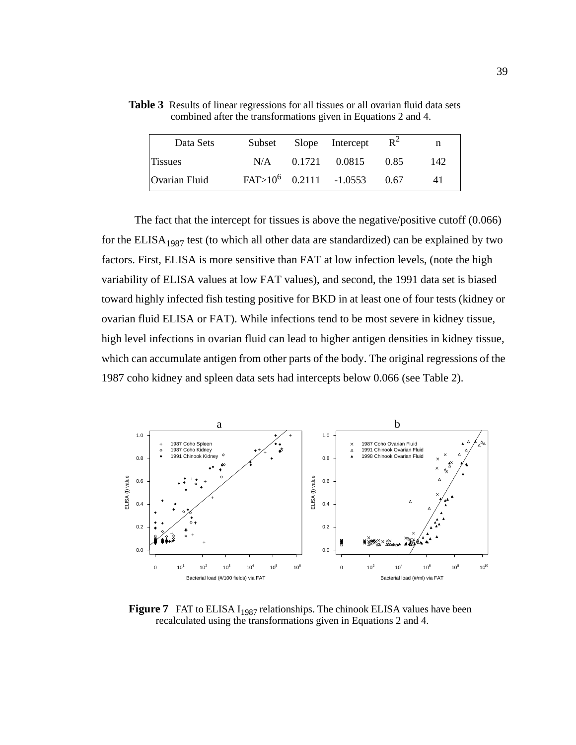| Data Sets      | Subset | Slope Intercept           | $R^2$ | n   |
|----------------|--------|---------------------------|-------|-----|
| <b>Tissues</b> |        | $N/A$ 0.1721 0.0815       | 0.85  | 142 |
| Ovarian Fluid  |        | $FAT>10^6$ 0.2111 -1.0553 | 0.67  | 41  |

<span id="page-52-0"></span>Table 3 Results of linear regressions for all tissues or all ovarian fluid data sets combined after the transformations given in [Equations 2 and](#page-48-0) [4.](#page-49-0)

The fact that the intercept for tissues is above the negative/positive cutoff (0.066) for the  $ELISA<sub>1987</sub>$  test (to which all other data are standardized) can be explained by two factors. First, ELISA is more sensitive than FAT at low infection levels, (note the high variability of ELISA values at low FAT values), and second, the 1991 data set is biased toward highly infected fish testing positive for BKD in at least one of four tests (kidney or ovarian fluid ELISA or FAT). While infections tend to be most severe in kidney tissue, high level infections in ovarian fluid can lead to higher antigen densities in kidney tissue, which can accumulate antigen from other parts of the body. The original regressions of the 1987 coho kidney and spleen data sets had intercepts below 0.066 (see [Table 2\)](#page-50-0).



**Figure 7** FAT to ELISA I<sub>1987</sub> relationships. The chinook ELISA values have been recalculated using the transformations given in [Equations 2 and](#page-48-0) [4](#page-49-0).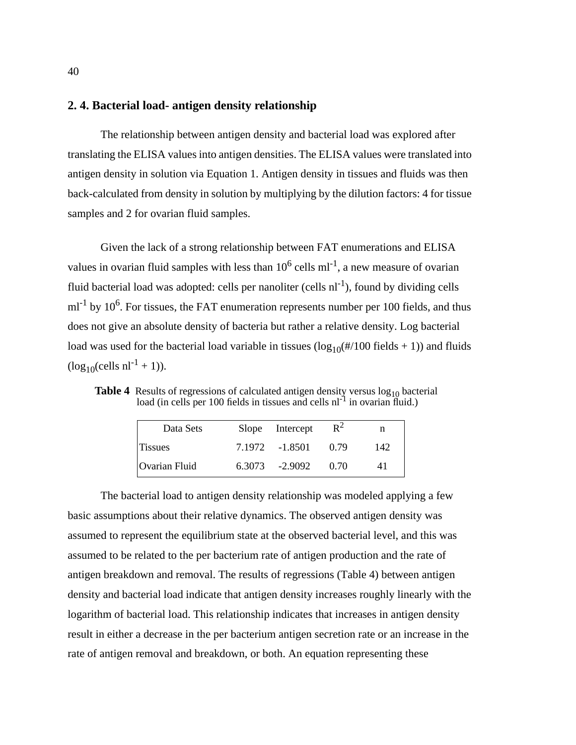# <span id="page-53-0"></span>**2. 4. Bacterial load- antigen density relationship**

The relationship between antigen density and bacterial load was explored after translating the ELISA values into antigen densities. The ELISA values were translated into antigen density in solution via [Equation 1](#page-47-0). Antigen density in tissues and fluids was then back-calculated from density in solution by multiplying by the dilution factors: 4 for tissue samples and 2 for ovarian fluid samples.

Given the lack of a strong relationship between FAT enumerations and ELISA values in ovarian fluid samples with less than  $10^6$  cells ml<sup>-1</sup>, a new measure of ovarian fluid bacterial load was adopted: cells per nanoliter (cells  $nl^{-1}$ ), found by dividing cells  $ml^{-1}$  by 10<sup>6</sup>. For tissues, the FAT enumeration represents number per 100 fields, and thus does not give an absolute density of bacteria but rather a relative density. Log bacterial load was used for the bacterial load variable in tissues  $(\log_{10}(\#/100 \text{ fields} + 1))$  and fluids  $(log_{10}(cells \text{ nl}^{-1} + 1)).$ 

Table 4 Results of regressions of calculated antigen density versus  $\log_{10}$  bacterial load (in cells per 100 fields in tissues and cells  $nl^{-1}$  in ovarian fluid.)

| Data Sets      | Slope Intercept   | $R^2$ | n   |
|----------------|-------------------|-------|-----|
| <b>Tissues</b> | 7.1972 - 1.8501   | 0.79  | 142 |
| Ovarian Fluid  | $6.3073 - 2.9092$ | 070   | 41  |

The bacterial load to antigen density relationship was modeled applying a few basic assumptions about their relative dynamics. The observed antigen density was assumed to represent the equilibrium state at the observed bacterial level, and this was assumed to be related to the per bacterium rate of antigen production and the rate of antigen breakdown and removal. The results of regressions (Table 4) between antigen density and bacterial load indicate that antigen density increases roughly linearly with the logarithm of bacterial load. This relationship indicates that increases in antigen density result in either a decrease in the per bacterium antigen secretion rate or an increase in the rate of antigen removal and breakdown, or both. An equation representing these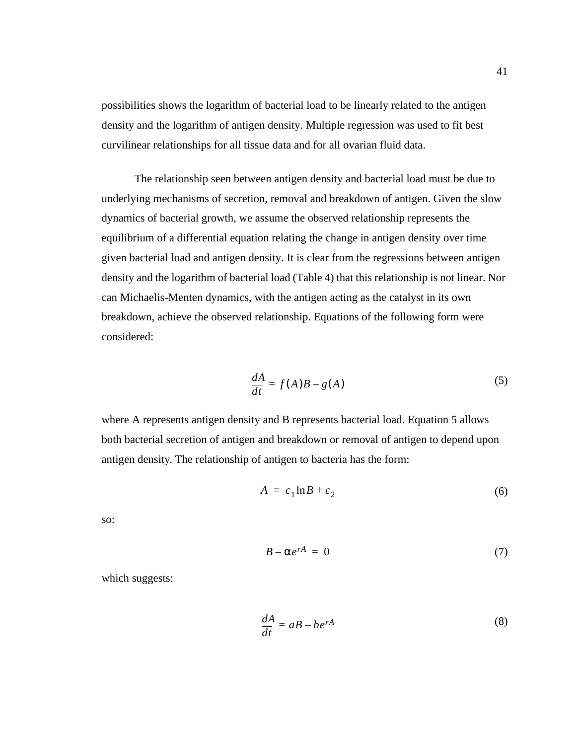<span id="page-54-0"></span>possibilities shows the logarithm of bacterial load to be linearly related to the antigen density and the logarithm of antigen density. Multiple regression was used to fit best curvilinear relationships for all tissue data and for all ovarian fluid data.

The relationship seen between antigen density and bacterial load must be due to underlying mechanisms of secretion, removal and breakdown of antigen. Given the slow dynamics of bacterial growth, we assume the observed relationship represents the equilibrium of a differential equation relating the change in antigen density over time given bacterial load and antigen density. It is clear from the regressions between antigen density and the logarithm of bacterial load [\(Table 4](#page-53-0)) that this relationship is not linear. Nor can Michaelis-Menten dynamics, with the antigen acting as the catalyst in its own breakdown, achieve the observed relationship. Equations of the following form were considered:

$$
\frac{dA}{dt} = f(A)B - g(A) \tag{5}
$$

where A represents antigen density and B represents bacterial load. Equation 5 allows both bacterial secretion of antigen and breakdown or removal of antigen to depend upon antigen density. The relationship of antigen to bacteria has the form:

$$
A = c_1 \ln B + c_2 \tag{6}
$$

so:

$$
B - \alpha e^{rA} = 0 \tag{7}
$$

which suggests:

$$
\frac{dA}{dt} = aB - be^{rA} \tag{8}
$$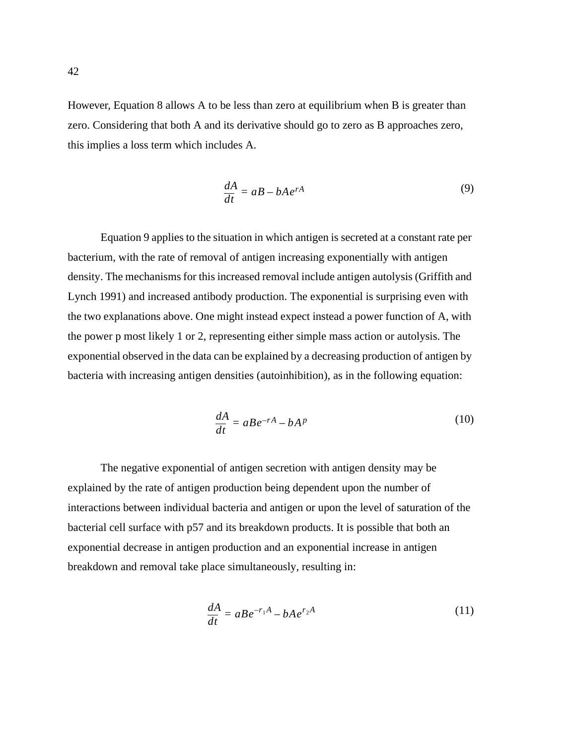<span id="page-55-0"></span>However, [Equation 8](#page-54-0) allows A to be less than zero at equilibrium when B is greater than zero. Considering that both A and its derivative should go to zero as B approaches zero, this implies a loss term which includes A.

$$
\frac{dA}{dt} = aB - bAe^{rA} \tag{9}
$$

Equation 9 applies to the situation in which antigen is secreted at a constant rate per bacterium, with the rate of removal of antigen increasing exponentially with antigen density. The mechanisms for this increased removal include antigen autolysis (Griffith and Lynch 1991) and increased antibody production. The exponential is surprising even with the two explanations above. One might instead expect instead a power function of A, with the power p most likely 1 or 2, representing either simple mass action or autolysis. The exponential observed in the data can be explained by a decreasing production of antigen by bacteria with increasing antigen densities (autoinhibition), as in the following equation:

$$
\frac{dA}{dt} = aBe^{-rA} - bA^p \tag{10}
$$

The negative exponential of antigen secretion with antigen density may be explained by the rate of antigen production being dependent upon the number of interactions between individual bacteria and antigen or upon the level of saturation of the bacterial cell surface with p57 and its breakdown products. It is possible that both an exponential decrease in antigen production and an exponential increase in antigen breakdown and removal take place simultaneously, resulting in:

$$
\frac{dA}{dt} = aBe^{-r_1A} - bAe^{r_2A} \tag{11}
$$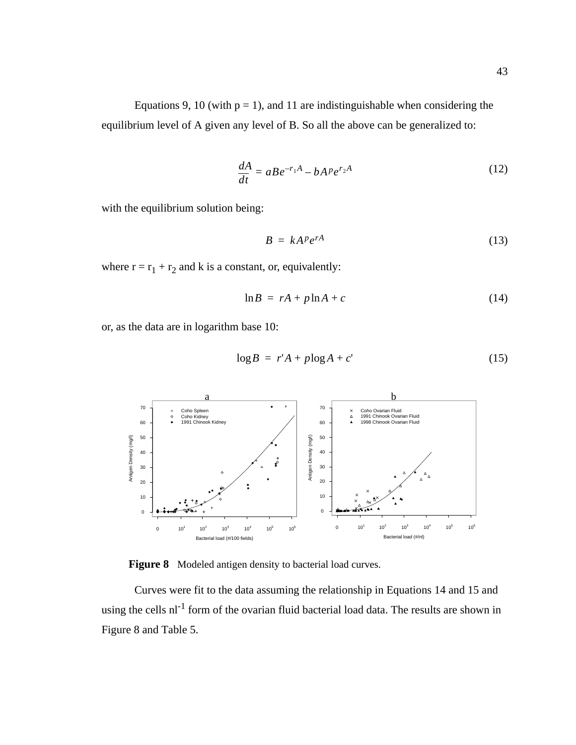<span id="page-56-0"></span>[Equations 9, 10](#page-55-0) (with  $p = 1$ ), and [11](#page-55-0) are indistinguishable when considering the equilibrium level of A given any level of B. So all the above can be generalized to:

$$
\frac{dA}{dt} = aBe^{-r_1A} - bA^p e^{r_2A} \tag{12}
$$

with the equilibrium solution being:

$$
B = kA^p e^{rA} \tag{13}
$$

where  $r = r_1 + r_2$  and k is a constant, or, equivalently:

$$
\ln B = rA + p \ln A + c \tag{14}
$$

or, as the data are in logarithm base 10:

$$
\log B = r'A + p \log A + c' \tag{15}
$$



**Figure 8** Modeled antigen density to bacterial load curves.

Curves were fit to the data assuming the relationship in Equations 14 and 15 and using the cells  $nl^{-1}$  form of the ovarian fluid bacterial load data. The results are shown in Figure 8 and [Table 5.](#page-57-0)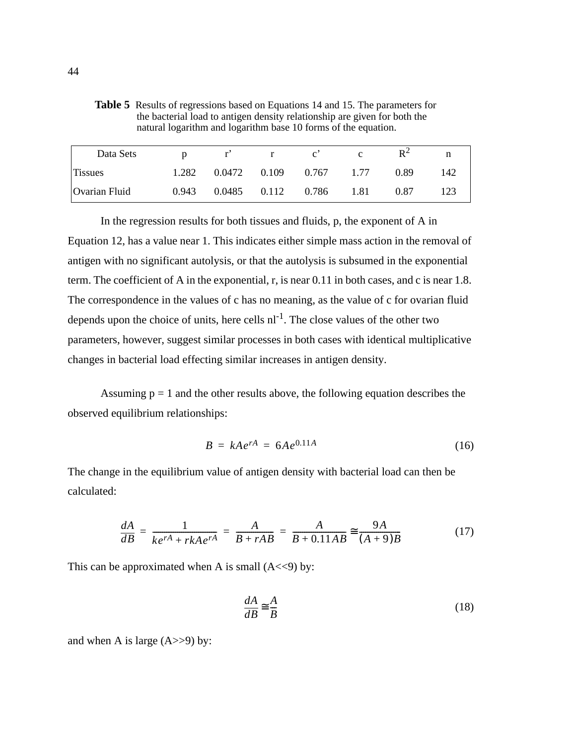| Data Sets     | D     | $r'$ r | $\mathbf{c}^{\prime}$           | $\mathbf{c}$ | $R^2$ |     |
|---------------|-------|--------|---------------------------------|--------------|-------|-----|
| Tissues       | 1.282 |        | $0.0472$ $0.109$ $0.767$ $1.77$ |              | 0.89  | 142 |
| Ovarian Fluid | 0.943 |        | $0.0485$ $0.112$ $0.786$ $1.81$ |              | 0.87  | 123 |

<span id="page-57-0"></span>**Table 5** Results of regressions based on [Equations 14 and 15.](#page-56-0) The parameters for

natural logarithm and logarithm base 10 forms of the equation.

the bacterial load to antigen density relationship are given for both the

In the regression results for both tissues and fluids, p, the exponent of A in [Equation 12](#page-56-0), has a value near 1. This indicates either simple mass action in the removal of antigen with no significant autolysis, or that the autolysis is subsumed in the exponential term. The coefficient of A in the exponential, r, is near 0.11 in both cases, and c is near 1.8. The correspondence in the values of c has no meaning, as the value of c for ovarian fluid depends upon the choice of units, here cells  $nl^{-1}$ . The close values of the other two parameters, however, suggest similar processes in both cases with identical multiplicative changes in bacterial load effecting similar increases in antigen density.

Assuming  $p = 1$  and the other results above, the following equation describes the observed equilibrium relationships:

$$
B = kAe^{rA} = 6Ae^{0.11A} \tag{16}
$$

The change in the equilibrium value of antigen density with bacterial load can then be calculated:

$$
\frac{dA}{dB} = \frac{1}{ke^{rA} + rkAe^{rA}} = \frac{A}{B + rAB} = \frac{A}{B + 0.11AB} \approx \frac{9A}{(A + 9)B}
$$
(17)

This can be approximated when A is small  $(A \leq 9)$  by:

$$
\frac{dA}{dB} \approx \frac{A}{B} \tag{18}
$$

and when A is large  $(A \gg 9)$  by: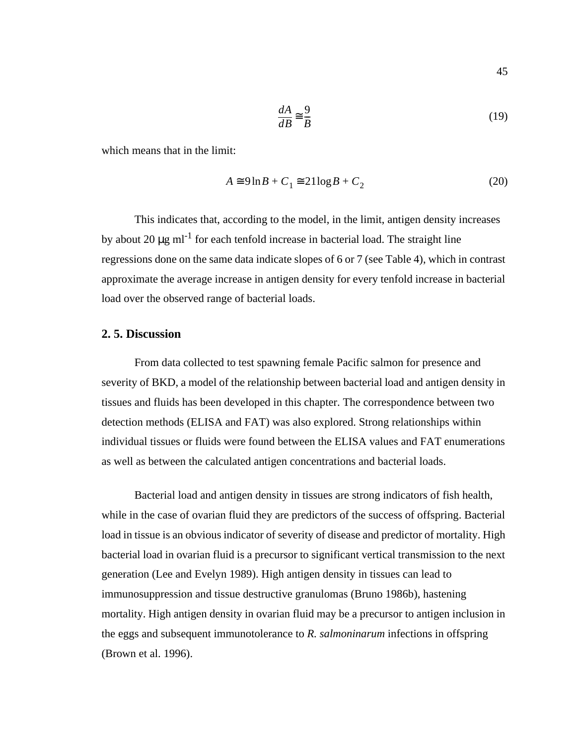$$
\frac{dA}{dB} \approx \frac{9}{B} \tag{19}
$$

which means that in the limit:

$$
A \cong 9 \ln B + C_1 \cong 21 \log B + C_2 \tag{20}
$$

This indicates that, according to the model, in the limit, antigen density increases by about 20  $\mu$ g ml<sup>-1</sup> for each tenfold increase in bacterial load. The straight line regressions done on the same data indicate slopes of 6 or 7 (see [Table 4\)](#page-53-0), which in contrast approximate the average increase in antigen density for every tenfold increase in bacterial load over the observed range of bacterial loads.

## **2. 5. Discussion**

From data collected to test spawning female Pacific salmon for presence and severity of BKD, a model of the relationship between bacterial load and antigen density in tissues and fluids has been developed in this chapter. The correspondence between two detection methods (ELISA and FAT) was also explored. Strong relationships within individual tissues or fluids were found between the ELISA values and FAT enumerations as well as between the calculated antigen concentrations and bacterial loads.

Bacterial load and antigen density in tissues are strong indicators of fish health, while in the case of ovarian fluid they are predictors of the success of offspring. Bacterial load in tissue is an obvious indicator of severity of disease and predictor of mortality. High bacterial load in ovarian fluid is a precursor to significant vertical transmission to the next generation (Lee and Evelyn 1989). High antigen density in tissues can lead to immunosuppression and tissue destructive granulomas (Bruno 1986b), hastening mortality. High antigen density in ovarian fluid may be a precursor to antigen inclusion in the eggs and subsequent immunotolerance to *R. salmoninarum* infections in offspring (Brown et al. 1996).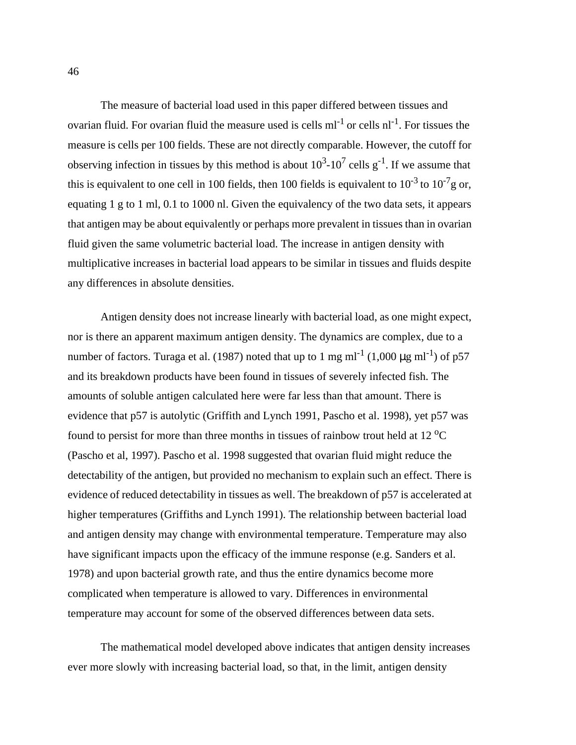The measure of bacterial load used in this paper differed between tissues and ovarian fluid. For ovarian fluid the measure used is cells  $ml^{-1}$  or cells  $nl^{-1}$ . For tissues the measure is cells per 100 fields. These are not directly comparable. However, the cutoff for observing infection in tissues by this method is about  $10^3$ - $10^7$  cells g<sup>-1</sup>. If we assume that this is equivalent to one cell in 100 fields, then 100 fields is equivalent to  $10^{-3}$  to  $10^{-7}$ g or, equating 1 g to 1 ml, 0.1 to 1000 nl. Given the equivalency of the two data sets, it appears that antigen may be about equivalently or perhaps more prevalent in tissues than in ovarian fluid given the same volumetric bacterial load. The increase in antigen density with multiplicative increases in bacterial load appears to be similar in tissues and fluids despite any differences in absolute densities.

Antigen density does not increase linearly with bacterial load, as one might expect, nor is there an apparent maximum antigen density. The dynamics are complex, due to a number of factors. Turaga et al. (1987) noted that up to 1 mg ml<sup>-1</sup> (1,000  $\mu$ g ml<sup>-1</sup>) of p57 and its breakdown products have been found in tissues of severely infected fish. The amounts of soluble antigen calculated here were far less than that amount. There is evidence that p57 is autolytic (Griffith and Lynch 1991, Pascho et al. 1998), yet p57 was found to persist for more than three months in tissues of rainbow trout held at 12  $^{\circ}$ C (Pascho et al, 1997). Pascho et al. 1998 suggested that ovarian fluid might reduce the detectability of the antigen, but provided no mechanism to explain such an effect. There is evidence of reduced detectability in tissues as well. The breakdown of p57 is accelerated at higher temperatures (Griffiths and Lynch 1991). The relationship between bacterial load and antigen density may change with environmental temperature. Temperature may also have significant impacts upon the efficacy of the immune response (e.g. Sanders et al. 1978) and upon bacterial growth rate, and thus the entire dynamics become more complicated when temperature is allowed to vary. Differences in environmental temperature may account for some of the observed differences between data sets.

The mathematical model developed above indicates that antigen density increases ever more slowly with increasing bacterial load, so that, in the limit, antigen density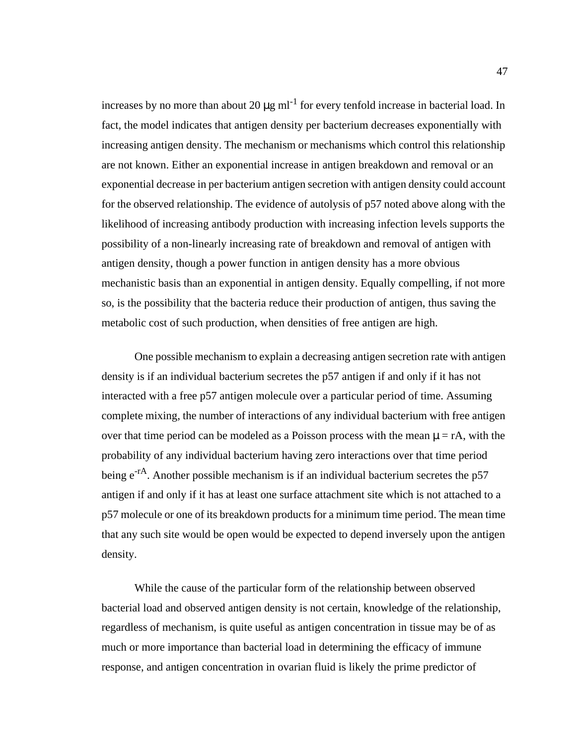increases by no more than about 20  $\mu$ g ml<sup>-1</sup> for every tenfold increase in bacterial load. In fact, the model indicates that antigen density per bacterium decreases exponentially with increasing antigen density. The mechanism or mechanisms which control this relationship are not known. Either an exponential increase in antigen breakdown and removal or an exponential decrease in per bacterium antigen secretion with antigen density could account for the observed relationship. The evidence of autolysis of p57 noted above along with the likelihood of increasing antibody production with increasing infection levels supports the possibility of a non-linearly increasing rate of breakdown and removal of antigen with antigen density, though a power function in antigen density has a more obvious mechanistic basis than an exponential in antigen density. Equally compelling, if not more so, is the possibility that the bacteria reduce their production of antigen, thus saving the metabolic cost of such production, when densities of free antigen are high.

One possible mechanism to explain a decreasing antigen secretion rate with antigen density is if an individual bacterium secretes the p57 antigen if and only if it has not interacted with a free p57 antigen molecule over a particular period of time. Assuming complete mixing, the number of interactions of any individual bacterium with free antigen over that time period can be modeled as a Poisson process with the mean  $\mu = rA$ , with the probability of any individual bacterium having zero interactions over that time period being  $e^{-rA}$ . Another possible mechanism is if an individual bacterium secretes the p57 antigen if and only if it has at least one surface attachment site which is not attached to a p57 molecule or one of its breakdown products for a minimum time period. The mean time that any such site would be open would be expected to depend inversely upon the antigen density.

While the cause of the particular form of the relationship between observed bacterial load and observed antigen density is not certain, knowledge of the relationship, regardless of mechanism, is quite useful as antigen concentration in tissue may be of as much or more importance than bacterial load in determining the efficacy of immune response, and antigen concentration in ovarian fluid is likely the prime predictor of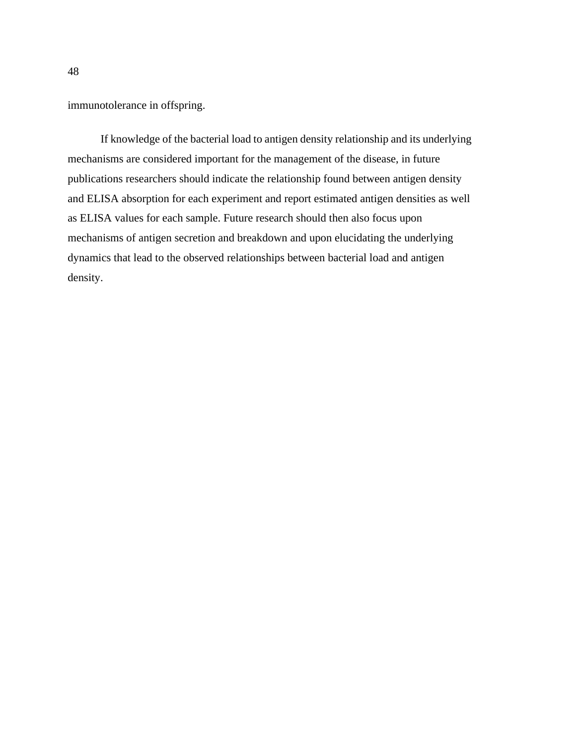immunotolerance in offspring.

If knowledge of the bacterial load to antigen density relationship and its underlying mechanisms are considered important for the management of the disease, in future publications researchers should indicate the relationship found between antigen density and ELISA absorption for each experiment and report estimated antigen densities as well as ELISA values for each sample. Future research should then also focus upon mechanisms of antigen secretion and breakdown and upon elucidating the underlying dynamics that lead to the observed relationships between bacterial load and antigen density.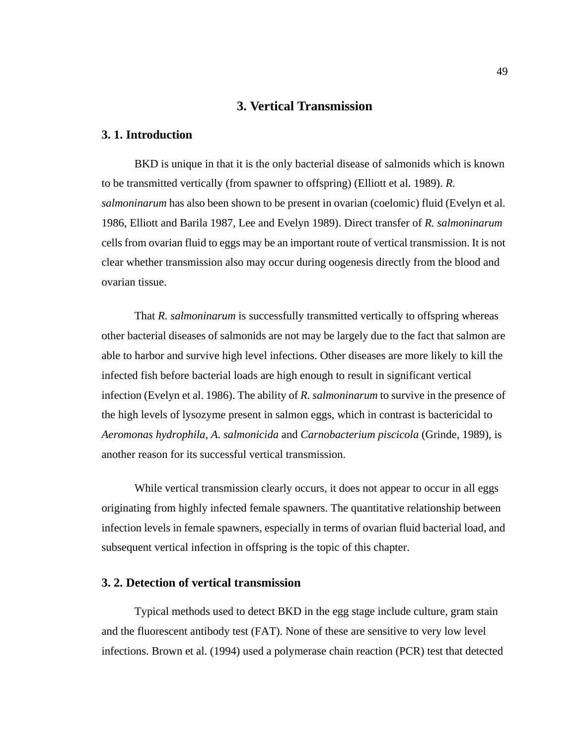# **3. Vertical Transmission**

## **3. 1. Introduction**

BKD is unique in that it is the only bacterial disease of salmonids which is known to be transmitted vertically (from spawner to offspring) (Elliott et al. 1989). *R. salmoninarum* has also been shown to be present in ovarian (coelomic) fluid (Evelyn et al. 1986, Elliott and Barila 1987, Lee and Evelyn 1989). Direct transfer of *R. salmoninarum* cells from ovarian fluid to eggs may be an important route of vertical transmission. It is not clear whether transmission also may occur during oogenesis directly from the blood and ovarian tissue.

That *R. salmoninarum* is successfully transmitted vertically to offspring whereas other bacterial diseases of salmonids are not may be largely due to the fact that salmon are able to harbor and survive high level infections. Other diseases are more likely to kill the infected fish before bacterial loads are high enough to result in significant vertical infection (Evelyn et al. 1986). The ability of *R. salmoninarum* to survive in the presence of the high levels of lysozyme present in salmon eggs, which in contrast is bactericidal to *Aeromonas hydrophila*, *A. salmonicida* and *Carnobacterium piscicola* (Grinde, 1989), is another reason for its successful vertical transmission.

While vertical transmission clearly occurs, it does not appear to occur in all eggs originating from highly infected female spawners. The quantitative relationship between infection levels in female spawners, especially in terms of ovarian fluid bacterial load, and subsequent vertical infection in offspring is the topic of this chapter.

## **3. 2. Detection of vertical transmission**

Typical methods used to detect BKD in the egg stage include culture, gram stain and the fluorescent antibody test (FAT). None of these are sensitive to very low level infections. Brown et al. (1994) used a polymerase chain reaction (PCR) test that detected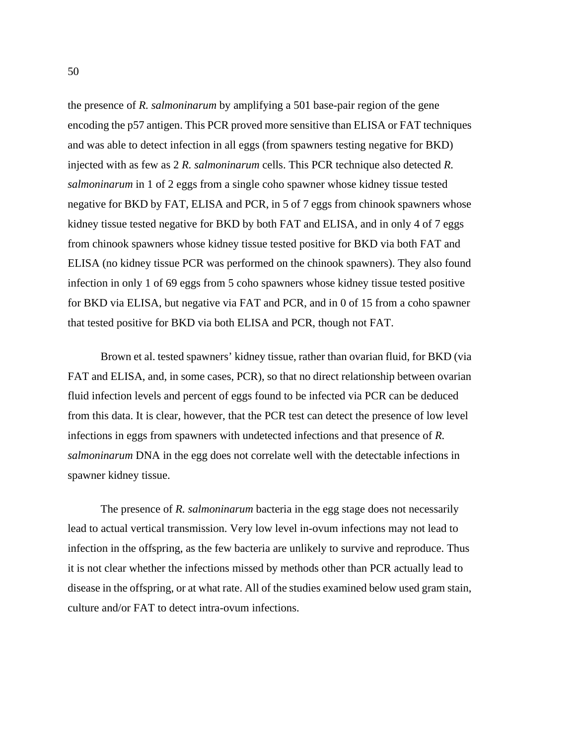the presence of *R. salmoninarum* by amplifying a 501 base-pair region of the gene encoding the p57 antigen. This PCR proved more sensitive than ELISA or FAT techniques and was able to detect infection in all eggs (from spawners testing negative for BKD) injected with as few as 2 *R. salmoninarum* cells. This PCR technique also detected *R. salmoninarum* in 1 of 2 eggs from a single coho spawner whose kidney tissue tested negative for BKD by FAT, ELISA and PCR, in 5 of 7 eggs from chinook spawners whose kidney tissue tested negative for BKD by both FAT and ELISA, and in only 4 of 7 eggs from chinook spawners whose kidney tissue tested positive for BKD via both FAT and ELISA (no kidney tissue PCR was performed on the chinook spawners). They also found infection in only 1 of 69 eggs from 5 coho spawners whose kidney tissue tested positive for BKD via ELISA, but negative via FAT and PCR, and in 0 of 15 from a coho spawner that tested positive for BKD via both ELISA and PCR, though not FAT.

Brown et al. tested spawners' kidney tissue, rather than ovarian fluid, for BKD (via FAT and ELISA, and, in some cases, PCR), so that no direct relationship between ovarian fluid infection levels and percent of eggs found to be infected via PCR can be deduced from this data. It is clear, however, that the PCR test can detect the presence of low level infections in eggs from spawners with undetected infections and that presence of *R. salmoninarum* DNA in the egg does not correlate well with the detectable infections in spawner kidney tissue.

The presence of *R. salmoninarum* bacteria in the egg stage does not necessarily lead to actual vertical transmission. Very low level in-ovum infections may not lead to infection in the offspring, as the few bacteria are unlikely to survive and reproduce. Thus it is not clear whether the infections missed by methods other than PCR actually lead to disease in the offspring, or at what rate. All of the studies examined below used gram stain, culture and/or FAT to detect intra-ovum infections.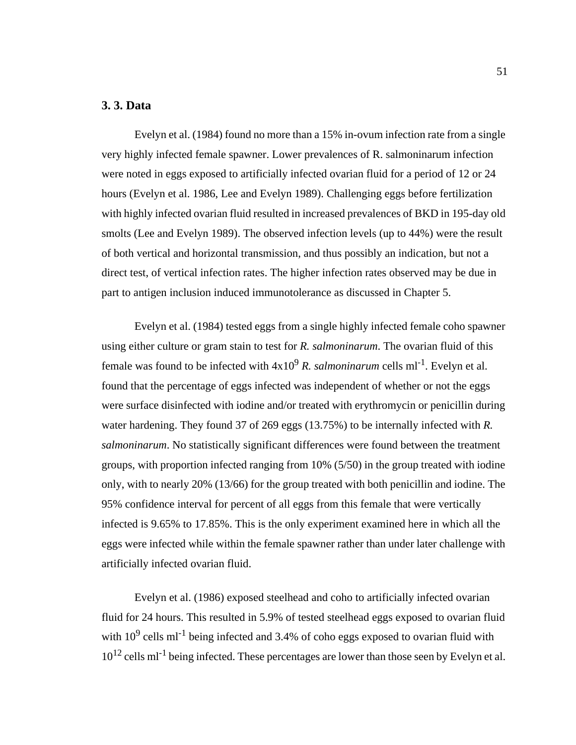## **3. 3. Data**

Evelyn et al. (1984) found no more than a 15% in-ovum infection rate from a single very highly infected female spawner. Lower prevalences of R. salmoninarum infection were noted in eggs exposed to artificially infected ovarian fluid for a period of 12 or 24 hours (Evelyn et al. 1986, Lee and Evelyn 1989). Challenging eggs before fertilization with highly infected ovarian fluid resulted in increased prevalences of BKD in 195-day old smolts (Lee and Evelyn 1989). The observed infection levels (up to 44%) were the result of both vertical and horizontal transmission, and thus possibly an indication, but not a direct test, of vertical infection rates. The higher infection rates observed may be due in part to antigen inclusion induced immunotolerance as discussed in Chapter 5.

Evelyn et al. (1984) tested eggs from a single highly infected female coho spawner using either culture or gram stain to test for *R. salmoninarum*. The ovarian fluid of this female was found to be infected with  $4x10^9$  *R. salmoninarum* cells ml<sup>-1</sup>. Evelyn et al. found that the percentage of eggs infected was independent of whether or not the eggs were surface disinfected with iodine and/or treated with erythromycin or penicillin during water hardening. They found 37 of 269 eggs (13.75%) to be internally infected with *R. salmoninarum*. No statistically significant differences were found between the treatment groups, with proportion infected ranging from 10% (5/50) in the group treated with iodine only, with to nearly 20% (13/66) for the group treated with both penicillin and iodine. The 95% confidence interval for percent of all eggs from this female that were vertically infected is 9.65% to 17.85%. This is the only experiment examined here in which all the eggs were infected while within the female spawner rather than under later challenge with artificially infected ovarian fluid.

Evelyn et al. (1986) exposed steelhead and coho to artificially infected ovarian fluid for 24 hours. This resulted in 5.9% of tested steelhead eggs exposed to ovarian fluid with  $10^9$  cells m<sup>-1</sup> being infected and 3.4% of coho eggs exposed to ovarian fluid with  $10^{12}$  cells ml<sup>-1</sup> being infected. These percentages are lower than those seen by Evelyn et al.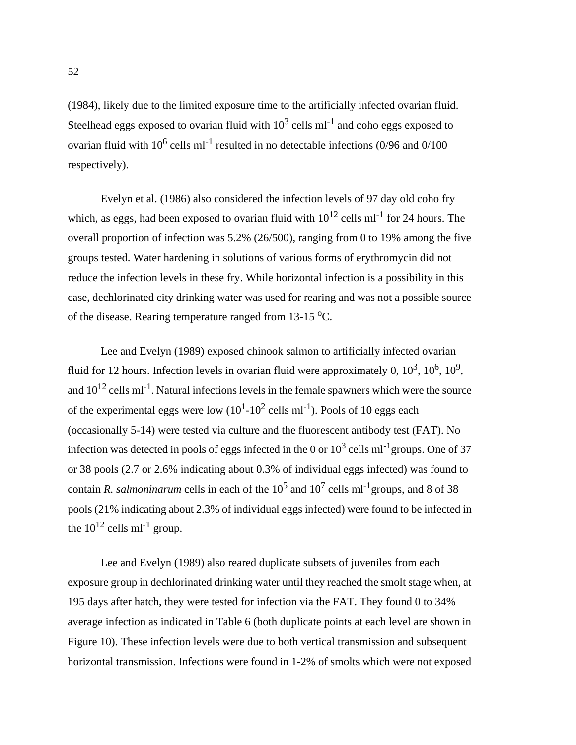(1984), likely due to the limited exposure time to the artificially infected ovarian fluid. Steelhead eggs exposed to ovarian fluid with  $10^3$  cells ml<sup>-1</sup> and coho eggs exposed to ovarian fluid with  $10^6$  cells ml<sup>-1</sup> resulted in no detectable infections (0/96 and 0/100 respectively).

Evelyn et al. (1986) also considered the infection levels of 97 day old coho fry which, as eggs, had been exposed to ovarian fluid with  $10^{12}$  cells ml<sup>-1</sup> for 24 hours. The overall proportion of infection was 5.2% (26/500), ranging from 0 to 19% among the five groups tested. Water hardening in solutions of various forms of erythromycin did not reduce the infection levels in these fry. While horizontal infection is a possibility in this case, dechlorinated city drinking water was used for rearing and was not a possible source of the disease. Rearing temperature ranged from  $13-15$  °C.

Lee and Evelyn (1989) exposed chinook salmon to artificially infected ovarian fluid for 12 hours. Infection levels in ovarian fluid were approximately 0,  $10^3$ ,  $10^6$ ,  $10^9$ , and  $10^{12}$  cells ml<sup>-1</sup>. Natural infections levels in the female spawners which were the source of the experimental eggs were low  $(10^{1} - 10^{2} \text{ cells ml}^{-1})$ . Pools of 10 eggs each (occasionally 5-14) were tested via culture and the fluorescent antibody test (FAT). No infection was detected in pools of eggs infected in the 0 or  $10^3$  cells ml<sup>-1</sup>groups. One of 37 or 38 pools (2.7 or 2.6% indicating about 0.3% of individual eggs infected) was found to contain *R. salmoninarum* cells in each of the  $10^5$  and  $10^7$  cells ml<sup>-1</sup>groups, and 8 of 38 pools (21% indicating about 2.3% of individual eggs infected) were found to be infected in the  $10^{12}$  cells ml<sup>-1</sup> group.

Lee and Evelyn (1989) also reared duplicate subsets of juveniles from each exposure group in dechlorinated drinking water until they reached the smolt stage when, at 195 days after hatch, they were tested for infection via the FAT. They found 0 to 34% average infection as indicated in [Table 6](#page-66-0) (both duplicate points at each level are shown in [Figure 10](#page-69-0)). These infection levels were due to both vertical transmission and subsequent horizontal transmission. Infections were found in 1-2% of smolts which were not exposed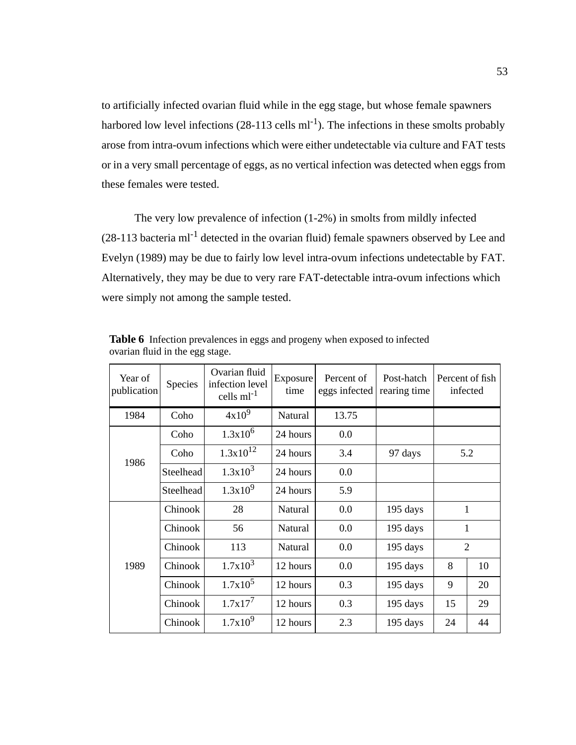<span id="page-66-0"></span>to artificially infected ovarian fluid while in the egg stage, but whose female spawners harbored low level infections  $(28-113 \text{ cells ml}^{-1})$ . The infections in these smolts probably arose from intra-ovum infections which were either undetectable via culture and FAT tests or in a very small percentage of eggs, as no vertical infection was detected when eggs from these females were tested.

The very low prevalence of infection (1-2%) in smolts from mildly infected  $(28-113$  bacteria ml<sup>-1</sup> detected in the ovarian fluid) female spawners observed by Lee and Evelyn (1989) may be due to fairly low level intra-ovum infections undetectable by FAT. Alternatively, they may be due to very rare FAT-detectable intra-ovum infections which were simply not among the sample tested.

| Year of<br>publication | Species   | Ovarian fluid<br>infection level<br>cells $ml^{-1}$ | Exposure<br>time | Percent of<br>eggs infected | Post-hatch<br>rearing time | Percent of fish<br>infected |    |
|------------------------|-----------|-----------------------------------------------------|------------------|-----------------------------|----------------------------|-----------------------------|----|
| 1984                   | Coho      | $4x10^9$                                            | Natural          | 13.75                       |                            |                             |    |
|                        | Coho      | $1.3x10^6$                                          | 24 hours         | 0.0                         |                            |                             |    |
| 1986                   | Coho      | $1.3x10^{12}$                                       | 24 hours         | 3.4                         | 5.2<br>97 days             |                             |    |
|                        | Steelhead | $1.3x10^3$                                          | 24 hours         | 0.0                         |                            |                             |    |
|                        | Steelhead | $1.3x10^9$                                          | 24 hours         | 5.9                         |                            |                             |    |
|                        | Chinook   | 28                                                  | Natural          | 0.0                         | 195 days                   | $\mathbf{1}$                |    |
|                        | Chinook   | 56                                                  | Natural          | 0.0                         | 195 days                   | 1                           |    |
|                        | Chinook   | 113                                                 | Natural          | 0.0                         | 195 days                   | $\overline{2}$              |    |
| 1989                   | Chinook   | $1.7x10^3$                                          | 12 hours         | 0.0                         | 195 days                   | 8                           | 10 |
|                        | Chinook   | $1.7x10^5$                                          | 12 hours         | 0.3                         | 195 days                   | 9                           | 20 |
|                        | Chinook   | $1.7x17^7$                                          | 12 hours         | 0.3                         | 195 days                   | 15                          | 29 |
|                        | Chinook   | $1.7x10^9$                                          | 12 hours         | 2.3                         | 195 days                   | 24                          | 44 |

**Table 6** Infection prevalences in eggs and progeny when exposed to infected ovarian fluid in the egg stage.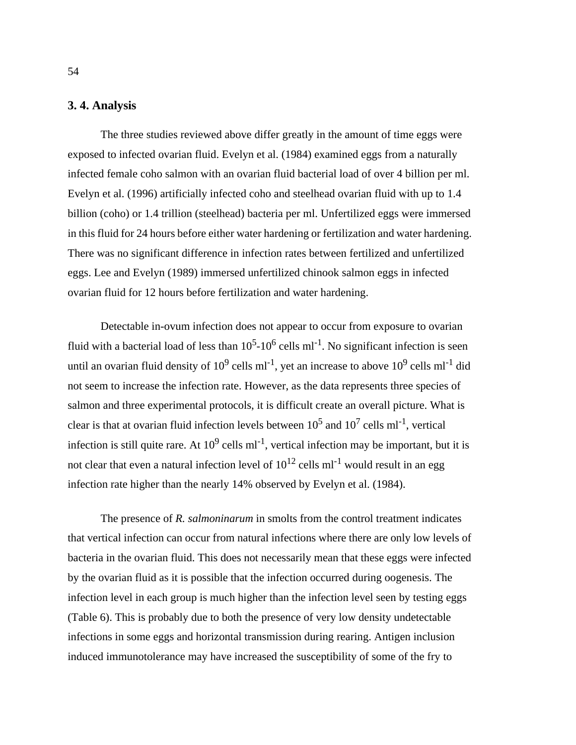## **3. 4. Analysis**

The three studies reviewed above differ greatly in the amount of time eggs were exposed to infected ovarian fluid. Evelyn et al. (1984) examined eggs from a naturally infected female coho salmon with an ovarian fluid bacterial load of over 4 billion per ml. Evelyn et al. (1996) artificially infected coho and steelhead ovarian fluid with up to 1.4 billion (coho) or 1.4 trillion (steelhead) bacteria per ml. Unfertilized eggs were immersed in this fluid for 24 hours before either water hardening or fertilization and water hardening. There was no significant difference in infection rates between fertilized and unfertilized eggs. Lee and Evelyn (1989) immersed unfertilized chinook salmon eggs in infected ovarian fluid for 12 hours before fertilization and water hardening.

Detectable in-ovum infection does not appear to occur from exposure to ovarian fluid with a bacterial load of less than  $10^5$ - $10^6$  cells ml<sup>-1</sup>. No significant infection is seen until an ovarian fluid density of  $10^9$  cells ml<sup>-1</sup>, yet an increase to above  $10^9$  cells ml<sup>-1</sup> did not seem to increase the infection rate. However, as the data represents three species of salmon and three experimental protocols, it is difficult create an overall picture. What is clear is that at ovarian fluid infection levels between  $10^5$  and  $10^7$  cells ml<sup>-1</sup>, vertical infection is still quite rare. At  $10^9$  cells ml<sup>-1</sup>, vertical infection may be important, but it is not clear that even a natural infection level of  $10^{12}$  cells ml<sup>-1</sup> would result in an egg infection rate higher than the nearly 14% observed by Evelyn et al. (1984).

The presence of *R. salmoninarum* in smolts from the control treatment indicates that vertical infection can occur from natural infections where there are only low levels of bacteria in the ovarian fluid. This does not necessarily mean that these eggs were infected by the ovarian fluid as it is possible that the infection occurred during oogenesis. The infection level in each group is much higher than the infection level seen by testing eggs ([Table 6](#page-66-0)). This is probably due to both the presence of very low density undetectable infections in some eggs and horizontal transmission during rearing. Antigen inclusion induced immunotolerance may have increased the susceptibility of some of the fry to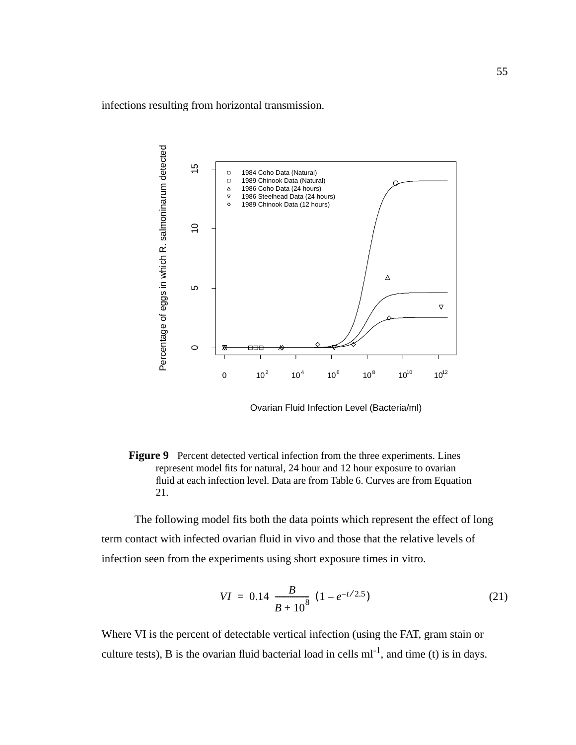<span id="page-68-0"></span>infections resulting from horizontal transmission.



Ovarian Fluid Infection Level (Bacteria/ml)

**Figure 9** Percent detected vertical infection from the three experiments. Lines represent model fits for natural, 24 hour and 12 hour exposure to ovarian fluid at each infection level. Data are from [Table 6.](#page-66-0) Curves are from Equation 21.

The following model fits both the data points which represent the effect of long term contact with infected ovarian fluid in vivo and those that the relative levels of infection seen from the experiments using short exposure times in vitro.

$$
VI = 0.14 \left(\frac{B}{B + 10^8}\right) (1 - e^{-t/2.5})
$$
\n(21)

Where VI is the percent of detectable vertical infection (using the FAT, gram stain or culture tests), B is the ovarian fluid bacterial load in cells  $ml^{-1}$ , and time (t) is in days.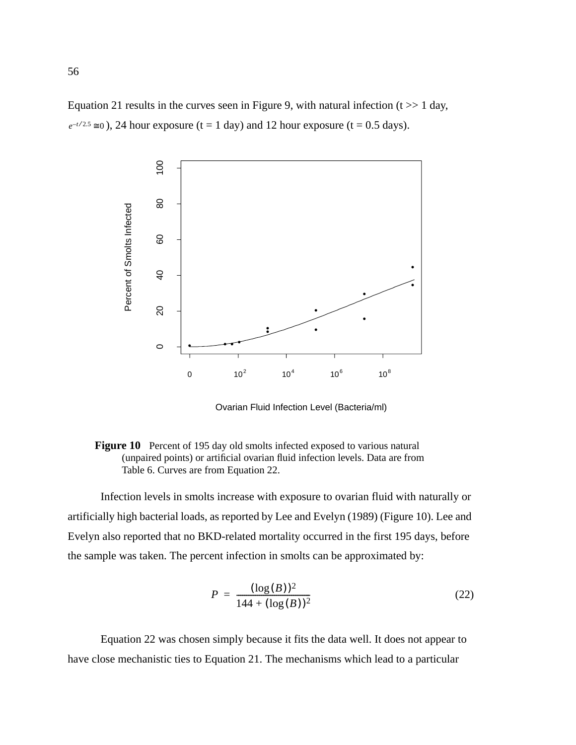<span id="page-69-0"></span>[Equation 21](#page-68-0) results in the curves seen in [Figure 9,](#page-68-0) with natural infection  $(t \gg 1)$  day,  $e^{-t/2.5} \approx 0$ ), 24 hour exposure (t = 1 day) and 12 hour exposure (t = 0.5 days).



Ovarian Fluid Infection Level (Bacteria/ml)



Infection levels in smolts increase with exposure to ovarian fluid with naturally or artificially high bacterial loads, as reported by Lee and Evelyn (1989) (Figure 10). Lee and Evelyn also reported that no BKD-related mortality occurred in the first 195 days, before the sample was taken. The percent infection in smolts can be approximated by:

$$
P = \frac{(\log(B))^2}{144 + (\log(B))^2}
$$
 (22)

Equation 22 was chosen simply because it fits the data well. It does not appear to have close mechanistic ties to [Equation 21.](#page-68-0) The mechanisms which lead to a particular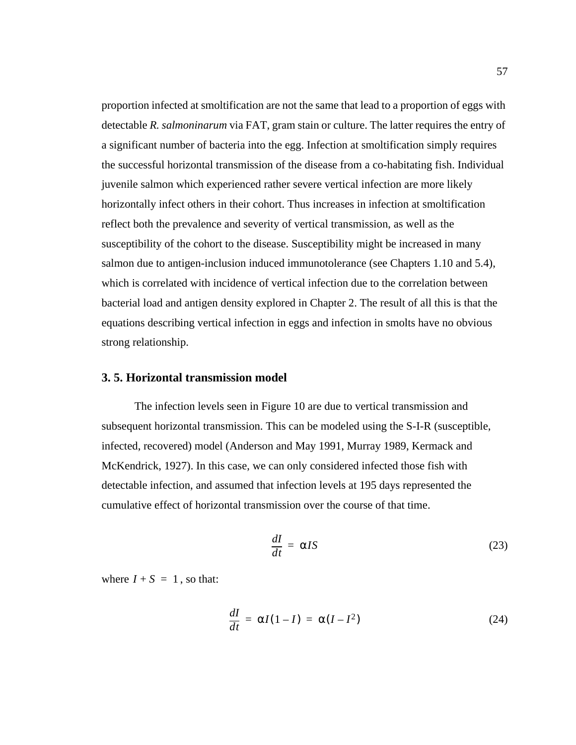proportion infected at smoltification are not the same that lead to a proportion of eggs with detectable *R. salmoninarum* via FAT, gram stain or culture. The latter requires the entry of a significant number of bacteria into the egg. Infection at smoltification simply requires the successful horizontal transmission of the disease from a co-habitating fish. Individual juvenile salmon which experienced rather severe vertical infection are more likely horizontally infect others in their cohort. Thus increases in infection at smoltification reflect both the prevalence and severity of vertical transmission, as well as the susceptibility of the cohort to the disease. Susceptibility might be increased in many salmon due to antigen-inclusion induced immunotolerance (see Chapters 1.10 and 5.4), which is correlated with incidence of vertical infection due to the correlation between bacterial load and antigen density explored in Chapter 2. The result of all this is that the equations describing vertical infection in eggs and infection in smolts have no obvious strong relationship.

## **3. 5. Horizontal transmission model**

The infection levels seen in [Figure 10](#page-69-0) are due to vertical transmission and subsequent horizontal transmission. This can be modeled using the S-I-R (susceptible, infected, recovered) model (Anderson and May 1991, Murray 1989, Kermack and McKendrick, 1927). In this case, we can only considered infected those fish with detectable infection, and assumed that infection levels at 195 days represented the cumulative effect of horizontal transmission over the course of that time.

$$
\frac{dI}{dt} = \alpha IS \tag{23}
$$

where  $I + S = 1$ , so that:

$$
\frac{dI}{dt} = \alpha I(1 - I) = \alpha (I - I^2)
$$
 (24)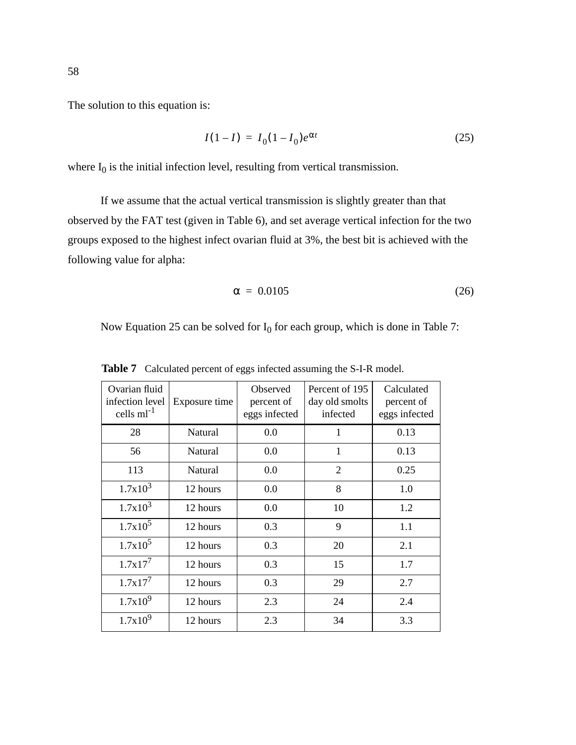$$
I(1-I) = I_0(1-I_0)e^{\alpha t}
$$
 (25)

where  $I_0$  is the initial infection level, resulting from vertical transmission.

If we assume that the actual vertical transmission is slightly greater than that observed by the FAT test (given in [Table 6\)](#page-66-0), and set average vertical infection for the two groups exposed to the highest infect ovarian fluid at 3%, the best bit is achieved with the following value for alpha:

$$
\alpha = 0.0105 \tag{26}
$$

Now Equation 25 can be solved for  $I_0$  for each group, which is done in Table 7:

| Ovarian fluid<br>infection level<br>cells $ml^{-1}$ | Exposure time | Observed<br>percent of<br>eggs infected | Percent of 195<br>day old smolts<br>infected | Calculated<br>percent of<br>eggs infected |
|-----------------------------------------------------|---------------|-----------------------------------------|----------------------------------------------|-------------------------------------------|
| 28                                                  | Natural       | 0.0                                     | 1                                            | 0.13                                      |
| 56                                                  | Natural       | 0.0                                     | $\mathbf{1}$                                 | 0.13                                      |
| 113                                                 | Natural       | 0.0                                     | $\overline{2}$                               | 0.25                                      |
| $1.7x10^3$                                          | 12 hours      | 0.0                                     | 8                                            | 1.0                                       |
| $1.7x10^3$                                          | 12 hours      | 0.0                                     | 10                                           | 1.2                                       |
| $1.7x10^5$                                          | 12 hours      | 0.3                                     | 9                                            | 1.1                                       |
| $1.7x10^5$                                          | 12 hours      | 0.3                                     | 20                                           | 2.1                                       |
| $1.7x17^7$                                          | 12 hours      | 0.3                                     | 15                                           | 1.7                                       |
| $1.7x17^7$                                          | 12 hours      | 0.3                                     | 29                                           | 2.7                                       |
| $1.7x10^9$                                          | 12 hours      | 2.3                                     | 24                                           | 2.4                                       |
| $1.7x10^9$                                          | 12 hours      | 2.3                                     | 34                                           | 3.3                                       |

Table 7 Calculated percent of eggs infected assuming the S-I-R model.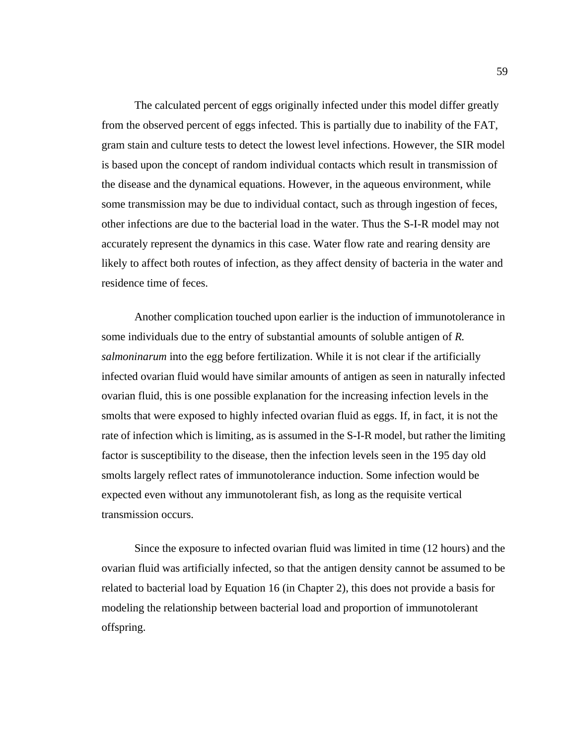The calculated percent of eggs originally infected under this model differ greatly from the observed percent of eggs infected. This is partially due to inability of the FAT, gram stain and culture tests to detect the lowest level infections. However, the SIR model is based upon the concept of random individual contacts which result in transmission of the disease and the dynamical equations. However, in the aqueous environment, while some transmission may be due to individual contact, such as through ingestion of feces, other infections are due to the bacterial load in the water. Thus the S-I-R model may not accurately represent the dynamics in this case. Water flow rate and rearing density are likely to affect both routes of infection, as they affect density of bacteria in the water and residence time of feces.

Another complication touched upon earlier is the induction of immunotolerance in some individuals due to the entry of substantial amounts of soluble antigen of *R. salmoninarum* into the egg before fertilization. While it is not clear if the artificially infected ovarian fluid would have similar amounts of antigen as seen in naturally infected ovarian fluid, this is one possible explanation for the increasing infection levels in the smolts that were exposed to highly infected ovarian fluid as eggs. If, in fact, it is not the rate of infection which is limiting, as is assumed in the S-I-R model, but rather the limiting factor is susceptibility to the disease, then the infection levels seen in the 195 day old smolts largely reflect rates of immunotolerance induction. Some infection would be expected even without any immunotolerant fish, as long as the requisite vertical transmission occurs.

Since the exposure to infected ovarian fluid was limited in time (12 hours) and the ovarian fluid was artificially infected, so that the antigen density cannot be assumed to be related to bacterial load by [Equation 16](#page-57-0) (in Chapter 2), this does not provide a basis for modeling the relationship between bacterial load and proportion of immunotolerant offspring.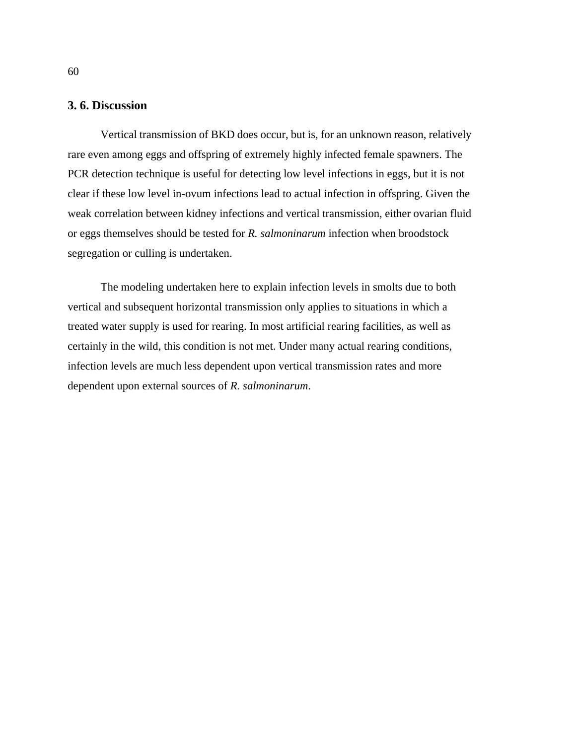## **3. 6. Discussion**

Vertical transmission of BKD does occur, but is, for an unknown reason, relatively rare even among eggs and offspring of extremely highly infected female spawners. The PCR detection technique is useful for detecting low level infections in eggs, but it is not clear if these low level in-ovum infections lead to actual infection in offspring. Given the weak correlation between kidney infections and vertical transmission, either ovarian fluid or eggs themselves should be tested for *R. salmoninarum* infection when broodstock segregation or culling is undertaken.

The modeling undertaken here to explain infection levels in smolts due to both vertical and subsequent horizontal transmission only applies to situations in which a treated water supply is used for rearing. In most artificial rearing facilities, as well as certainly in the wild, this condition is not met. Under many actual rearing conditions, infection levels are much less dependent upon vertical transmission rates and more dependent upon external sources of *R. salmoninarum*.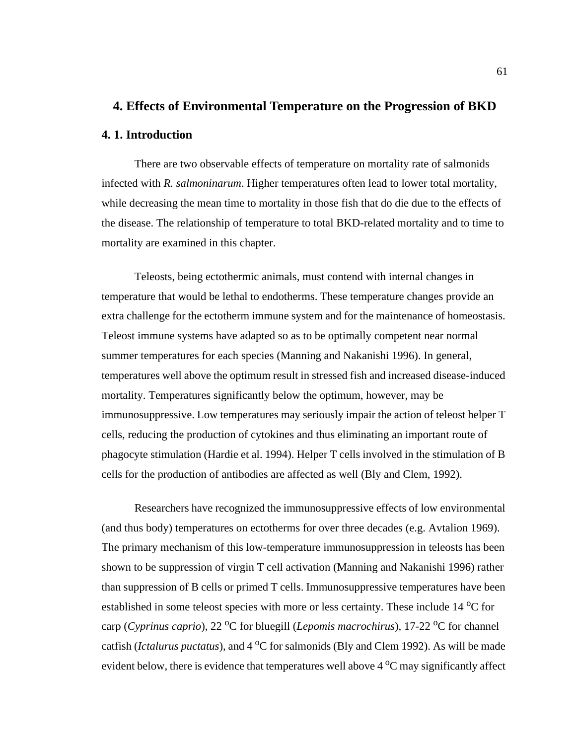## **4. Effects of Environmental Temperature on the Progression of BKD**

#### **4. 1. Introduction**

There are two observable effects of temperature on mortality rate of salmonids infected with *R. salmoninarum*. Higher temperatures often lead to lower total mortality, while decreasing the mean time to mortality in those fish that do die due to the effects of the disease. The relationship of temperature to total BKD-related mortality and to time to mortality are examined in this chapter.

Teleosts, being ectothermic animals, must contend with internal changes in temperature that would be lethal to endotherms. These temperature changes provide an extra challenge for the ectotherm immune system and for the maintenance of homeostasis. Teleost immune systems have adapted so as to be optimally competent near normal summer temperatures for each species (Manning and Nakanishi 1996). In general, temperatures well above the optimum result in stressed fish and increased disease-induced mortality. Temperatures significantly below the optimum, however, may be immunosuppressive. Low temperatures may seriously impair the action of teleost helper T cells, reducing the production of cytokines and thus eliminating an important route of phagocyte stimulation (Hardie et al. 1994). Helper T cells involved in the stimulation of B cells for the production of antibodies are affected as well (Bly and Clem, 1992).

Researchers have recognized the immunosuppressive effects of low environmental (and thus body) temperatures on ectotherms for over three decades (e.g. Avtalion 1969). The primary mechanism of this low-temperature immunosuppression in teleosts has been shown to be suppression of virgin T cell activation (Manning and Nakanishi 1996) rather than suppression of B cells or primed T cells. Immunosuppressive temperatures have been established in some teleost species with more or less certainty. These include 14 °C for carp (*Cyprinus caprio*), 22 <sup>o</sup>C for bluegill (*Lepomis macrochirus*), 17-22 <sup>o</sup>C for channel catfish (*Ictalurus puctatus*), and 4 <sup>o</sup>C for salmonids (Bly and Clem 1992). As will be made evident below, there is evidence that temperatures well above  $4^{\circ}$ C may significantly affect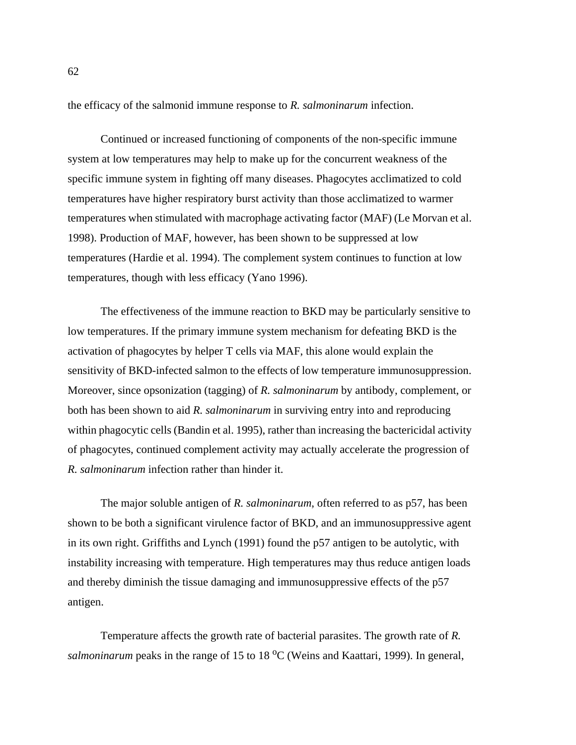the efficacy of the salmonid immune response to *R. salmoninarum* infection.

Continued or increased functioning of components of the non-specific immune system at low temperatures may help to make up for the concurrent weakness of the specific immune system in fighting off many diseases. Phagocytes acclimatized to cold temperatures have higher respiratory burst activity than those acclimatized to warmer temperatures when stimulated with macrophage activating factor (MAF) (Le Morvan et al. 1998). Production of MAF, however, has been shown to be suppressed at low temperatures (Hardie et al. 1994). The complement system continues to function at low temperatures, though with less efficacy (Yano 1996).

The effectiveness of the immune reaction to BKD may be particularly sensitive to low temperatures. If the primary immune system mechanism for defeating BKD is the activation of phagocytes by helper T cells via MAF, this alone would explain the sensitivity of BKD-infected salmon to the effects of low temperature immunosuppression. Moreover, since opsonization (tagging) of *R. salmoninarum* by antibody, complement, or both has been shown to aid *R. salmoninarum* in surviving entry into and reproducing within phagocytic cells (Bandin et al. 1995), rather than increasing the bactericidal activity of phagocytes, continued complement activity may actually accelerate the progression of *R. salmoninarum* infection rather than hinder it.

The major soluble antigen of *R. salmoninarum*, often referred to as p57, has been shown to be both a significant virulence factor of BKD, and an immunosuppressive agent in its own right. Griffiths and Lynch (1991) found the p57 antigen to be autolytic, with instability increasing with temperature. High temperatures may thus reduce antigen loads and thereby diminish the tissue damaging and immunosuppressive effects of the p57 antigen.

Temperature affects the growth rate of bacterial parasites. The growth rate of *R.* salmoninarum peaks in the range of 15 to 18 <sup>o</sup>C (Weins and Kaattari, 1999). In general,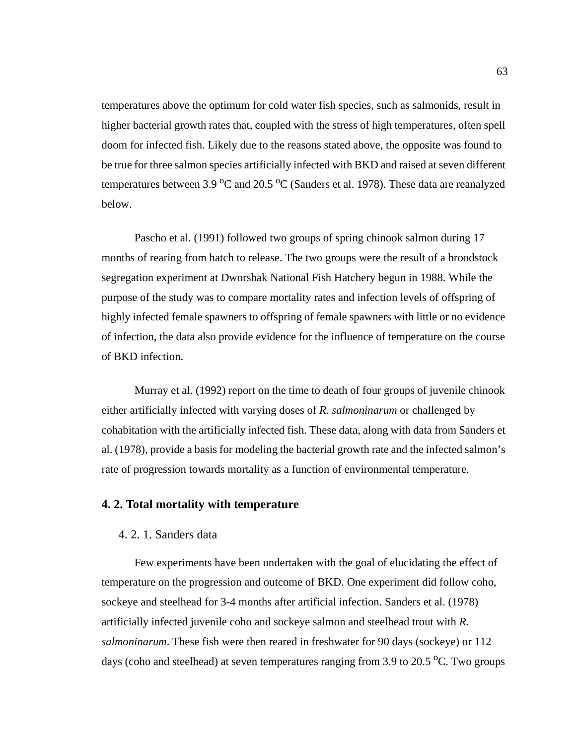temperatures above the optimum for cold water fish species, such as salmonids, result in higher bacterial growth rates that, coupled with the stress of high temperatures, often spell doom for infected fish. Likely due to the reasons stated above, the opposite was found to be true for three salmon species artificially infected with BKD and raised at seven different temperatures between 3.9  $\rm ^{o}C$  and 20.5  $\rm ^{o}C$  (Sanders et al. 1978). These data are reanalyzed below.

Pascho et al. (1991) followed two groups of spring chinook salmon during 17 months of rearing from hatch to release. The two groups were the result of a broodstock segregation experiment at Dworshak National Fish Hatchery begun in 1988. While the purpose of the study was to compare mortality rates and infection levels of offspring of highly infected female spawners to offspring of female spawners with little or no evidence of infection, the data also provide evidence for the influence of temperature on the course of BKD infection.

Murray et al. (1992) report on the time to death of four groups of juvenile chinook either artificially infected with varying doses of *R. salmoninarum* or challenged by cohabitation with the artificially infected fish. These data, along with data from Sanders et al. (1978), provide a basis for modeling the bacterial growth rate and the infected salmon's rate of progression towards mortality as a function of environmental temperature.

### **4. 2. Total mortality with temperature**

## 4. 2. 1. Sanders data

Few experiments have been undertaken with the goal of elucidating the effect of temperature on the progression and outcome of BKD. One experiment did follow coho, sockeye and steelhead for 3-4 months after artificial infection. Sanders et al. (1978) artificially infected juvenile coho and sockeye salmon and steelhead trout with *R. salmoninarum*. These fish were then reared in freshwater for 90 days (sockeye) or 112 days (coho and steelhead) at seven temperatures ranging from 3.9 to 20.5  $\rm{^{\circ}C}.$  Two groups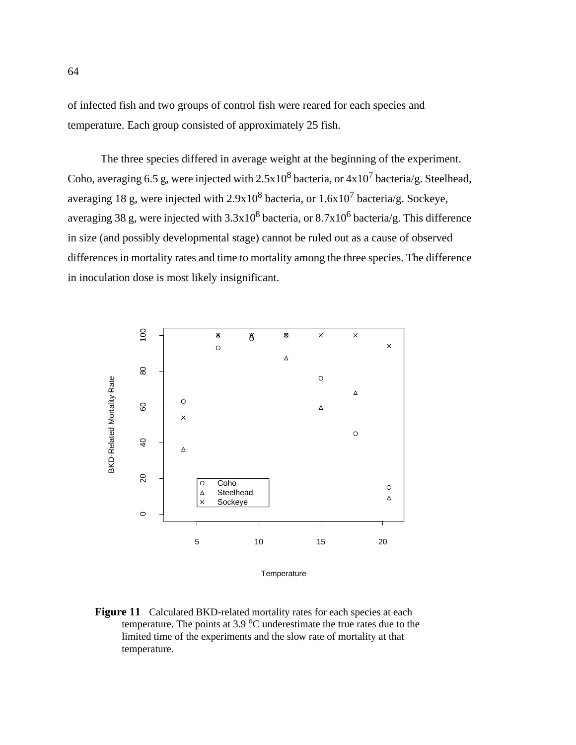<span id="page-77-0"></span>of infected fish and two groups of control fish were reared for each species and temperature. Each group consisted of approximately 25 fish.

The three species differed in average weight at the beginning of the experiment. Coho, averaging 6.5 g, were injected with  $2.5x10^8$  bacteria, or  $4x10^7$  bacteria/g. Steelhead, averaging 18 g, were injected with 2.9x10<sup>8</sup> bacteria, or 1.6x10<sup>7</sup> bacteria/g. Sockeye, averaging 38 g, were injected with 3.3x10<sup>8</sup> bacteria, or 8.7x10<sup>6</sup> bacteria/g. This difference in size (and possibly developmental stage) cannot be ruled out as a cause of observed differences in mortality rates and time to mortality among the three species. The difference in inoculation dose is most likely insignificant.



**Temperature** 

Figure 11 Calculated BKD-related mortality rates for each species at each temperature. The points at  $3.9 \,^{\circ}\text{C}$  underestimate the true rates due to the limited time of the experiments and the slow rate of mortality at that temperature.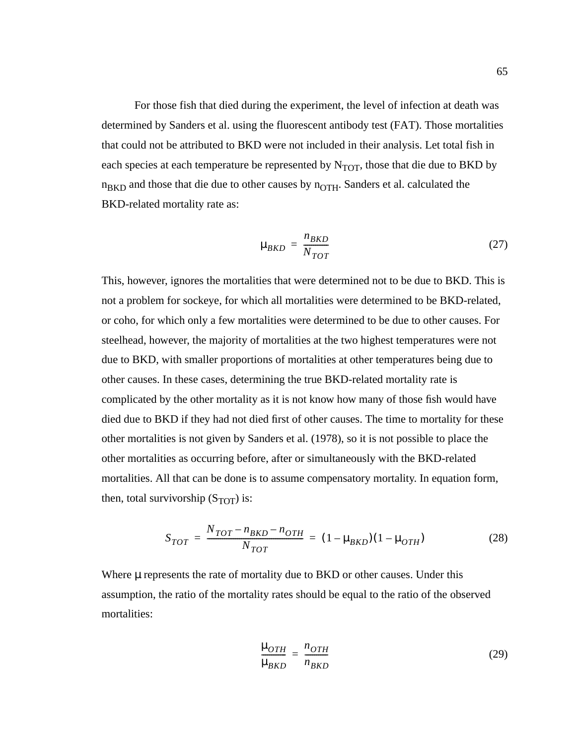For those fish that died during the experiment, the level of infection at death was determined by Sanders et al. using the fluorescent antibody test (FAT). Those mortalities that could not be attributed to BKD were not included in their analysis. Let total fish in each species at each temperature be represented by  $N_{TOT}$ , those that die due to BKD by  $n_{\text{BKD}}$  and those that die due to other causes by  $n_{\text{OTH}}$ . Sanders et al. calculated the BKD-related mortality rate as:

$$
\mu_{BKD} = \frac{n_{BKD}}{N_{TOT}} \tag{27}
$$

This, however, ignores the mortalities that were determined not to be due to BKD. This is not a problem for sockeye, for which all mortalities were determined to be BKD-related, or coho, for which only a few mortalities were determined to be due to other causes. For steelhead, however, the majority of mortalities at the two highest temperatures were not due to BKD, with smaller proportions of mortalities at other temperatures being due to other causes. In these cases, determining the true BKD-related mortality rate is complicated by the other mortality as it is not know how many of those fish would have died due to BKD if they had not died first of other causes. The time to mortality for these other mortalities is not given by Sanders et al. (1978), so it is not possible to place the other mortalities as occurring before, after or simultaneously with the BKD-related mortalities. All that can be done is to assume compensatory mortality. In equation form, then, total survivorship  $(S_{TOT})$  is:

$$
S_{TOT} = \frac{N_{TOT} - n_{BKD} - n_{OTH}}{N_{TOT}} = (1 - \mu_{BKD})(1 - \mu_{OTH})
$$
 (28)

Where  $\mu$  represents the rate of mortality due to BKD or other causes. Under this assumption, the ratio of the mortality rates should be equal to the ratio of the observed mortalities:

$$
\frac{\mu_{OTH}}{\mu_{BKD}} = \frac{n_{OTH}}{n_{BKD}}
$$
\n(29)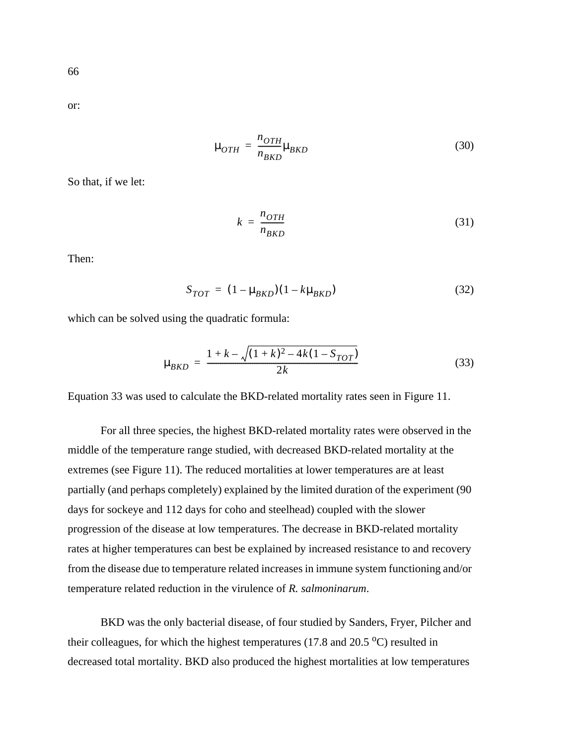<span id="page-79-0"></span>or:

$$
\mu_{OTH} = \frac{n_{OTH}}{n_{BKD}} \mu_{BKD}
$$
\n(30)

So that, if we let:

$$
k = \frac{n_{OTH}}{n_{BKD}}
$$
 (31)

Then:

$$
S_{TOT} = (1 - \mu_{BKD})(1 - k\mu_{BKD})
$$
\n(32)

which can be solved using the quadratic formula:

$$
\mu_{BKD} = \frac{1 + k - \sqrt{(1 + k)^2 - 4k(1 - S_{TOT})}}{2k} \tag{33}
$$

Equation 33 was used to calculate the BKD-related mortality rates seen in [Figure 11](#page-77-0).

For all three species, the highest BKD-related mortality rates were observed in the middle of the temperature range studied, with decreased BKD-related mortality at the extremes (see [Figure 11\)](#page-77-0). The reduced mortalities at lower temperatures are at least partially (and perhaps completely) explained by the limited duration of the experiment (90 days for sockeye and 112 days for coho and steelhead) coupled with the slower progression of the disease at low temperatures. The decrease in BKD-related mortality rates at higher temperatures can best be explained by increased resistance to and recovery from the disease due to temperature related increases in immune system functioning and/or temperature related reduction in the virulence of *R. salmoninarum*.

BKD was the only bacterial disease, of four studied by Sanders, Fryer, Pilcher and their colleagues, for which the highest temperatures (17.8 and 20.5  $\rm{^{\circ}C}$ ) resulted in decreased total mortality. BKD also produced the highest mortalities at low temperatures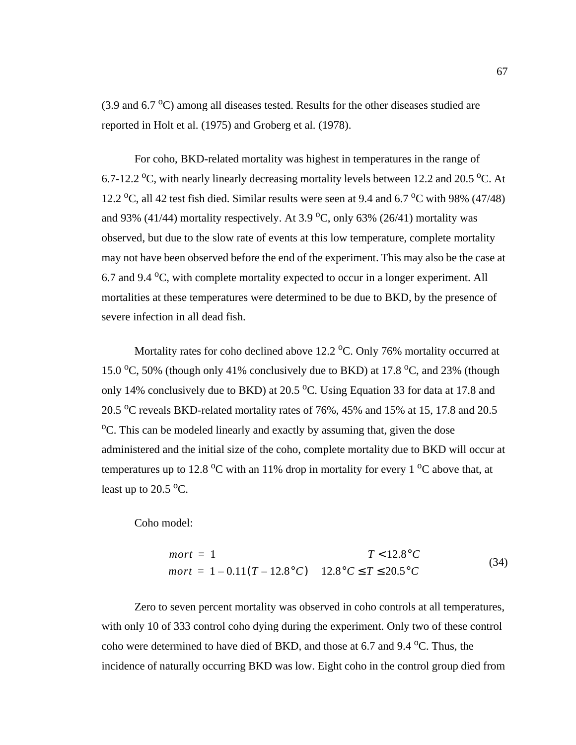<span id="page-80-0"></span> $(3.9 \text{ and } 6.7 \text{ °C})$  among all diseases tested. Results for the other diseases studied are reported in Holt et al. (1975) and Groberg et al. (1978).

For coho, BKD-related mortality was highest in temperatures in the range of 6.7-12.2 °C, with nearly linearly decreasing mortality levels between 12.2 and 20.5 °C. At 12.2 °C, all 42 test fish died. Similar results were seen at 9.4 and 6.7 °C with 98% (47/48) and 93% (41/44) mortality respectively. At 3.9  $\textdegree$ C, only 63% (26/41) mortality was observed, but due to the slow rate of events at this low temperature, complete mortality may not have been observed before the end of the experiment. This may also be the case at 6.7 and 9.4  $\rm{^{\circ}C}$ , with complete mortality expected to occur in a longer experiment. All mortalities at these temperatures were determined to be due to BKD, by the presence of severe infection in all dead fish.

Mortality rates for coho declined above  $12.2 \text{ °C}$ . Only 76% mortality occurred at 15.0  $\degree$ C, 50% (though only 41% conclusively due to BKD) at 17.8  $\degree$ C, and 23% (though only 14% conclusively due to BKD) at  $20.5$  °C. Using [Equation 33](#page-79-0) for data at 17.8 and 20.5  $\rm{^{\circ}C}$  reveals BKD-related mortality rates of 76%, 45% and 15% at 15, 17.8 and 20.5 <sup>o</sup>C. This can be modeled linearly and exactly by assuming that, given the dose administered and the initial size of the coho, complete mortality due to BKD will occur at temperatures up to 12.8  $\rm{^oC}$  with an 11% drop in mortality for every 1  $\rm{^oC}$  above that, at least up to  $20.5\text{ °C}$ .

Coho model:

$$
mort = 1
$$
  
\n
$$
T < 12.8^{\circ}C
$$
  
\n
$$
mort = 1 - 0.11(T - 12.8^{\circ}C) \quad 12.8^{\circ}C \le T \le 20.5^{\circ}C
$$
\n(34)

Zero to seven percent mortality was observed in coho controls at all temperatures, with only 10 of 333 control coho dying during the experiment. Only two of these control coho were determined to have died of BKD, and those at 6.7 and  $9.4 \degree C$ . Thus, the incidence of naturally occurring BKD was low. Eight coho in the control group died from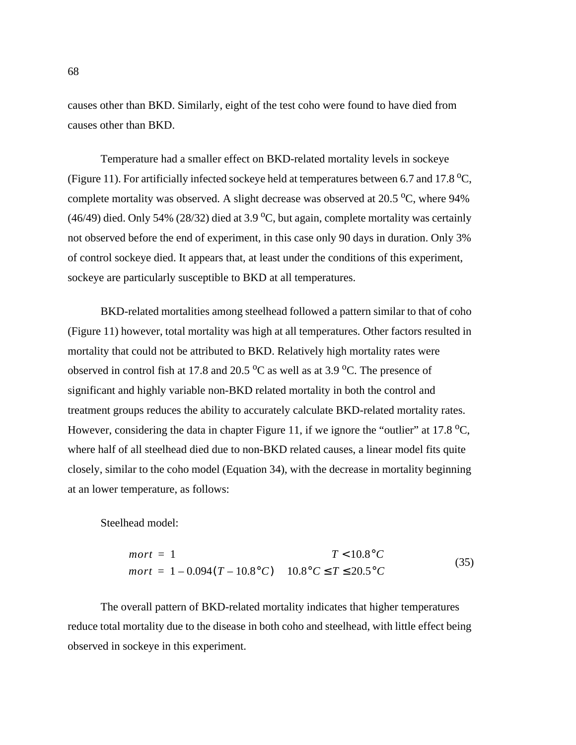causes other than BKD. Similarly, eight of the test coho were found to have died from causes other than BKD.

Temperature had a smaller effect on BKD-related mortality levels in sockeye ([Figure 11\)](#page-77-0). For artificially infected sockeye held at temperatures between 6.7 and 17.8  $^{\circ}C$ , complete mortality was observed. A slight decrease was observed at  $20.5\,^{\circ}\text{C}$ , where 94% (46/49) died. Only 54% (28/32) died at 3.9 °C, but again, complete mortality was certainly not observed before the end of experiment, in this case only 90 days in duration. Only 3% of control sockeye died. It appears that, at least under the conditions of this experiment, sockeye are particularly susceptible to BKD at all temperatures.

BKD-related mortalities among steelhead followed a pattern similar to that of coho ([Figure 11](#page-77-0)) however, total mortality was high at all temperatures. Other factors resulted in mortality that could not be attributed to BKD. Relatively high mortality rates were observed in control fish at 17.8 and 20.5  $\rm{^{\circ}C}$  as well as at 3.9  $\rm{^{\circ}C}$ . The presence of significant and highly variable non-BKD related mortality in both the control and treatment groups reduces the ability to accurately calculate BKD-related mortality rates. However, considering the data in [chapter Figure 11,](#page-77-0) if we ignore the "outlier" at 17.8  $^{\circ}$ C, where half of all steelhead died due to non-BKD related causes, a linear model fits quite closely, similar to the coho model ([Equation 34\)](#page-80-0), with the decrease in mortality beginning at an lower temperature, as follows:

Steelhead model:

$$
mort = 1
$$
  
\n
$$
T < 10.8^{\circ}C
$$
  
\n
$$
mort = 1 - 0.094(T - 10.8^{\circ}C)
$$
  
\n
$$
10.8^{\circ}C \le T \le 20.5^{\circ}C
$$
  
\n(35)

The overall pattern of BKD-related mortality indicates that higher temperatures reduce total mortality due to the disease in both coho and steelhead, with little effect being observed in sockeye in this experiment.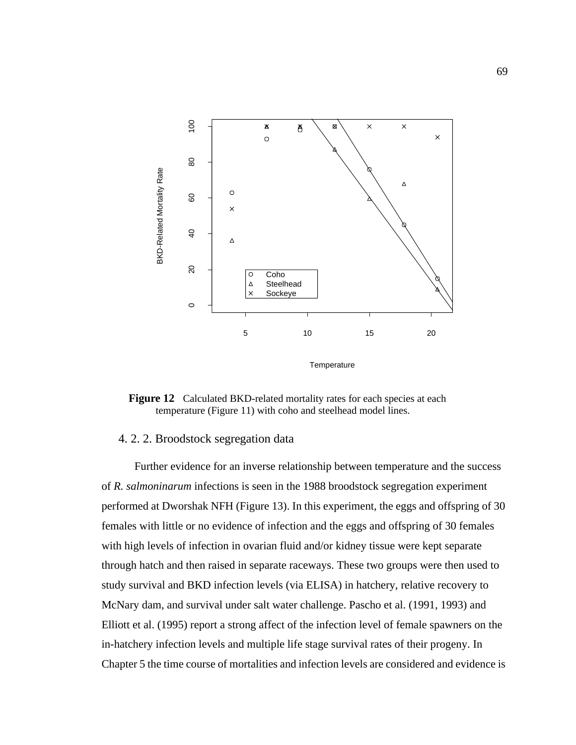

**Temperature** 

Figure 12 Calculated BKD-related mortality rates for each species at each temperature (Figure 11) with coho and steelhead model lines.

## 4. 2. 2. Broodstock segregation data

Further evidence for an inverse relationship between temperature and the success of *R. salmoninarum* infections is seen in the 1988 broodstock segregation experiment performed at Dworshak NFH ([Figure 13](#page-83-0)). In this experiment, the eggs and offspring of 30 females with little or no evidence of infection and the eggs and offspring of 30 females with high levels of infection in ovarian fluid and/or kidney tissue were kept separate through hatch and then raised in separate raceways. These two groups were then used to study survival and BKD infection levels (via ELISA) in hatchery, relative recovery to McNary dam, and survival under salt water challenge. Pascho et al. (1991, 1993) and Elliott et al. (1995) report a strong affect of the infection level of female spawners on the in-hatchery infection levels and multiple life stage survival rates of their progeny. In Chapter 5 the time course of mortalities and infection levels are considered and evidence is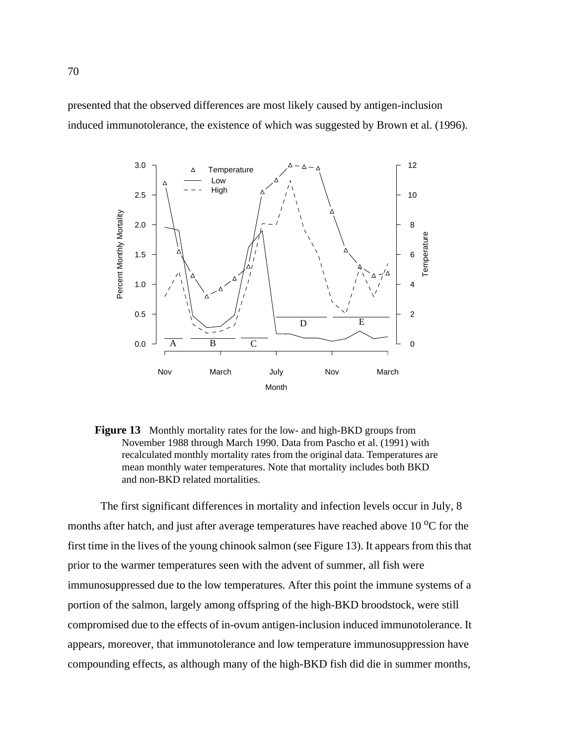<span id="page-83-0"></span>presented that the observed differences are most likely caused by antigen-inclusion induced immunotolerance, the existence of which was suggested by Brown et al. (1996).



**Figure 13** Monthly mortality rates for the low- and high-BKD groups from November 1988 through March 1990. Data from Pascho et al. (1991) with recalculated monthly mortality rates from the original data. Temperatures are mean monthly water temperatures. Note that mortality includes both BKD and non-BKD related mortalities.

The first significant differences in mortality and infection levels occur in July, 8 months after hatch, and just after average temperatures have reached above  $10<sup>o</sup>C$  for the first time in the lives of the young chinook salmon (see Figure 13). It appears from this that prior to the warmer temperatures seen with the advent of summer, all fish were immunosuppressed due to the low temperatures. After this point the immune systems of a portion of the salmon, largely among offspring of the high-BKD broodstock, were still compromised due to the effects of in-ovum antigen-inclusion induced immunotolerance. It appears, moreover, that immunotolerance and low temperature immunosuppression have compounding effects, as although many of the high-BKD fish did die in summer months,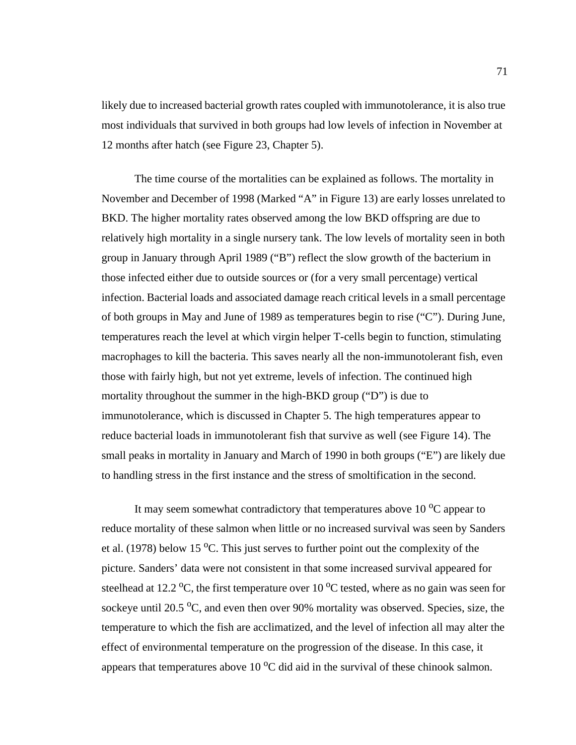likely due to increased bacterial growth rates coupled with immunotolerance, it is also true most individuals that survived in both groups had low levels of infection in November at 12 months after hatch (see [Figure 23,](#page-109-0) Chapter 5).

The time course of the mortalities can be explained as follows. The mortality in November and December of 1998 (Marked "A" in [Figure 13\)](#page-83-0) are early losses unrelated to BKD. The higher mortality rates observed among the low BKD offspring are due to relatively high mortality in a single nursery tank. The low levels of mortality seen in both group in January through April 1989 ("B") reflect the slow growth of the bacterium in those infected either due to outside sources or (for a very small percentage) vertical infection. Bacterial loads and associated damage reach critical levels in a small percentage of both groups in May and June of 1989 as temperatures begin to rise ("C"). During June, temperatures reach the level at which virgin helper T-cells begin to function, stimulating macrophages to kill the bacteria. This saves nearly all the non-immunotolerant fish, even those with fairly high, but not yet extreme, levels of infection. The continued high mortality throughout the summer in the high-BKD group ("D") is due to immunotolerance, which is discussed in Chapter 5. The high temperatures appear to reduce bacterial loads in immunotolerant fish that survive as well (see Figure 14). The small peaks in mortality in January and March of 1990 in both groups ("E") are likely due to handling stress in the first instance and the stress of smoltification in the second.

It may seem somewhat contradictory that temperatures above  $10\,^{\circ}\text{C}$  appear to reduce mortality of these salmon when little or no increased survival was seen by Sanders et al. (1978) below 15  $\rm{^oC}$ . This just serves to further point out the complexity of the picture. Sanders' data were not consistent in that some increased survival appeared for steelhead at 12.2  $\rm{^oC}$ , the first temperature over 10  $\rm{^oC}$  tested, where as no gain was seen for sockeye until 20.5 °C, and even then over 90% mortality was observed. Species, size, the temperature to which the fish are acclimatized, and the level of infection all may alter the effect of environmental temperature on the progression of the disease. In this case, it appears that temperatures above  $10\,^{\circ}\text{C}$  did aid in the survival of these chinook salmon.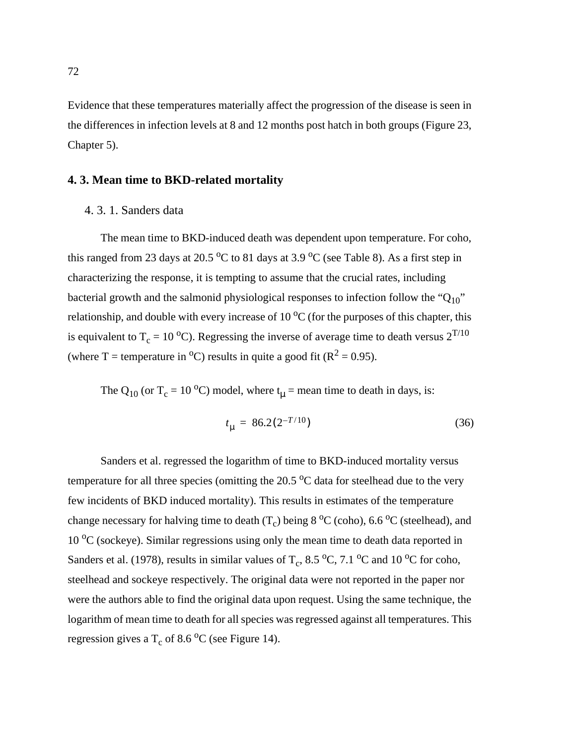<span id="page-85-0"></span>Evidence that these temperatures materially affect the progression of the disease is seen in the differences in infection levels at 8 and 12 months post hatch in both groups [\(Figure 23](#page-109-0), Chapter 5).

#### **4. 3. Mean time to BKD-related mortality**

#### 4. 3. 1. Sanders data

The mean time to BKD-induced death was dependent upon temperature. For coho, this ranged from 23 days at 20.5  $\rm{^0C}$  to 81 days at 3.9  $\rm{^0C}$  (see [Table 8](#page-88-0)). As a first step in characterizing the response, it is tempting to assume that the crucial rates, including bacterial growth and the salmonid physiological responses to infection follow the " $Q_{10}$ " relationship, and double with every increase of  $10<sup>o</sup>C$  (for the purposes of this chapter, this is equivalent to T<sub>c</sub> = 10 <sup>o</sup>C). Regressing the inverse of average time to death versus  $2^{T/10}$ (where T = temperature in <sup>o</sup>C) results in quite a good fit ( $R^2 = 0.95$ ).

The Q<sub>10</sub> (or T<sub>c</sub> = 10 <sup>o</sup>C) model, where  $t_{\mu}$  = mean time to death in days, is:

$$
t_{\mu} = 86.2(2^{-T/10})
$$
\n(36)

Sanders et al. regressed the logarithm of time to BKD-induced mortality versus temperature for all three species (omitting the  $20.5\,^{\circ}\text{C}$  data for steelhead due to the very few incidents of BKD induced mortality). This results in estimates of the temperature change necessary for halving time to death  $(T_c)$  being 8 <sup>o</sup>C (coho), 6.6 <sup>o</sup>C (steelhead), and  $10<sup>o</sup>C$  (sockeye). Similar regressions using only the mean time to death data reported in Sanders et al. (1978), results in similar values of  $T_c$ , 8.5 °C, 7.1 °C and 10 °C for coho, steelhead and sockeye respectively. The original data were not reported in the paper nor were the authors able to find the original data upon request. Using the same technique, the logarithm of mean time to death for all species was regressed against all temperatures. This regression gives a  $T_c$  of 8.6 <sup>o</sup>C (see [Figure 14](#page-86-0)).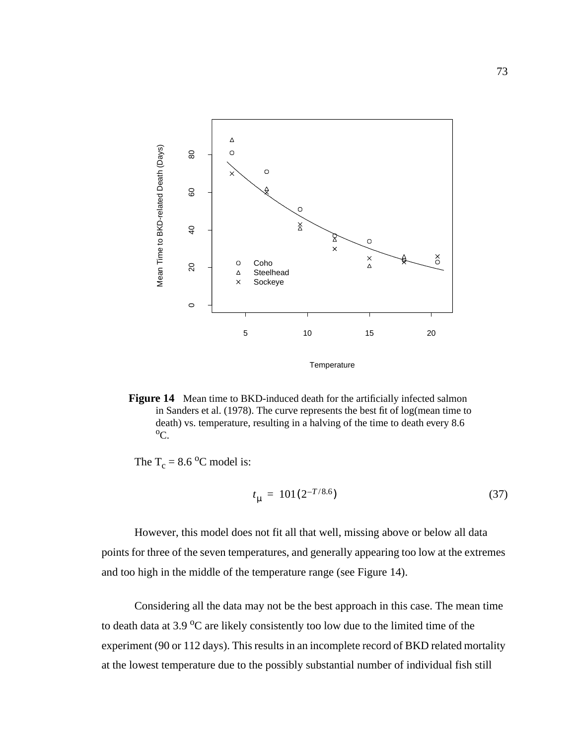<span id="page-86-0"></span>

**Figure 14** Mean time to BKD-induced death for the artificially infected salmon in Sanders et al. (1978). The curve represents the best fit of log(mean time to death) vs. temperature, resulting in a halving of the time to death every 8.6  $\rm ^{o}C.$ 

The  $T_c = 8.6$  °C model is:

$$
t_{\mu} = 101(2^{-T/8.6})
$$
\n(37)

However, this model does not fit all that well, missing above or below all data points for three of the seven temperatures, and generally appearing too low at the extremes and too high in the middle of the temperature range (see Figure 14).

Considering all the data may not be the best approach in this case. The mean time to death data at 3.9  $\rm{^{\circ}C}$  are likely consistently too low due to the limited time of the experiment (90 or 112 days). This results in an incomplete record of BKD related mortality at the lowest temperature due to the possibly substantial number of individual fish still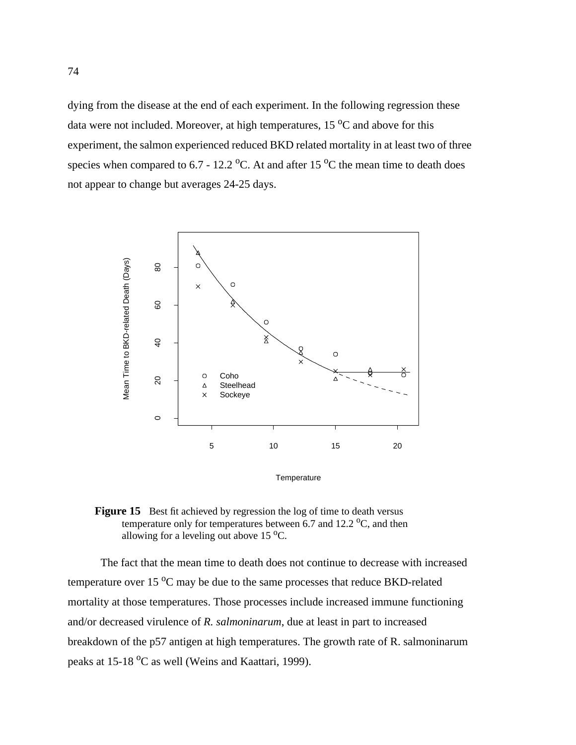<span id="page-87-0"></span>dying from the disease at the end of each experiment. In the following regression these data were not included. Moreover, at high temperatures,  $15\,^{\circ}\text{C}$  and above for this experiment, the salmon experienced reduced BKD related mortality in at least two of three species when compared to 6.7 - 12.2  $\rm{^oC}$ . At and after 15  $\rm{^oC}$  the mean time to death does not appear to change but averages 24-25 days.



**Figure 15** Best fit achieved by regression the log of time to death versus temperature only for temperatures between  $6.7$  and  $12.2 \text{ }^{\circ}C$ , and then allowing for a leveling out above  $15^{\circ}$ C.

The fact that the mean time to death does not continue to decrease with increased temperature over 15  $\rm{^{\circ}C}$  may be due to the same processes that reduce BKD-related mortality at those temperatures. Those processes include increased immune functioning and/or decreased virulence of *R. salmoninarum*, due at least in part to increased breakdown of the p57 antigen at high temperatures. The growth rate of R. salmoninarum peaks at 15-18  $\rm{^{\circ}C}$  as well (Weins and Kaattari, 1999).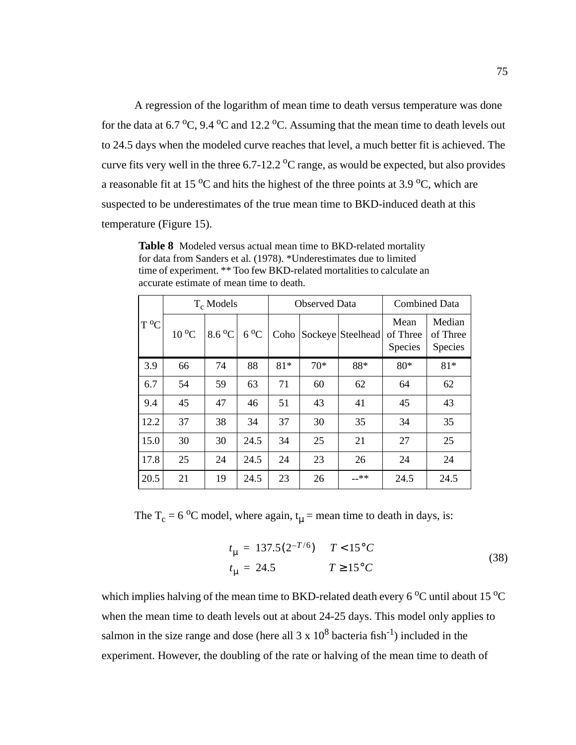<span id="page-88-0"></span>A regression of the logarithm of mean time to death versus temperature was done for the data at  $6.7 \text{ °C}$ ,  $9.4 \text{ °C}$  and  $12.2 \text{ °C}$ . Assuming that the mean time to death levels out to 24.5 days when the modeled curve reaches that level, a much better fit is achieved. The curve fits very well in the three  $6.7$ -12.2  $\rm{^{\circ}C}$  range, as would be expected, but also provides a reasonable fit at 15  $\rm{^{\circ}C}$  and hits the highest of the three points at 3.9  $\rm{^{\circ}C}$ , which are suspected to be underestimates of the true mean time to BKD-induced death at this temperature [\(Figure 15\)](#page-87-0).

**Table 8** Modeled versus actual mean time to BKD-related mortality for data from Sanders et al. (1978). \*Underestimates due to limited time of experiment. \*\* Too few BKD-related mortalities to calculate an accurate estimate of mean time to death.

|                |           | $T_c$ Models |              |       | <b>Observed Data</b> | <b>Combined Data</b> |                                    |                                      |
|----------------|-----------|--------------|--------------|-------|----------------------|----------------------|------------------------------------|--------------------------------------|
| <sup>o</sup> C | $10^{o}C$ | 8.6 °C       | $6^{\circ}C$ | Coho  |                      | Sockeye Steelhead    | Mean<br>of Three<br><b>Species</b> | Median<br>of Three<br><b>Species</b> |
| 3.9            | 66        | 74           | 88           | $81*$ | $70*$                | 88*                  | $80*$                              | $81*$                                |
| 6.7            | 54        | 59           | 63           | 71    | 60                   | 62                   | 64                                 | 62                                   |
| 9.4            | 45        | 47           | 46           | 51    | 43                   | 41                   | 45                                 | 43                                   |
| 12.2           | 37        | 38           | 34           | 37    | 30                   | 35                   | 34                                 | 35                                   |
| 15.0           | 30        | 30           | 24.5         | 34    | 25                   | 21                   | 27                                 | 25                                   |
| 17.8           | 25        | 24           | 24.5         | 24    | 23                   | 26                   | 24                                 | 24                                   |
| 20.5           | 21        | 19           | 24.5         | 23    | 26                   | __**                 | 24.5                               | 24.5                                 |

The  $T_c = 6 \degree C$  model, where again,  $t_u$  = mean time to death in days, is:

$$
t_{\mu} = 137.5(2^{-T/6}) \t T < 15^{\circ}C
$$
  
\n
$$
t_{\mu} = 24.5 \t T \ge 15^{\circ}C
$$
 (38)

which implies halving of the mean time to BKD-related death every 6  $^{\circ}$ C until about 15  $^{\circ}$ C when the mean time to death levels out at about 24-25 days. This model only applies to salmon in the size range and dose (here all  $3 \times 10^8$  bacteria fish<sup>-1</sup>) included in the experiment. However, the doubling of the rate or halving of the mean time to death of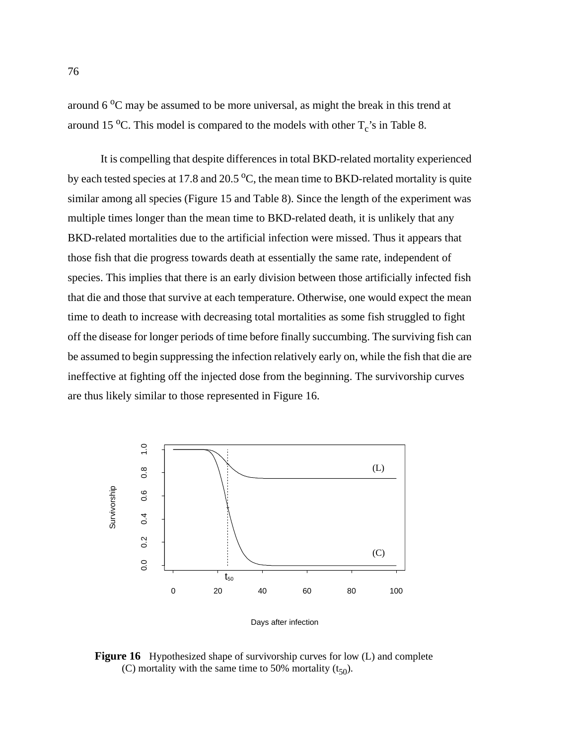around  $6^{\circ}$ C may be assumed to be more universal, as might the break in this trend at around 15 °C. This model is compared to the models with other  $T_c$ 's in [Table 8.](#page-88-0)

It is compelling that despite differences in total BKD-related mortality experienced by each tested species at 17.8 and 20.5  $\rm{^{\circ}C}$ , the mean time to BKD-related mortality is quite similar among all species [\(Figure 15](#page-87-0) and [Table 8\)](#page-88-0). Since the length of the experiment was multiple times longer than the mean time to BKD-related death, it is unlikely that any BKD-related mortalities due to the artificial infection were missed. Thus it appears that those fish that die progress towards death at essentially the same rate, independent of species. This implies that there is an early division between those artificially infected fish that die and those that survive at each temperature. Otherwise, one would expect the mean time to death to increase with decreasing total mortalities as some fish struggled to fight off the disease for longer periods of time before finally succumbing. The surviving fish can be assumed to begin suppressing the infection relatively early on, while the fish that die are ineffective at fighting off the injected dose from the beginning. The survivorship curves are thus likely similar to those represented in Figure 16.



Days after infection

**Figure 16** Hypothesized shape of survivorship curves for low (L) and complete (C) mortality with the same time to 50% mortality  $(t_{50})$ .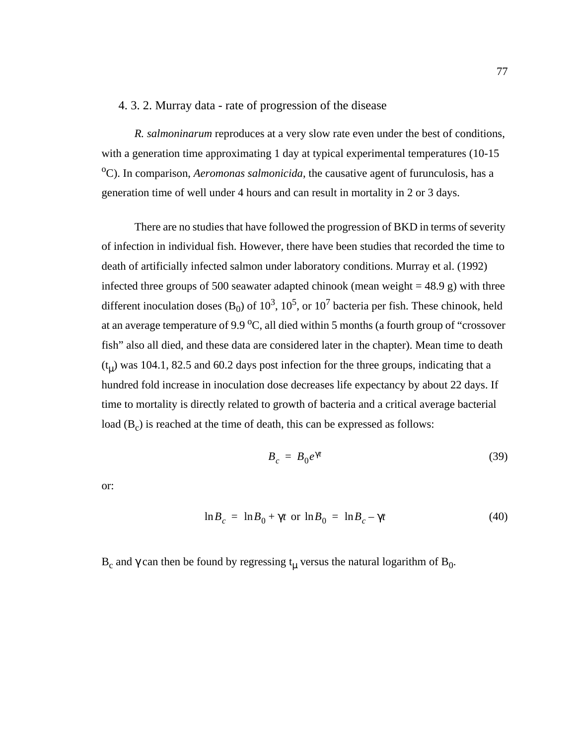## 4. 3. 2. Murray data - rate of progression of the disease

*R. salmoninarum* reproduces at a very slow rate even under the best of conditions, with a generation time approximating 1 day at typical experimental temperatures (10-15 <sup>o</sup>C). In comparison, *Aeromonas salmonicida*, the causative agent of furunculosis, has a generation time of well under 4 hours and can result in mortality in 2 or 3 days.

There are no studies that have followed the progression of BKD in terms of severity of infection in individual fish. However, there have been studies that recorded the time to death of artificially infected salmon under laboratory conditions. Murray et al. (1992) infected three groups of 500 seawater adapted chinook (mean weight  $=$  48.9 g) with three different inoculation doses (B<sub>0</sub>) of  $10^3$ ,  $10^5$ , or  $10^7$  bacteria per fish. These chinook, held at an average temperature of 9.9  $\mathrm{^0C}$ , all died within 5 months (a fourth group of "crossover fish" also all died, and these data are considered later in the chapter). Mean time to death  $(t<sub>\mu</sub>)$  was 104.1, 82.5 and 60.2 days post infection for the three groups, indicating that a hundred fold increase in inoculation dose decreases life expectancy by about 22 days. If time to mortality is directly related to growth of bacteria and a critical average bacterial load  $(B<sub>c</sub>)$  is reached at the time of death, this can be expressed as follows:

$$
B_c = B_0 e^{\gamma t} \tag{39}
$$

or:

$$
\ln B_c = \ln B_0 + \gamma t \text{ or } \ln B_0 = \ln B_c - \gamma t \tag{40}
$$

B<sub>c</sub> and γ can then be found by regressing t<sub>u</sub> versus the natural logarithm of B<sub>0</sub>.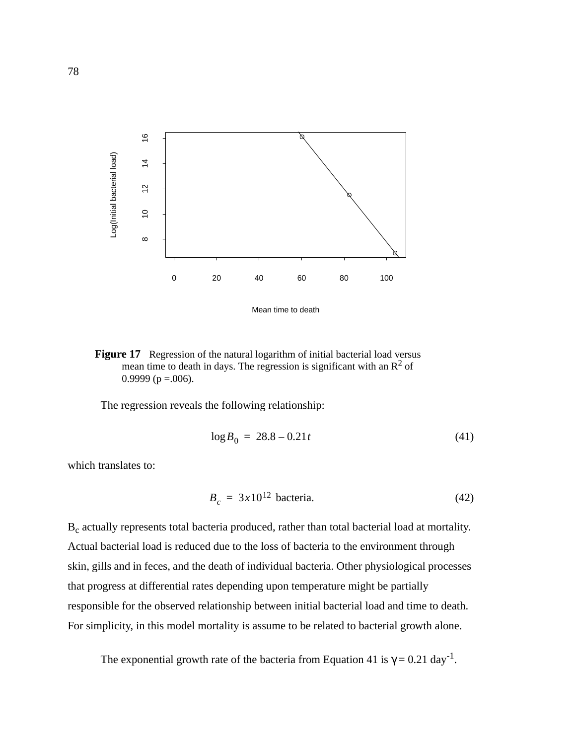<span id="page-91-0"></span>

**Figure 17** Regression of the natural logarithm of initial bacterial load versus mean time to death in days. The regression is significant with an  $\mathbb{R}^2$  of 0.9999 ( $p = 0.006$ ).

The regression reveals the following relationship:

$$
\log B_0 = 28.8 - 0.21t \tag{41}
$$

which translates to:

$$
B_c = 3x10^{12} \text{ bacteria.}
$$
 (42)

B<sub>c</sub> actually represents total bacteria produced, rather than total bacterial load at mortality. Actual bacterial load is reduced due to the loss of bacteria to the environment through skin, gills and in feces, and the death of individual bacteria. Other physiological processes that progress at differential rates depending upon temperature might be partially responsible for the observed relationship between initial bacterial load and time to death. For simplicity, in this model mortality is assume to be related to bacterial growth alone.

The exponential growth rate of the bacteria from Equation 41 is  $\gamma = 0.21 \text{ day}^{-1}$ .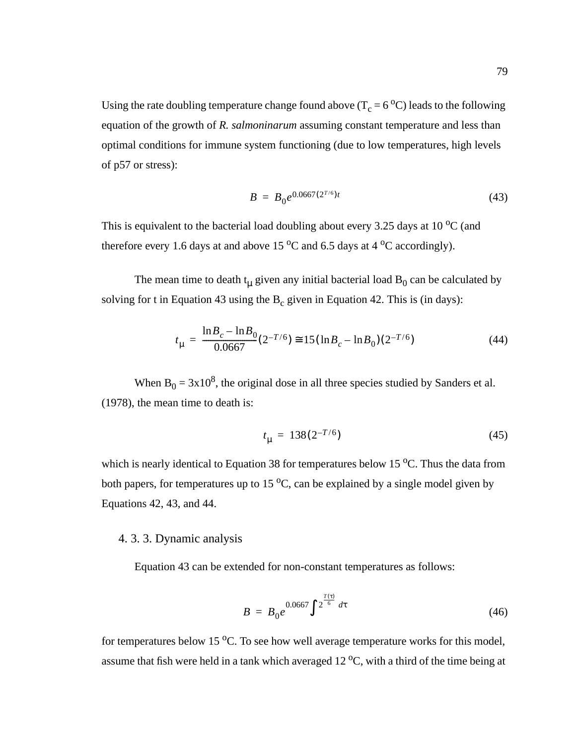<span id="page-92-0"></span>Using the rate doubling temperature change found above ( $T_c = 6 °C$ ) leads to the following equation of the growth of *R. salmoninarum* assuming constant temperature and less than optimal conditions for immune system functioning (due to low temperatures, high levels of p57 or stress):

$$
B = B_0 e^{0.0667(2^{T/6})t}
$$
 (43)

This is equivalent to the bacterial load doubling about every 3.25 days at 10  $^{\circ}$ C (and therefore every 1.6 days at and above 15  $\rm{^0C}$  and 6.5 days at 4  $\rm{^0C}$  accordingly).

The mean time to death  $t_{\mu}$  given any initial bacterial load  $B_0$  can be calculated by solving for t in Equation 43 using the  $B_c$  given in [Equation 42.](#page-91-0) This is (in days):

$$
t_{\mu} = \frac{\ln B_c - \ln B_0}{0.0667} (2^{-T/6}) \approx 15 (\ln B_c - \ln B_0)(2^{-T/6})
$$
 (44)

When  $B_0 = 3x10^8$ , the original dose in all three species studied by Sanders et al. (1978), the mean time to death is:

$$
t_{\mu} = 138(2^{-T/6})\tag{45}
$$

which is nearly identical to [Equation 38](#page-88-0) for temperatures below 15  $^{\circ}$ C. Thus the data from both papers, for temperatures up to 15  $\mathrm{^0C}$ , can be explained by a single model given by [Equations 42,](#page-91-0) 43, and 44.

### 4. 3. 3. Dynamic analysis

Equation 43 can be extended for non-constant temperatures as follows:

$$
B = B_0 e^{0.0667 \int \left( 2^{\frac{T(\tau)}{6}} \right) d\tau}
$$
 (46)

for temperatures below 15  $^{\circ}$ C. To see how well average temperature works for this model, assume that fish were held in a tank which averaged  $12\degree C$ , with a third of the time being at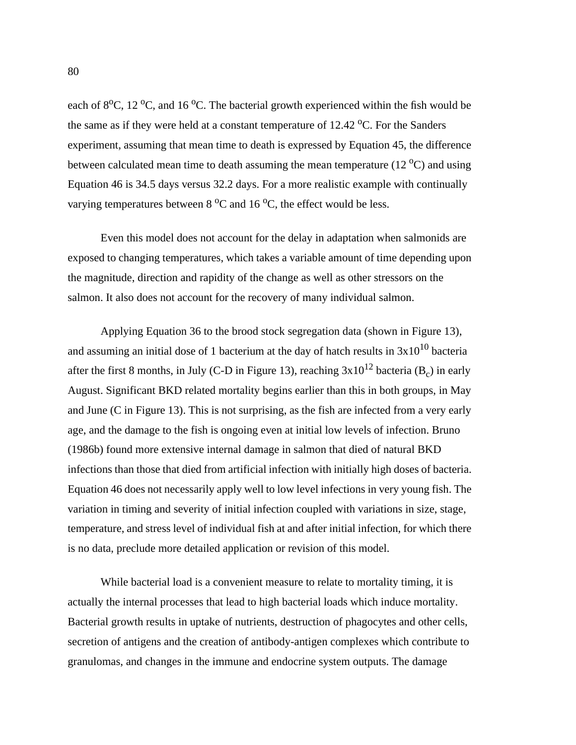each of 8<sup>o</sup>C, 12<sup>o</sup>C, and 16<sup>o</sup>C. The bacterial growth experienced within the fish would be the same as if they were held at a constant temperature of  $12.42 \degree C$ . For the Sanders experiment, assuming that mean time to death is expressed by [Equation 45](#page-92-0), the difference between calculated mean time to death assuming the mean temperature (12 $\rm ^{o}C$ ) and using [Equation 46](#page-92-0) is 34.5 days versus 32.2 days. For a more realistic example with continually varying temperatures between  $8\,^{\circ}\text{C}$  and  $16\,^{\circ}\text{C}$ , the effect would be less.

Even this model does not account for the delay in adaptation when salmonids are exposed to changing temperatures, which takes a variable amount of time depending upon the magnitude, direction and rapidity of the change as well as other stressors on the salmon. It also does not account for the recovery of many individual salmon.

Applying [Equation 36](#page-85-0) to the brood stock segregation data (shown in [Figure 13](#page-83-0)), and assuming an initial dose of 1 bacterium at the day of hatch results in  $3x10^{10}$  bacteria after the first 8 months, in July (C-D in [Figure 13\)](#page-83-0), reaching  $3x10^{12}$  bacteria (B<sub>c</sub>) in early August. Significant BKD related mortality begins earlier than this in both groups, in May and June (C in [Figure 13\)](#page-83-0). This is not surprising, as the fish are infected from a very early age, and the damage to the fish is ongoing even at initial low levels of infection. Bruno (1986b) found more extensive internal damage in salmon that died of natural BKD infections than those that died from artificial infection with initially high doses of bacteria. [Equation 46](#page-92-0) does not necessarily apply well to low level infections in very young fish. The variation in timing and severity of initial infection coupled with variations in size, stage, temperature, and stress level of individual fish at and after initial infection, for which there is no data, preclude more detailed application or revision of this model.

While bacterial load is a convenient measure to relate to mortality timing, it is actually the internal processes that lead to high bacterial loads which induce mortality. Bacterial growth results in uptake of nutrients, destruction of phagocytes and other cells, secretion of antigens and the creation of antibody-antigen complexes which contribute to granulomas, and changes in the immune and endocrine system outputs. The damage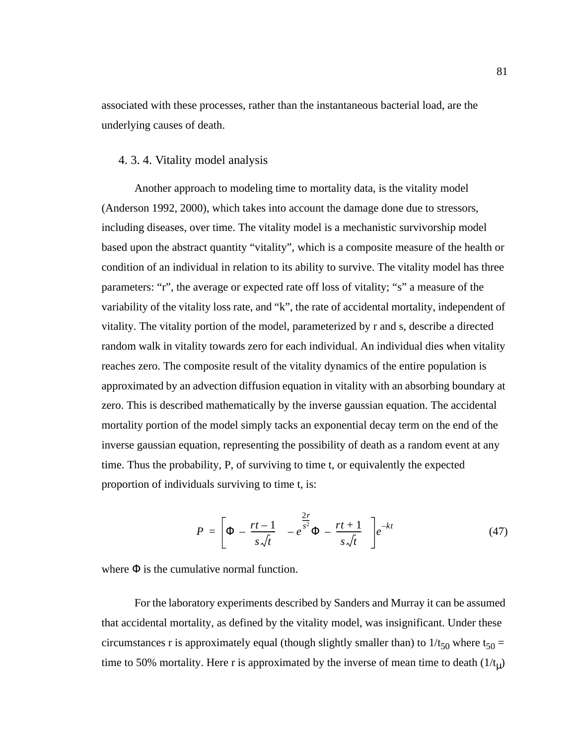associated with these processes, rather than the instantaneous bacterial load, are the underlying causes of death.

## 4. 3. 4. Vitality model analysis

Another approach to modeling time to mortality data, is the vitality model (Anderson 1992, 2000), which takes into account the damage done due to stressors, including diseases, over time. The vitality model is a mechanistic survivorship model based upon the abstract quantity "vitality", which is a composite measure of the health or condition of an individual in relation to its ability to survive. The vitality model has three parameters: "r", the average or expected rate off loss of vitality; "s" a measure of the variability of the vitality loss rate, and "k", the rate of accidental mortality, independent of vitality. The vitality portion of the model, parameterized by r and s, describe a directed random walk in vitality towards zero for each individual. An individual dies when vitality reaches zero. The composite result of the vitality dynamics of the entire population is approximated by an advection diffusion equation in vitality with an absorbing boundary at zero. This is described mathematically by the inverse gaussian equation. The accidental mortality portion of the model simply tacks an exponential decay term on the end of the inverse gaussian equation, representing the possibility of death as a random event at any time. Thus the probability, P, of surviving to time t, or equivalently the expected proportion of individuals surviving to time t, is:

$$
P = \left[ \Phi\left( -\left(\frac{rt-1}{s\sqrt{t}}\right) \right) - e^{\frac{2r}{s^2}} \Phi\left( -\left(\frac{rt+1}{s\sqrt{t}}\right) \right) \right] e^{-kt} \tag{47}
$$

where  $\Phi$  is the cumulative normal function.

For the laboratory experiments described by Sanders and Murray it can be assumed that accidental mortality, as defined by the vitality model, was insignificant. Under these circumstances r is approximately equal (though slightly smaller than) to  $1/t_{50}$  where t<sub>50</sub> = time to 50% mortality. Here r is approximated by the inverse of mean time to death  $(1/t_{\mu})$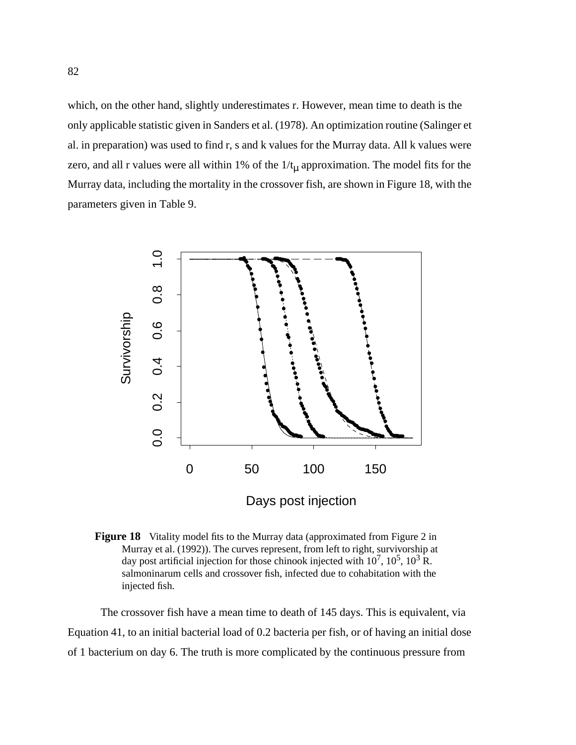which, on the other hand, slightly underestimates r. However, mean time to death is the only applicable statistic given in Sanders et al. (1978). An optimization routine (Salinger et al. in preparation) was used to find r, s and k values for the Murray data. All k values were zero, and all r values were all within 1% of the  $1/t<sub>\mu</sub>$  approximation. The model fits for the Murray data, including the mortality in the crossover fish, are shown in Figure 18, with the parameters given in [Table 9.](#page-96-0)





The crossover fish have a mean time to death of 145 days. This is equivalent, via [Equation 41](#page-91-0), to an initial bacterial load of 0.2 bacteria per fish, or of having an initial dose of 1 bacterium on day 6. The truth is more complicated by the continuous pressure from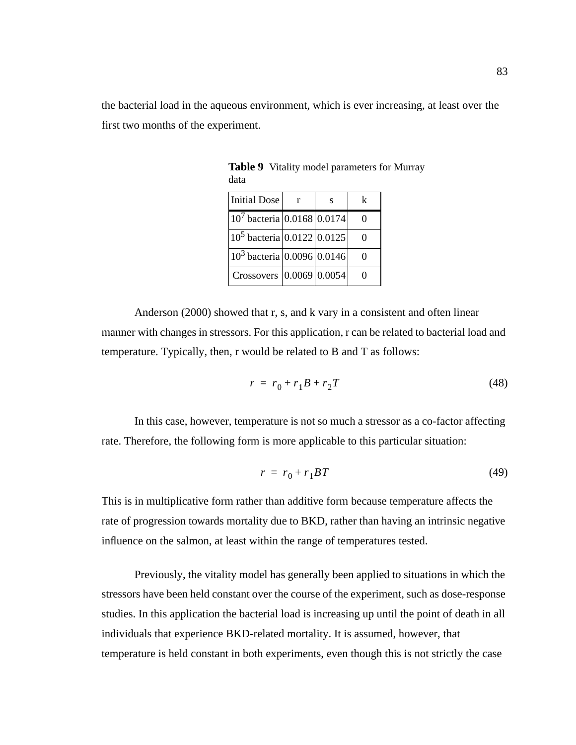<span id="page-96-0"></span>the bacterial load in the aqueous environment, which is ever increasing, at least over the first two months of the experiment.

| Initial Dose                    |  | k |
|---------------------------------|--|---|
| $10^7$ bacteria $0.0168$ 0.0174 |  |   |
| $10^5$ bacteria $0.0122$ 0.0125 |  |   |
| $10^3$ bacteria 0.0096 0.0146   |  |   |
| Crossovers $ 0.0069 0.0054$     |  |   |

**Table 9** Vitality model parameters for Murray data

Anderson (2000) showed that r, s, and k vary in a consistent and often linear manner with changes in stressors. For this application, r can be related to bacterial load and temperature. Typically, then, r would be related to B and T as follows:

$$
r = r_0 + r_1 B + r_2 T \tag{48}
$$

In this case, however, temperature is not so much a stressor as a co-factor affecting rate. Therefore, the following form is more applicable to this particular situation:

$$
r = r_0 + r_1 BT \tag{49}
$$

This is in multiplicative form rather than additive form because temperature affects the rate of progression towards mortality due to BKD, rather than having an intrinsic negative influence on the salmon, at least within the range of temperatures tested.

Previously, the vitality model has generally been applied to situations in which the stressors have been held constant over the course of the experiment, such as dose-response studies. In this application the bacterial load is increasing up until the point of death in all individuals that experience BKD-related mortality. It is assumed, however, that temperature is held constant in both experiments, even though this is not strictly the case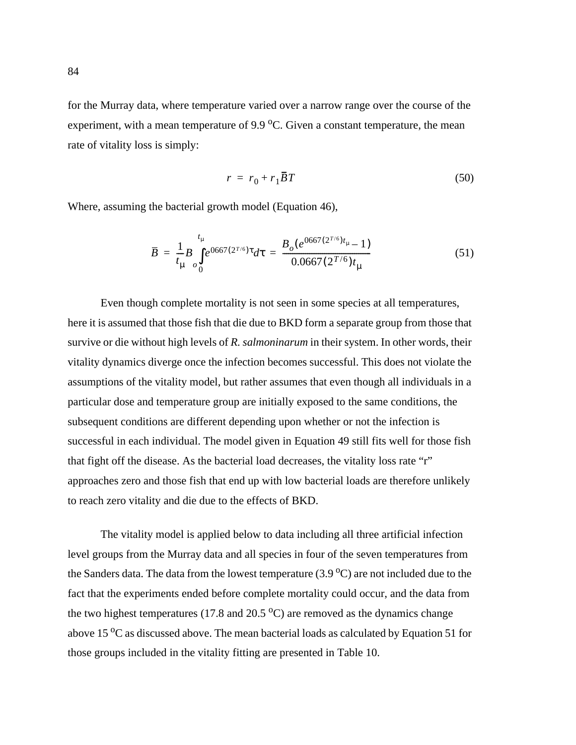<span id="page-97-0"></span>for the Murray data, where temperature varied over a narrow range over the course of the experiment, with a mean temperature of 9.9  $^{\circ}$ C. Given a constant temperature, the mean rate of vitality loss is simply:

$$
r = r_0 + r_1 \overline{B}T \tag{50}
$$

Where, assuming the bacterial growth model ([Equation 46](#page-92-0)),

$$
\overline{B} = \frac{1}{t_{\mu}} B \int_{0}^{t_{\mu}} e^{0667(2^{T/6})\tau} d\tau = \frac{B_{o}(e^{0667(2^{T/6})t_{\mu}} - 1)}{0.0667(2^{T/6})t_{\mu}}
$$
(51)

Even though complete mortality is not seen in some species at all temperatures, here it is assumed that those fish that die due to BKD form a separate group from those that survive or die without high levels of *R. salmoninarum* in their system. In other words, their vitality dynamics diverge once the infection becomes successful. This does not violate the assumptions of the vitality model, but rather assumes that even though all individuals in a particular dose and temperature group are initially exposed to the same conditions, the subsequent conditions are different depending upon whether or not the infection is successful in each individual. The model given in [Equation 49](#page-96-0) still fits well for those fish that fight off the disease. As the bacterial load decreases, the vitality loss rate "r" approaches zero and those fish that end up with low bacterial loads are therefore unlikely to reach zero vitality and die due to the effects of BKD.

The vitality model is applied below to data including all three artificial infection level groups from the Murray data and all species in four of the seven temperatures from the Sanders data. The data from the lowest temperature  $(3.9\,^{\circ}\text{C})$  are not included due to the fact that the experiments ended before complete mortality could occur, and the data from the two highest temperatures (17.8 and 20.5  $^{\circ}$ C) are removed as the dynamics change above 15  $\rm{^oC}$  as discussed above. The mean bacterial loads as calculated by Equation 51 for those groups included in the vitality fitting are presented in [Table 10.](#page-98-0)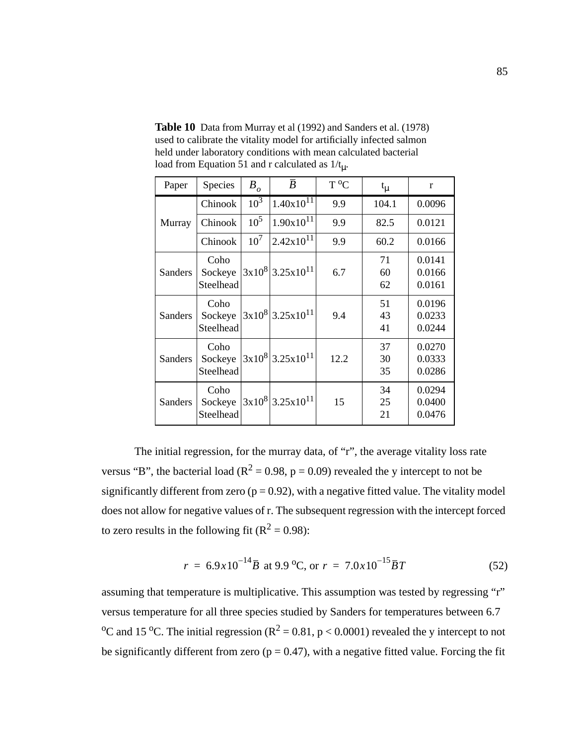<span id="page-98-0"></span>**Table 10** Data from Murray et al (1992) and Sanders et al. (1978) used to calibrate the vitality model for artificially infected salmon held under laboratory conditions with mean calculated bacterial load from [Equation 51](#page-97-0) and r calculated as  $1/t_{\text{u}}$ .

| Paper   | Species                      | $B_{\rho}$      | $\bar{B}$                        | $T^oC$ | $t_{\mu}$      | $\mathbf{r}$               |
|---------|------------------------------|-----------------|----------------------------------|--------|----------------|----------------------------|
|         | Chinook                      | $10^3$          | $1.40x10^{1\bar{1}}$             | 9.9    | 104.1          | 0.0096                     |
| Murray  | Chinook                      | $10^{5}$        | $1.90x10^{11}$                   | 9.9    | 82.5           | 0.0121                     |
|         | Chinook                      | 10 <sup>7</sup> | $2.42x10^{11}$                   | 9.9    | 60.2           | 0.0166                     |
| Sanders | Coho<br>Sockeye<br>Steelhead |                 | $3x10^{8}$ 3.25x10 <sup>11</sup> | 6.7    | 71<br>60<br>62 | 0.0141<br>0.0166<br>0.0161 |
| Sanders | Coho<br>Sockeye<br>Steelhead |                 | $3x10^{8}$ 3.25x10 <sup>11</sup> | 9.4    | 51<br>43<br>41 | 0.0196<br>0.0233<br>0.0244 |
| Sanders | Coho<br>Sockeye<br>Steelhead |                 | $3x10^{8}$ 3.25x10 <sup>11</sup> | 12.2   | 37<br>30<br>35 | 0.0270<br>0.0333<br>0.0286 |
| Sanders | Coho<br>Sockeye<br>Steelhead |                 | $3x10^{8}$ 3.25x10 <sup>11</sup> | 15     | 34<br>25<br>21 | 0.0294<br>0.0400<br>0.0476 |

The initial regression, for the murray data, of "r", the average vitality loss rate versus "B", the bacterial load ( $R^2 = 0.98$ , p = 0.09) revealed the y intercept to not be significantly different from zero ( $p = 0.92$ ), with a negative fitted value. The vitality model does not allow for negative values of r. The subsequent regression with the intercept forced to zero results in the following fit ( $R^2 = 0.98$ ):

$$
r = 6.9 \times 10^{-14} \bar{B} \text{ at } 9.9 \,^{\circ}\text{C, or } r = 7.0 \times 10^{-15} \bar{B} T \tag{52}
$$

assuming that temperature is multiplicative. This assumption was tested by regressing "r" versus temperature for all three species studied by Sanders for temperatures between 6.7 <sup>o</sup>C and 15 <sup>o</sup>C. The initial regression ( $R^2 = 0.81$ , p < 0.0001) revealed the y intercept to not be significantly different from zero ( $p = 0.47$ ), with a negative fitted value. Forcing the fit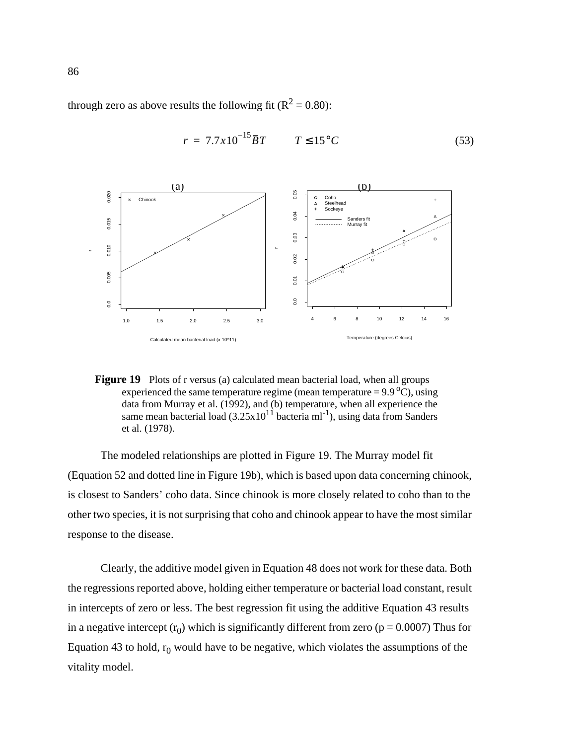through zero as above results the following fit ( $R^2 = 0.80$ ):



$$
r = 7.7 \times 10^{-15} \overline{B} T \qquad T \le 15^{\circ} C \tag{53}
$$



The modeled relationships are plotted in Figure 19. The Murray model fit ([Equation 52](#page-98-0) and dotted line in Figure 19b), which is based upon data concerning chinook, is closest to Sanders' coho data. Since chinook is more closely related to coho than to the other two species, it is not surprising that coho and chinook appear to have the most similar response to the disease.

Clearly, the additive model given in [Equation 48](#page-96-0) does not work for these data. Both the regressions reported above, holding either temperature or bacterial load constant, result in intercepts of zero or less. The best regression fit using the additive Equation 43 results in a negative intercept  $(r_0)$  which is significantly different from zero ( $p = 0.0007$ ) Thus for Equation 43 to hold,  $r_0$  would have to be negative, which violates the assumptions of the vitality model.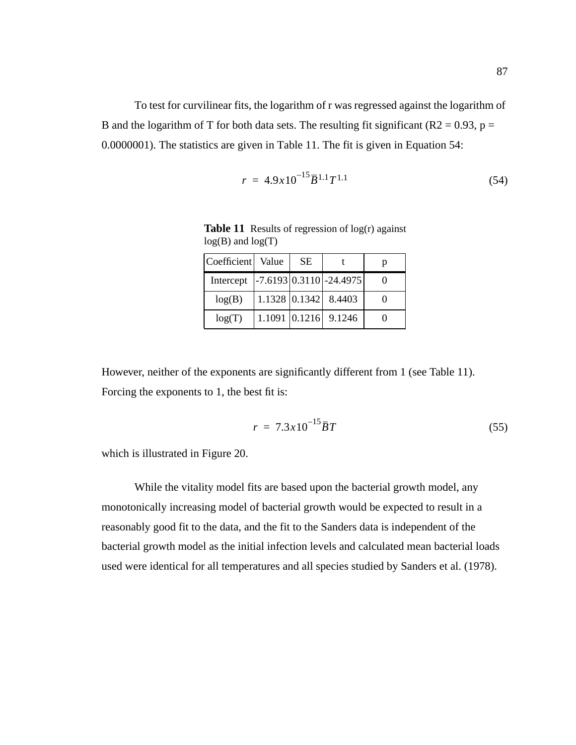<span id="page-100-0"></span>To test for curvilinear fits, the logarithm of r was regressed against the logarithm of B and the logarithm of T for both data sets. The resulting fit significant ( $R2 = 0.93$ ,  $p =$ 0.0000001). The statistics are given in Table 11. The fit is given in Equation 54:

$$
r = 4.9 \times 10^{-15} \bar{B}^{1.1} T^{1.1} \tag{54}
$$

**Table 11** Results of regression of log(r) against  $log(B)$  and  $log(T)$ 

| Coefficient   Value | <b>SE</b> |                                                         |  |
|---------------------|-----------|---------------------------------------------------------|--|
| Intercept           |           | $\left  -7.6193 \right  0.3110 \left  -24.4975 \right $ |  |
| log(B)              |           | $1.1328$ 0.1342 8.4403                                  |  |
| log(T)              |           | 1.1091 0.1216 9.1246                                    |  |

However, neither of the exponents are significantly different from 1 (see Table 11). Forcing the exponents to 1, the best fit is:

$$
r = 7.3 \times 10^{-15} \bar{B} T \tag{55}
$$

which is illustrated in [Figure 20](#page-101-0).

While the vitality model fits are based upon the bacterial growth model, any monotonically increasing model of bacterial growth would be expected to result in a reasonably good fit to the data, and the fit to the Sanders data is independent of the bacterial growth model as the initial infection levels and calculated mean bacterial loads used were identical for all temperatures and all species studied by Sanders et al. (1978).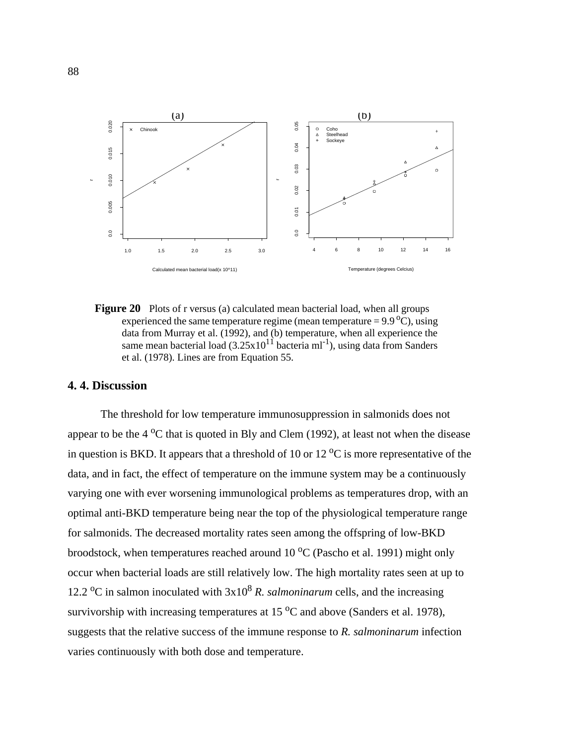<span id="page-101-0"></span>

**Figure 20** Plots of r versus (a) calculated mean bacterial load, when all groups experienced the same temperature regime (mean temperature =  $9.9^{\circ}$ C), using data from Murray et al. (1992), and (b) temperature, when all experience the same mean bacterial load  $(3.25 \times 10^{11}$  bacteria ml<sup>-1</sup>), using data from Sanders et al. (1978). Lines are from [Equation 55.](#page-100-0)

### **4. 4. Discussion**

The threshold for low temperature immunosuppression in salmonids does not appear to be the  $4^{\circ}$ C that is quoted in Bly and Clem (1992), at least not when the disease in question is BKD. It appears that a threshold of 10 or 12  $\rm{^{\circ}C}$  is more representative of the data, and in fact, the effect of temperature on the immune system may be a continuously varying one with ever worsening immunological problems as temperatures drop, with an optimal anti-BKD temperature being near the top of the physiological temperature range for salmonids. The decreased mortality rates seen among the offspring of low-BKD broodstock, when temperatures reached around  $10\,^{\circ}$ C (Pascho et al. 1991) might only occur when bacterial loads are still relatively low. The high mortality rates seen at up to 12.2 <sup>o</sup>C in salmon inoculated with  $3x10^8$  *R. salmoninarum* cells, and the increasing survivorship with increasing temperatures at 15  $\mathrm{^{\circ}C}$  and above (Sanders et al. 1978), suggests that the relative success of the immune response to *R. salmoninarum* infection varies continuously with both dose and temperature.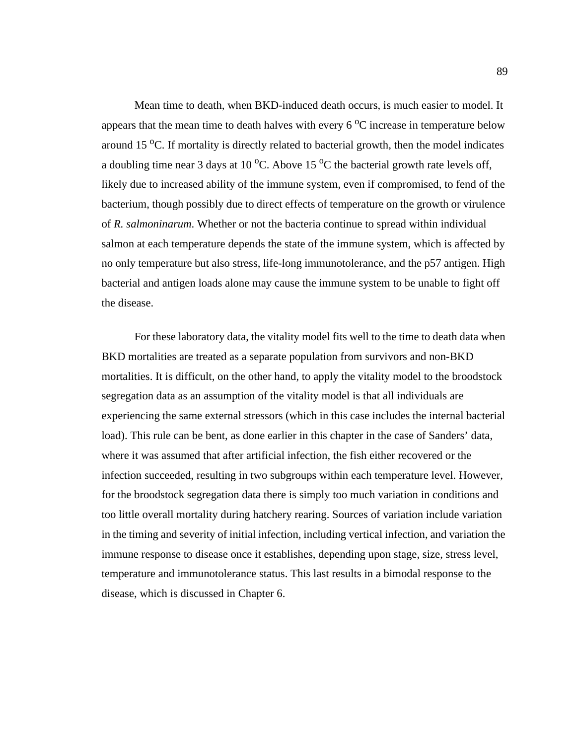Mean time to death, when BKD-induced death occurs, is much easier to model. It appears that the mean time to death halves with every  $6^{\circ}$ C increase in temperature below around 15  $^{\circ}$ C. If mortality is directly related to bacterial growth, then the model indicates a doubling time near 3 days at 10  $^{\circ}$ C. Above 15  $^{\circ}$ C the bacterial growth rate levels off, likely due to increased ability of the immune system, even if compromised, to fend of the bacterium, though possibly due to direct effects of temperature on the growth or virulence of *R. salmoninarum*. Whether or not the bacteria continue to spread within individual salmon at each temperature depends the state of the immune system, which is affected by no only temperature but also stress, life-long immunotolerance, and the p57 antigen. High bacterial and antigen loads alone may cause the immune system to be unable to fight off the disease.

For these laboratory data, the vitality model fits well to the time to death data when BKD mortalities are treated as a separate population from survivors and non-BKD mortalities. It is difficult, on the other hand, to apply the vitality model to the broodstock segregation data as an assumption of the vitality model is that all individuals are experiencing the same external stressors (which in this case includes the internal bacterial load). This rule can be bent, as done earlier in this chapter in the case of Sanders' data, where it was assumed that after artificial infection, the fish either recovered or the infection succeeded, resulting in two subgroups within each temperature level. However, for the broodstock segregation data there is simply too much variation in conditions and too little overall mortality during hatchery rearing. Sources of variation include variation in the timing and severity of initial infection, including vertical infection, and variation the immune response to disease once it establishes, depending upon stage, size, stress level, temperature and immunotolerance status. This last results in a bimodal response to the disease, which is discussed in Chapter 6.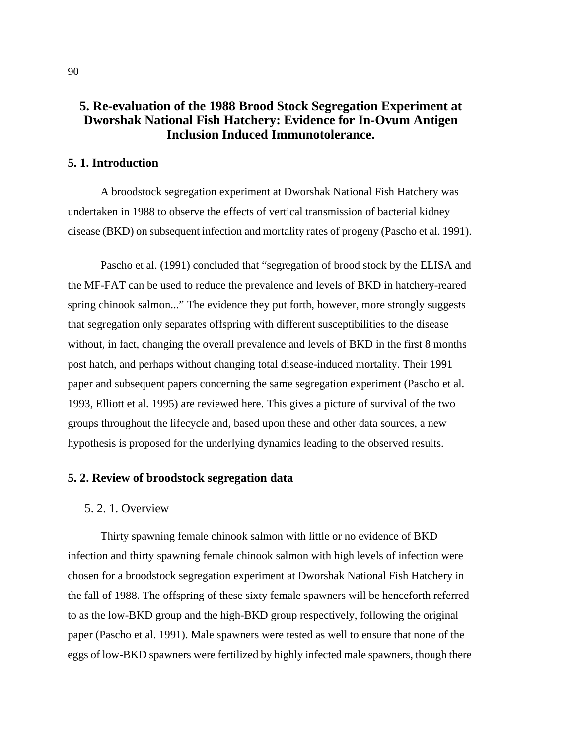# **5. Re-evaluation of the 1988 Brood Stock Segregation Experiment at Dworshak National Fish Hatchery: Evidence for In-Ovum Antigen Inclusion Induced Immunotolerance.**

## **5. 1. Introduction**

A broodstock segregation experiment at Dworshak National Fish Hatchery was undertaken in 1988 to observe the effects of vertical transmission of bacterial kidney disease (BKD) on subsequent infection and mortality rates of progeny (Pascho et al. 1991).

Pascho et al. (1991) concluded that "segregation of brood stock by the ELISA and the MF-FAT can be used to reduce the prevalence and levels of BKD in hatchery-reared spring chinook salmon..." The evidence they put forth, however, more strongly suggests that segregation only separates offspring with different susceptibilities to the disease without, in fact, changing the overall prevalence and levels of BKD in the first 8 months post hatch, and perhaps without changing total disease-induced mortality. Their 1991 paper and subsequent papers concerning the same segregation experiment (Pascho et al. 1993, Elliott et al. 1995) are reviewed here. This gives a picture of survival of the two groups throughout the lifecycle and, based upon these and other data sources, a new hypothesis is proposed for the underlying dynamics leading to the observed results.

## **5. 2. Review of broodstock segregation data**

#### 5. 2. 1. Overview

Thirty spawning female chinook salmon with little or no evidence of BKD infection and thirty spawning female chinook salmon with high levels of infection were chosen for a broodstock segregation experiment at Dworshak National Fish Hatchery in the fall of 1988. The offspring of these sixty female spawners will be henceforth referred to as the low-BKD group and the high-BKD group respectively, following the original paper (Pascho et al. 1991). Male spawners were tested as well to ensure that none of the eggs of low-BKD spawners were fertilized by highly infected male spawners, though there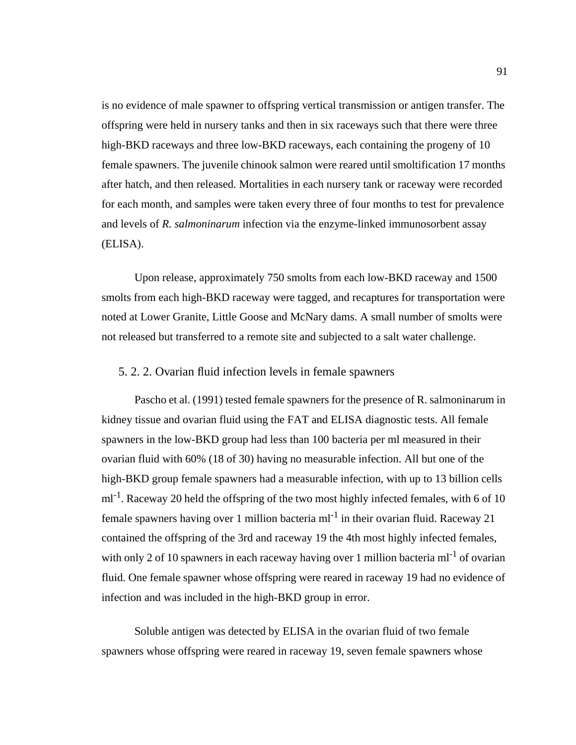is no evidence of male spawner to offspring vertical transmission or antigen transfer. The offspring were held in nursery tanks and then in six raceways such that there were three high-BKD raceways and three low-BKD raceways, each containing the progeny of 10 female spawners. The juvenile chinook salmon were reared until smoltification 17 months after hatch, and then released. Mortalities in each nursery tank or raceway were recorded for each month, and samples were taken every three of four months to test for prevalence and levels of *R. salmoninarum* infection via the enzyme-linked immunosorbent assay (ELISA).

Upon release, approximately 750 smolts from each low-BKD raceway and 1500 smolts from each high-BKD raceway were tagged, and recaptures for transportation were noted at Lower Granite, Little Goose and McNary dams. A small number of smolts were not released but transferred to a remote site and subjected to a salt water challenge.

## 5. 2. 2. Ovarian fluid infection levels in female spawners

Pascho et al. (1991) tested female spawners for the presence of R. salmoninarum in kidney tissue and ovarian fluid using the FAT and ELISA diagnostic tests. All female spawners in the low-BKD group had less than 100 bacteria per ml measured in their ovarian fluid with 60% (18 of 30) having no measurable infection. All but one of the high-BKD group female spawners had a measurable infection, with up to 13 billion cells  $ml^{-1}$ . Raceway 20 held the offspring of the two most highly infected females, with 6 of 10 female spawners having over 1 million bacteria ml<sup>-1</sup> in their ovarian fluid. Raceway 21 contained the offspring of the 3rd and raceway 19 the 4th most highly infected females, with only 2 of 10 spawners in each raceway having over 1 million bacteria ml<sup>-1</sup> of ovarian fluid. One female spawner whose offspring were reared in raceway 19 had no evidence of infection and was included in the high-BKD group in error.

Soluble antigen was detected by ELISA in the ovarian fluid of two female spawners whose offspring were reared in raceway 19, seven female spawners whose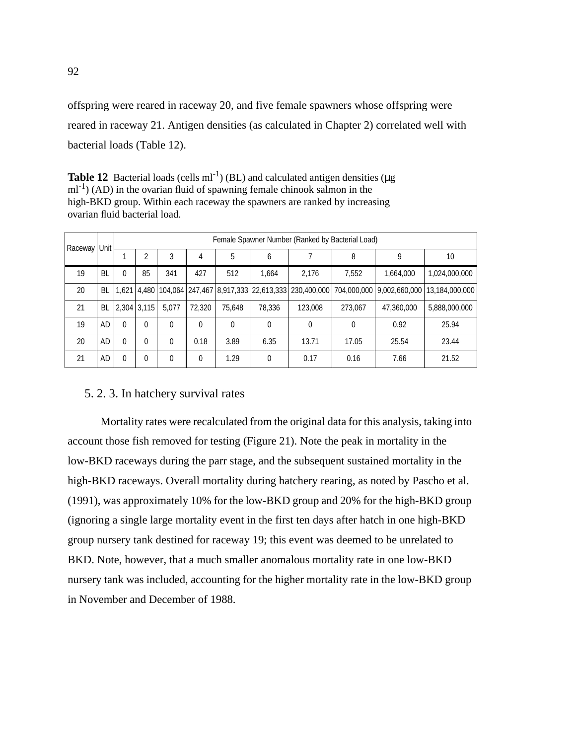offspring were reared in raceway 20, and five female spawners whose offspring were reared in raceway 21. Antigen densities (as calculated in Chapter 2) correlated well with bacterial loads (Table 12).

**Table 12** Bacterial loads (cells  $ml^{-1}$ ) (BL) and calculated antigen densities ( $\mu$ g  $ml^{-1}$ ) (AD) in the ovarian fluid of spawning female chinook salmon in the high-BKD group. Within each raceway the spawners are ranked by increasing ovarian fluid bacterial load.

| Raceway   Unit |    | Female Spawner Number (Ranked by Bacterial Load) |                    |          |          |        |        |         |         |            |                                                                                                       |
|----------------|----|--------------------------------------------------|--------------------|----------|----------|--------|--------|---------|---------|------------|-------------------------------------------------------------------------------------------------------|
|                |    |                                                  |                    | 3        | 4        | 5      | 6      |         | 8       | 9          | 10                                                                                                    |
| 19             | BL | 0                                                | 85                 | 341      | 427      | 512    | 1.664  | 2.176   | 7,552   | 1.664.000  | 1,024,000,000                                                                                         |
| 20             | BL |                                                  |                    |          |          |        |        |         |         |            | 1,621 4,480 104,064 247,467 8,917,333 22,613,333 230,400,000 704,000,000 9,002,660,000 13,184,000,000 |
| 21             |    |                                                  | BL   2,304   3,115 | 5,077    | 72,320   | 75.648 | 78,336 | 123,008 | 273,067 | 47,360,000 | 5,888,000,000                                                                                         |
| 19             | AD | $\Omega$                                         | $\Omega$           | $\theta$ | $\theta$ | 0      | 0      | 0       | 0       | 0.92       | 25.94                                                                                                 |
| 20             | AD | $\Omega$                                         | $\Omega$           | $\Omega$ | 0.18     | 3.89   | 6.35   | 13.71   | 17.05   | 25.54      | 23.44                                                                                                 |
| 21             | AD | $\mathbf{0}$                                     | $\mathbf{0}$       | $\theta$ | $\Omega$ | 1.29   | 0      | 0.17    | 0.16    | 7.66       | 21.52                                                                                                 |

## 5. 2. 3. In hatchery survival rates

Mortality rates were recalculated from the original data for this analysis, taking into account those fish removed for testing ([Figure 21\)](#page-106-0). Note the peak in mortality in the low-BKD raceways during the parr stage, and the subsequent sustained mortality in the high-BKD raceways. Overall mortality during hatchery rearing, as noted by Pascho et al. (1991), was approximately 10% for the low-BKD group and 20% for the high-BKD group (ignoring a single large mortality event in the first ten days after hatch in one high-BKD group nursery tank destined for raceway 19; this event was deemed to be unrelated to BKD. Note, however, that a much smaller anomalous mortality rate in one low-BKD nursery tank was included, accounting for the higher mortality rate in the low-BKD group in November and December of 1988.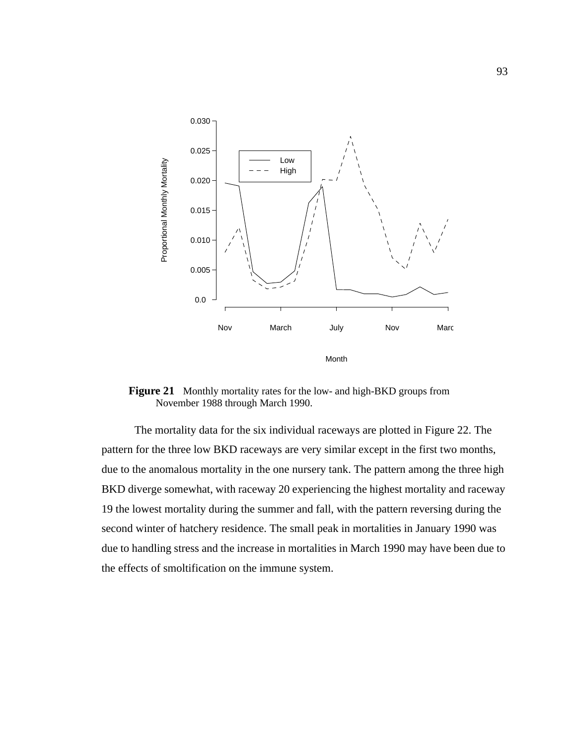<span id="page-106-0"></span>

**Figure 21** Monthly mortality rates for the low- and high-BKD groups from November 1988 through March 1990.

The mortality data for the six individual raceways are plotted in [Figure 22](#page-107-0). The pattern for the three low BKD raceways are very similar except in the first two months, due to the anomalous mortality in the one nursery tank. The pattern among the three high BKD diverge somewhat, with raceway 20 experiencing the highest mortality and raceway 19 the lowest mortality during the summer and fall, with the pattern reversing during the second winter of hatchery residence. The small peak in mortalities in January 1990 was due to handling stress and the increase in mortalities in March 1990 may have been due to the effects of smoltification on the immune system.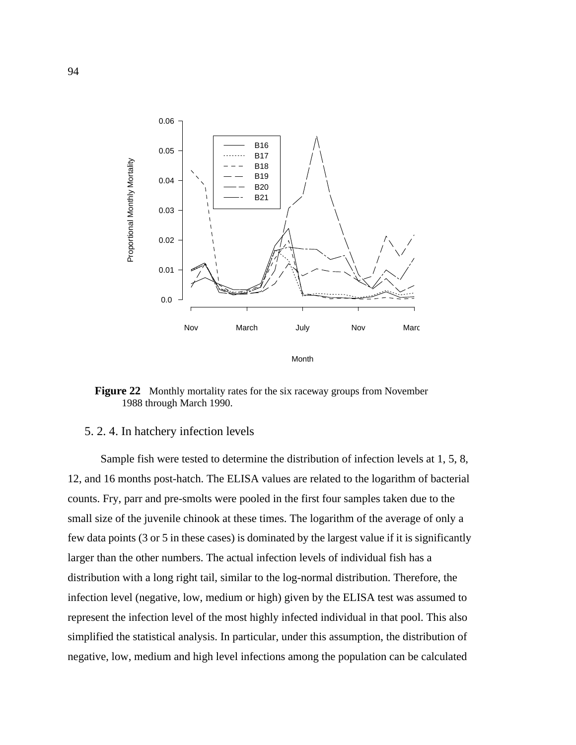<span id="page-107-0"></span>

**Figure 22** Monthly mortality rates for the six raceway groups from November 1988 through March 1990.

## 5. 2. 4. In hatchery infection levels

Sample fish were tested to determine the distribution of infection levels at 1, 5, 8, 12, and 16 months post-hatch. The ELISA values are related to the logarithm of bacterial counts. Fry, parr and pre-smolts were pooled in the first four samples taken due to the small size of the juvenile chinook at these times. The logarithm of the average of only a few data points (3 or 5 in these cases) is dominated by the largest value if it is significantly larger than the other numbers. The actual infection levels of individual fish has a distribution with a long right tail, similar to the log-normal distribution. Therefore, the infection level (negative, low, medium or high) given by the ELISA test was assumed to represent the infection level of the most highly infected individual in that pool. This also simplified the statistical analysis. In particular, under this assumption, the distribution of negative, low, medium and high level infections among the population can be calculated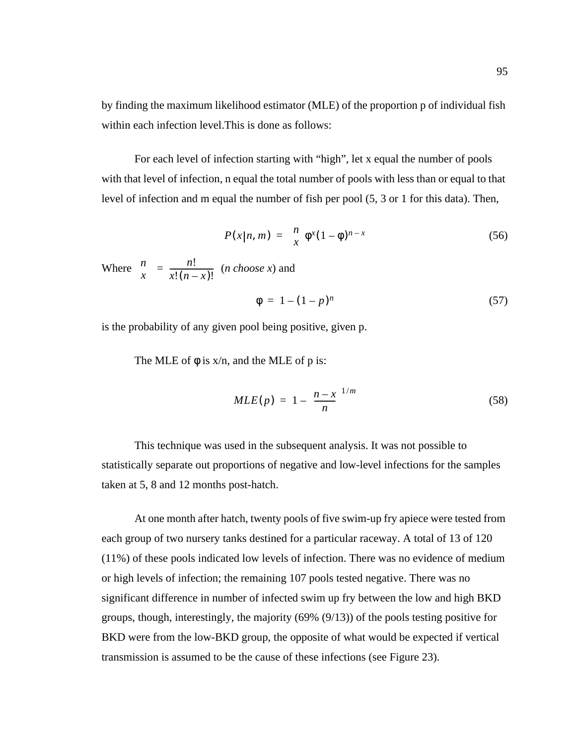by finding the maximum likelihood estimator (MLE) of the proportion p of individual fish within each infection level.This is done as follows:

For each level of infection starting with "high", let x equal the number of pools with that level of infection, n equal the total number of pools with less than or equal to that level of infection and m equal the number of fish per pool (5, 3 or 1 for this data). Then,

$$
P(x|n, m) = {n \choose x} \phi^{x} (1 - \phi)^{n-x}
$$
  
(56)  
Where  ${n \choose x} = \frac{n!}{x!(n-x)!}$  (*n choose x*) and

$$
\phi = 1 - (1 - p)^n \tag{57}
$$

is the probability of any given pool being positive, given p.

The MLE of  $\phi$  is  $x/n$ , and the MLE of p is:

$$
MLE(p) = 1 - \left(\frac{n - x}{n}\right)^{1/m} \tag{58}
$$

This technique was used in the subsequent analysis. It was not possible to statistically separate out proportions of negative and low-level infections for the samples taken at 5, 8 and 12 months post-hatch.

At one month after hatch, twenty pools of five swim-up fry apiece were tested from each group of two nursery tanks destined for a particular raceway. A total of 13 of 120 (11%) of these pools indicated low levels of infection. There was no evidence of medium or high levels of infection; the remaining 107 pools tested negative. There was no significant difference in number of infected swim up fry between the low and high BKD groups, though, interestingly, the majority (69% (9/13)) of the pools testing positive for BKD were from the low-BKD group, the opposite of what would be expected if vertical transmission is assumed to be the cause of these infections (see [Figure 23\)](#page-109-0).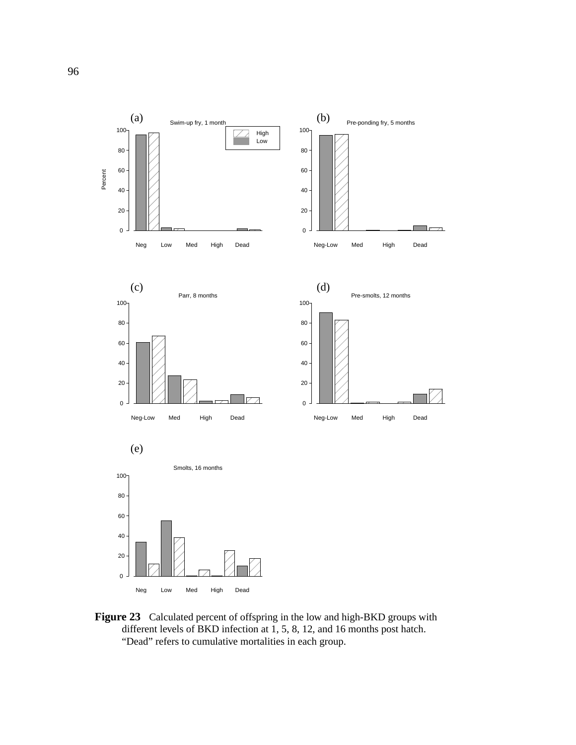<span id="page-109-0"></span>

**Figure 23** Calculated percent of offspring in the low and high-BKD groups with different levels of BKD infection at 1, 5, 8, 12, and 16 months post hatch. "Dead" refers to cumulative mortalities in each group.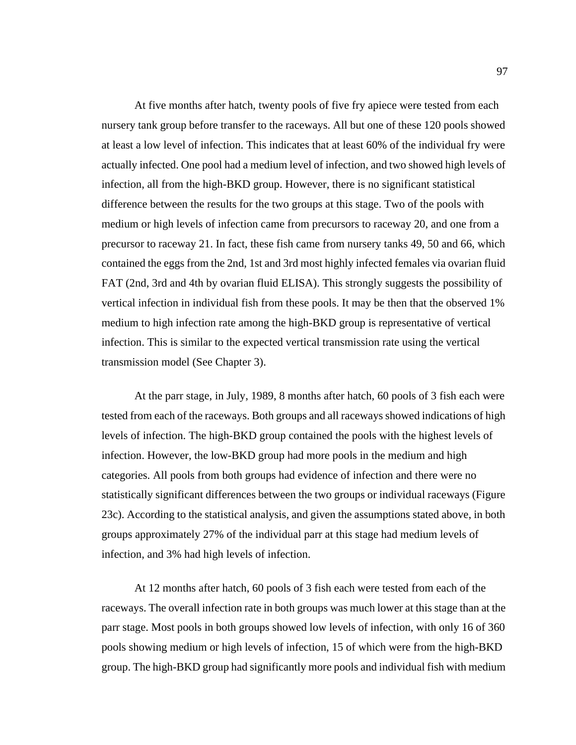At five months after hatch, twenty pools of five fry apiece were tested from each nursery tank group before transfer to the raceways. All but one of these 120 pools showed at least a low level of infection. This indicates that at least 60% of the individual fry were actually infected. One pool had a medium level of infection, and two showed high levels of infection, all from the high-BKD group. However, there is no significant statistical difference between the results for the two groups at this stage. Two of the pools with medium or high levels of infection came from precursors to raceway 20, and one from a precursor to raceway 21. In fact, these fish came from nursery tanks 49, 50 and 66, which contained the eggs from the 2nd, 1st and 3rd most highly infected females via ovarian fluid FAT (2nd, 3rd and 4th by ovarian fluid ELISA). This strongly suggests the possibility of vertical infection in individual fish from these pools. It may be then that the observed 1% medium to high infection rate among the high-BKD group is representative of vertical infection. This is similar to the expected vertical transmission rate using the vertical transmission model (See Chapter 3).

At the parr stage, in July, 1989, 8 months after hatch, 60 pools of 3 fish each were tested from each of the raceways. Both groups and all raceways showed indications of high levels of infection. The high-BKD group contained the pools with the highest levels of infection. However, the low-BKD group had more pools in the medium and high categories. All pools from both groups had evidence of infection and there were no statistically significant differences between the two groups or individual raceways [\(Figure](#page-109-0) [23](#page-109-0)c). According to the statistical analysis, and given the assumptions stated above, in both groups approximately 27% of the individual parr at this stage had medium levels of infection, and 3% had high levels of infection.

At 12 months after hatch, 60 pools of 3 fish each were tested from each of the raceways. The overall infection rate in both groups was much lower at this stage than at the parr stage. Most pools in both groups showed low levels of infection, with only 16 of 360 pools showing medium or high levels of infection, 15 of which were from the high-BKD group. The high-BKD group had significantly more pools and individual fish with medium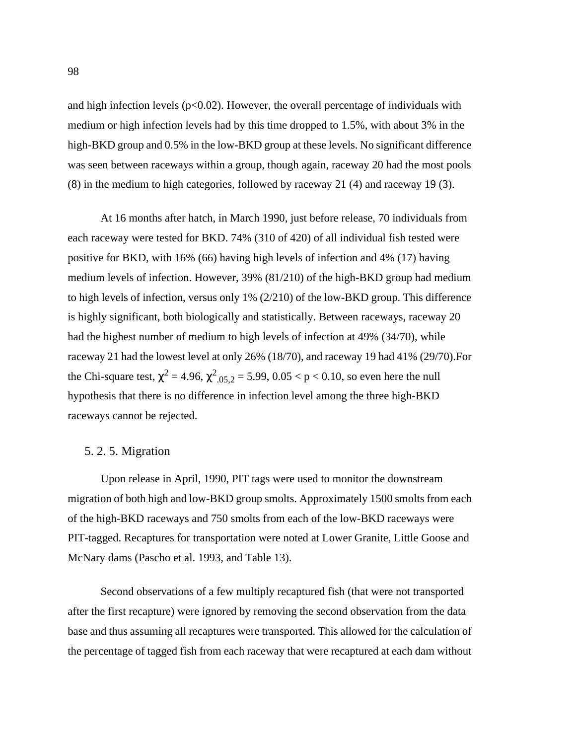and high infection levels  $(p<0.02)$ . However, the overall percentage of individuals with medium or high infection levels had by this time dropped to 1.5%, with about 3% in the high-BKD group and 0.5% in the low-BKD group at these levels. No significant difference was seen between raceways within a group, though again, raceway 20 had the most pools (8) in the medium to high categories, followed by raceway 21 (4) and raceway 19 (3).

At 16 months after hatch, in March 1990, just before release, 70 individuals from each raceway were tested for BKD. 74% (310 of 420) of all individual fish tested were positive for BKD, with 16% (66) having high levels of infection and 4% (17) having medium levels of infection. However, 39% (81/210) of the high-BKD group had medium to high levels of infection, versus only 1% (2/210) of the low-BKD group. This difference is highly significant, both biologically and statistically. Between raceways, raceway 20 had the highest number of medium to high levels of infection at 49% (34/70), while raceway 21 had the lowest level at only 26% (18/70), and raceway 19 had 41% (29/70).For the Chi-square test,  $\chi^2$  = 4.96,  $\chi^2_{.05,2}$  = 5.99, 0.05 < p < 0.10, so even here the null hypothesis that there is no difference in infection level among the three high-BKD raceways cannot be rejected.

#### 5. 2. 5. Migration

Upon release in April, 1990, PIT tags were used to monitor the downstream migration of both high and low-BKD group smolts. Approximately 1500 smolts from each of the high-BKD raceways and 750 smolts from each of the low-BKD raceways were PIT-tagged. Recaptures for transportation were noted at Lower Granite, Little Goose and McNary dams (Pascho et al. 1993, and [Table 13](#page-112-0)).

Second observations of a few multiply recaptured fish (that were not transported after the first recapture) were ignored by removing the second observation from the data base and thus assuming all recaptures were transported. This allowed for the calculation of the percentage of tagged fish from each raceway that were recaptured at each dam without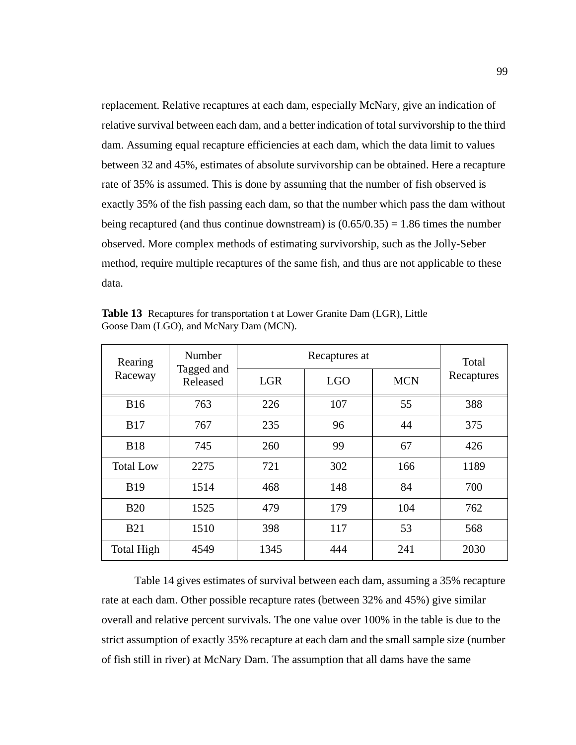<span id="page-112-0"></span>replacement. Relative recaptures at each dam, especially McNary, give an indication of relative survival between each dam, and a better indication of total survivorship to the third dam. Assuming equal recapture efficiencies at each dam, which the data limit to values between 32 and 45%, estimates of absolute survivorship can be obtained. Here a recapture rate of 35% is assumed. This is done by assuming that the number of fish observed is exactly 35% of the fish passing each dam, so that the number which pass the dam without being recaptured (and thus continue downstream) is  $(0.65/0.35) = 1.86$  times the number observed. More complex methods of estimating survivorship, such as the Jolly-Seber method, require multiple recaptures of the same fish, and thus are not applicable to these data.

| Rearing<br>Raceway | Number<br>Tagged and<br>Released |            | Total      |            |            |
|--------------------|----------------------------------|------------|------------|------------|------------|
|                    |                                  | <b>LGR</b> | <b>LGO</b> | <b>MCN</b> | Recaptures |
| <b>B16</b>         | 763                              | 226        | 107        | 55         | 388        |
| <b>B17</b>         | 767                              | 235        | 96         | 44         | 375        |
| <b>B18</b>         | 745                              | 260        | 99         | 67         | 426        |
| <b>Total Low</b>   | 2275                             | 721        | 302        | 166        | 1189       |
| <b>B19</b>         | 1514                             | 468        | 148        | 84         | 700        |
| <b>B20</b>         | 1525                             | 479        | 179        | 104        | 762        |
| <b>B21</b>         | 1510                             | 398        | 117        | 53         | 568        |
| <b>Total High</b>  | 4549                             | 1345       | 444        | 241        | 2030       |

**Table 13** Recaptures for transportation t at Lower Granite Dam (LGR), Little Goose Dam (LGO), and McNary Dam (MCN).

[Table 14](#page-113-0) gives estimates of survival between each dam, assuming a 35% recapture rate at each dam. Other possible recapture rates (between 32% and 45%) give similar overall and relative percent survivals. The one value over 100% in the table is due to the strict assumption of exactly 35% recapture at each dam and the small sample size (number of fish still in river) at McNary Dam. The assumption that all dams have the same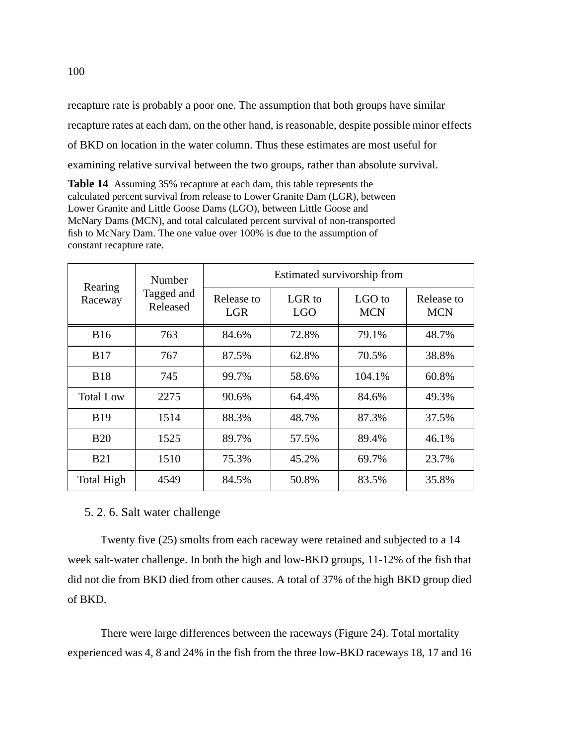<span id="page-113-0"></span>recapture rate is probably a poor one. The assumption that both groups have similar recapture rates at each dam, on the other hand, is reasonable, despite possible minor effects of BKD on location in the water column. Thus these estimates are most useful for examining relative survival between the two groups, rather than absolute survival.

**Table 14** Assuming 35% recapture at each dam, this table represents the calculated percent survival from release to Lower Granite Dam (LGR), between Lower Granite and Little Goose Dams (LGO), between Little Goose and McNary Dams (MCN), and total calculated percent survival of non-transported fish to McNary Dam. The one value over 100% is due to the assumption of constant recapture rate.

| Rearing<br>Raceway | Number<br>Tagged and<br>Released | Estimated survivorship from |                      |                      |                          |  |
|--------------------|----------------------------------|-----------------------------|----------------------|----------------------|--------------------------|--|
|                    |                                  | Release to<br><b>LGR</b>    | LGR to<br><b>LGO</b> | LGO to<br><b>MCN</b> | Release to<br><b>MCN</b> |  |
| <b>B16</b>         | 763                              | 84.6%                       | 72.8%                | 79.1%                | 48.7%                    |  |
| <b>B17</b>         | 767                              | 87.5%                       | 62.8%                | 70.5%                | 38.8%                    |  |
| <b>B18</b>         | 745                              | 99.7%                       | 58.6%                | 104.1%               | 60.8%                    |  |
| <b>Total Low</b>   | 2275                             | 90.6%                       | 64.4%                | 84.6%                | 49.3%                    |  |
| <b>B19</b>         | 1514                             | 88.3%                       | 48.7%                | 87.3%                | 37.5%                    |  |
| <b>B20</b>         | 1525                             | 89.7%                       | 57.5%                | 89.4%                | 46.1%                    |  |
| <b>B21</b>         | 1510                             | 75.3%                       | 45.2%                | 69.7%                | 23.7%                    |  |
| <b>Total High</b>  | 4549                             | 84.5%                       | 50.8%                | 83.5%                | 35.8%                    |  |

## 5. 2. 6. Salt water challenge

Twenty five (25) smolts from each raceway were retained and subjected to a 14 week salt-water challenge. In both the high and low-BKD groups, 11-12% of the fish that did not die from BKD died from other causes. A total of 37% of the high BKD group died of BKD.

There were large differences between the raceways ([Figure 24](#page-114-0)). Total mortality experienced was 4, 8 and 24% in the fish from the three low-BKD raceways 18, 17 and 16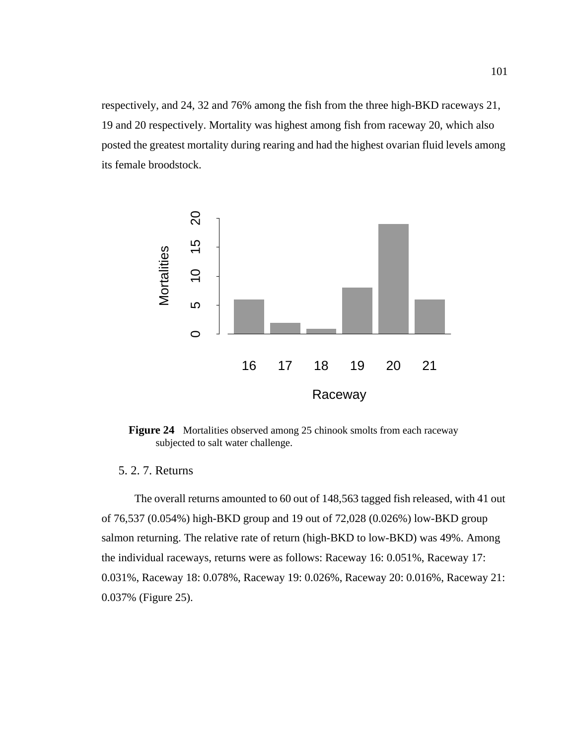<span id="page-114-0"></span>respectively, and 24, 32 and 76% among the fish from the three high-BKD raceways 21, 19 and 20 respectively. Mortality was highest among fish from raceway 20, which also posted the greatest mortality during rearing and had the highest ovarian fluid levels among its female broodstock.



Figure 24 Mortalities observed among 25 chinook smolts from each raceway subjected to salt water challenge.

## 5. 2. 7. Returns

The overall returns amounted to 60 out of 148,563 tagged fish released, with 41 out of 76,537 (0.054%) high-BKD group and 19 out of 72,028 (0.026%) low-BKD group salmon returning. The relative rate of return (high-BKD to low-BKD) was 49%. Among the individual raceways, returns were as follows: Raceway 16: 0.051%, Raceway 17: 0.031%, Raceway 18: 0.078%, Raceway 19: 0.026%, Raceway 20: 0.016%, Raceway 21: 0.037% ([Figure 25](#page-115-0)).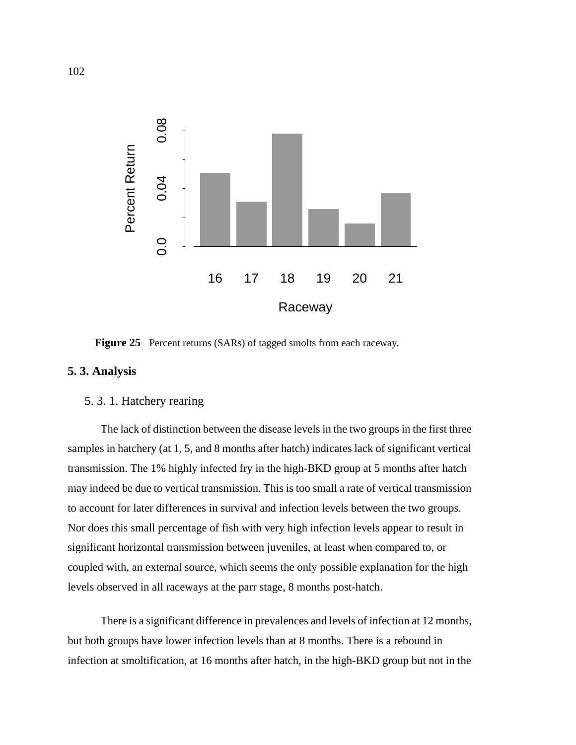<span id="page-115-0"></span>

**Figure 25** Percent returns (SARs) of tagged smolts from each raceway.

## **5. 3. Analysis**

## 5. 3. 1. Hatchery rearing

The lack of distinction between the disease levels in the two groups in the first three samples in hatchery (at 1, 5, and 8 months after hatch) indicates lack of significant vertical transmission. The 1% highly infected fry in the high-BKD group at 5 months after hatch may indeed be due to vertical transmission. This is too small a rate of vertical transmission to account for later differences in survival and infection levels between the two groups. Nor does this small percentage of fish with very high infection levels appear to result in significant horizontal transmission between juveniles, at least when compared to, or coupled with, an external source, which seems the only possible explanation for the high levels observed in all raceways at the parr stage, 8 months post-hatch.

There is a significant difference in prevalences and levels of infection at 12 months, but both groups have lower infection levels than at 8 months. There is a rebound in infection at smoltification, at 16 months after hatch, in the high-BKD group but not in the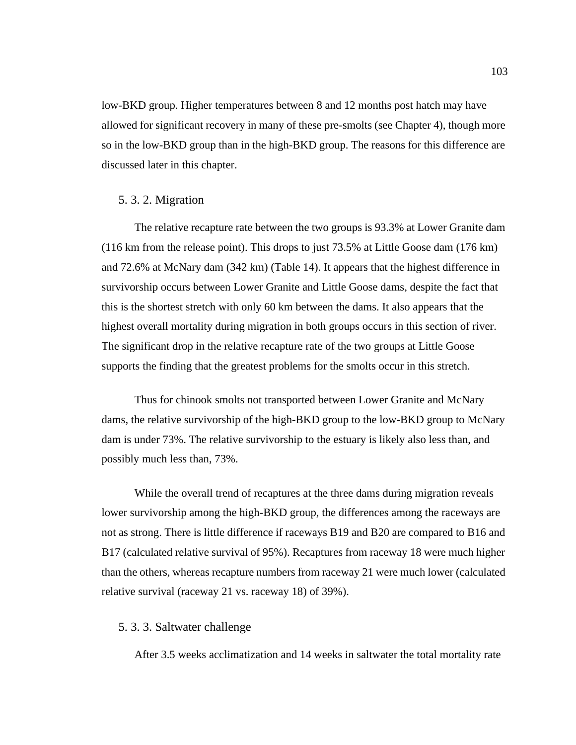low-BKD group. Higher temperatures between 8 and 12 months post hatch may have allowed for significant recovery in many of these pre-smolts (see Chapter 4), though more so in the low-BKD group than in the high-BKD group. The reasons for this difference are discussed later in this chapter.

#### 5. 3. 2. Migration

The relative recapture rate between the two groups is 93.3% at Lower Granite dam (116 km from the release point). This drops to just 73.5% at Little Goose dam (176 km) and 72.6% at McNary dam (342 km) ([Table 14](#page-113-0)). It appears that the highest difference in survivorship occurs between Lower Granite and Little Goose dams, despite the fact that this is the shortest stretch with only 60 km between the dams. It also appears that the highest overall mortality during migration in both groups occurs in this section of river. The significant drop in the relative recapture rate of the two groups at Little Goose supports the finding that the greatest problems for the smolts occur in this stretch.

Thus for chinook smolts not transported between Lower Granite and McNary dams, the relative survivorship of the high-BKD group to the low-BKD group to McNary dam is under 73%. The relative survivorship to the estuary is likely also less than, and possibly much less than, 73%.

While the overall trend of recaptures at the three dams during migration reveals lower survivorship among the high-BKD group, the differences among the raceways are not as strong. There is little difference if raceways B19 and B20 are compared to B16 and B17 (calculated relative survival of 95%). Recaptures from raceway 18 were much higher than the others, whereas recapture numbers from raceway 21 were much lower (calculated relative survival (raceway 21 vs. raceway 18) of 39%).

## 5. 3. 3. Saltwater challenge

After 3.5 weeks acclimatization and 14 weeks in saltwater the total mortality rate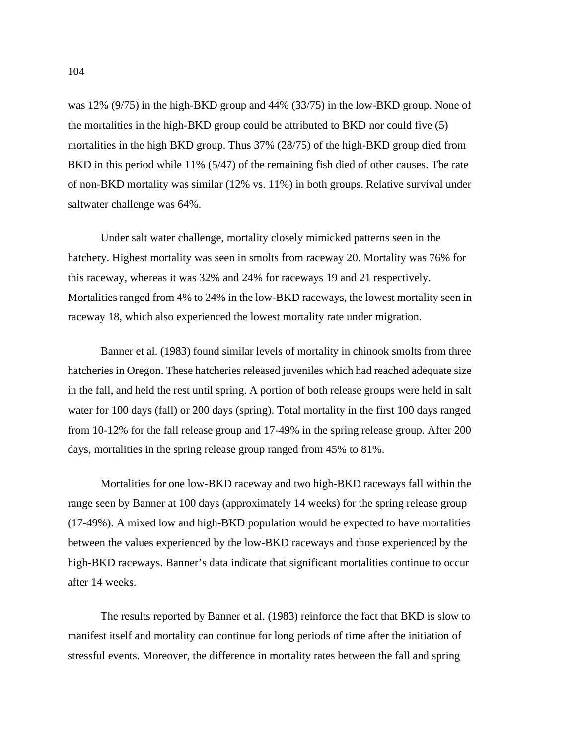was 12% (9/75) in the high-BKD group and 44% (33/75) in the low-BKD group. None of the mortalities in the high-BKD group could be attributed to BKD nor could five (5) mortalities in the high BKD group. Thus 37% (28/75) of the high-BKD group died from BKD in this period while 11% (5/47) of the remaining fish died of other causes. The rate of non-BKD mortality was similar (12% vs. 11%) in both groups. Relative survival under saltwater challenge was 64%.

Under salt water challenge, mortality closely mimicked patterns seen in the hatchery. Highest mortality was seen in smolts from raceway 20. Mortality was 76% for this raceway, whereas it was 32% and 24% for raceways 19 and 21 respectively. Mortalities ranged from 4% to 24% in the low-BKD raceways, the lowest mortality seen in raceway 18, which also experienced the lowest mortality rate under migration.

Banner et al. (1983) found similar levels of mortality in chinook smolts from three hatcheries in Oregon. These hatcheries released juveniles which had reached adequate size in the fall, and held the rest until spring. A portion of both release groups were held in salt water for 100 days (fall) or 200 days (spring). Total mortality in the first 100 days ranged from 10-12% for the fall release group and 17-49% in the spring release group. After 200 days, mortalities in the spring release group ranged from 45% to 81%.

Mortalities for one low-BKD raceway and two high-BKD raceways fall within the range seen by Banner at 100 days (approximately 14 weeks) for the spring release group (17-49%). A mixed low and high-BKD population would be expected to have mortalities between the values experienced by the low-BKD raceways and those experienced by the high-BKD raceways. Banner's data indicate that significant mortalities continue to occur after 14 weeks.

The results reported by Banner et al. (1983) reinforce the fact that BKD is slow to manifest itself and mortality can continue for long periods of time after the initiation of stressful events. Moreover, the difference in mortality rates between the fall and spring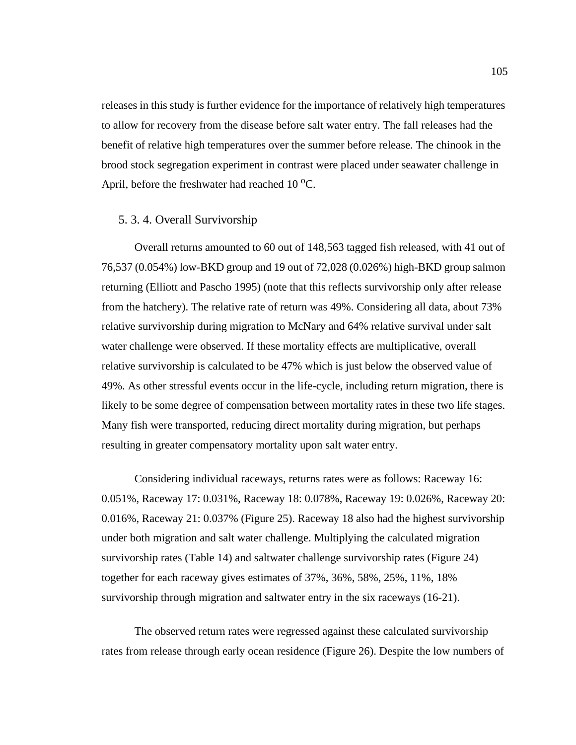releases in this study is further evidence for the importance of relatively high temperatures to allow for recovery from the disease before salt water entry. The fall releases had the benefit of relative high temperatures over the summer before release. The chinook in the brood stock segregation experiment in contrast were placed under seawater challenge in April, before the freshwater had reached  $10^{\circ}$ C.

#### 5. 3. 4. Overall Survivorship

Overall returns amounted to 60 out of 148,563 tagged fish released, with 41 out of 76,537 (0.054%) low-BKD group and 19 out of 72,028 (0.026%) high-BKD group salmon returning (Elliott and Pascho 1995) (note that this reflects survivorship only after release from the hatchery). The relative rate of return was 49%. Considering all data, about 73% relative survivorship during migration to McNary and 64% relative survival under salt water challenge were observed. If these mortality effects are multiplicative, overall relative survivorship is calculated to be 47% which is just below the observed value of 49%. As other stressful events occur in the life-cycle, including return migration, there is likely to be some degree of compensation between mortality rates in these two life stages. Many fish were transported, reducing direct mortality during migration, but perhaps resulting in greater compensatory mortality upon salt water entry.

Considering individual raceways, returns rates were as follows: Raceway 16: 0.051%, Raceway 17: 0.031%, Raceway 18: 0.078%, Raceway 19: 0.026%, Raceway 20: 0.016%, Raceway 21: 0.037% [\(Figure 25\)](#page-115-0). Raceway 18 also had the highest survivorship under both migration and salt water challenge. Multiplying the calculated migration survivorship rates ([Table 14\)](#page-113-0) and saltwater challenge survivorship rates [\(Figure 24\)](#page-114-0) together for each raceway gives estimates of 37%, 36%, 58%, 25%, 11%, 18% survivorship through migration and saltwater entry in the six raceways (16-21).

The observed return rates were regressed against these calculated survivorship rates from release through early ocean residence ([Figure 26](#page-119-0)). Despite the low numbers of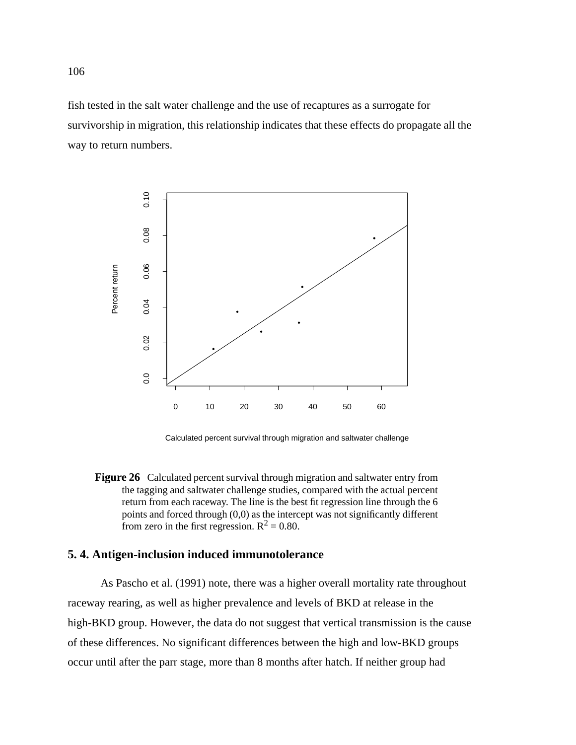<span id="page-119-0"></span>fish tested in the salt water challenge and the use of recaptures as a surrogate for survivorship in migration, this relationship indicates that these effects do propagate all the way to return numbers.



Calculated percent survival through migration and saltwater challenge

**Figure 26** Calculated percent survival through migration and saltwater entry from the tagging and saltwater challenge studies, compared with the actual percent return from each raceway. The line is the best fit regression line through the 6 points and forced through (0,0) as the intercept was not significantly different from zero in the first regression.  $R^2 = 0.80$ .

## **5. 4. Antigen-inclusion induced immunotolerance**

As Pascho et al. (1991) note, there was a higher overall mortality rate throughout raceway rearing, as well as higher prevalence and levels of BKD at release in the high-BKD group. However, the data do not suggest that vertical transmission is the cause of these differences. No significant differences between the high and low-BKD groups occur until after the parr stage, more than 8 months after hatch. If neither group had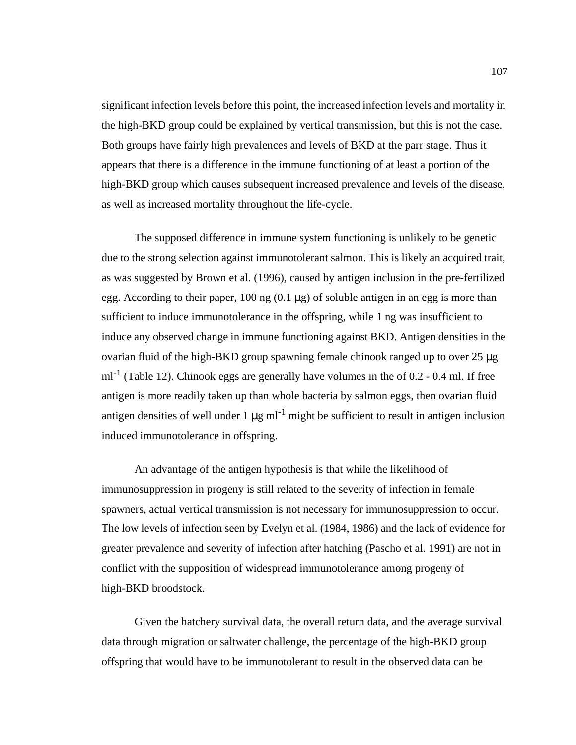significant infection levels before this point, the increased infection levels and mortality in the high-BKD group could be explained by vertical transmission, but this is not the case. Both groups have fairly high prevalences and levels of BKD at the parr stage. Thus it appears that there is a difference in the immune functioning of at least a portion of the high-BKD group which causes subsequent increased prevalence and levels of the disease, as well as increased mortality throughout the life-cycle.

The supposed difference in immune system functioning is unlikely to be genetic due to the strong selection against immunotolerant salmon. This is likely an acquired trait, as was suggested by Brown et al. (1996), caused by antigen inclusion in the pre-fertilized egg. According to their paper,  $100 \text{ ng } (0.1 \mu g)$  of soluble antigen in an egg is more than sufficient to induce immunotolerance in the offspring, while 1 ng was insufficient to induce any observed change in immune functioning against BKD. Antigen densities in the ovarian fluid of the high-BKD group spawning female chinook ranged up to over 25 µg  $ml<sup>-1</sup>$  ([Table 12\)](#page-105-0). Chinook eggs are generally have volumes in the of 0.2 - 0.4 ml. If free antigen is more readily taken up than whole bacteria by salmon eggs, then ovarian fluid antigen densities of well under  $1 \mu g$  ml<sup>-1</sup> might be sufficient to result in antigen inclusion induced immunotolerance in offspring.

An advantage of the antigen hypothesis is that while the likelihood of immunosuppression in progeny is still related to the severity of infection in female spawners, actual vertical transmission is not necessary for immunosuppression to occur. The low levels of infection seen by Evelyn et al. (1984, 1986) and the lack of evidence for greater prevalence and severity of infection after hatching (Pascho et al. 1991) are not in conflict with the supposition of widespread immunotolerance among progeny of high-BKD broodstock.

Given the hatchery survival data, the overall return data, and the average survival data through migration or saltwater challenge, the percentage of the high-BKD group offspring that would have to be immunotolerant to result in the observed data can be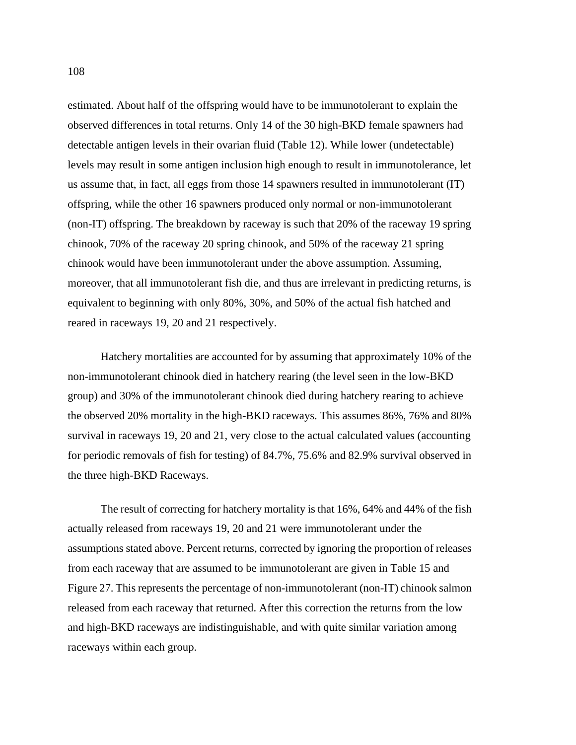estimated. About half of the offspring would have to be immunotolerant to explain the observed differences in total returns. Only 14 of the 30 high-BKD female spawners had detectable antigen levels in their ovarian fluid ([Table 12](#page-105-0)). While lower (undetectable) levels may result in some antigen inclusion high enough to result in immunotolerance, let us assume that, in fact, all eggs from those 14 spawners resulted in immunotolerant (IT) offspring, while the other 16 spawners produced only normal or non-immunotolerant (non-IT) offspring. The breakdown by raceway is such that 20% of the raceway 19 spring chinook, 70% of the raceway 20 spring chinook, and 50% of the raceway 21 spring chinook would have been immunotolerant under the above assumption. Assuming, moreover, that all immunotolerant fish die, and thus are irrelevant in predicting returns, is equivalent to beginning with only 80%, 30%, and 50% of the actual fish hatched and reared in raceways 19, 20 and 21 respectively.

Hatchery mortalities are accounted for by assuming that approximately 10% of the non-immunotolerant chinook died in hatchery rearing (the level seen in the low-BKD group) and 30% of the immunotolerant chinook died during hatchery rearing to achieve the observed 20% mortality in the high-BKD raceways. This assumes 86%, 76% and 80% survival in raceways 19, 20 and 21, very close to the actual calculated values (accounting for periodic removals of fish for testing) of 84.7%, 75.6% and 82.9% survival observed in the three high-BKD Raceways.

The result of correcting for hatchery mortality is that 16%, 64% and 44% of the fish actually released from raceways 19, 20 and 21 were immunotolerant under the assumptions stated above. Percent returns, corrected by ignoring the proportion of releases from each raceway that are assumed to be immunotolerant are given in [Table 15](#page-122-0) and [Figure 27.](#page-122-0) This represents the percentage of non-immunotolerant (non-IT) chinook salmon released from each raceway that returned. After this correction the returns from the low and high-BKD raceways are indistinguishable, and with quite similar variation among raceways within each group.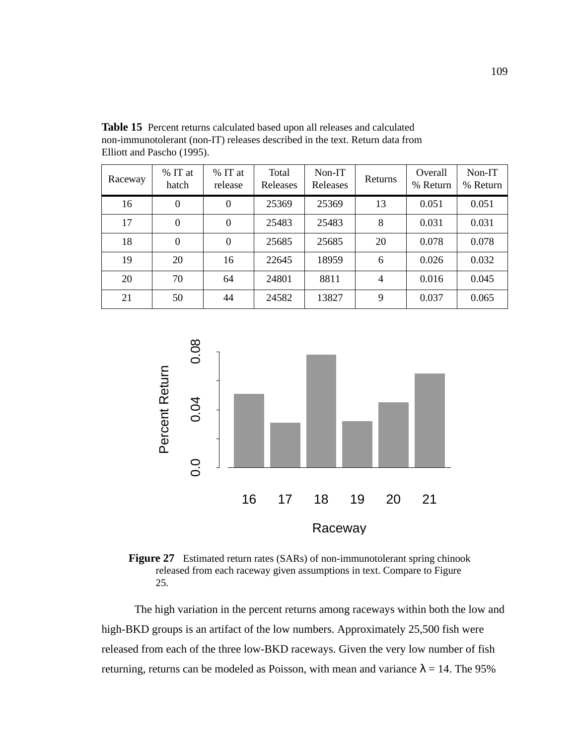| Raceway | % IT at<br>hatch | % IT at<br>release | Total<br>Releases | Non-IT<br>Releases | Returns | Overall<br>% Return | Non-IT<br>% Return |
|---------|------------------|--------------------|-------------------|--------------------|---------|---------------------|--------------------|
| 16      | $\boldsymbol{0}$ | $\theta$           | 25369             | 25369              | 13      | 0.051               | 0.051              |
| 17      | $\boldsymbol{0}$ | $\theta$           | 25483             | 25483              | 8       | 0.031               | 0.031              |
| 18      | $\theta$         | $\Omega$           | 25685             | 25685              | 20      | 0.078               | 0.078              |
| 19      | 20               | 16                 | 22645             | 18959              | 6       | 0.026               | 0.032              |
| 20      | 70               | 64                 | 24801             | 8811               | 4       | 0.016               | 0.045              |
| 21      | 50               | 44                 | 24582             | 13827              | 9       | 0.037               | 0.065              |

<span id="page-122-0"></span>**Table 15** Percent returns calculated based upon all releases and calculated non-immunotolerant (non-IT) releases described in the text. Return data from Elliott and Pascho (1995).



**Figure 27** Estimated return rates (SARs) of non-immunotolerant spring chinook released from each raceway given assumptions in text. Compare to [Figure](#page-115-0) [25.](#page-115-0)

The high variation in the percent returns among raceways within both the low and high-BKD groups is an artifact of the low numbers. Approximately 25,500 fish were released from each of the three low-BKD raceways. Given the very low number of fish returning, returns can be modeled as Poisson, with mean and variance  $\lambda = 14$ . The 95%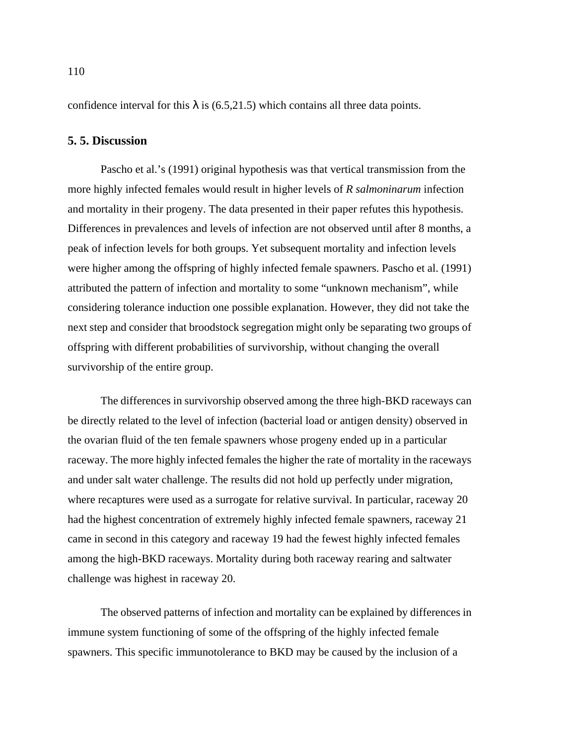confidence interval for this  $\lambda$  is (6.5,21.5) which contains all three data points.

### **5. 5. Discussion**

Pascho et al.'s (1991) original hypothesis was that vertical transmission from the more highly infected females would result in higher levels of *R salmoninarum* infection and mortality in their progeny. The data presented in their paper refutes this hypothesis. Differences in prevalences and levels of infection are not observed until after 8 months, a peak of infection levels for both groups. Yet subsequent mortality and infection levels were higher among the offspring of highly infected female spawners. Pascho et al. (1991) attributed the pattern of infection and mortality to some "unknown mechanism", while considering tolerance induction one possible explanation. However, they did not take the next step and consider that broodstock segregation might only be separating two groups of offspring with different probabilities of survivorship, without changing the overall survivorship of the entire group.

The differences in survivorship observed among the three high-BKD raceways can be directly related to the level of infection (bacterial load or antigen density) observed in the ovarian fluid of the ten female spawners whose progeny ended up in a particular raceway. The more highly infected females the higher the rate of mortality in the raceways and under salt water challenge. The results did not hold up perfectly under migration, where recaptures were used as a surrogate for relative survival. In particular, raceway 20 had the highest concentration of extremely highly infected female spawners, raceway 21 came in second in this category and raceway 19 had the fewest highly infected females among the high-BKD raceways. Mortality during both raceway rearing and saltwater challenge was highest in raceway 20.

The observed patterns of infection and mortality can be explained by differences in immune system functioning of some of the offspring of the highly infected female spawners. This specific immunotolerance to BKD may be caused by the inclusion of a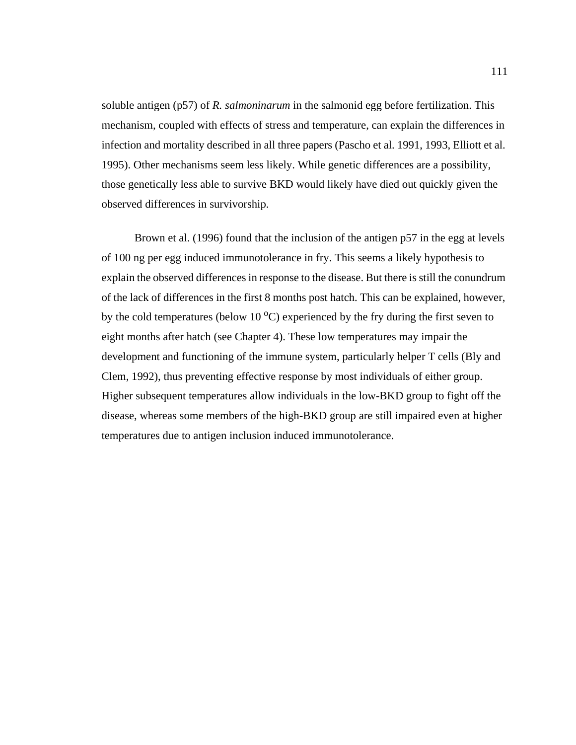soluble antigen (p57) of *R. salmoninarum* in the salmonid egg before fertilization. This mechanism, coupled with effects of stress and temperature, can explain the differences in infection and mortality described in all three papers (Pascho et al. 1991, 1993, Elliott et al. 1995). Other mechanisms seem less likely. While genetic differences are a possibility, those genetically less able to survive BKD would likely have died out quickly given the observed differences in survivorship.

Brown et al. (1996) found that the inclusion of the antigen p57 in the egg at levels of 100 ng per egg induced immunotolerance in fry. This seems a likely hypothesis to explain the observed differences in response to the disease. But there is still the conundrum of the lack of differences in the first 8 months post hatch. This can be explained, however, by the cold temperatures (below  $10^{\circ}$ C) experienced by the fry during the first seven to eight months after hatch (see Chapter 4). These low temperatures may impair the development and functioning of the immune system, particularly helper T cells (Bly and Clem, 1992), thus preventing effective response by most individuals of either group. Higher subsequent temperatures allow individuals in the low-BKD group to fight off the disease, whereas some members of the high-BKD group are still impaired even at higher temperatures due to antigen inclusion induced immunotolerance.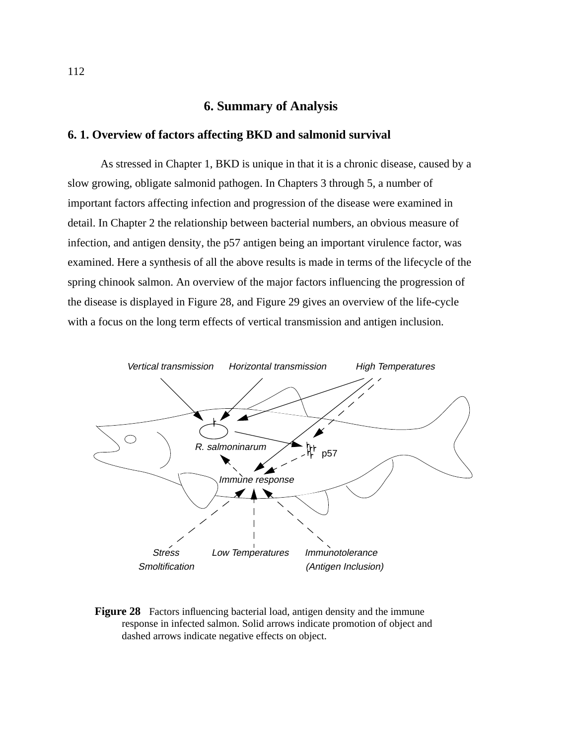# **6. Summary of Analysis**

### **6. 1. Overview of factors affecting BKD and salmonid survival**

As stressed in Chapter 1, BKD is unique in that it is a chronic disease, caused by a slow growing, obligate salmonid pathogen. In Chapters 3 through 5, a number of important factors affecting infection and progression of the disease were examined in detail. In Chapter 2 the relationship between bacterial numbers, an obvious measure of infection, and antigen density, the p57 antigen being an important virulence factor, was examined. Here a synthesis of all the above results is made in terms of the lifecycle of the spring chinook salmon. An overview of the major factors influencing the progression of the disease is displayed in Figure 28, and [Figure 29](#page-126-0) gives an overview of the life-cycle with a focus on the long term effects of vertical transmission and antigen inclusion.



**Figure 28** Factors influencing bacterial load, antigen density and the immune response in infected salmon. Solid arrows indicate promotion of object and dashed arrows indicate negative effects on object.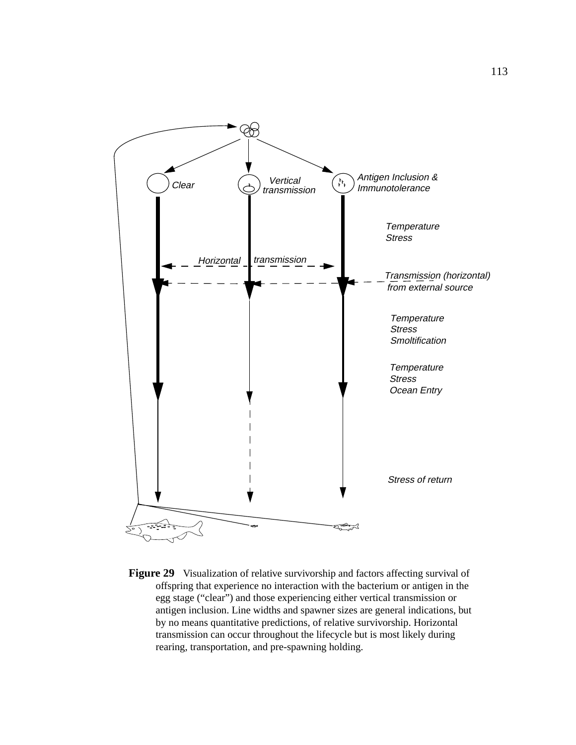<span id="page-126-0"></span>

**Figure 29** Visualization of relative survivorship and factors affecting survival of offspring that experience no interaction with the bacterium or antigen in the egg stage ("clear") and those experiencing either vertical transmission or antigen inclusion. Line widths and spawner sizes are general indications, but by no means quantitative predictions, of relative survivorship. Horizontal transmission can occur throughout the lifecycle but is most likely during rearing, transportation, and pre-spawning holding.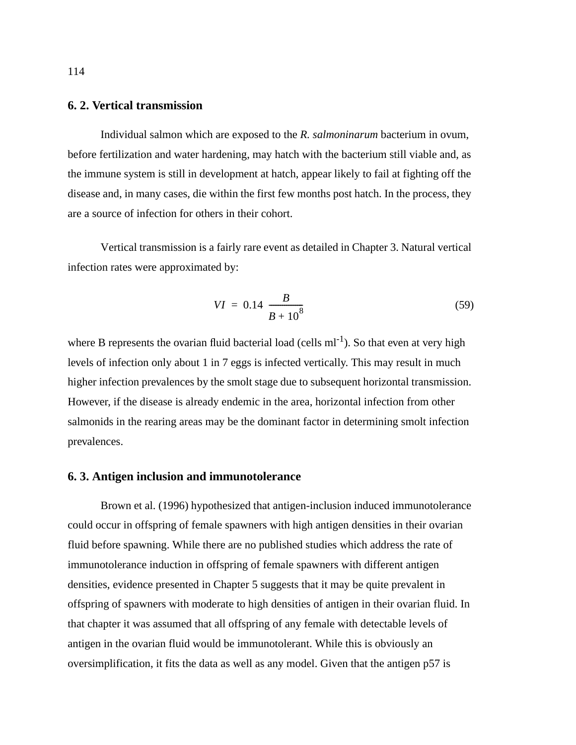## **6. 2. Vertical transmission**

Individual salmon which are exposed to the *R. salmoninarum* bacterium in ovum, before fertilization and water hardening, may hatch with the bacterium still viable and, as the immune system is still in development at hatch, appear likely to fail at fighting off the disease and, in many cases, die within the first few months post hatch. In the process, they are a source of infection for others in their cohort.

Vertical transmission is a fairly rare event as detailed in Chapter 3. Natural vertical infection rates were approximated by:

$$
VI = 0.14 \left( \frac{B}{B + 10^8} \right) \tag{59}
$$

where B represents the ovarian fluid bacterial load (cells  $ml^{-1}$ ). So that even at very high levels of infection only about 1 in 7 eggs is infected vertically. This may result in much higher infection prevalences by the smolt stage due to subsequent horizontal transmission. However, if the disease is already endemic in the area, horizontal infection from other salmonids in the rearing areas may be the dominant factor in determining smolt infection prevalences.

### **6. 3. Antigen inclusion and immunotolerance**

Brown et al. (1996) hypothesized that antigen-inclusion induced immunotolerance could occur in offspring of female spawners with high antigen densities in their ovarian fluid before spawning. While there are no published studies which address the rate of immunotolerance induction in offspring of female spawners with different antigen densities, evidence presented in Chapter 5 suggests that it may be quite prevalent in offspring of spawners with moderate to high densities of antigen in their ovarian fluid. In that chapter it was assumed that all offspring of any female with detectable levels of antigen in the ovarian fluid would be immunotolerant. While this is obviously an oversimplification, it fits the data as well as any model. Given that the antigen p57 is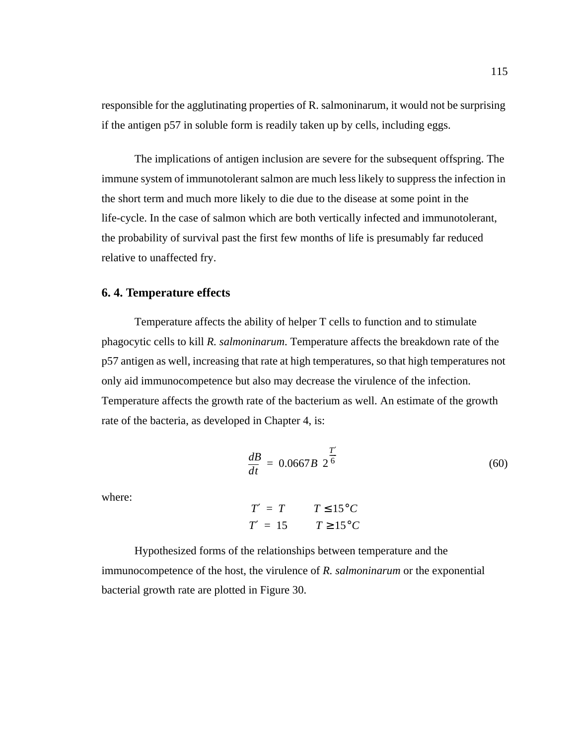responsible for the agglutinating properties of R. salmoninarum, it would not be surprising if the antigen p57 in soluble form is readily taken up by cells, including eggs.

The implications of antigen inclusion are severe for the subsequent offspring. The immune system of immunotolerant salmon are much less likely to suppress the infection in the short term and much more likely to die due to the disease at some point in the life-cycle. In the case of salmon which are both vertically infected and immunotolerant, the probability of survival past the first few months of life is presumably far reduced relative to unaffected fry.

### **6. 4. Temperature effects**

Temperature affects the ability of helper T cells to function and to stimulate phagocytic cells to kill *R. salmoninarum*. Temperature affects the breakdown rate of the p57 antigen as well, increasing that rate at high temperatures, so that high temperatures not only aid immunocompetence but also may decrease the virulence of the infection. Temperature affects the growth rate of the bacterium as well. An estimate of the growth rate of the bacteria, as developed in Chapter 4, is:

$$
\frac{dB}{dt} = 0.0667B\left(2^{\frac{T'}{6}}\right) \tag{60}
$$

where:

 $T' = T$   $T \leq 15^{\circ}C$  $T' = 15$   $T \ge 15^{\circ}C$ 

Hypothesized forms of the relationships between temperature and the immunocompetence of the host, the virulence of *R. salmoninarum* or the exponential bacterial growth rate are plotted in [Figure 30.](#page-129-0)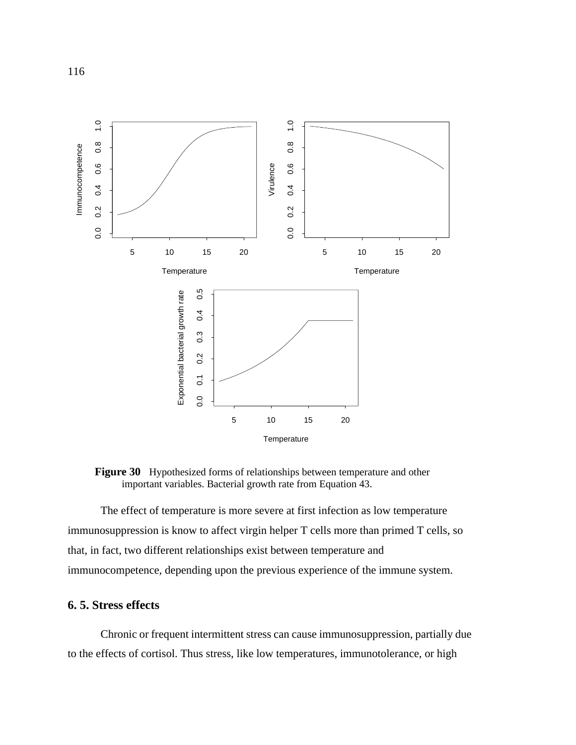<span id="page-129-0"></span>

**Figure 30** Hypothesized forms of relationships between temperature and other important variables. Bacterial growth rate from [Equation 43](#page-92-0).

The effect of temperature is more severe at first infection as low temperature immunosuppression is know to affect virgin helper T cells more than primed T cells, so that, in fact, two different relationships exist between temperature and immunocompetence, depending upon the previous experience of the immune system.

## **6. 5. Stress effects**

Chronic or frequent intermittent stress can cause immunosuppression, partially due to the effects of cortisol. Thus stress, like low temperatures, immunotolerance, or high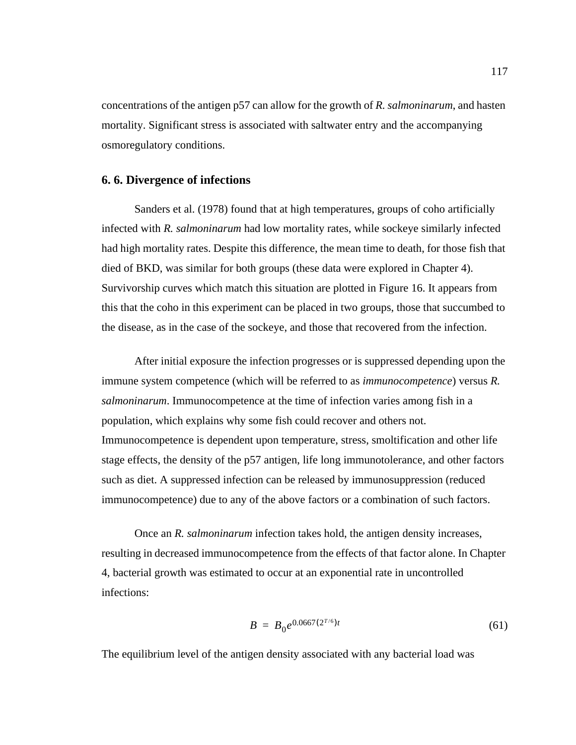concentrations of the antigen p57 can allow for the growth of *R. salmoninarum*, and hasten mortality. Significant stress is associated with saltwater entry and the accompanying osmoregulatory conditions.

#### **6. 6. Divergence of infections**

Sanders et al. (1978) found that at high temperatures, groups of coho artificially infected with *R. salmoninarum* had low mortality rates, while sockeye similarly infected had high mortality rates. Despite this difference, the mean time to death, for those fish that died of BKD, was similar for both groups (these data were explored in Chapter 4). Survivorship curves which match this situation are plotted in [Figure 16](#page-89-0). It appears from this that the coho in this experiment can be placed in two groups, those that succumbed to the disease, as in the case of the sockeye, and those that recovered from the infection.

After initial exposure the infection progresses or is suppressed depending upon the immune system competence (which will be referred to as *immunocompetence*) versus *R. salmoninarum*. Immunocompetence at the time of infection varies among fish in a population, which explains why some fish could recover and others not. Immunocompetence is dependent upon temperature, stress, smoltification and other life stage effects, the density of the p57 antigen, life long immunotolerance, and other factors such as diet. A suppressed infection can be released by immunosuppression (reduced immunocompetence) due to any of the above factors or a combination of such factors.

Once an *R. salmoninarum* infection takes hold, the antigen density increases, resulting in decreased immunocompetence from the effects of that factor alone. In Chapter 4, bacterial growth was estimated to occur at an exponential rate in uncontrolled infections:

$$
B = B_0 e^{0.0667(2^{T/6})t}
$$
 (61)

The equilibrium level of the antigen density associated with any bacterial load was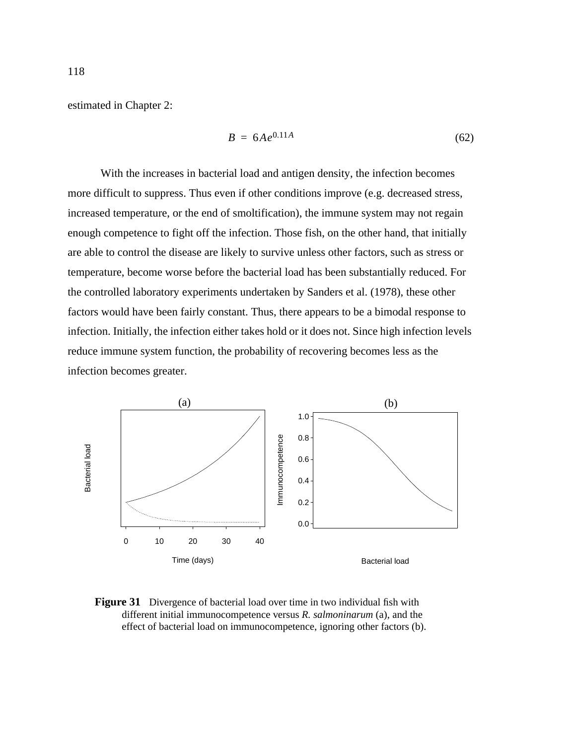<span id="page-131-0"></span>estimated in Chapter 2:

$$
B = 6Ae^{0.11A} \tag{62}
$$

With the increases in bacterial load and antigen density, the infection becomes more difficult to suppress. Thus even if other conditions improve (e.g. decreased stress, increased temperature, or the end of smoltification), the immune system may not regain enough competence to fight off the infection. Those fish, on the other hand, that initially are able to control the disease are likely to survive unless other factors, such as stress or temperature, become worse before the bacterial load has been substantially reduced. For the controlled laboratory experiments undertaken by Sanders et al. (1978), these other factors would have been fairly constant. Thus, there appears to be a bimodal response to infection. Initially, the infection either takes hold or it does not. Since high infection levels reduce immune system function, the probability of recovering becomes less as the infection becomes greater.



**Figure 31** Divergence of bacterial load over time in two individual fish with different initial immunocompetence versus *R. salmoninarum* (a), and the effect of bacterial load on immunocompetence, ignoring other factors (b).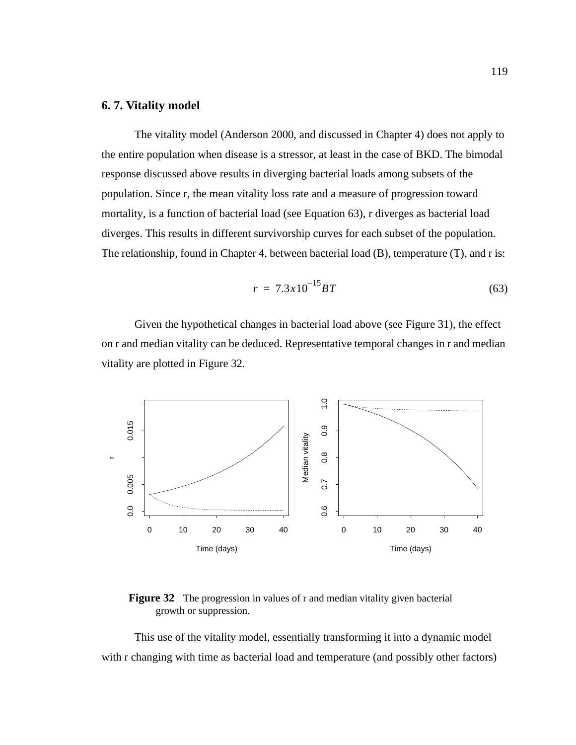## **6. 7. Vitality model**

The vitality model (Anderson 2000, and discussed in Chapter 4) does not apply to the entire population when disease is a stressor, at least in the case of BKD. The bimodal response discussed above results in diverging bacterial loads among subsets of the population. Since r, the mean vitality loss rate and a measure of progression toward mortality, is a function of bacterial load (see Equation 63), r diverges as bacterial load diverges. This results in different survivorship curves for each subset of the population. The relationship, found in Chapter 4, between bacterial load (B), temperature (T), and r is:

$$
r = 7.3 \times 10^{-15} BT \tag{63}
$$

Given the hypothetical changes in bacterial load above (see [Figure 31\)](#page-131-0), the effect on r and median vitality can be deduced. Representative temporal changes in r and median vitality are plotted in Figure 32.



**Figure 32** The progression in values of r and median vitality given bacterial growth or suppression.

This use of the vitality model, essentially transforming it into a dynamic model with r changing with time as bacterial load and temperature (and possibly other factors)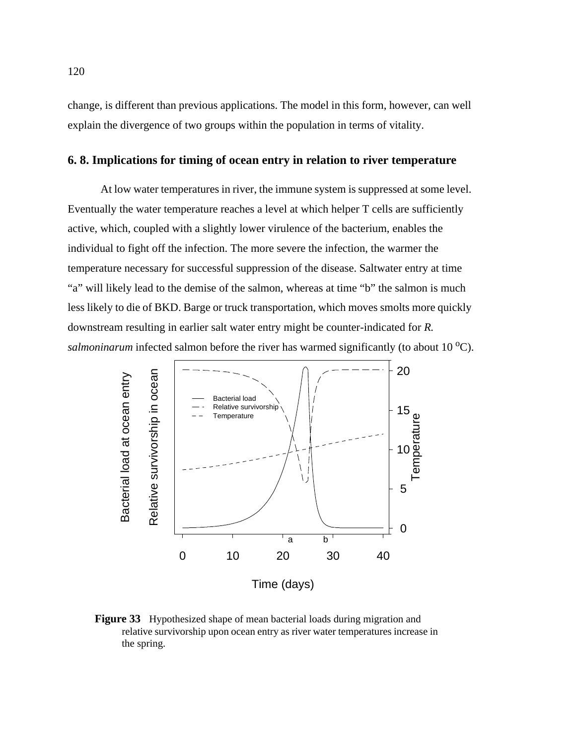change, is different than previous applications. The model in this form, however, can well explain the divergence of two groups within the population in terms of vitality.

# **6. 8. Implications for timing of ocean entry in relation to river temperature**

At low water temperatures in river, the immune system is suppressed at some level. Eventually the water temperature reaches a level at which helper T cells are sufficiently active, which, coupled with a slightly lower virulence of the bacterium, enables the individual to fight off the infection. The more severe the infection, the warmer the temperature necessary for successful suppression of the disease. Saltwater entry at time "a" will likely lead to the demise of the salmon, whereas at time "b" the salmon is much less likely to die of BKD. Barge or truck transportation, which moves smolts more quickly downstream resulting in earlier salt water entry might be counter-indicated for *R. salmoninarum* infected salmon before the river has warmed significantly (to about 10 <sup>o</sup>C).



**Figure 33** Hypothesized shape of mean bacterial loads during migration and relative survivorship upon ocean entry as river water temperatures increase in the spring.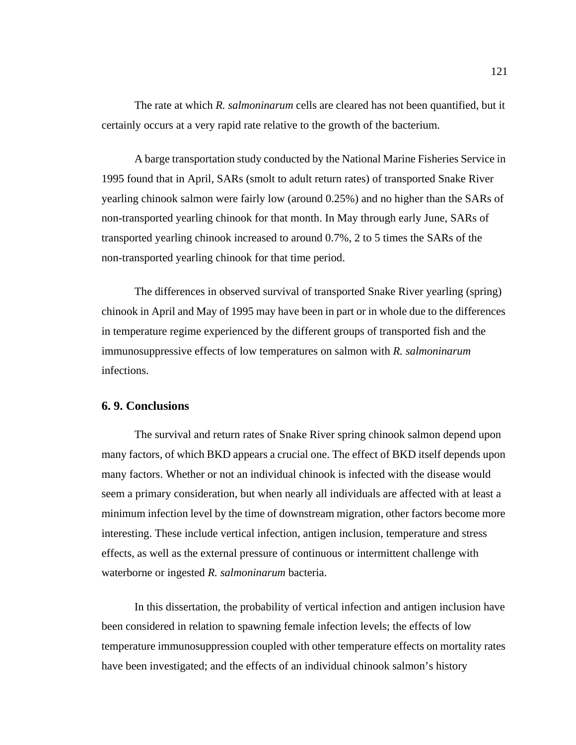The rate at which *R. salmoninarum* cells are cleared has not been quantified, but it certainly occurs at a very rapid rate relative to the growth of the bacterium.

A barge transportation study conducted by the National Marine Fisheries Service in 1995 found that in April, SARs (smolt to adult return rates) of transported Snake River yearling chinook salmon were fairly low (around 0.25%) and no higher than the SARs of non-transported yearling chinook for that month. In May through early June, SARs of transported yearling chinook increased to around 0.7%, 2 to 5 times the SARs of the non-transported yearling chinook for that time period.

The differences in observed survival of transported Snake River yearling (spring) chinook in April and May of 1995 may have been in part or in whole due to the differences in temperature regime experienced by the different groups of transported fish and the immunosuppressive effects of low temperatures on salmon with *R. salmoninarum* infections.

## **6. 9. Conclusions**

The survival and return rates of Snake River spring chinook salmon depend upon many factors, of which BKD appears a crucial one. The effect of BKD itself depends upon many factors. Whether or not an individual chinook is infected with the disease would seem a primary consideration, but when nearly all individuals are affected with at least a minimum infection level by the time of downstream migration, other factors become more interesting. These include vertical infection, antigen inclusion, temperature and stress effects, as well as the external pressure of continuous or intermittent challenge with waterborne or ingested *R. salmoninarum* bacteria.

In this dissertation, the probability of vertical infection and antigen inclusion have been considered in relation to spawning female infection levels; the effects of low temperature immunosuppression coupled with other temperature effects on mortality rates have been investigated; and the effects of an individual chinook salmon's history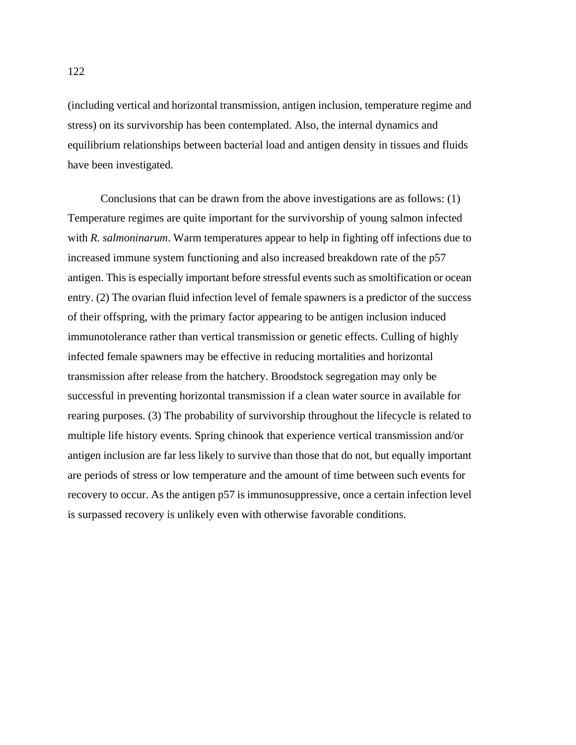(including vertical and horizontal transmission, antigen inclusion, temperature regime and stress) on its survivorship has been contemplated. Also, the internal dynamics and equilibrium relationships between bacterial load and antigen density in tissues and fluids have been investigated.

Conclusions that can be drawn from the above investigations are as follows: (1) Temperature regimes are quite important for the survivorship of young salmon infected with *R. salmoninarum*. Warm temperatures appear to help in fighting off infections due to increased immune system functioning and also increased breakdown rate of the p57 antigen. This is especially important before stressful events such as smoltification or ocean entry. (2) The ovarian fluid infection level of female spawners is a predictor of the success of their offspring, with the primary factor appearing to be antigen inclusion induced immunotolerance rather than vertical transmission or genetic effects. Culling of highly infected female spawners may be effective in reducing mortalities and horizontal transmission after release from the hatchery. Broodstock segregation may only be successful in preventing horizontal transmission if a clean water source in available for rearing purposes. (3) The probability of survivorship throughout the lifecycle is related to multiple life history events. Spring chinook that experience vertical transmission and/or antigen inclusion are far less likely to survive than those that do not, but equally important are periods of stress or low temperature and the amount of time between such events for recovery to occur. As the antigen p57 is immunosuppressive, once a certain infection level is surpassed recovery is unlikely even with otherwise favorable conditions.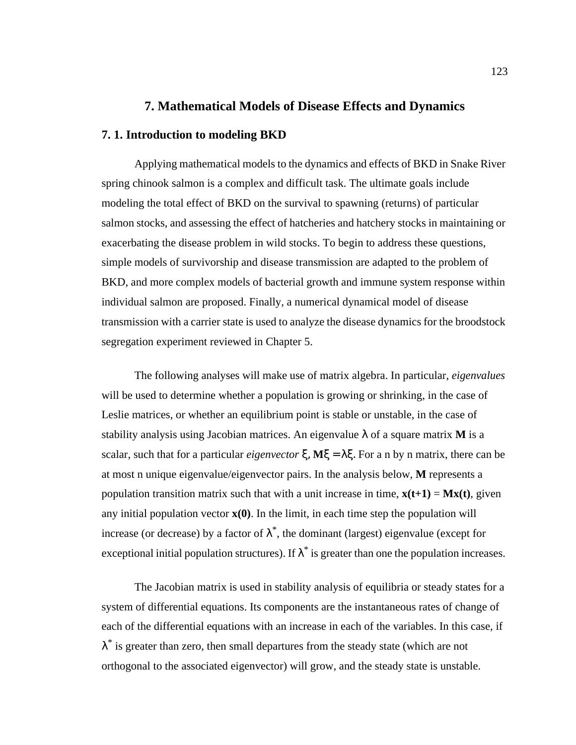## **7. Mathematical Models of Disease Effects and Dynamics**

#### **7. 1. Introduction to modeling BKD**

Applying mathematical models to the dynamics and effects of BKD in Snake River spring chinook salmon is a complex and difficult task. The ultimate goals include modeling the total effect of BKD on the survival to spawning (returns) of particular salmon stocks, and assessing the effect of hatcheries and hatchery stocks in maintaining or exacerbating the disease problem in wild stocks. To begin to address these questions, simple models of survivorship and disease transmission are adapted to the problem of BKD, and more complex models of bacterial growth and immune system response within individual salmon are proposed. Finally, a numerical dynamical model of disease transmission with a carrier state is used to analyze the disease dynamics for the broodstock segregation experiment reviewed in Chapter 5.

The following analyses will make use of matrix algebra. In particular, *eigenvalues* will be used to determine whether a population is growing or shrinking, in the case of Leslie matrices, or whether an equilibrium point is stable or unstable, in the case of stability analysis using Jacobian matrices. An eigenvalue  $\lambda$  of a square matrix **M** is a scalar, such that for a particular *eigenvector* ξ, **M**ξ = λξ. For a n by n matrix, there can be at most n unique eigenvalue/eigenvector pairs. In the analysis below, **M** represents a population transition matrix such that with a unit increase in time,  $\mathbf{x}(t+1) = \mathbf{M}\mathbf{x}(t)$ , given any initial population vector  $\mathbf{x}(0)$ . In the limit, in each time step the population will increase (or decrease) by a factor of  $\lambda^*$ , the dominant (largest) eigenvalue (except for exceptional initial population structures). If  $\lambda^*$  is greater than one the population increases.

The Jacobian matrix is used in stability analysis of equilibria or steady states for a system of differential equations. Its components are the instantaneous rates of change of each of the differential equations with an increase in each of the variables. In this case, if  $\lambda^*$  is greater than zero, then small departures from the steady state (which are not orthogonal to the associated eigenvector) will grow, and the steady state is unstable.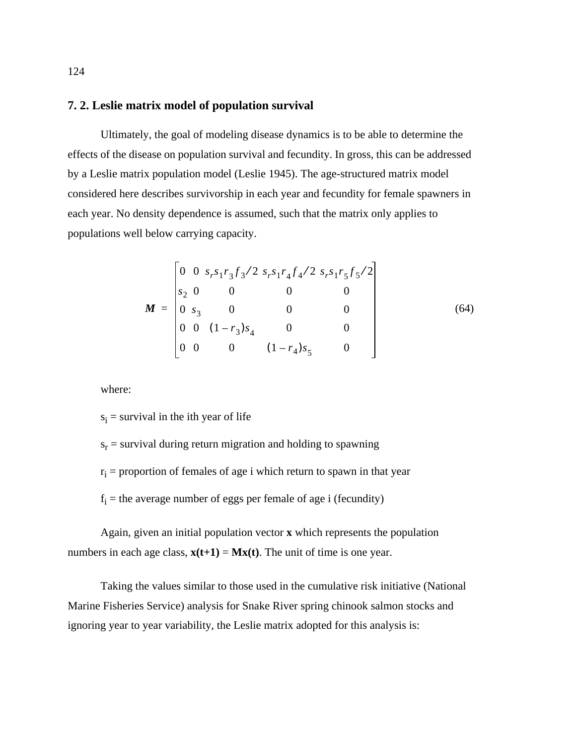# **7. 2. Leslie matrix model of population survival**

Ultimately, the goal of modeling disease dynamics is to be able to determine the effects of the disease on population survival and fecundity. In gross, this can be addressed by a Leslie matrix population model (Leslie 1945). The age-structured matrix model considered here describes survivorship in each year and fecundity for female spawners in each year. No density dependence is assumed, such that the matrix only applies to populations well below carrying capacity.

$$
\mathbf{M} = \begin{bmatrix} 0 & 0 & s_r s_1 r_3 f_3 / 2 & s_r s_1 r_4 f_4 / 2 & s_r s_1 r_5 f_5 / 2 \\ s_2 & 0 & 0 & 0 & 0 \\ 0 & s_3 & 0 & 0 & 0 \\ 0 & 0 & (1 - r_3) s_4 & 0 & 0 \\ 0 & 0 & 0 & (1 - r_4) s_5 & 0 \end{bmatrix}
$$
(64)

where:

 $s_i$  = survival in the ith year of life

 $s_r$  = survival during return migration and holding to spawning  $r_i$  = proportion of females of age i which return to spawn in that year  $f_i$  = the average number of eggs per female of age i (fecundity)

Again, given an initial population vector **x** which represents the population numbers in each age class,  $\mathbf{x}(t+1) = \mathbf{M}\mathbf{x}(t)$ . The unit of time is one year.

Taking the values similar to those used in the cumulative risk initiative (National Marine Fisheries Service) analysis for Snake River spring chinook salmon stocks and ignoring year to year variability, the Leslie matrix adopted for this analysis is: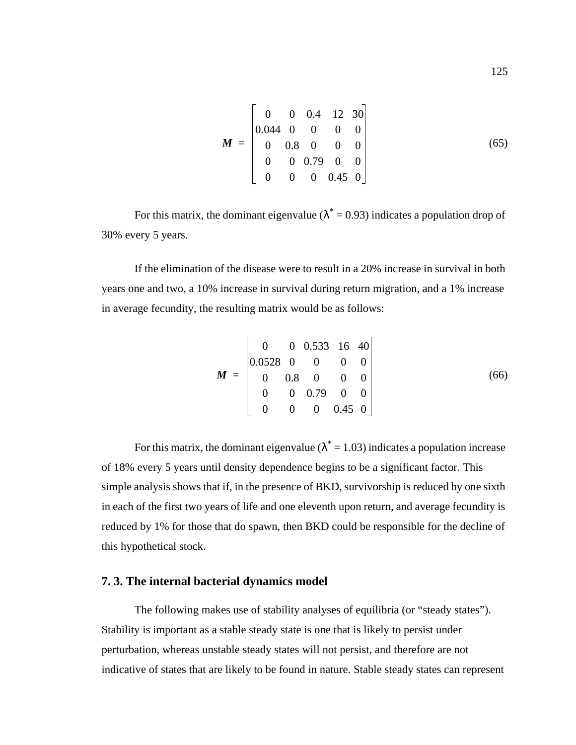$$
\boldsymbol{M} = \begin{bmatrix} 0 & 0 & 0.4 & 12 & 30 \\ 0.044 & 0 & 0 & 0 & 0 \\ 0 & 0.8 & 0 & 0 & 0 \\ 0 & 0 & 0.79 & 0 & 0 \\ 0 & 0 & 0 & 0.45 & 0 \end{bmatrix}
$$
(65)

For this matrix, the dominant eigenvalue ( $\lambda^* = 0.93$ ) indicates a population drop of 30% every 5 years.

If the elimination of the disease were to result in a 20% increase in survival in both years one and two, a 10% increase in survival during return migration, and a 1% increase in average fecundity, the resulting matrix would be as follows:

$$
\mathbf{M} = \begin{bmatrix} 0 & 0 & 0.533 & 16 & 40 \\ 0.0528 & 0 & 0 & 0 & 0 \\ 0 & 0.8 & 0 & 0 & 0 \\ 0 & 0 & 0.79 & 0 & 0 \\ 0 & 0 & 0 & 0.45 & 0 \end{bmatrix}
$$
(66)

For this matrix, the dominant eigenvalue ( $\lambda^* = 1.03$ ) indicates a population increase of 18% every 5 years until density dependence begins to be a significant factor. This simple analysis shows that if, in the presence of BKD, survivorship is reduced by one sixth in each of the first two years of life and one eleventh upon return, and average fecundity is reduced by 1% for those that do spawn, then BKD could be responsible for the decline of this hypothetical stock.

### **7. 3. The internal bacterial dynamics model**

The following makes use of stability analyses of equilibria (or "steady states"). Stability is important as a stable steady state is one that is likely to persist under perturbation, whereas unstable steady states will not persist, and therefore are not indicative of states that are likely to be found in nature. Stable steady states can represent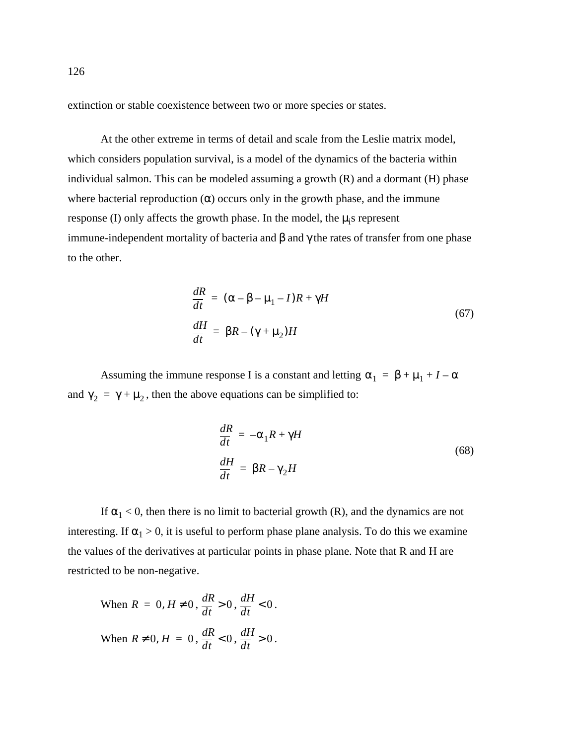extinction or stable coexistence between two or more species or states.

At the other extreme in terms of detail and scale from the Leslie matrix model, which considers population survival, is a model of the dynamics of the bacteria within individual salmon. This can be modeled assuming a growth (R) and a dormant (H) phase where bacterial reproduction  $(\alpha)$  occurs only in the growth phase, and the immune response (I) only affects the growth phase. In the model, the  $\mu_i$ s represent immune-independent mortality of bacteria and β and γ the rates of transfer from one phase to the other.

$$
\frac{dR}{dt} = (\alpha - \beta - \mu_1 - I)R + \gamma H
$$
  

$$
\frac{dH}{dt} = \beta R - (\gamma + \mu_2)H
$$
 (67)

Assuming the immune response I is a constant and letting  $\alpha_1 = \beta + \mu_1 + I - \alpha$ and  $\gamma_2 = \gamma + \mu_2$ , then the above equations can be simplified to:

$$
\frac{dR}{dt} = -\alpha_1 R + \gamma H
$$
  

$$
\frac{dH}{dt} = \beta R - \gamma_2 H
$$
 (68)

If  $\alpha_1 < 0$ , then there is no limit to bacterial growth (R), and the dynamics are not interesting. If  $\alpha_1 > 0$ , it is useful to perform phase plane analysis. To do this we examine the values of the derivatives at particular points in phase plane. Note that R and H are restricted to be non-negative.

When 
$$
R = 0
$$
,  $H \neq 0$ ,  $\frac{dR}{dt} > 0$ ,  $\frac{dH}{dt} < 0$ .  
\nWhen  $R \neq 0$ ,  $H = 0$ ,  $\frac{dR}{dt} < 0$ ,  $\frac{dH}{dt} > 0$ .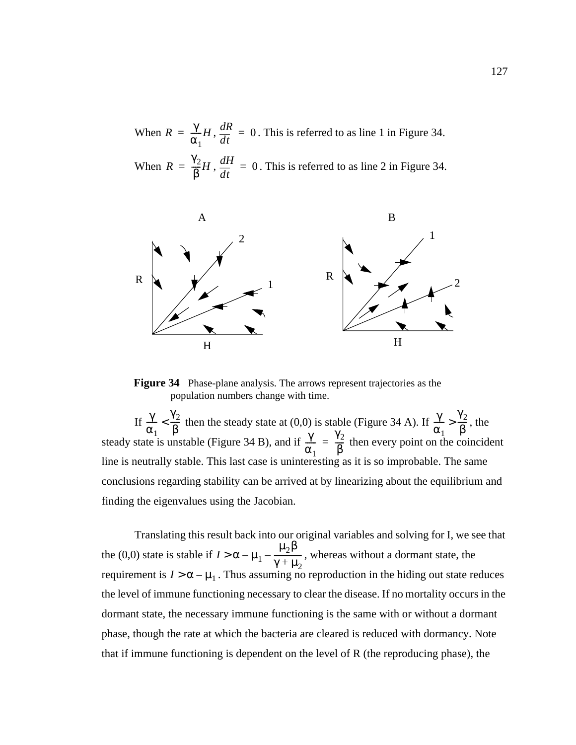<span id="page-140-0"></span>When  $R = \frac{\gamma}{\gamma} H$ ,  $\frac{dR}{dt} = 0$ . This is referred to as line 1 in Figure 34. When  $R = \frac{\gamma_2}{\rho} H$ ,  $\frac{dH}{d\tau} = 0$ . This is referred to as line 2 in Figure 34.  $=\frac{\gamma}{\alpha_1}H$ ,  $\frac{dR}{dt}=0$  $=\frac{\gamma_2}{\beta}H$  ,  $\frac{dH}{dt}=0$ 



**Figure 34** Phase-plane analysis. The arrows represent trajectories as the population numbers change with time.

If  $\frac{1}{\epsilon_0} < \frac{1}{\epsilon_0}$  then the steady state at (0,0) is stable (Figure 34 A). If  $\frac{1}{\epsilon_0} > \frac{1}{\epsilon_0}$ , the steady state is unstable (Figure 34 B), and if  $\frac{1}{\epsilon_0} = \frac{1}{\epsilon_0}$  then every point on the coincident line is neutrally stable. This last case is uninteresting as it is so improbable. The same conclusions regarding stability can be arrived at by linearizing about the equilibrium and finding the eigenvalues using the Jacobian. γ  $\alpha_1$  $\frac{\gamma}{\alpha_1} < \frac{\gamma_2}{\beta}$  then the steady state at (0,0) is stable (Figure 34 A). If  $\frac{\gamma}{\alpha_1}$  $\frac{\gamma}{\gamma} > \frac{\gamma_2}{\rho}$ ) is stable (Figure 34 A). If  $\frac{I}{\alpha_1} > \frac{I}{\beta}$ <br>  $\gamma = \frac{\gamma_2}{\beta}$  then every point on the set  $\alpha_1$  $\frac{\gamma}{\gamma} = \frac{\gamma_2}{\rho}$  $=$  $\frac{12}{\beta}$ 

Translating this result back into our original variables and solving for I, we see that the (0,0) state is stable if  $I > \alpha - \mu_1 - \frac{\mu_2 \beta}{\gamma + \mu_1}$ , whereas without a dormant state, the requirement is  $I > \alpha - \mu_1$ . Thus assuming no reproduction in the hiding out state reduces the level of immune functioning necessary to clear the disease. If no mortality occurs in the dormant state, the necessary immune functioning is the same with or without a dormant phase, though the rate at which the bacteria are cleared is reduced with dormancy. Note that if immune functioning is dependent on the level of R (the reproducing phase), the  $\gamma + \mu_2$  $> \alpha - \mu_1 - \frac{1}{\mu_1}$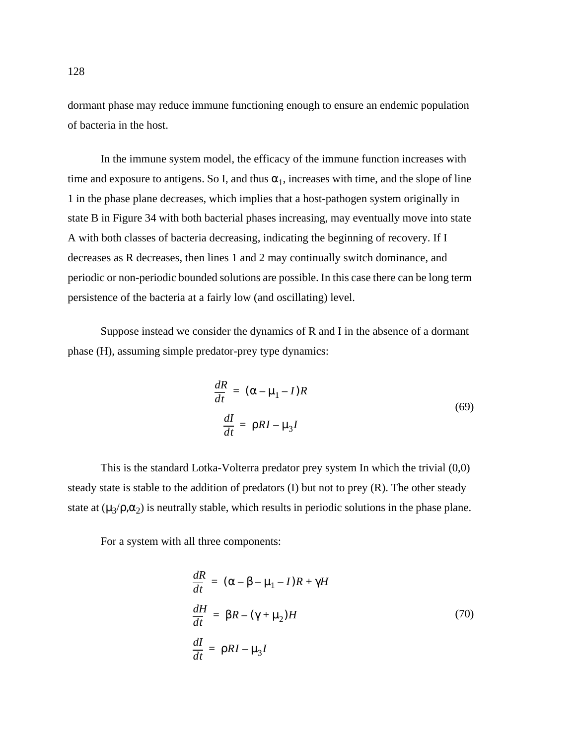dormant phase may reduce immune functioning enough to ensure an endemic population of bacteria in the host.

In the immune system model, the efficacy of the immune function increases with time and exposure to antigens. So I, and thus  $\alpha_1$ , increases with time, and the slope of line 1 in the phase plane decreases, which implies that a host-pathogen system originally in state B in [Figure 34](#page-140-0) with both bacterial phases increasing, may eventually move into state A with both classes of bacteria decreasing, indicating the beginning of recovery. If I decreases as R decreases, then lines 1 and 2 may continually switch dominance, and periodic or non-periodic bounded solutions are possible. In this case there can be long term persistence of the bacteria at a fairly low (and oscillating) level.

Suppose instead we consider the dynamics of R and I in the absence of a dormant phase (H), assuming simple predator-prey type dynamics:

$$
\frac{dR}{dt} = (\alpha - \mu_1 - I)R
$$
  

$$
\frac{dI}{dt} = \rho R I - \mu_3 I
$$
 (69)

This is the standard Lotka-Volterra predator prey system In which the trivial (0,0) steady state is stable to the addition of predators (I) but not to prey (R). The other steady state at  $(\mu_3/\rho,\alpha_2)$  is neutrally stable, which results in periodic solutions in the phase plane.

For a system with all three components:

$$
\frac{dR}{dt} = (\alpha - \beta - \mu_1 - I)R + \gamma H
$$
  

$$
\frac{dH}{dt} = \beta R - (\gamma + \mu_2)H
$$
 (70)  

$$
\frac{dI}{dt} = \rho RI - \mu_3 I
$$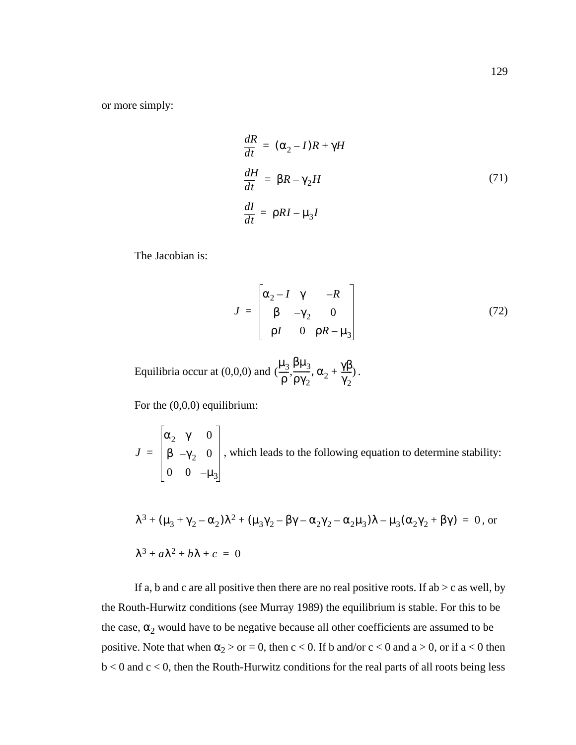or more simply:

$$
\frac{dR}{dt} = (\alpha_2 - I)R + \gamma H
$$
\n
$$
\frac{dH}{dt} = \beta R - \gamma_2 H
$$
\n
$$
\frac{dI}{dt} = \rho RI - \mu_3 I
$$
\n(71)

The Jacobian is:

$$
J = \begin{bmatrix} \alpha_2 - I & \gamma & -R \\ \beta & -\gamma_2 & 0 \\ \rho I & 0 & \rho R - \mu_3 \end{bmatrix}
$$
 (72)

Equilibria occur at (0,0,0) and  $(\frac{\mu_3}{\mu_3}, \frac{\beta \mu_3}{\beta \mu_3}, \alpha_2 + \frac{\gamma \beta}{\mu})$ . ρ  $\mu_3 \beta \mu_3$  $\frac{\beta \mu_3}{\beta \gamma_2}, \alpha_2 + \frac{\gamma \beta}{\gamma_2}$  $\gamma_2$  $\left(\frac{13}{1}, \frac{113}{100}, \alpha_2 + \frac{119}{100}\right)$ 

For the (0,0,0) equilibrium:

 $J = \begin{pmatrix} \beta & -\gamma_2 & 0 \end{pmatrix}$ , which leads to the following equation to determine stability:  $\alpha_2$  γ 0  $\beta$  –γ<sub>2</sub> 0 0 0  $-\mu_3$ =

$$
\lambda^3 + (\mu_3 + \gamma_2 - \alpha_2)\lambda^2 + (\mu_3\gamma_2 - \beta\gamma - \alpha_2\gamma_2 - \alpha_2\mu_3)\lambda - \mu_3(\alpha_2\gamma_2 + \beta\gamma) = 0, \text{ or}
$$
  

$$
\lambda^3 + a\lambda^2 + b\lambda + c = 0
$$

If a, b and c are all positive then there are no real positive roots. If ab  $>$  c as well, by the Routh-Hurwitz conditions (see Murray 1989) the equilibrium is stable. For this to be the case,  $\alpha_2$  would have to be negative because all other coefficients are assumed to be positive. Note that when  $\alpha_2 > \text{or} = 0$ , then  $c < 0$ . If b and/or  $c < 0$  and  $a > 0$ , or if  $a < 0$  then  $b < 0$  and  $c < 0$ , then the Routh-Hurwitz conditions for the real parts of all roots being less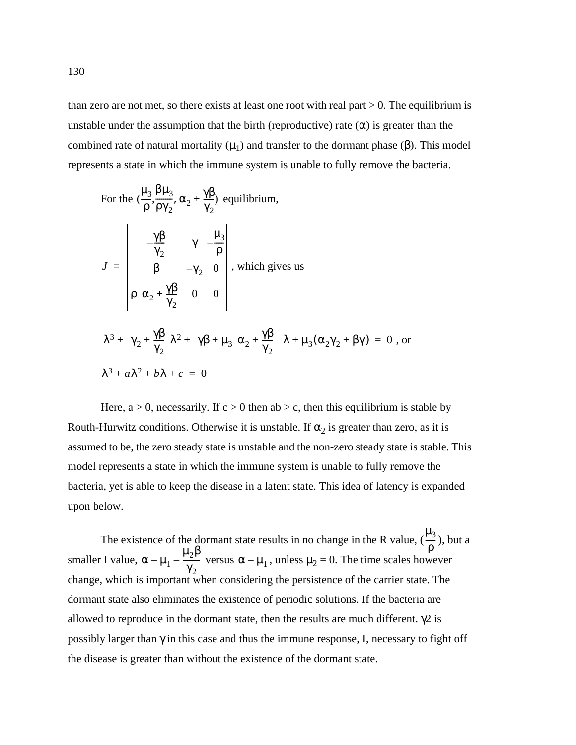than zero are not met, so there exists at least one root with real part  $> 0$ . The equilibrium is unstable under the assumption that the birth (reproductive) rate  $(\alpha)$  is greater than the combined rate of natural mortality  $(μ<sub>1</sub>)$  and transfer to the dormant phase (β). This model represents a state in which the immune system is unable to fully remove the bacteria.

For the 
$$
(\frac{\mu_3}{\rho}, \frac{\beta \mu_3}{\rho \gamma_2}, \alpha_2 + \frac{\gamma \beta}{\gamma_2})
$$
 equilibrium,  
\n
$$
J = \begin{bmatrix}\n-\frac{\gamma \beta}{\gamma_2} & \gamma & -\frac{\mu_3}{\rho} \\
\beta & -\gamma_2 & 0 \\
\alpha_2 + \frac{\gamma \beta}{\gamma_2} & 0 & 0\n\end{bmatrix}
$$
, which gives us  
\n
$$
\lambda^3 + (\gamma_2 + \frac{\gamma \beta}{\gamma_2})\lambda^2 + (\gamma \beta + \mu_3(\alpha_2 + \frac{\gamma \beta}{\gamma_2}))\lambda + \mu_3(\alpha_2 \gamma_2 + \beta \gamma) = 0
$$
, or  
\n
$$
\lambda^3 + a\lambda^2 + b\lambda + c = 0
$$

Here,  $a > 0$ , necessarily. If  $c > 0$  then ab  $>c$ , then this equilibrium is stable by Routh-Hurwitz conditions. Otherwise it is unstable. If  $\alpha_2$  is greater than zero, as it is assumed to be, the zero steady state is unstable and the non-zero steady state is stable. This model represents a state in which the immune system is unable to fully remove the bacteria, yet is able to keep the disease in a latent state. This idea of latency is expanded upon below.

The existence of the dormant state results in no change in the R value,  $(\frac{1}{n})$ , but a smaller I value,  $\alpha - \mu_1 - \frac{r^2}{\gamma}$  versus  $\alpha - \mu_1$ , unless  $\mu_2 = 0$ . The time scales however change, which is important when considering the persistence of the carrier state. The dormant state also eliminates the existence of periodic solutions. If the bacteria are allowed to reproduce in the dormant state, then the results are much different.  $\gamma$ 2 is possibly larger than γ in this case and thus the immune response, I, necessary to fight off the disease is greater than without the existence of the dormant state.  $\mu_3$ ρ  $\frac{1}{\cdot}$  $\alpha - \mu_1 - \frac{\mu_2 \beta}{\gamma}$  $\gamma_2$  $-\frac{\mu_2}{\gamma}$  versus  $\alpha - \mu_1$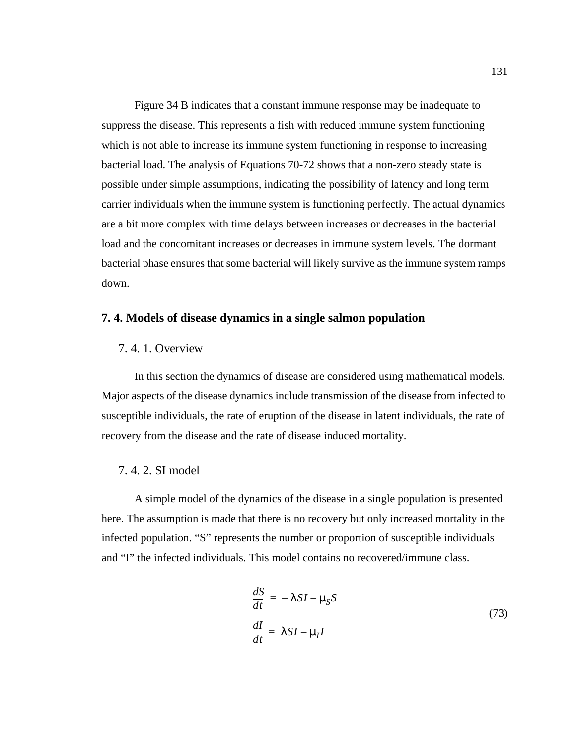Figure 34 B indicates that a constant immune response may be inadequate to suppress the disease. This represents a fish with reduced immune system functioning which is not able to increase its immune system functioning in response to increasing bacterial load. The analysis of Equations 70-72 shows that a non-zero steady state is possible under simple assumptions, indicating the possibility of latency and long term carrier individuals when the immune system is functioning perfectly. The actual dynamics are a bit more complex with time delays between increases or decreases in the bacterial load and the concomitant increases or decreases in immune system levels. The dormant bacterial phase ensures that some bacterial will likely survive as the immune system ramps down.

#### **7. 4. Models of disease dynamics in a single salmon population**

### 7. 4. 1. Overview

In this section the dynamics of disease are considered using mathematical models. Major aspects of the disease dynamics include transmission of the disease from infected to susceptible individuals, the rate of eruption of the disease in latent individuals, the rate of recovery from the disease and the rate of disease induced mortality.

### 7. 4. 2. SI model

A simple model of the dynamics of the disease in a single population is presented here. The assumption is made that there is no recovery but only increased mortality in the infected population. "S" represents the number or proportion of susceptible individuals and "I" the infected individuals. This model contains no recovered/immune class.

$$
\frac{dS}{dt} = -\lambda SI - \mu_S S
$$
\n
$$
\frac{dI}{dt} = \lambda SI - \mu_I I
$$
\n(73)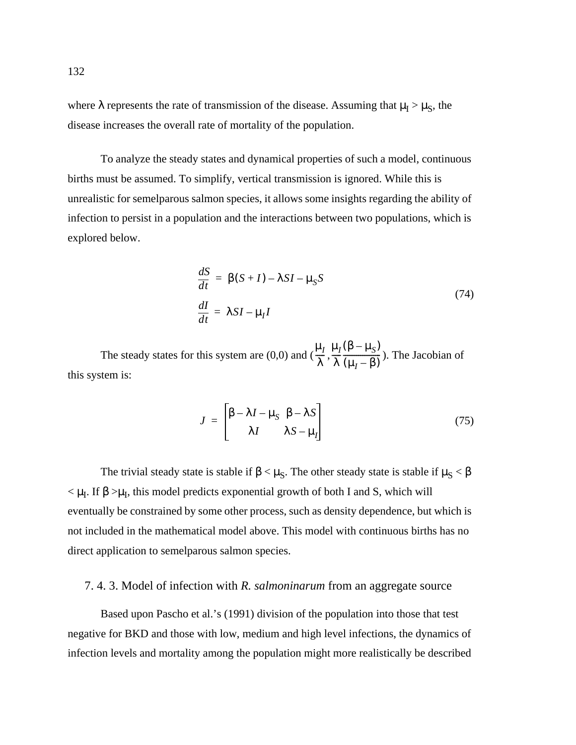where  $\lambda$  represents the rate of transmission of the disease. Assuming that  $\mu_I > \mu_S$ , the disease increases the overall rate of mortality of the population.

To analyze the steady states and dynamical properties of such a model, continuous births must be assumed. To simplify, vertical transmission is ignored. While this is unrealistic for semelparous salmon species, it allows some insights regarding the ability of infection to persist in a population and the interactions between two populations, which is explored below.

$$
\frac{dS}{dt} = \beta(S+I) - \lambda SI - \mu_S S
$$
\n
$$
\frac{dI}{dt} = \lambda SI - \mu_I I
$$
\n(74)

The steady states for this system are (0,0) and  $(\frac{\mu_I}{\lambda}, \frac{\mu_I(\beta - \mu_S)}{\lambda}, \frac{\mu_S}{\lambda})$ . The Jacobian of this system is: λ  $\frac{\mu_I}{\gamma}, \frac{\mu_I}{\gamma}$ λ  $\frac{\mu_I(\beta-\mu_S)}{2}$  $\frac{\Gamma(\mu_I - \beta)}{(\mu_I - \beta)}$ 

$$
J = \begin{bmatrix} \beta - \lambda I - \mu_S & \beta - \lambda S \\ \lambda I & \lambda S - \mu_I \end{bmatrix}
$$
 (75)

The trivial steady state is stable if  $\beta < \mu_S$ . The other steady state is stable if  $\mu_S < \beta$  $< \mu_I$ . If  $\beta > \mu_I$ , this model predicts exponential growth of both I and S, which will eventually be constrained by some other process, such as density dependence, but which is not included in the mathematical model above. This model with continuous births has no direct application to semelparous salmon species.

## 7. 4. 3. Model of infection with *R. salmoninarum* from an aggregate source

Based upon Pascho et al.'s (1991) division of the population into those that test negative for BKD and those with low, medium and high level infections, the dynamics of infection levels and mortality among the population might more realistically be described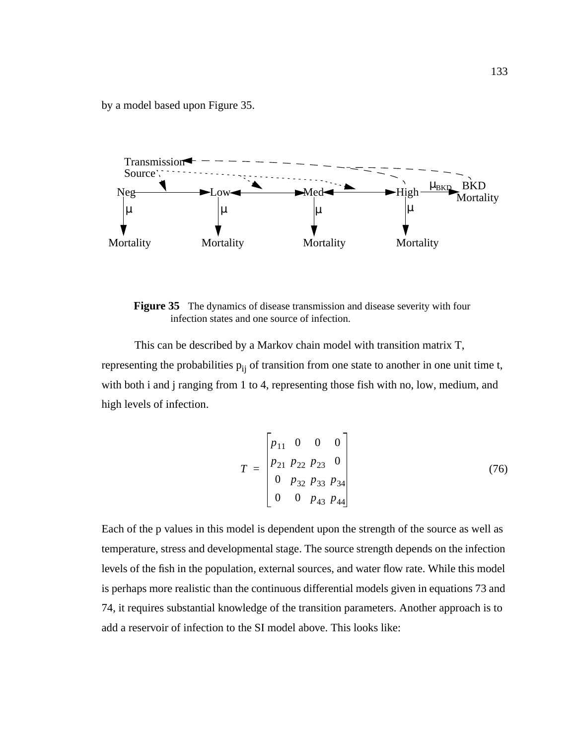by a model based upon Figure 35.



**Figure 35** The dynamics of disease transmission and disease severity with four infection states and one source of infection.

This can be described by a Markov chain model with transition matrix T, representing the probabilities  $p_{ij}$  of transition from one state to another in one unit time t, with both i and j ranging from 1 to 4, representing those fish with no, low, medium, and high levels of infection.

$$
T = \begin{bmatrix} p_{11} & 0 & 0 & 0 \\ p_{21} & p_{22} & p_{23} & 0 \\ 0 & p_{32} & p_{33} & p_{34} \\ 0 & 0 & p_{43} & p_{44} \end{bmatrix}
$$
 (76)

Each of the p values in this model is dependent upon the strength of the source as well as temperature, stress and developmental stage. The source strength depends on the infection levels of the fish in the population, external sources, and water flow rate. While this model is perhaps more realistic than the continuous differential models given in equations 73 and 74, it requires substantial knowledge of the transition parameters. Another approach is to add a reservoir of infection to the SI model above. This looks like: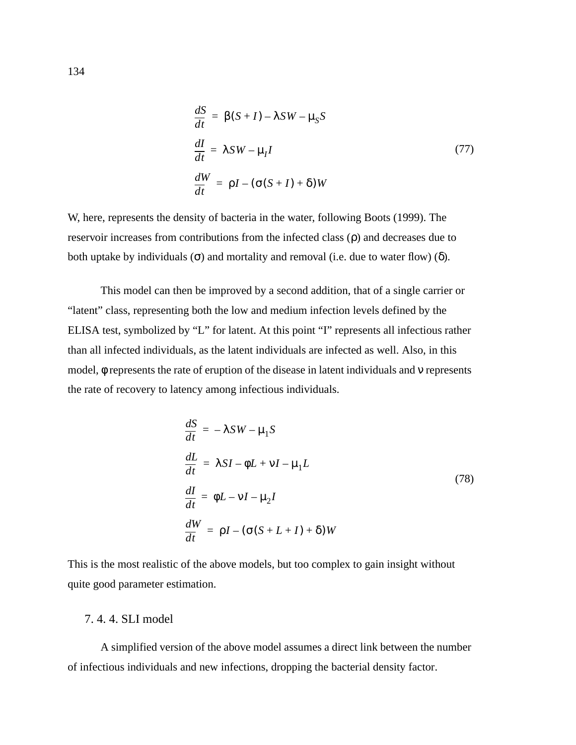<span id="page-147-0"></span>
$$
\frac{dS}{dt} = \beta(S+I) - \lambda SW - \mu_S S
$$
  

$$
\frac{dI}{dt} = \lambda SW - \mu_I I
$$
 (77)  

$$
\frac{dW}{dt} = \rho I - (\sigma(S+I) + \delta)W
$$

W, here, represents the density of bacteria in the water, following Boots (1999). The reservoir increases from contributions from the infected class (ρ) and decreases due to both uptake by individuals ( $\sigma$ ) and mortality and removal (i.e. due to water flow) ( $\delta$ ).

This model can then be improved by a second addition, that of a single carrier or "latent" class, representing both the low and medium infection levels defined by the ELISA test, symbolized by "L" for latent. At this point "I" represents all infectious rather than all infected individuals, as the latent individuals are infected as well. Also, in this model, φ represents the rate of eruption of the disease in latent individuals and ν represents the rate of recovery to latency among infectious individuals.

$$
\frac{dS}{dt} = -\lambda SW - \mu_1 S
$$
\n
$$
\frac{dL}{dt} = \lambda SI - \phi L + VI - \mu_1 L
$$
\n
$$
\frac{dI}{dt} = \phi L - VI - \mu_2 I
$$
\n
$$
\frac{dW}{dt} = \rho I - (\sigma(S + L + I) + \delta) W
$$
\n(78)

This is the most realistic of the above models, but too complex to gain insight without quite good parameter estimation.

### 7. 4. 4. SLI model

A simplified version of the above model assumes a direct link between the number of infectious individuals and new infections, dropping the bacterial density factor.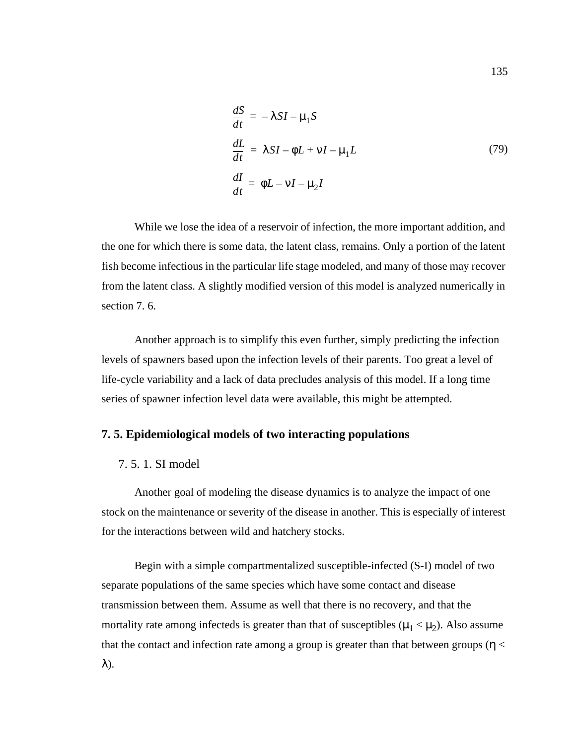$$
\frac{dS}{dt} = -\lambda SI - \mu_1 S
$$
  
\n
$$
\frac{dL}{dt} = \lambda SI - \phi L + \nu I - \mu_1 L
$$
  
\n
$$
\frac{dI}{dt} = \phi L - \nu I - \mu_2 I
$$
\n(79)

<span id="page-148-0"></span>While we lose the idea of a reservoir of infection, the more important addition, and the one for which there is some data, the latent class, remains. Only a portion of the latent fish become infectious in the particular life stage modeled, and many of those may recover from the latent class. A slightly modified version of this model is analyzed numerically in [section 7. 6.](#page-151-0)

Another approach is to simplify this even further, simply predicting the infection levels of spawners based upon the infection levels of their parents. Too great a level of life-cycle variability and a lack of data precludes analysis of this model. If a long time series of spawner infection level data were available, this might be attempted.

## **7. 5. Epidemiological models of two interacting populations**

### 7. 5. 1. SI model

Another goal of modeling the disease dynamics is to analyze the impact of one stock on the maintenance or severity of the disease in another. This is especially of interest for the interactions between wild and hatchery stocks.

Begin with a simple compartmentalized susceptible-infected (S-I) model of two separate populations of the same species which have some contact and disease transmission between them. Assume as well that there is no recovery, and that the mortality rate among infecteds is greater than that of susceptibles ( $\mu_1 < \mu_2$ ). Also assume that the contact and infection rate among a group is greater than that between groups ( $\eta$  < λ).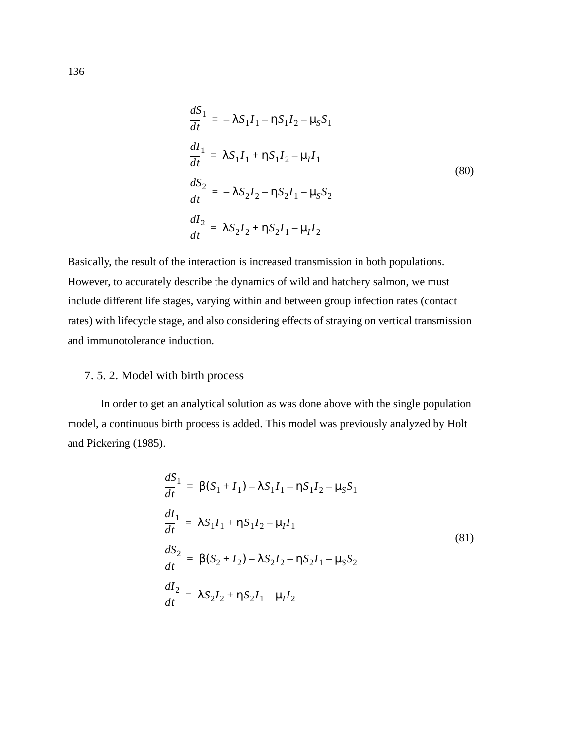$$
\frac{dS_1}{dt} = -\lambda S_1 I_1 - \eta S_1 I_2 - \mu_S S_1
$$
\n
$$
\frac{dI_1}{dt} = \lambda S_1 I_1 + \eta S_1 I_2 - \mu_I I_1
$$
\n
$$
\frac{dS_2}{dt} = -\lambda S_2 I_2 - \eta S_2 I_1 - \mu_S S_2
$$
\n
$$
\frac{dI_2}{dt} = \lambda S_2 I_2 + \eta S_2 I_1 - \mu_I I_2
$$
\n(80)

Basically, the result of the interaction is increased transmission in both populations. However, to accurately describe the dynamics of wild and hatchery salmon, we must include different life stages, varying within and between group infection rates (contact rates) with lifecycle stage, and also considering effects of straying on vertical transmission and immunotolerance induction.

## 7. 5. 2. Model with birth process

In order to get an analytical solution as was done above with the single population model, a continuous birth process is added. This model was previously analyzed by Holt and Pickering (1985).

$$
\frac{dS_1}{dt} = \beta(S_1 + I_1) - \lambda S_1 I_1 - \eta S_1 I_2 - \mu_S S_1
$$
\n
$$
\frac{dI_1}{dt} = \lambda S_1 I_1 + \eta S_1 I_2 - \mu_I I_1
$$
\n
$$
\frac{dS_2}{dt} = \beta(S_2 + I_2) - \lambda S_2 I_2 - \eta S_2 I_1 - \mu_S S_2
$$
\n
$$
\frac{dI_2}{dt} = \lambda S_2 I_2 + \eta S_2 I_1 - \mu_I I_2
$$
\n(81)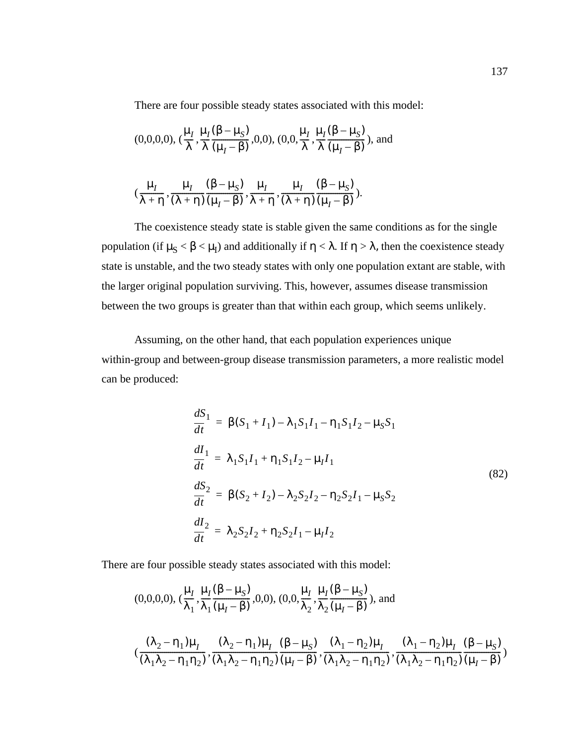There are four possible steady states associated with this model:

$$
(0,0,0,0), (\frac{\mu_I}{\lambda}, \frac{\mu_I(\beta-\mu_S)}{\lambda(\mu_I-\beta)},0,0), (0,0,\frac{\mu_I}{\lambda}, \frac{\mu_I(\beta-\mu_S)}{\lambda(\mu_I-\beta)}),
$$
 and

$$
(\frac{\mu_I}{\lambda + \eta}, \frac{\mu_I}{(\lambda + \eta)} \frac{(\beta - \mu_S)}{(\mu_I - \beta)}, \frac{\mu_I}{\lambda + \eta}, \frac{\mu_I}{(\lambda + \eta)} \frac{(\beta - \mu_S)}{(\mu_I - \beta)}).
$$

The coexistence steady state is stable given the same conditions as for the single population (if  $\mu_S < \beta < \mu_I$ ) and additionally if  $\eta < \lambda$ . If  $\eta > \lambda$ , then the coexistence steady state is unstable, and the two steady states with only one population extant are stable, with the larger original population surviving. This, however, assumes disease transmission between the two groups is greater than that within each group, which seems unlikely.

Assuming, on the other hand, that each population experiences unique within-group and between-group disease transmission parameters, a more realistic model can be produced:

$$
\frac{dS_1}{dt} = \beta(S_1 + I_1) - \lambda_1 S_1 I_1 - \eta_1 S_1 I_2 - \mu_S S_1
$$
\n
$$
\frac{dI_1}{dt} = \lambda_1 S_1 I_1 + \eta_1 S_1 I_2 - \mu_I I_1
$$
\n
$$
\frac{dS_2}{dt} = \beta(S_2 + I_2) - \lambda_2 S_2 I_2 - \eta_2 S_2 I_1 - \mu_S S_2
$$
\n
$$
\frac{dI_2}{dt} = \lambda_2 S_2 I_2 + \eta_2 S_2 I_1 - \mu_I I_2
$$
\n(82)

There are four possible steady states associated with this model:

$$
(0,0,0,0), (\frac{\mu_I}{\lambda_1}, \frac{\mu_I(\beta - \mu_S)}{\lambda_1(\mu_I - \beta)}, 0,0), (0,0, \frac{\mu_I}{\lambda_2}, \frac{\mu_I(\beta - \mu_S)}{\lambda_2(\mu_I - \beta)}), and
$$
  

$$
(\frac{(\lambda_2 - \eta_1)\mu_I}{(\lambda_1\lambda_2 - \eta_1\eta_2)}, \frac{(\lambda_2 - \eta_1)\mu_I}{(\lambda_1\lambda_2 - \eta_1\eta_2)} \frac{(\beta - \mu_S)}{(\mu_I - \beta)}, \frac{(\lambda_1 - \eta_2)\mu_I}{(\lambda_1\lambda_2 - \eta_1\eta_2)}, \frac{(\lambda_1 - \eta_2)\mu_I}{(\lambda_1\lambda_2 - \eta_1\eta_2)} \frac{(\beta - \mu_S)}{(\mu_I - \beta)})
$$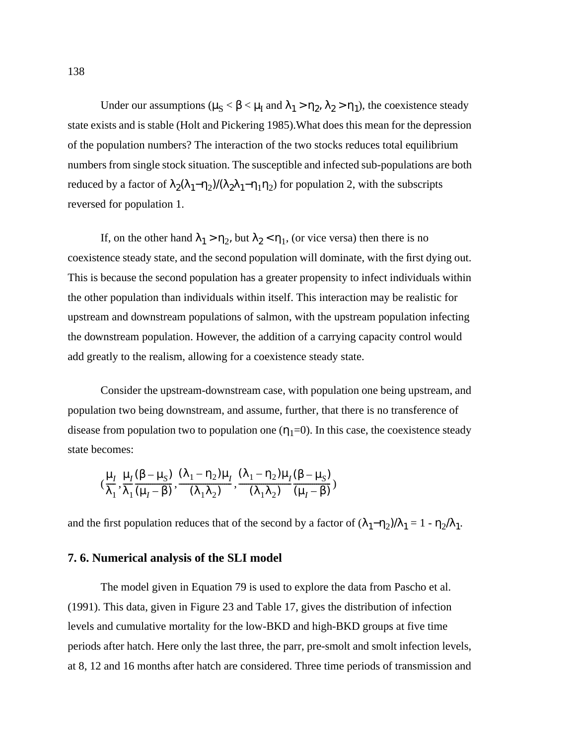<span id="page-151-0"></span>Under our assumptions ( $\mu_S < \beta < \mu_I$  and  $\lambda_1 > \eta_2$ ,  $\lambda_2 > \eta_1$ ), the coexistence steady state exists and is stable (Holt and Pickering 1985).What does this mean for the depression of the population numbers? The interaction of the two stocks reduces total equilibrium numbers from single stock situation. The susceptible and infected sub-populations are both reduced by a factor of  $\lambda_2(\lambda_1-\eta_2)/(\lambda_2\lambda_1-\eta_1\eta_2)$  for population 2, with the subscripts reversed for population 1.

If, on the other hand  $\lambda_1 > \eta_2$ , but  $\lambda_2 < \eta_1$ , (or vice versa) then there is no coexistence steady state, and the second population will dominate, with the first dying out. This is because the second population has a greater propensity to infect individuals within the other population than individuals within itself. This interaction may be realistic for upstream and downstream populations of salmon, with the upstream population infecting the downstream population. However, the addition of a carrying capacity control would add greatly to the realism, allowing for a coexistence steady state.

Consider the upstream-downstream case, with population one being upstream, and population two being downstream, and assume, further, that there is no transference of disease from population two to population one  $(\eta_1=0)$ . In this case, the coexistence steady state becomes:

$$
(\frac{\mu_1}{\lambda_1}, \frac{\mu_1(\beta - \mu_S)}{\lambda_1(\mu_1 - \beta)}, \frac{(\lambda_1 - \eta_2)\mu_1}{(\lambda_1\lambda_2)}, \frac{(\lambda_1 - \eta_2)\mu_1(\beta - \mu_S)}{(\lambda_1\lambda_2)})
$$

and the first population reduces that of the second by a factor of  $(\lambda_1-\eta_2)/\lambda_1 = 1 - \eta_2/\lambda_1$ .

## **7. 6. Numerical analysis of the SLI model**

The model given in [Equation 79](#page-148-0) is used to explore the data from Pascho et al. (1991). This data, given in [Figure 23](#page-109-0) and [Table 17](#page-154-0), gives the distribution of infection levels and cumulative mortality for the low-BKD and high-BKD groups at five time periods after hatch. Here only the last three, the parr, pre-smolt and smolt infection levels, at 8, 12 and 16 months after hatch are considered. Three time periods of transmission and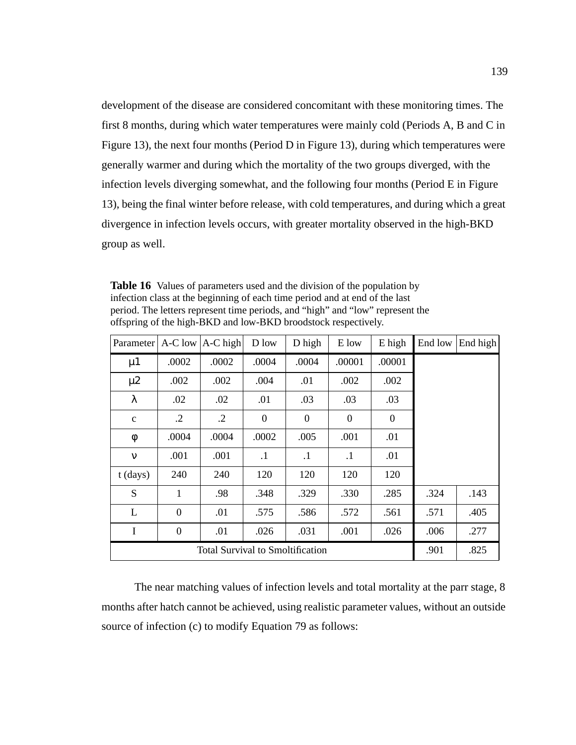<span id="page-152-0"></span>development of the disease are considered concomitant with these monitoring times. The first 8 months, during which water temperatures were mainly cold (Periods A, B and C in [Figure 13](#page-83-0)), the next four months (Period D in [Figure 13](#page-83-0)), during which temperatures were generally warmer and during which the mortality of the two groups diverged, with the infection levels diverging somewhat, and the following four months (Period E in [Figure](#page-83-0) [13](#page-83-0)), being the final winter before release, with cold temperatures, and during which a great divergence in infection levels occurs, with greater mortality observed in the high-BKD group as well.

**Table 16** Values of parameters used and the division of the population by infection class at the beginning of each time period and at end of the last period. The letters represent time periods, and "high" and "low" represent the offspring of the high-BKD and low-BKD broodstock respectively.

| Parameter                               |                | $A-C$ low $ A-C$ high | D low          | D high         | E low        | E high           | End low | End high |
|-----------------------------------------|----------------|-----------------------|----------------|----------------|--------------|------------------|---------|----------|
| $\mu$ 1                                 | .0002          | .0002                 | .0004          | .0004          | .00001       | .00001           |         |          |
| $\mu$ 2                                 | .002           | .002                  | .004           | .01            | .002         | .002             |         |          |
| λ                                       | .02            | .02                   | .01            | .03            | .03          | .03              |         |          |
| $\mathbf{C}$                            | $\cdot$ .2     | $\cdot$ .2            | $\overline{0}$ | $\overline{0}$ | $\mathbf{0}$ | $\boldsymbol{0}$ |         |          |
| φ                                       | .0004          | .0004                 | .0002          | .005           | .001         | .01              |         |          |
| $\mathbf{v}$                            | .001           | .001                  | $\cdot$        | $\cdot$        | $\cdot$ 1    | .01              |         |          |
| $t$ (days)                              | 240            | 240                   | 120            | 120            | 120          | 120              |         |          |
| S                                       | 1              | .98                   | .348           | .329           | .330         | .285             | .324    | .143     |
| L                                       | $\theta$       | .01                   | .575           | .586           | .572         | .561             | .571    | .405     |
| I                                       | $\overline{0}$ | .01                   | .026           | .031           | .001         | .026             | .006    | .277     |
| <b>Total Survival to Smoltification</b> |                |                       |                |                |              | .901             | .825    |          |

The near matching values of infection levels and total mortality at the parr stage, 8 months after hatch cannot be achieved, using realistic parameter values, without an outside source of infection (c) to modify [Equation 79](#page-148-0) as follows: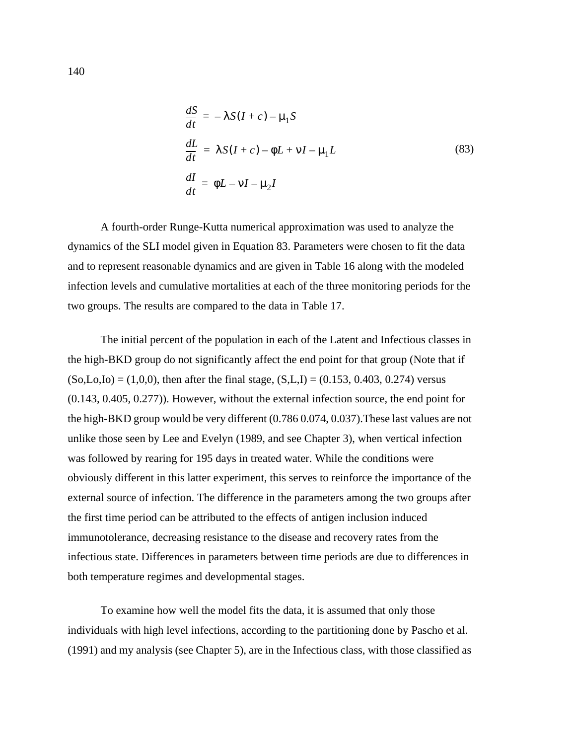$$
\frac{dS}{dt} = -\lambda S(I + c) - \mu_1 S
$$
\n
$$
\frac{dL}{dt} = \lambda S(I + c) - \phi L + vI - \mu_1 L
$$
\n
$$
\frac{dI}{dt} = \phi L - vI - \mu_2 I
$$
\n(83)

A fourth-order Runge-Kutta numerical approximation was used to analyze the dynamics of the SLI model given in Equation 83. Parameters were chosen to fit the data and to represent reasonable dynamics and are given in [Table 16](#page-152-0) along with the modeled infection levels and cumulative mortalities at each of the three monitoring periods for the two groups. The results are compared to the data in [Table 17](#page-154-0).

The initial percent of the population in each of the Latent and Infectious classes in the high-BKD group do not significantly affect the end point for that group (Note that if  $(So, Lo,Lo) = (1,0,0)$ , then after the final stage,  $(S, L, I) = (0.153, 0.403, 0.274)$  versus (0.143, 0.405, 0.277)). However, without the external infection source, the end point for the high-BKD group would be very different (0.786 0.074, 0.037).These last values are not unlike those seen by Lee and Evelyn (1989, and see Chapter 3), when vertical infection was followed by rearing for 195 days in treated water. While the conditions were obviously different in this latter experiment, this serves to reinforce the importance of the external source of infection. The difference in the parameters among the two groups after the first time period can be attributed to the effects of antigen inclusion induced immunotolerance, decreasing resistance to the disease and recovery rates from the infectious state. Differences in parameters between time periods are due to differences in both temperature regimes and developmental stages.

To examine how well the model fits the data, it is assumed that only those individuals with high level infections, according to the partitioning done by Pascho et al. (1991) and my analysis (see Chapter 5), are in the Infectious class, with those classified as

140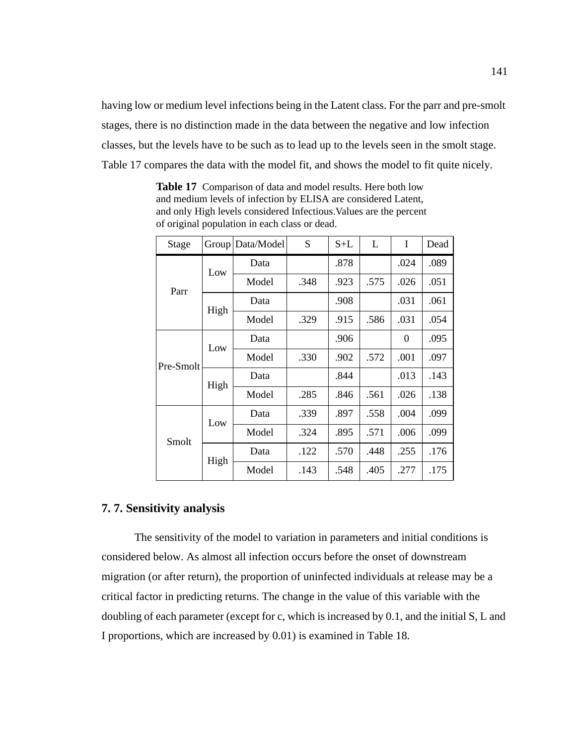<span id="page-154-0"></span>having low or medium level infections being in the Latent class. For the parr and pre-smolt stages, there is no distinction made in the data between the negative and low infection classes, but the levels have to be such as to lead up to the levels seen in the smolt stage. Table 17 compares the data with the model fit, and shows the model to fit quite nicely.

| Stage     | Group | Data/Model | S    | $S+L$ | L    | I        | Dead |
|-----------|-------|------------|------|-------|------|----------|------|
| Parr      | Low   | Data       |      | .878  |      | .024     | .089 |
|           |       | Model      | .348 | .923  | .575 | .026     | .051 |
|           | High  | Data       |      | .908  |      | .031     | .061 |
|           |       | Model      | .329 | .915  | .586 | .031     | .054 |
| Pre-Smolt | Low   | Data       |      | .906  |      | $\Omega$ | .095 |
|           |       | Model      | .330 | .902  | .572 | .001     | .097 |
|           | High  | Data       |      | .844  |      | .013     | .143 |
|           |       | Model      | .285 | .846  | .561 | .026     | .138 |
| Smolt     | Low   | Data       | .339 | .897  | .558 | .004     | .099 |
|           |       | Model      | .324 | .895  | .571 | .006     | .099 |
|           | High  | Data       | .122 | .570  | .448 | .255     | .176 |
|           |       | Model      | .143 | .548  | .405 | .277     | .175 |

**Table 17** Comparison of data and model results. Here both low and medium levels of infection by ELISA are considered Latent, and only High levels considered Infectious.Values are the percent of original population in each class or dead.

# **7. 7. Sensitivity analysis**

The sensitivity of the model to variation in parameters and initial conditions is considered below. As almost all infection occurs before the onset of downstream migration (or after return), the proportion of uninfected individuals at release may be a critical factor in predicting returns. The change in the value of this variable with the doubling of each parameter (except for c, which is increased by 0.1, and the initial S, L and I proportions, which are increased by 0.01) is examined in [Table 18.](#page-155-0)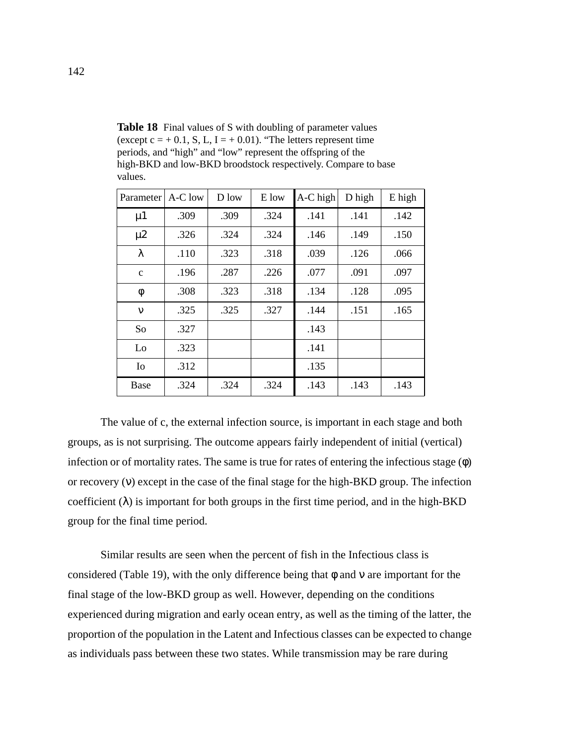| Parameter      | A-C low | D low | E low | A-C high | D high | E high |
|----------------|---------|-------|-------|----------|--------|--------|
| $\mu$ 1        | .309    | .309  | .324  | .141     | .141   | .142   |
| $\mu$ 2        | .326    | .324  | .324  | .146     | .149   | .150   |
| λ              | .110    | .323  | .318  | .039     | .126   | .066   |
| $\mathbf{C}$   | .196    | .287  | .226  | .077     | .091   | .097   |
| φ              | .308    | .323  | .318  | .134     | .128   | .095   |
| $\mathbf v$    | .325    | .325  | .327  | .144     | .151   | .165   |
| So             | .327    |       |       | .143     |        |        |
| Lo             | .323    |       |       | .141     |        |        |
| I <sub>0</sub> | .312    |       |       | .135     |        |        |
| <b>Base</b>    | .324    | .324  | .324  | .143     | .143   | .143   |

<span id="page-155-0"></span>Table 18 Final values of S with doubling of parameter values (except  $c = +0.1$ , S, L, I = +0.01). "The letters represent time periods, and "high" and "low" represent the offspring of the high-BKD and low-BKD broodstock respectively. Compare to base values.

The value of c, the external infection source, is important in each stage and both groups, as is not surprising. The outcome appears fairly independent of initial (vertical) infection or of mortality rates. The same is true for rates of entering the infectious stage (φ) or recovery (ν) except in the case of the final stage for the high-BKD group. The infection coefficient  $(\lambda)$  is important for both groups in the first time period, and in the high-BKD group for the final time period.

Similar results are seen when the percent of fish in the Infectious class is considered ([Table 19](#page-156-0)), with the only difference being that  $\phi$  and  $\nu$  are important for the final stage of the low-BKD group as well. However, depending on the conditions experienced during migration and early ocean entry, as well as the timing of the latter, the proportion of the population in the Latent and Infectious classes can be expected to change as individuals pass between these two states. While transmission may be rare during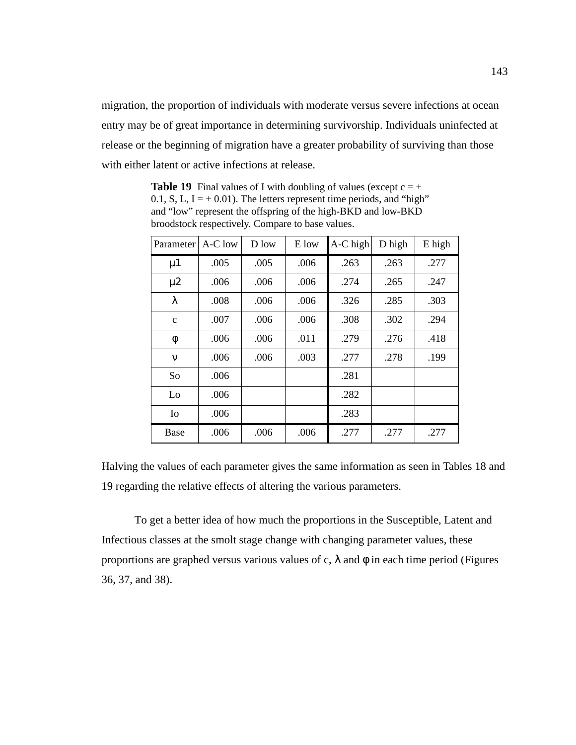<span id="page-156-0"></span>migration, the proportion of individuals with moderate versus severe infections at ocean entry may be of great importance in determining survivorship. Individuals uninfected at release or the beginning of migration have a greater probability of surviving than those with either latent or active infections at release.

Parameter |  $A-C$  low  $\vert$  D low  $\vert$  E low  $\vert$  A-C high  $\vert$  D high  $\vert$  E high 277. | 005 .005 | 005 | 005 | 005 | 005 | 005 247. | 265. | 274. | 2006. | 006. | 247 203 .008 .006 .006 .326 .005 .303 c .007 .006 .006 .308 .302 .294 φ .006 .006 .011 .279 .276 .418 ν | .006 | .006 | .003 | .277 | .278 | .199 So  $.006$   $.281$ Lo  $.006$   $.282$ Io | .006 | | | .283 Base .006 .006 .006 .006 .277 .277

**Table 19** Final values of I with doubling of values (except  $c = +$ 0.1, S, L,  $I = +0.01$ ). The letters represent time periods, and "high" and "low" represent the offspring of the high-BKD and low-BKD broodstock respectively. Compare to base values.

Halving the values of each parameter gives the same information as seen in Tables [18](#page-155-0) and 19 regarding the relative effects of altering the various parameters.

To get a better idea of how much the proportions in the Susceptible, Latent and Infectious classes at the smolt stage change with changing parameter values, these proportions are graphed versus various values of c,  $\lambda$  and  $\phi$  in each time period [\(Figures](#page-157-0) [36](#page-157-0), [37](#page-158-0), and [38](#page-159-0)).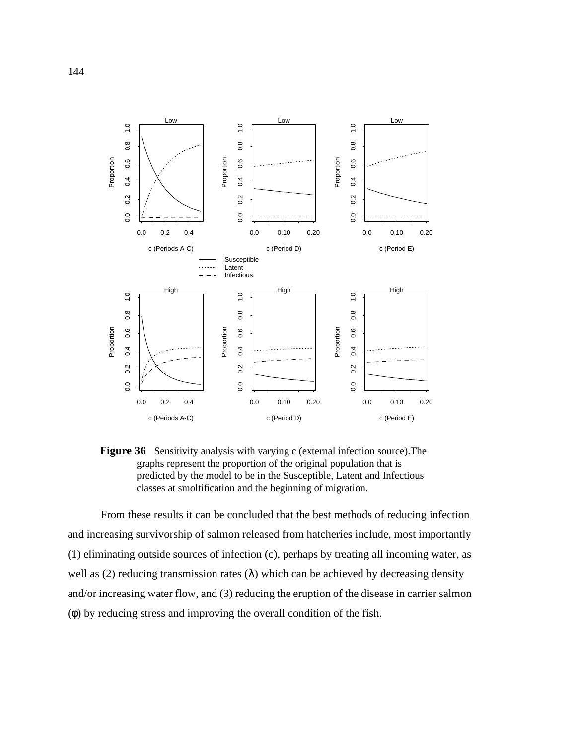<span id="page-157-0"></span>

**Figure 36** Sensitivity analysis with varying c (external infection source).The graphs represent the proportion of the original population that is predicted by the model to be in the Susceptible, Latent and Infectious classes at smoltification and the beginning of migration.

From these results it can be concluded that the best methods of reducing infection and increasing survivorship of salmon released from hatcheries include, most importantly (1) eliminating outside sources of infection (c), perhaps by treating all incoming water, as well as (2) reducing transmission rates ( $\lambda$ ) which can be achieved by decreasing density and/or increasing water flow, and (3) reducing the eruption of the disease in carrier salmon (φ) by reducing stress and improving the overall condition of the fish.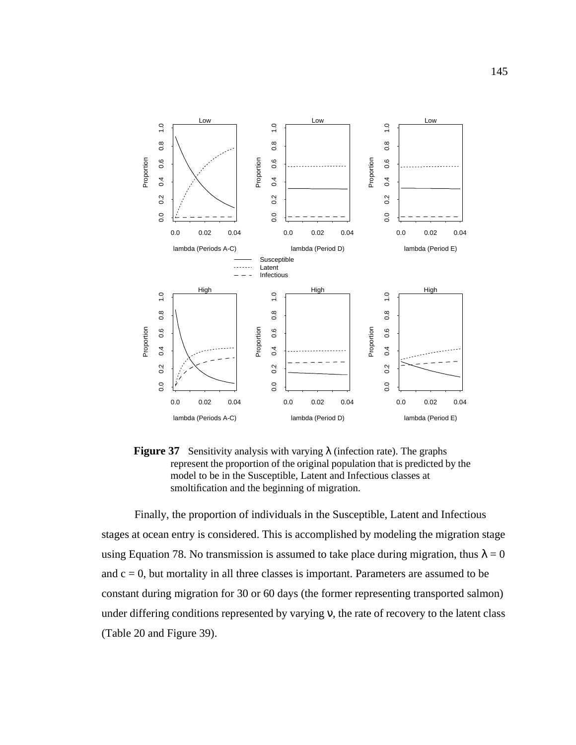<span id="page-158-0"></span>

**Figure 37** Sensitivity analysis with varying  $\lambda$  (infection rate). The graphs represent the proportion of the original population that is predicted by the model to be in the Susceptible, Latent and Infectious classes at smoltification and the beginning of migration.

Finally, the proportion of individuals in the Susceptible, Latent and Infectious stages at ocean entry is considered. This is accomplished by modeling the migration stage using [Equation 78](#page-147-0). No transmission is assumed to take place during migration, thus  $\lambda = 0$ and  $c = 0$ , but mortality in all three classes is important. Parameters are assumed to be constant during migration for 30 or 60 days (the former representing transported salmon) under differing conditions represented by varying ν, the rate of recovery to the latent class ([Table 20](#page-161-0) and [Figure 39\)](#page-160-0).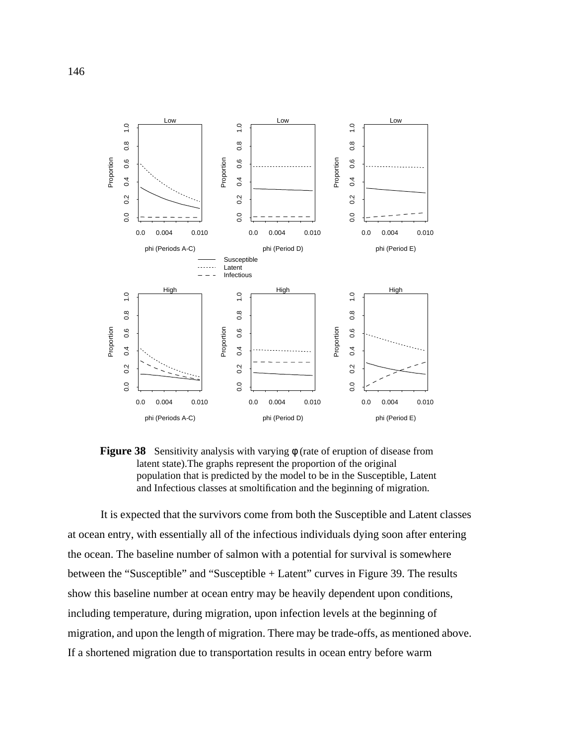<span id="page-159-0"></span>

**Figure 38** Sensitivity analysis with varying φ (rate of eruption of disease from latent state).The graphs represent the proportion of the original population that is predicted by the model to be in the Susceptible, Latent and Infectious classes at smoltification and the beginning of migration.

It is expected that the survivors come from both the Susceptible and Latent classes at ocean entry, with essentially all of the infectious individuals dying soon after entering the ocean. The baseline number of salmon with a potential for survival is somewhere between the "Susceptible" and "Susceptible + Latent" curves in [Figure 39](#page-160-0). The results show this baseline number at ocean entry may be heavily dependent upon conditions, including temperature, during migration, upon infection levels at the beginning of migration, and upon the length of migration. There may be trade-offs, as mentioned above. If a shortened migration due to transportation results in ocean entry before warm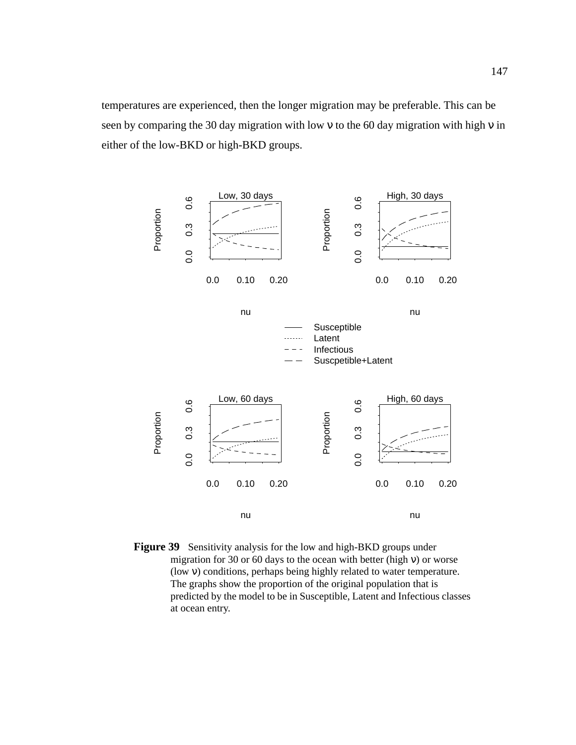<span id="page-160-0"></span>temperatures are experienced, then the longer migration may be preferable. This can be seen by comparing the 30 day migration with low ν to the 60 day migration with high ν in either of the low-BKD or high-BKD groups.



**Figure 39** Sensitivity analysis for the low and high-BKD groups under migration for 30 or 60 days to the ocean with better (high  $v$ ) or worse (low ν) conditions, perhaps being highly related to water temperature. The graphs show the proportion of the original population that is predicted by the model to be in Susceptible, Latent and Infectious classes at ocean entry.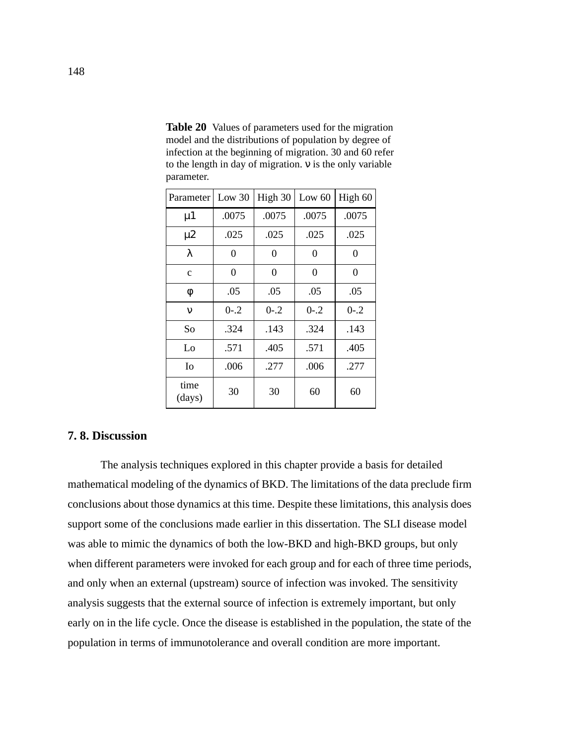| Parameter      | Low $30$  | High 30   | Low $60$  | High 60   |
|----------------|-----------|-----------|-----------|-----------|
| $\mu$ 1        | .0075     | .0075     | .0075     | .0075     |
| $\mu$ 2        | .025      | .025      | .025      | .025      |
| λ              | 0         | 0         | $\theta$  | 0         |
| $\mathbf c$    | 0         | 0         | $\theta$  | $\theta$  |
| φ              | .05       | .05       | .05       | .05       |
| $\mathbf v$    | $0 - 0.2$ | $0 - 0.2$ | $0 - 0.2$ | $0 - 0.2$ |
| So             | .324      | .143      | .324      | .143      |
| Lo             | .571      | .405      | .571      | .405      |
| Io             | .006      | .277      | .006      | .277      |
| time<br>(days) | 30        | 30        | 60        | 60        |

<span id="page-161-0"></span>**Table 20** Values of parameters used for the migration model and the distributions of population by degree of infection at the beginning of migration. 30 and 60 refer to the length in day of migration. ν is the only variable parameter.

## **7. 8. Discussion**

The analysis techniques explored in this chapter provide a basis for detailed mathematical modeling of the dynamics of BKD. The limitations of the data preclude firm conclusions about those dynamics at this time. Despite these limitations, this analysis does support some of the conclusions made earlier in this dissertation. The SLI disease model was able to mimic the dynamics of both the low-BKD and high-BKD groups, but only when different parameters were invoked for each group and for each of three time periods, and only when an external (upstream) source of infection was invoked. The sensitivity analysis suggests that the external source of infection is extremely important, but only early on in the life cycle. Once the disease is established in the population, the state of the population in terms of immunotolerance and overall condition are more important.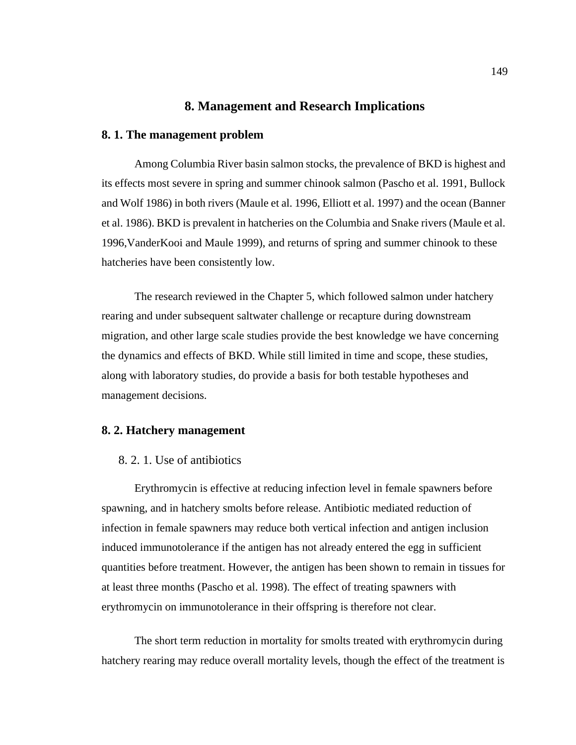# **8. Management and Research Implications**

### **8. 1. The management problem**

Among Columbia River basin salmon stocks, the prevalence of BKD is highest and its effects most severe in spring and summer chinook salmon (Pascho et al. 1991, Bullock and Wolf 1986) in both rivers (Maule et al. 1996, Elliott et al. 1997) and the ocean (Banner et al. 1986). BKD is prevalent in hatcheries on the Columbia and Snake rivers (Maule et al. 1996,VanderKooi and Maule 1999), and returns of spring and summer chinook to these hatcheries have been consistently low.

The research reviewed in the Chapter 5, which followed salmon under hatchery rearing and under subsequent saltwater challenge or recapture during downstream migration, and other large scale studies provide the best knowledge we have concerning the dynamics and effects of BKD. While still limited in time and scope, these studies, along with laboratory studies, do provide a basis for both testable hypotheses and management decisions.

## **8. 2. Hatchery management**

### 8. 2. 1. Use of antibiotics

Erythromycin is effective at reducing infection level in female spawners before spawning, and in hatchery smolts before release. Antibiotic mediated reduction of infection in female spawners may reduce both vertical infection and antigen inclusion induced immunotolerance if the antigen has not already entered the egg in sufficient quantities before treatment. However, the antigen has been shown to remain in tissues for at least three months (Pascho et al. 1998). The effect of treating spawners with erythromycin on immunotolerance in their offspring is therefore not clear.

The short term reduction in mortality for smolts treated with erythromycin during hatchery rearing may reduce overall mortality levels, though the effect of the treatment is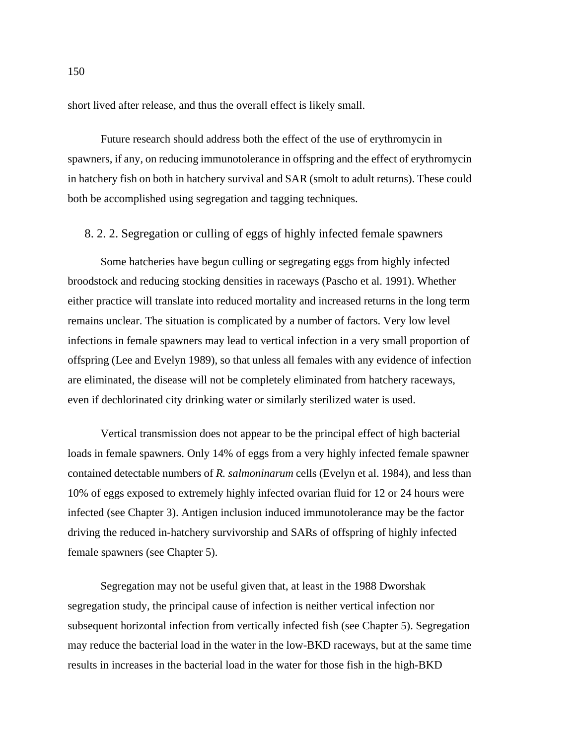short lived after release, and thus the overall effect is likely small.

Future research should address both the effect of the use of erythromycin in spawners, if any, on reducing immunotolerance in offspring and the effect of erythromycin in hatchery fish on both in hatchery survival and SAR (smolt to adult returns). These could both be accomplished using segregation and tagging techniques.

## 8. 2. 2. Segregation or culling of eggs of highly infected female spawners

Some hatcheries have begun culling or segregating eggs from highly infected broodstock and reducing stocking densities in raceways (Pascho et al. 1991). Whether either practice will translate into reduced mortality and increased returns in the long term remains unclear. The situation is complicated by a number of factors. Very low level infections in female spawners may lead to vertical infection in a very small proportion of offspring (Lee and Evelyn 1989), so that unless all females with any evidence of infection are eliminated, the disease will not be completely eliminated from hatchery raceways, even if dechlorinated city drinking water or similarly sterilized water is used.

Vertical transmission does not appear to be the principal effect of high bacterial loads in female spawners. Only 14% of eggs from a very highly infected female spawner contained detectable numbers of *R. salmoninarum* cells (Evelyn et al. 1984), and less than 10% of eggs exposed to extremely highly infected ovarian fluid for 12 or 24 hours were infected (see Chapter 3). Antigen inclusion induced immunotolerance may be the factor driving the reduced in-hatchery survivorship and SARs of offspring of highly infected female spawners (see Chapter 5).

Segregation may not be useful given that, at least in the 1988 Dworshak segregation study, the principal cause of infection is neither vertical infection nor subsequent horizontal infection from vertically infected fish (see Chapter 5). Segregation may reduce the bacterial load in the water in the low-BKD raceways, but at the same time results in increases in the bacterial load in the water for those fish in the high-BKD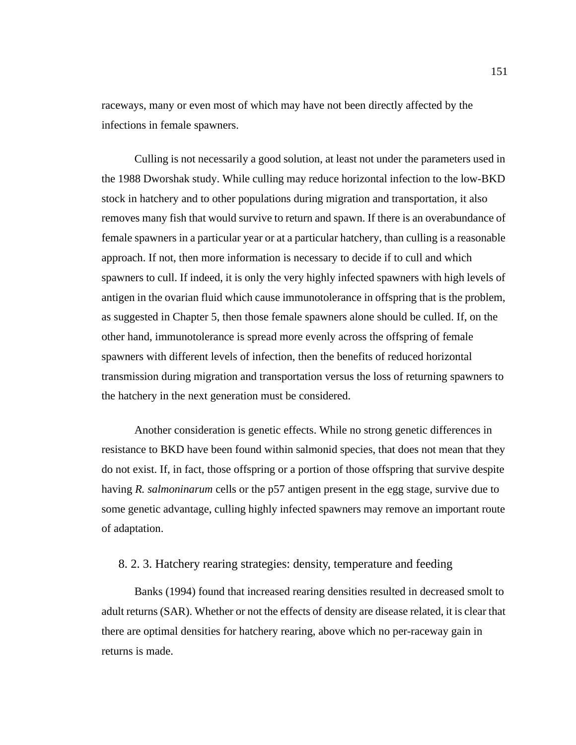raceways, many or even most of which may have not been directly affected by the infections in female spawners.

Culling is not necessarily a good solution, at least not under the parameters used in the 1988 Dworshak study. While culling may reduce horizontal infection to the low-BKD stock in hatchery and to other populations during migration and transportation, it also removes many fish that would survive to return and spawn. If there is an overabundance of female spawners in a particular year or at a particular hatchery, than culling is a reasonable approach. If not, then more information is necessary to decide if to cull and which spawners to cull. If indeed, it is only the very highly infected spawners with high levels of antigen in the ovarian fluid which cause immunotolerance in offspring that is the problem, as suggested in Chapter 5, then those female spawners alone should be culled. If, on the other hand, immunotolerance is spread more evenly across the offspring of female spawners with different levels of infection, then the benefits of reduced horizontal transmission during migration and transportation versus the loss of returning spawners to the hatchery in the next generation must be considered.

Another consideration is genetic effects. While no strong genetic differences in resistance to BKD have been found within salmonid species, that does not mean that they do not exist. If, in fact, those offspring or a portion of those offspring that survive despite having *R. salmoninarum* cells or the p57 antigen present in the egg stage, survive due to some genetic advantage, culling highly infected spawners may remove an important route of adaptation.

## 8. 2. 3. Hatchery rearing strategies: density, temperature and feeding

Banks (1994) found that increased rearing densities resulted in decreased smolt to adult returns (SAR). Whether or not the effects of density are disease related, it is clear that there are optimal densities for hatchery rearing, above which no per-raceway gain in returns is made.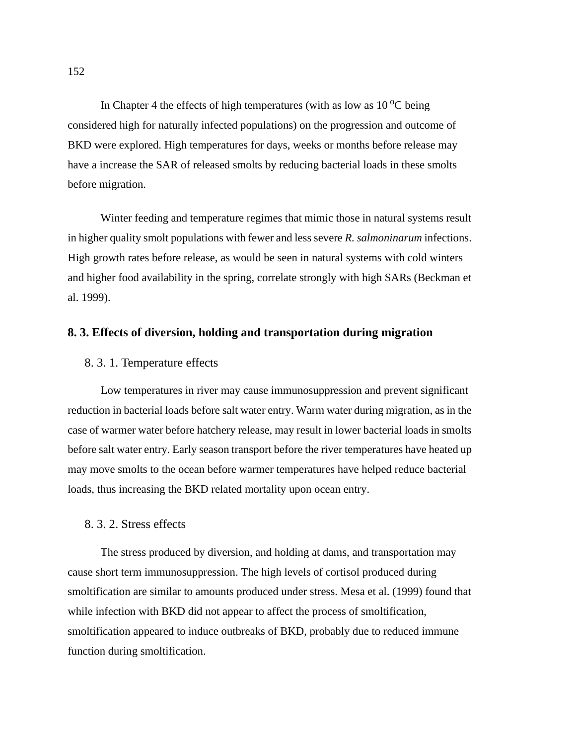In Chapter 4 the effects of high temperatures (with as low as  $10<sup>o</sup>C$  being considered high for naturally infected populations) on the progression and outcome of BKD were explored. High temperatures for days, weeks or months before release may have a increase the SAR of released smolts by reducing bacterial loads in these smolts before migration.

Winter feeding and temperature regimes that mimic those in natural systems result in higher quality smolt populations with fewer and less severe *R. salmoninarum* infections. High growth rates before release, as would be seen in natural systems with cold winters and higher food availability in the spring, correlate strongly with high SARs (Beckman et al. 1999).

## **8. 3. Effects of diversion, holding and transportation during migration**

### 8. 3. 1. Temperature effects

Low temperatures in river may cause immunosuppression and prevent significant reduction in bacterial loads before salt water entry. Warm water during migration, as in the case of warmer water before hatchery release, may result in lower bacterial loads in smolts before salt water entry. Early season transport before the river temperatures have heated up may move smolts to the ocean before warmer temperatures have helped reduce bacterial loads, thus increasing the BKD related mortality upon ocean entry.

## 8. 3. 2. Stress effects

The stress produced by diversion, and holding at dams, and transportation may cause short term immunosuppression. The high levels of cortisol produced during smoltification are similar to amounts produced under stress. Mesa et al. (1999) found that while infection with BKD did not appear to affect the process of smoltification, smoltification appeared to induce outbreaks of BKD, probably due to reduced immune function during smoltification.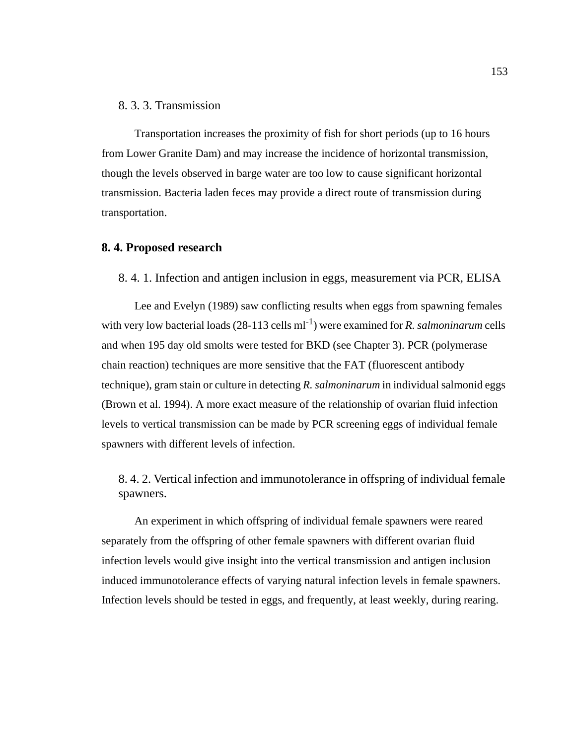### 8. 3. 3. Transmission

Transportation increases the proximity of fish for short periods (up to 16 hours from Lower Granite Dam) and may increase the incidence of horizontal transmission, though the levels observed in barge water are too low to cause significant horizontal transmission. Bacteria laden feces may provide a direct route of transmission during transportation.

### **8. 4. Proposed research**

#### 8. 4. 1. Infection and antigen inclusion in eggs, measurement via PCR, ELISA

Lee and Evelyn (1989) saw conflicting results when eggs from spawning females with very low bacterial loads  $(28-113 \text{ cells ml}^{-1})$  were examined for *R. salmoninarum* cells and when 195 day old smolts were tested for BKD (see Chapter 3). PCR (polymerase chain reaction) techniques are more sensitive that the FAT (fluorescent antibody technique), gram stain or culture in detecting *R. salmoninarum* in individual salmonid eggs (Brown et al. 1994). A more exact measure of the relationship of ovarian fluid infection levels to vertical transmission can be made by PCR screening eggs of individual female spawners with different levels of infection.

8. 4. 2. Vertical infection and immunotolerance in offspring of individual female spawners.

An experiment in which offspring of individual female spawners were reared separately from the offspring of other female spawners with different ovarian fluid infection levels would give insight into the vertical transmission and antigen inclusion induced immunotolerance effects of varying natural infection levels in female spawners. Infection levels should be tested in eggs, and frequently, at least weekly, during rearing.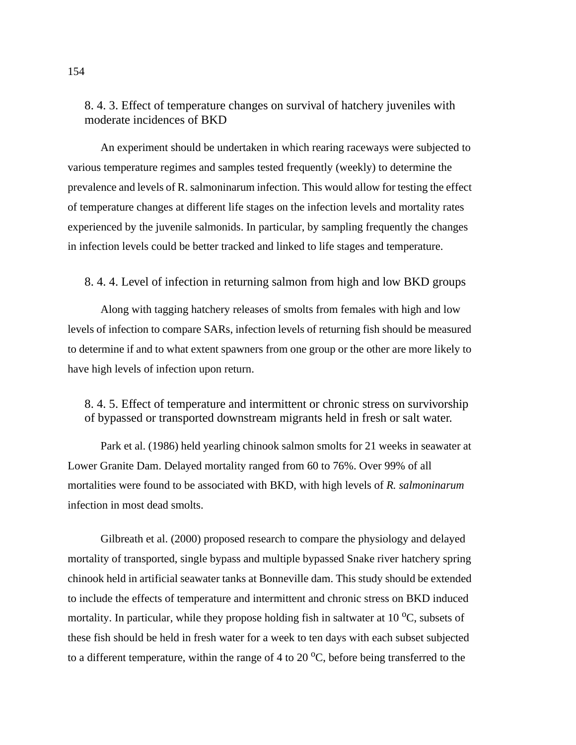# 8. 4. 3. Effect of temperature changes on survival of hatchery juveniles with moderate incidences of BKD

An experiment should be undertaken in which rearing raceways were subjected to various temperature regimes and samples tested frequently (weekly) to determine the prevalence and levels of R. salmoninarum infection. This would allow for testing the effect of temperature changes at different life stages on the infection levels and mortality rates experienced by the juvenile salmonids. In particular, by sampling frequently the changes in infection levels could be better tracked and linked to life stages and temperature.

## 8. 4. 4. Level of infection in returning salmon from high and low BKD groups

Along with tagging hatchery releases of smolts from females with high and low levels of infection to compare SARs, infection levels of returning fish should be measured to determine if and to what extent spawners from one group or the other are more likely to have high levels of infection upon return.

# 8. 4. 5. Effect of temperature and intermittent or chronic stress on survivorship of bypassed or transported downstream migrants held in fresh or salt water.

Park et al. (1986) held yearling chinook salmon smolts for 21 weeks in seawater at Lower Granite Dam. Delayed mortality ranged from 60 to 76%. Over 99% of all mortalities were found to be associated with BKD, with high levels of *R. salmoninarum* infection in most dead smolts.

Gilbreath et al. (2000) proposed research to compare the physiology and delayed mortality of transported, single bypass and multiple bypassed Snake river hatchery spring chinook held in artificial seawater tanks at Bonneville dam. This study should be extended to include the effects of temperature and intermittent and chronic stress on BKD induced mortality. In particular, while they propose holding fish in saltwater at 10  $\rm{^{\circ}C}$ , subsets of these fish should be held in fresh water for a week to ten days with each subset subjected to a different temperature, within the range of 4 to 20  $^{\circ}$ C, before being transferred to the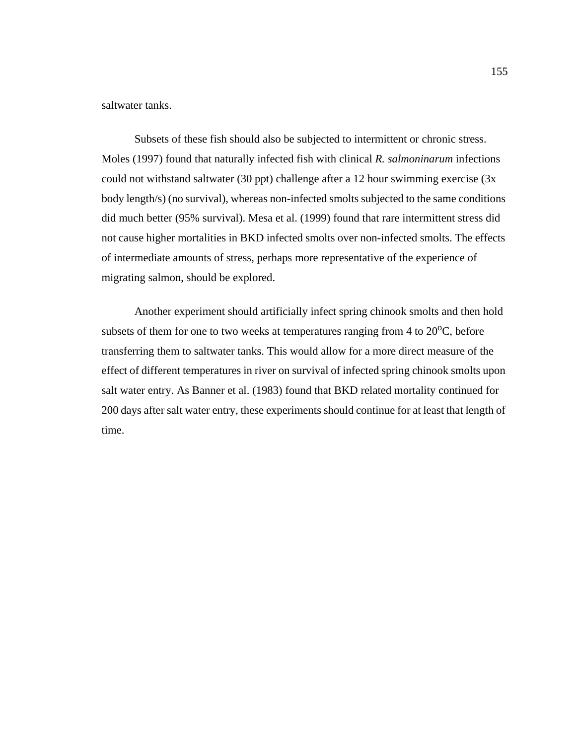saltwater tanks.

Subsets of these fish should also be subjected to intermittent or chronic stress. Moles (1997) found that naturally infected fish with clinical *R. salmoninarum* infections could not withstand saltwater (30 ppt) challenge after a 12 hour swimming exercise (3x body length/s) (no survival), whereas non-infected smolts subjected to the same conditions did much better (95% survival). Mesa et al. (1999) found that rare intermittent stress did not cause higher mortalities in BKD infected smolts over non-infected smolts. The effects of intermediate amounts of stress, perhaps more representative of the experience of migrating salmon, should be explored.

Another experiment should artificially infect spring chinook smolts and then hold subsets of them for one to two weeks at temperatures ranging from  $4$  to  $20^{\circ}$ C, before transferring them to saltwater tanks. This would allow for a more direct measure of the effect of different temperatures in river on survival of infected spring chinook smolts upon salt water entry. As Banner et al. (1983) found that BKD related mortality continued for 200 days after salt water entry, these experiments should continue for at least that length of time.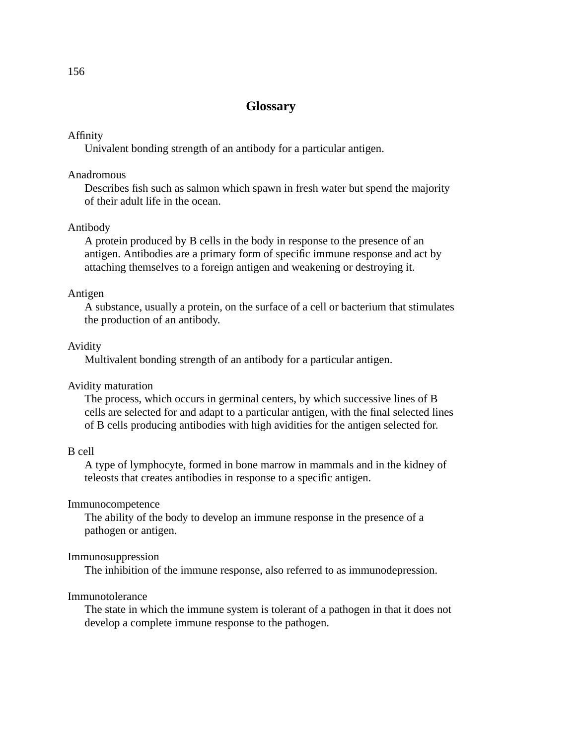# **Glossary**

### Affinity

Univalent bonding strength of an antibody for a particular antigen.

### Anadromous

Describes fish such as salmon which spawn in fresh water but spend the majority of their adult life in the ocean.

### Antibody

A protein produced by B cells in the body in response to the presence of an antigen. Antibodies are a primary form of specific immune response and act by attaching themselves to a foreign antigen and weakening or destroying it.

#### Antigen

A substance, usually a protein, on the surface of a cell or bacterium that stimulates the production of an antibody.

### Avidity

Multivalent bonding strength of an antibody for a particular antigen.

### Avidity maturation

The process, which occurs in germinal centers, by which successive lines of B cells are selected for and adapt to a particular antigen, with the final selected lines of B cells producing antibodies with high avidities for the antigen selected for.

#### B cell

A type of lymphocyte, formed in bone marrow in mammals and in the kidney of teleosts that creates antibodies in response to a specific antigen.

### Immunocompetence

The ability of the body to develop an immune response in the presence of a pathogen or antigen.

#### Immunosuppression

The inhibition of the immune response, also referred to as immunodepression.

#### Immunotolerance

The state in which the immune system is tolerant of a pathogen in that it does not develop a complete immune response to the pathogen.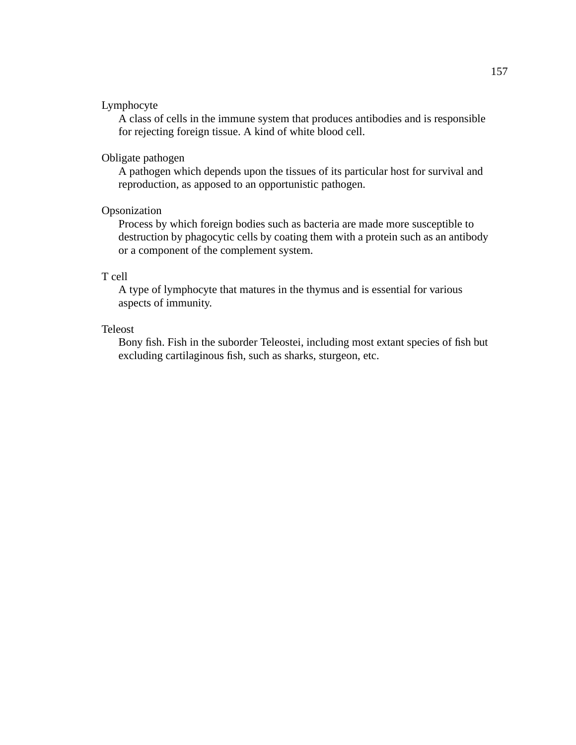### Lymphocyte

A class of cells in the immune system that produces antibodies and is responsible for rejecting foreign tissue. A kind of white blood cell.

### Obligate pathogen

A pathogen which depends upon the tissues of its particular host for survival and reproduction, as apposed to an opportunistic pathogen.

## Opsonization

Process by which foreign bodies such as bacteria are made more susceptible to destruction by phagocytic cells by coating them with a protein such as an antibody or a component of the complement system.

### T cell

A type of lymphocyte that matures in the thymus and is essential for various aspects of immunity.

### Teleost

Bony fish. Fish in the suborder Teleostei, including most extant species of fish but excluding cartilaginous fish, such as sharks, sturgeon, etc.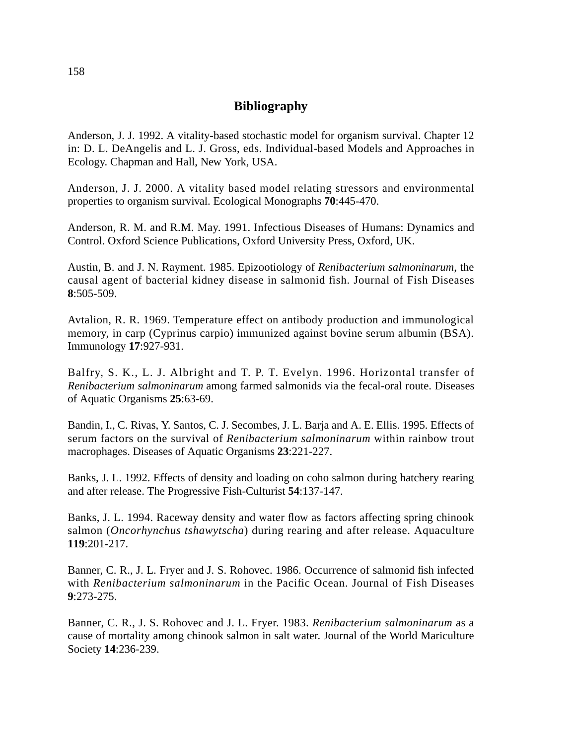# **Bibliography**

Anderson, J. J. 1992. A vitality-based stochastic model for organism survival. Chapter 12 in: D. L. DeAngelis and L. J. Gross, eds. Individual-based Models and Approaches in Ecology. Chapman and Hall, New York, USA.

Anderson, J. J. 2000. A vitality based model relating stressors and environmental properties to organism survival. Ecological Monographs **70**:445-470.

Anderson, R. M. and R.M. May. 1991. Infectious Diseases of Humans: Dynamics and Control. Oxford Science Publications, Oxford University Press, Oxford, UK.

Austin, B. and J. N. Rayment. 1985. Epizootiology of *Renibacterium salmoninarum*, the causal agent of bacterial kidney disease in salmonid fish. Journal of Fish Diseases **8**:505-509.

Avtalion, R. R. 1969. Temperature effect on antibody production and immunological memory, in carp (Cyprinus carpio) immunized against bovine serum albumin (BSA). Immunology **17**:927-931.

Balfry, S. K., L. J. Albright and T. P. T. Evelyn. 1996. Horizontal transfer of *Renibacterium salmoninarum* among farmed salmonids via the fecal-oral route. Diseases of Aquatic Organisms **25**:63-69.

Bandin, I., C. Rivas, Y. Santos, C. J. Secombes, J. L. Barja and A. E. Ellis. 1995. Effects of serum factors on the survival of *Renibacterium salmoninarum* within rainbow trout macrophages. Diseases of Aquatic Organisms **23**:221-227.

Banks, J. L. 1992. Effects of density and loading on coho salmon during hatchery rearing and after release. The Progressive Fish-Culturist **54**:137-147.

Banks, J. L. 1994. Raceway density and water flow as factors affecting spring chinook salmon (*Oncorhynchus tshawytscha*) during rearing and after release. Aquaculture **119**:201-217.

Banner, C. R., J. L. Fryer and J. S. Rohovec. 1986. Occurrence of salmonid fish infected with *Renibacterium salmoninarum* in the Pacific Ocean. Journal of Fish Diseases **9**:273-275.

Banner, C. R., J. S. Rohovec and J. L. Fryer. 1983. *Renibacterium salmoninarum* as a cause of mortality among chinook salmon in salt water. Journal of the World Mariculture Society **14**:236-239.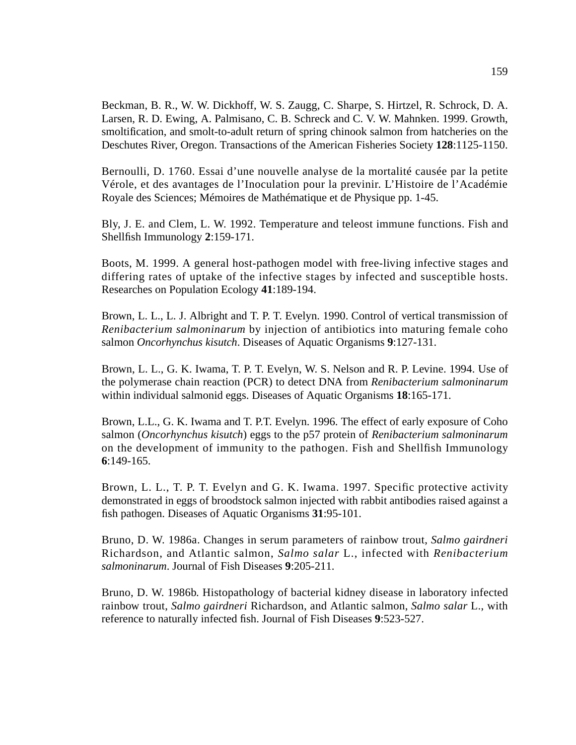Beckman, B. R., W. W. Dickhoff, W. S. Zaugg, C. Sharpe, S. Hirtzel, R. Schrock, D. A. Larsen, R. D. Ewing, A. Palmisano, C. B. Schreck and C. V. W. Mahnken. 1999. Growth, smoltification, and smolt-to-adult return of spring chinook salmon from hatcheries on the Deschutes River, Oregon. Transactions of the American Fisheries Society **128**:1125-1150.

Bernoulli, D. 1760. Essai d'une nouvelle analyse de la mortalité causée par la petite Vérole, et des avantages de l'Inoculation pour la previnir. L'Histoire de l'Académie Royale des Sciences; Mémoires de Mathématique et de Physique pp. 1-45.

Bly, J. E. and Clem, L. W. 1992. Temperature and teleost immune functions. Fish and Shellfish Immunology **2**:159-171.

Boots, M. 1999. A general host-pathogen model with free-living infective stages and differing rates of uptake of the infective stages by infected and susceptible hosts. Researches on Population Ecology **41**:189-194.

Brown, L. L., L. J. Albright and T. P. T. Evelyn. 1990. Control of vertical transmission of *Renibacterium salmoninarum* by injection of antibiotics into maturing female coho salmon *Oncorhynchus kisutch*. Diseases of Aquatic Organisms **9**:127-131.

Brown, L. L., G. K. Iwama, T. P. T. Evelyn, W. S. Nelson and R. P. Levine. 1994. Use of the polymerase chain reaction (PCR) to detect DNA from *Renibacterium salmoninarum* within individual salmonid eggs. Diseases of Aquatic Organisms **18**:165-171.

Brown, L.L., G. K. Iwama and T. P.T. Evelyn. 1996. The effect of early exposure of Coho salmon (*Oncorhynchus kisutch*) eggs to the p57 protein of *Renibacterium salmoninarum* on the development of immunity to the pathogen. Fish and Shellfish Immunology **6**:149-165.

Brown, L. L., T. P. T. Evelyn and G. K. Iwama. 1997. Specific protective activity demonstrated in eggs of broodstock salmon injected with rabbit antibodies raised against a fish pathogen. Diseases of Aquatic Organisms **31**:95-101.

Bruno, D. W. 1986a. Changes in serum parameters of rainbow trout, *Salmo gairdneri* Richardson, and Atlantic salmon, *Salmo salar* L., infected with *Renibacterium salmoninarum*. Journal of Fish Diseases **9**:205-211.

Bruno, D. W. 1986b. Histopathology of bacterial kidney disease in laboratory infected rainbow trout, *Salmo gairdneri* Richardson, and Atlantic salmon, *Salmo salar* L., with reference to naturally infected fish. Journal of Fish Diseases **9**:523-527.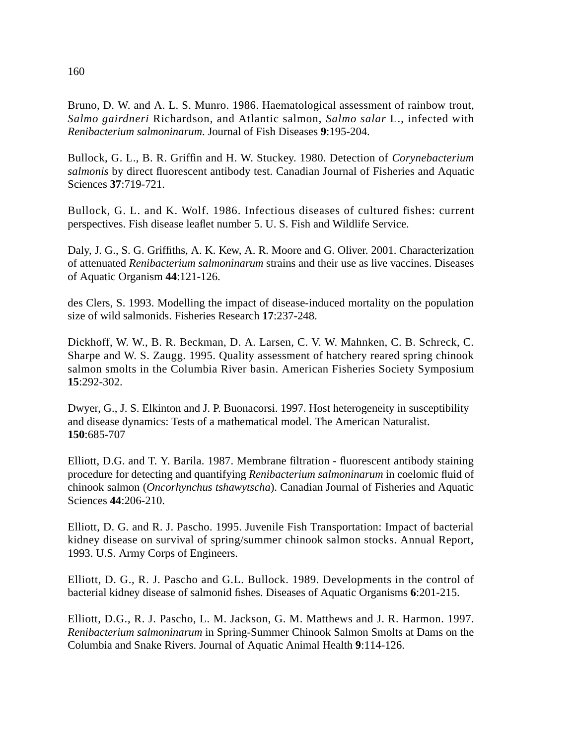Bruno, D. W. and A. L. S. Munro. 1986. Haematological assessment of rainbow trout, *Salmo gairdneri* Richardson, and Atlantic salmon, *Salmo salar* L., infected with *Renibacterium salmoninarum*. Journal of Fish Diseases **9**:195-204.

Bullock, G. L., B. R. Griffin and H. W. Stuckey. 1980. Detection of *Corynebacterium salmonis* by direct fluorescent antibody test. Canadian Journal of Fisheries and Aquatic Sciences **37**:719-721.

Bullock, G. L. and K. Wolf. 1986. Infectious diseases of cultured fishes: current perspectives. Fish disease leaflet number 5. U. S. Fish and Wildlife Service.

Daly, J. G., S. G. Griffiths, A. K. Kew, A. R. Moore and G. Oliver. 2001. Characterization of attenuated *Renibacterium salmoninarum* strains and their use as live vaccines. Diseases of Aquatic Organism **44**:121-126.

des Clers, S. 1993. Modelling the impact of disease-induced mortality on the population size of wild salmonids. Fisheries Research **17**:237-248.

Dickhoff, W. W., B. R. Beckman, D. A. Larsen, C. V. W. Mahnken, C. B. Schreck, C. Sharpe and W. S. Zaugg. 1995. Quality assessment of hatchery reared spring chinook salmon smolts in the Columbia River basin. American Fisheries Society Symposium **15**:292-302.

Dwyer, G., J. S. Elkinton and J. P. Buonacorsi. 1997. Host heterogeneity in susceptibility and disease dynamics: Tests of a mathematical model. The American Naturalist. **150**:685-707

Elliott, D.G. and T. Y. Barila. 1987. Membrane filtration - fluorescent antibody staining procedure for detecting and quantifying *Renibacterium salmoninarum* in coelomic fluid of chinook salmon (*Oncorhynchus tshawytscha*). Canadian Journal of Fisheries and Aquatic Sciences **44**:206-210.

Elliott, D. G. and R. J. Pascho. 1995. Juvenile Fish Transportation: Impact of bacterial kidney disease on survival of spring/summer chinook salmon stocks. Annual Report, 1993. U.S. Army Corps of Engineers.

Elliott, D. G., R. J. Pascho and G.L. Bullock. 1989. Developments in the control of bacterial kidney disease of salmonid fishes. Diseases of Aquatic Organisms **6**:201-215.

Elliott, D.G., R. J. Pascho, L. M. Jackson, G. M. Matthews and J. R. Harmon. 1997. *Renibacterium salmoninarum* in Spring-Summer Chinook Salmon Smolts at Dams on the Columbia and Snake Rivers. Journal of Aquatic Animal Health **9**:114-126.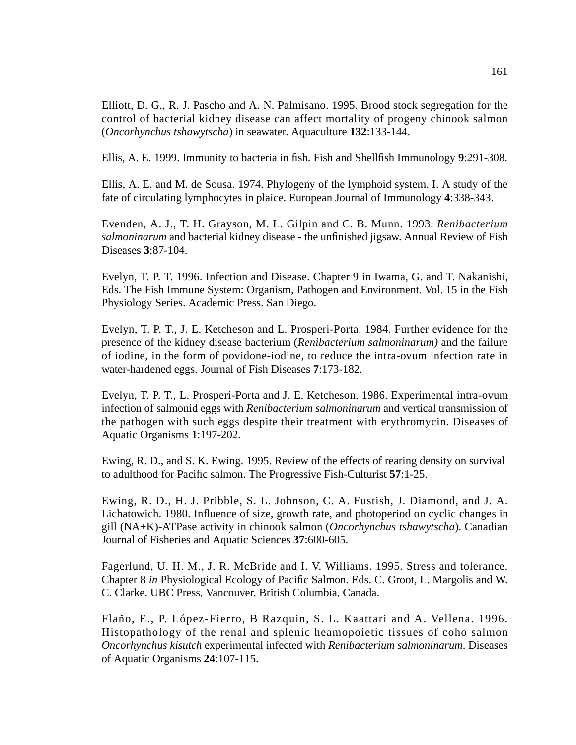Elliott, D. G., R. J. Pascho and A. N. Palmisano. 1995. Brood stock segregation for the control of bacterial kidney disease can affect mortality of progeny chinook salmon (*Oncorhynchus tshawytscha*) in seawater. Aquaculture **132**:133-144.

Ellis, A. E. 1999. Immunity to bacteria in fish. Fish and Shellfish Immunology **9**:291-308.

Ellis, A. E. and M. de Sousa. 1974. Phylogeny of the lymphoid system. I. A study of the fate of circulating lymphocytes in plaice. European Journal of Immunology **4**:338-343.

Evenden, A. J., T. H. Grayson, M. L. Gilpin and C. B. Munn. 1993. *Renibacterium salmoninarum* and bacterial kidney disease - the unfinished jigsaw. Annual Review of Fish Diseases **3**:87-104.

Evelyn, T. P. T. 1996. Infection and Disease. Chapter 9 in Iwama, G. and T. Nakanishi, Eds. The Fish Immune System: Organism, Pathogen and Environment. Vol. 15 in the Fish Physiology Series. Academic Press. San Diego.

Evelyn, T. P. T., J. E. Ketcheson and L. Prosperi-Porta. 1984. Further evidence for the presence of the kidney disease bacterium (*Renibacterium salmoninarum)* and the failure of iodine, in the form of povidone-iodine, to reduce the intra-ovum infection rate in water-hardened eggs. Journal of Fish Diseases **7**:173-182.

Evelyn, T. P. T., L. Prosperi-Porta and J. E. Ketcheson. 1986. Experimental intra-ovum infection of salmonid eggs with *Renibacterium salmoninarum* and vertical transmission of the pathogen with such eggs despite their treatment with erythromycin. Diseases of Aquatic Organisms **1**:197-202.

Ewing, R. D., and S. K. Ewing. 1995. Review of the effects of rearing density on survival to adulthood for Pacific salmon. The Progressive Fish-Culturist **57**:1-25.

Ewing, R. D., H. J. Pribble, S. L. Johnson, C. A. Fustish, J. Diamond, and J. A. Lichatowich. 1980. Influence of size, growth rate, and photoperiod on cyclic changes in gill (NA+K)-ATPase activity in chinook salmon (*Oncorhynchus tshawytscha*). Canadian Journal of Fisheries and Aquatic Sciences **37**:600-605.

Fagerlund, U. H. M., J. R. McBride and I. V. Williams. 1995. Stress and tolerance. Chapter 8 *in* Physiological Ecology of Pacific Salmon. Eds. C. Groot, L. Margolis and W. C. Clarke. UBC Press, Vancouver, British Columbia, Canada.

Flaño, E., P. López-Fierro, B Razquin, S. L. Kaattari and A. Vellena. 1996. Histopathology of the renal and splenic heamopoietic tissues of coho salmon *Oncorhynchus kisutch* experimental infected with *Renibacterium salmoninarum*. Diseases of Aquatic Organisms **24**:107-115.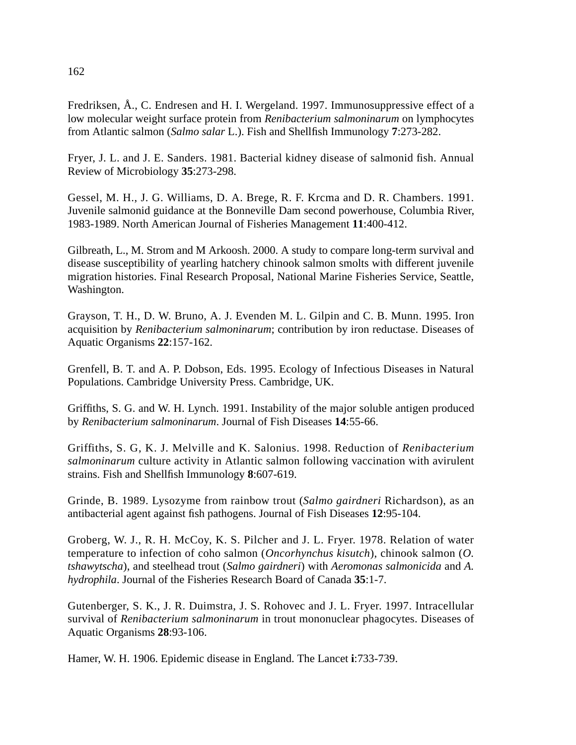Fredriksen, Å., C. Endresen and H. I. Wergeland. 1997. Immunosuppressive effect of a low molecular weight surface protein from *Renibacterium salmoninarum* on lymphocytes from Atlantic salmon (*Salmo salar* L.). Fish and Shellfish Immunology **7**:273-282.

Fryer, J. L. and J. E. Sanders. 1981. Bacterial kidney disease of salmonid fish. Annual Review of Microbiology **35**:273-298.

Gessel, M. H., J. G. Williams, D. A. Brege, R. F. Krcma and D. R. Chambers. 1991. Juvenile salmonid guidance at the Bonneville Dam second powerhouse, Columbia River, 1983-1989. North American Journal of Fisheries Management **11**:400-412.

Gilbreath, L., M. Strom and M Arkoosh. 2000. A study to compare long-term survival and disease susceptibility of yearling hatchery chinook salmon smolts with different juvenile migration histories. Final Research Proposal, National Marine Fisheries Service, Seattle, Washington.

Grayson, T. H., D. W. Bruno, A. J. Evenden M. L. Gilpin and C. B. Munn. 1995. Iron acquisition by *Renibacterium salmoninarum*; contribution by iron reductase. Diseases of Aquatic Organisms **22**:157-162.

Grenfell, B. T. and A. P. Dobson, Eds. 1995. Ecology of Infectious Diseases in Natural Populations. Cambridge University Press. Cambridge, UK.

Griffiths, S. G. and W. H. Lynch. 1991. Instability of the major soluble antigen produced by *Renibacterium salmoninarum*. Journal of Fish Diseases **14**:55-66.

Griffiths, S. G, K. J. Melville and K. Salonius. 1998. Reduction of *Renibacterium salmoninarum* culture activity in Atlantic salmon following vaccination with avirulent strains. Fish and Shellfish Immunology **8**:607-619.

Grinde, B. 1989. Lysozyme from rainbow trout (*Salmo gairdneri* Richardson), as an antibacterial agent against fish pathogens. Journal of Fish Diseases **12**:95-104.

Groberg, W. J., R. H. McCoy, K. S. Pilcher and J. L. Fryer. 1978. Relation of water temperature to infection of coho salmon (*Oncorhynchus kisutch*), chinook salmon (*O. tshawytscha*), and steelhead trout (*Salmo gairdneri*) with *Aeromonas salmonicida* and *A. hydrophila*. Journal of the Fisheries Research Board of Canada **35**:1-7.

Gutenberger, S. K., J. R. Duimstra, J. S. Rohovec and J. L. Fryer. 1997. Intracellular survival of *Renibacterium salmoninarum* in trout mononuclear phagocytes. Diseases of Aquatic Organisms **28**:93-106.

Hamer, W. H. 1906. Epidemic disease in England. The Lancet **i**:733-739.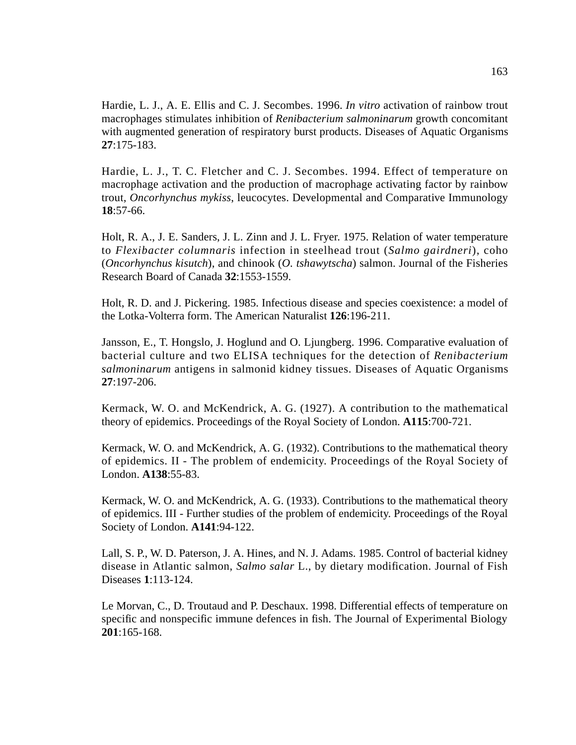Hardie, L. J., A. E. Ellis and C. J. Secombes. 1996. *In vitro* activation of rainbow trout macrophages stimulates inhibition of *Renibacterium salmoninarum* growth concomitant with augmented generation of respiratory burst products. Diseases of Aquatic Organisms **27**:175-183.

Hardie, L. J., T. C. Fletcher and C. J. Secombes. 1994. Effect of temperature on macrophage activation and the production of macrophage activating factor by rainbow trout, *Oncorhynchus mykiss*, leucocytes. Developmental and Comparative Immunology **18**:57-66.

Holt, R. A., J. E. Sanders, J. L. Zinn and J. L. Fryer. 1975. Relation of water temperature to *Flexibacter columnaris* infection in steelhead trout (*Salmo gairdneri*), coho (*Oncorhynchus kisutch*), and chinook (*O. tshawytscha*) salmon. Journal of the Fisheries Research Board of Canada **32**:1553-1559.

Holt, R. D. and J. Pickering. 1985. Infectious disease and species coexistence: a model of the Lotka-Volterra form. The American Naturalist **126**:196-211.

Jansson, E., T. Hongslo, J. Hoglund and O. Ljungberg. 1996. Comparative evaluation of bacterial culture and two ELISA techniques for the detection of *Renibacterium salmoninarum* antigens in salmonid kidney tissues. Diseases of Aquatic Organisms **27**:197-206.

Kermack, W. O. and McKendrick, A. G. (1927). A contribution to the mathematical theory of epidemics. Proceedings of the Royal Society of London. **A115**:700-721.

Kermack, W. O. and McKendrick, A. G. (1932). Contributions to the mathematical theory of epidemics. II - The problem of endemicity. Proceedings of the Royal Society of London. **A138**:55-83.

Kermack, W. O. and McKendrick, A. G. (1933). Contributions to the mathematical theory of epidemics. III - Further studies of the problem of endemicity. Proceedings of the Royal Society of London. **A141**:94-122.

Lall, S. P., W. D. Paterson, J. A. Hines, and N. J. Adams. 1985. Control of bacterial kidney disease in Atlantic salmon, *Salmo salar* L., by dietary modification. Journal of Fish Diseases **1**:113-124.

Le Morvan, C., D. Troutaud and P. Deschaux. 1998. Differential effects of temperature on specific and nonspecific immune defences in fish. The Journal of Experimental Biology **201**:165-168.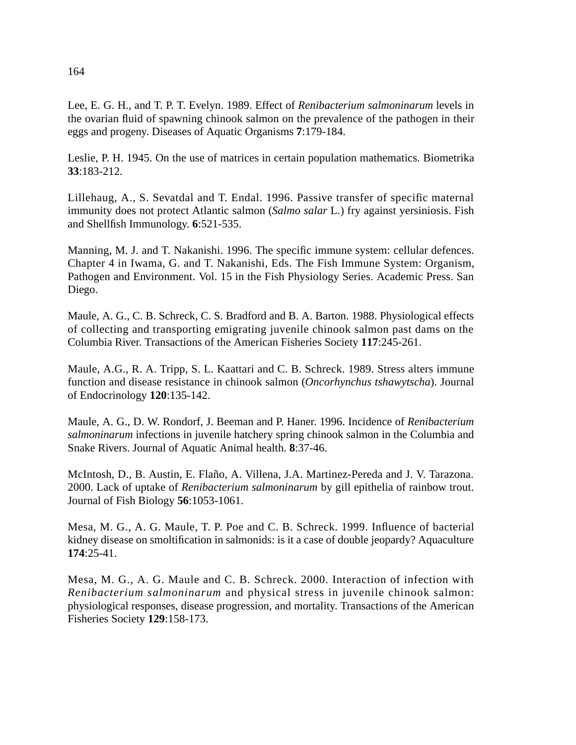Lee, E. G. H., and T. P. T. Evelyn. 1989. Effect of *Renibacterium salmoninarum* levels in the ovarian fluid of spawning chinook salmon on the prevalence of the pathogen in their eggs and progeny. Diseases of Aquatic Organisms **7**:179-184.

Leslie, P. H. 1945. On the use of matrices in certain population mathematics. Biometrika **33**:183-212.

Lillehaug, A., S. Sevatdal and T. Endal. 1996. Passive transfer of specific maternal immunity does not protect Atlantic salmon (*Salmo salar* L.) fry against yersiniosis. Fish and Shellfish Immunology. **6**:521-535.

Manning, M. J. and T. Nakanishi. 1996. The specific immune system: cellular defences. Chapter 4 in Iwama, G. and T. Nakanishi, Eds. The Fish Immune System: Organism, Pathogen and Environment. Vol. 15 in the Fish Physiology Series. Academic Press. San Diego.

Maule, A. G., C. B. Schreck, C. S. Bradford and B. A. Barton. 1988. Physiological effects of collecting and transporting emigrating juvenile chinook salmon past dams on the Columbia River. Transactions of the American Fisheries Society **117**:245-261.

Maule, A.G., R. A. Tripp, S. L. Kaattari and C. B. Schreck. 1989. Stress alters immune function and disease resistance in chinook salmon (*Oncorhynchus tshawytscha*). Journal of Endocrinology **120**:135-142.

Maule, A. G., D. W. Rondorf, J. Beeman and P. Haner. 1996. Incidence of *Renibacterium salmoninarum* infections in juvenile hatchery spring chinook salmon in the Columbia and Snake Rivers. Journal of Aquatic Animal health. **8**:37-46.

McIntosh, D., B. Austin, E. Flaño, A. Villena, J.A. Martinez-Pereda and J. V. Tarazona. 2000. Lack of uptake of *Renibacterium salmoninarum* by gill epithelia of rainbow trout. Journal of Fish Biology **56**:1053-1061.

Mesa, M. G., A. G. Maule, T. P. Poe and C. B. Schreck. 1999. Influence of bacterial kidney disease on smoltification in salmonids: is it a case of double jeopardy? Aquaculture **174**:25-41.

Mesa, M. G., A. G. Maule and C. B. Schreck. 2000. Interaction of infection with *Renibacterium salmoninarum* and physical stress in juvenile chinook salmon: physiological responses, disease progression, and mortality. Transactions of the American Fisheries Society **129**:158-173.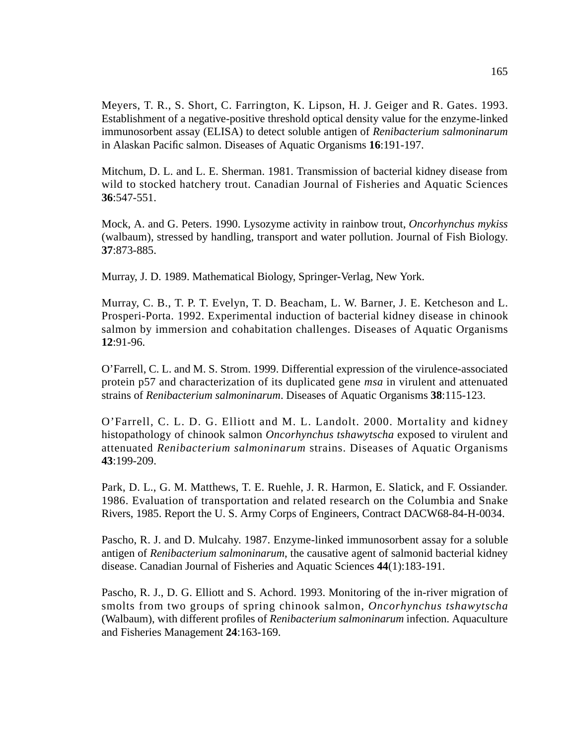Meyers, T. R., S. Short, C. Farrington, K. Lipson, H. J. Geiger and R. Gates. 1993. Establishment of a negative-positive threshold optical density value for the enzyme-linked immunosorbent assay (ELISA) to detect soluble antigen of *Renibacterium salmoninarum* in Alaskan Pacific salmon. Diseases of Aquatic Organisms **16**:191-197.

Mitchum, D. L. and L. E. Sherman. 1981. Transmission of bacterial kidney disease from wild to stocked hatchery trout. Canadian Journal of Fisheries and Aquatic Sciences **36**:547-551.

Mock, A. and G. Peters. 1990. Lysozyme activity in rainbow trout, *Oncorhynchus mykiss* (walbaum), stressed by handling, transport and water pollution. Journal of Fish Biology. **37**:873-885.

Murray, J. D. 1989. Mathematical Biology, Springer-Verlag, New York.

Murray, C. B., T. P. T. Evelyn, T. D. Beacham, L. W. Barner, J. E. Ketcheson and L. Prosperi-Porta. 1992. Experimental induction of bacterial kidney disease in chinook salmon by immersion and cohabitation challenges. Diseases of Aquatic Organisms **12**:91-96.

O'Farrell, C. L. and M. S. Strom. 1999. Differential expression of the virulence-associated protein p57 and characterization of its duplicated gene *msa* in virulent and attenuated strains of *Renibacterium salmoninarum*. Diseases of Aquatic Organisms **38**:115-123.

O'Farrell, C. L. D. G. Elliott and M. L. Landolt. 2000. Mortality and kidney histopathology of chinook salmon *Oncorhynchus tshawytscha* exposed to virulent and attenuated *Renibacterium salmoninarum* strains. Diseases of Aquatic Organisms **43**:199-209.

Park, D. L., G. M. Matthews, T. E. Ruehle, J. R. Harmon, E. Slatick, and F. Ossiander. 1986. Evaluation of transportation and related research on the Columbia and Snake Rivers, 1985. Report the U. S. Army Corps of Engineers, Contract DACW68-84-H-0034.

Pascho, R. J. and D. Mulcahy. 1987. Enzyme-linked immunosorbent assay for a soluble antigen of *Renibacterium salmoninarum*, the causative agent of salmonid bacterial kidney disease. Canadian Journal of Fisheries and Aquatic Sciences **44**(1):183-191.

Pascho, R. J., D. G. Elliott and S. Achord. 1993. Monitoring of the in-river migration of smolts from two groups of spring chinook salmon, *Oncorhynchus tshawytscha* (Walbaum), with different profiles of *Renibacterium salmoninarum* infection. Aquaculture and Fisheries Management **24**:163-169.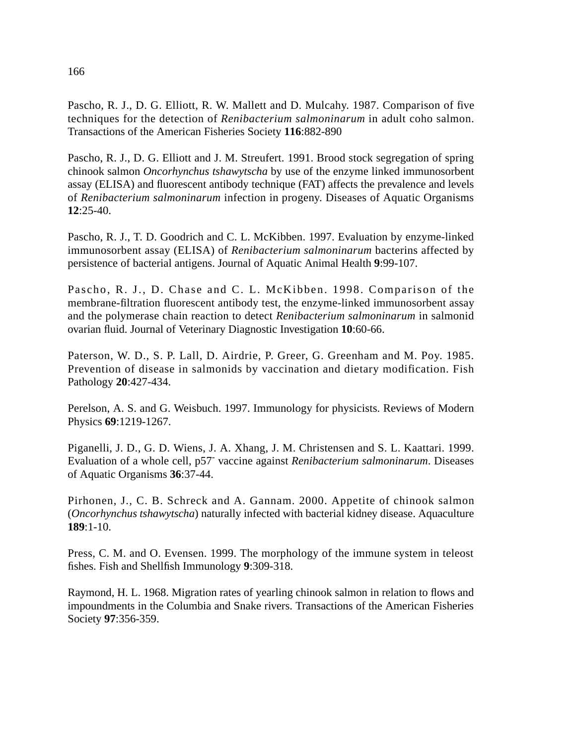Pascho, R. J., D. G. Elliott, R. W. Mallett and D. Mulcahy. 1987. Comparison of five techniques for the detection of *Renibacterium salmoninarum* in adult coho salmon. Transactions of the American Fisheries Society **116**:882-890

Pascho, R. J., D. G. Elliott and J. M. Streufert. 1991. Brood stock segregation of spring chinook salmon *Oncorhynchus tshawytscha* by use of the enzyme linked immunosorbent assay (ELISA) and fluorescent antibody technique (FAT) affects the prevalence and levels of *Renibacterium salmoninarum* infection in progeny. Diseases of Aquatic Organisms **12**:25-40.

Pascho, R. J., T. D. Goodrich and C. L. McKibben. 1997. Evaluation by enzyme-linked immunosorbent assay (ELISA) of *Renibacterium salmoninarum* bacterins affected by persistence of bacterial antigens. Journal of Aquatic Animal Health **9**:99-107.

Pascho, R. J., D. Chase and C. L. McKibben. 1998. Comparison of the membrane-filtration fluorescent antibody test, the enzyme-linked immunosorbent assay and the polymerase chain reaction to detect *Renibacterium salmoninarum* in salmonid ovarian fluid. Journal of Veterinary Diagnostic Investigation **10**:60-66.

Paterson, W. D., S. P. Lall, D. Airdrie, P. Greer, G. Greenham and M. Poy. 1985. Prevention of disease in salmonids by vaccination and dietary modification. Fish Pathology **20**:427-434.

Perelson, A. S. and G. Weisbuch. 1997. Immunology for physicists. Reviews of Modern Physics **69**:1219-1267.

Piganelli, J. D., G. D. Wiens, J. A. Xhang, J. M. Christensen and S. L. Kaattari. 1999. Evaluation of a whole cell, p57- vaccine against *Renibacterium salmoninarum*. Diseases of Aquatic Organisms **36**:37-44.

Pirhonen, J., C. B. Schreck and A. Gannam. 2000. Appetite of chinook salmon (*Oncorhynchus tshawytscha*) naturally infected with bacterial kidney disease. Aquaculture **189**:1-10.

Press, C. M. and O. Evensen. 1999. The morphology of the immune system in teleost fishes. Fish and Shellfish Immunology **9**:309-318.

Raymond, H. L. 1968. Migration rates of yearling chinook salmon in relation to flows and impoundments in the Columbia and Snake rivers. Transactions of the American Fisheries Society **97**:356-359.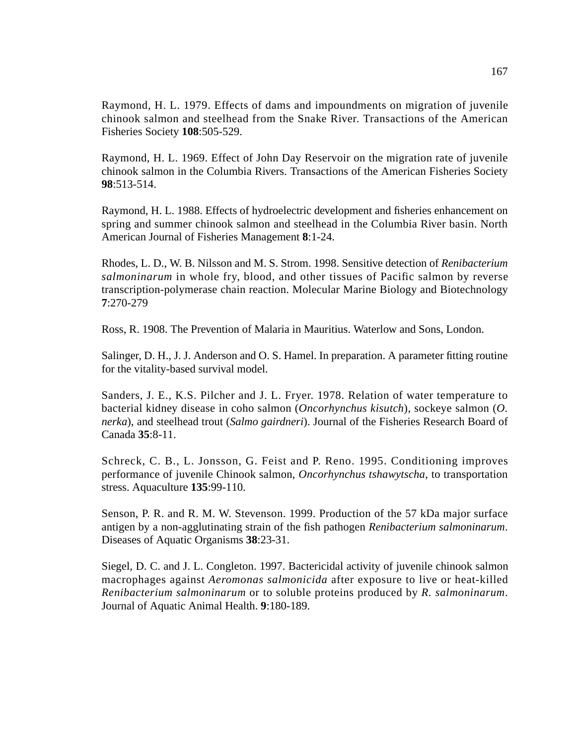Raymond, H. L. 1979. Effects of dams and impoundments on migration of juvenile chinook salmon and steelhead from the Snake River. Transactions of the American Fisheries Society **108**:505-529.

Raymond, H. L. 1969. Effect of John Day Reservoir on the migration rate of juvenile chinook salmon in the Columbia Rivers. Transactions of the American Fisheries Society **98**:513-514.

Raymond, H. L. 1988. Effects of hydroelectric development and fisheries enhancement on spring and summer chinook salmon and steelhead in the Columbia River basin. North American Journal of Fisheries Management **8**:1-24.

Rhodes, L. D., W. B. Nilsson and M. S. Strom. 1998. Sensitive detection of *Renibacterium salmoninarum* in whole fry, blood, and other tissues of Pacific salmon by reverse transcription-polymerase chain reaction. Molecular Marine Biology and Biotechnology **7**:270-279

Ross, R. 1908. The Prevention of Malaria in Mauritius. Waterlow and Sons, London.

Salinger, D. H., J. J. Anderson and O. S. Hamel. In preparation. A parameter fitting routine for the vitality-based survival model.

Sanders, J. E., K.S. Pilcher and J. L. Fryer. 1978. Relation of water temperature to bacterial kidney disease in coho salmon (*Oncorhynchus kisutch*), sockeye salmon (*O. nerka*), and steelhead trout (*Salmo gairdneri*). Journal of the Fisheries Research Board of Canada **35**:8-11.

Schreck, C. B., L. Jonsson, G. Feist and P. Reno. 1995. Conditioning improves performance of juvenile Chinook salmon, *Oncorhynchus tshawytscha*, to transportation stress. Aquaculture **135**:99-110.

Senson, P. R. and R. M. W. Stevenson. 1999. Production of the 57 kDa major surface antigen by a non-agglutinating strain of the fish pathogen *Renibacterium salmoninarum*. Diseases of Aquatic Organisms **38**:23-31.

Siegel, D. C. and J. L. Congleton. 1997. Bactericidal activity of juvenile chinook salmon macrophages against *Aeromonas salmonicida* after exposure to live or heat-killed *Renibacterium salmoninarum* or to soluble proteins produced by *R. salmoninarum*. Journal of Aquatic Animal Health. **9**:180-189.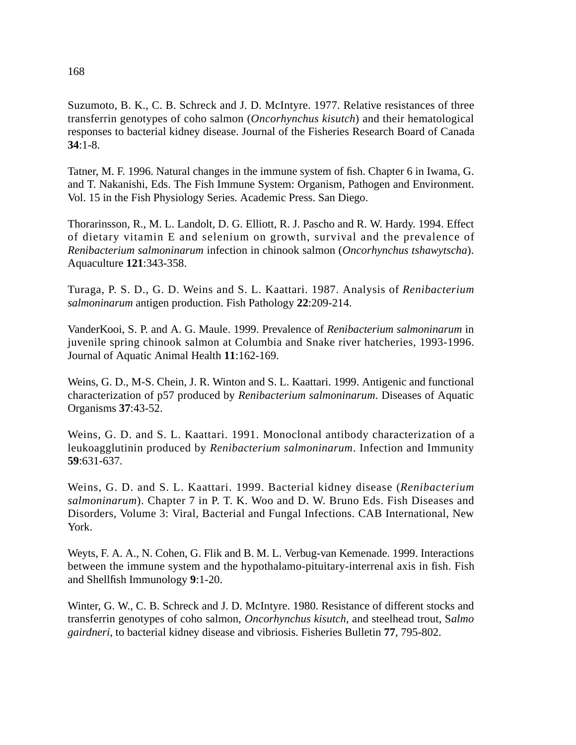# Suzumoto, B. K., C. B. Schreck and J. D. McIntyre. 1977. Relative resistances of three transferrin genotypes of coho salmon (*Oncorhynchus kisutch*) and their hematological responses to bacterial kidney disease. Journal of the Fisheries Research Board of Canada **34**:1-8.

Tatner, M. F. 1996. Natural changes in the immune system of fish. Chapter 6 in Iwama, G. and T. Nakanishi, Eds. The Fish Immune System: Organism, Pathogen and Environment. Vol. 15 in the Fish Physiology Series. Academic Press. San Diego.

Thorarinsson, R., M. L. Landolt, D. G. Elliott, R. J. Pascho and R. W. Hardy. 1994. Effect of dietary vitamin E and selenium on growth, survival and the prevalence of *Renibacterium salmoninarum* infection in chinook salmon (*Oncorhynchus tshawytscha*). Aquaculture **121**:343-358.

Turaga, P. S. D., G. D. Weins and S. L. Kaattari. 1987. Analysis of *Renibacterium salmoninarum* antigen production. Fish Pathology **22**:209-214.

VanderKooi, S. P. and A. G. Maule. 1999. Prevalence of *Renibacterium salmoninarum* in juvenile spring chinook salmon at Columbia and Snake river hatcheries, 1993-1996. Journal of Aquatic Animal Health **11**:162-169.

Weins, G. D., M-S. Chein, J. R. Winton and S. L. Kaattari. 1999. Antigenic and functional characterization of p57 produced by *Renibacterium salmoninarum*. Diseases of Aquatic Organisms **37**:43-52.

Weins, G. D. and S. L. Kaattari. 1991. Monoclonal antibody characterization of a leukoagglutinin produced by *Renibacterium salmoninarum*. Infection and Immunity **59**:631-637.

Weins, G. D. and S. L. Kaattari. 1999. Bacterial kidney disease (*Renibacterium salmoninarum*). Chapter 7 in P. T. K. Woo and D. W. Bruno Eds. Fish Diseases and Disorders, Volume 3: Viral, Bacterial and Fungal Infections. CAB International, New York.

Weyts, F. A. A., N. Cohen, G. Flik and B. M. L. Verbug-van Kemenade. 1999. Interactions between the immune system and the hypothalamo-pituitary-interrenal axis in fish. Fish and Shellfish Immunology **9**:1-20.

Winter, G. W., C. B. Schreck and J. D. McIntyre. 1980. Resistance of different stocks and transferrin genotypes of coho salmon, *Oncorhynchus kisutch*, and steelhead trout, S*almo gairdneri*, to bacterial kidney disease and vibriosis. Fisheries Bulletin **77**, 795-802.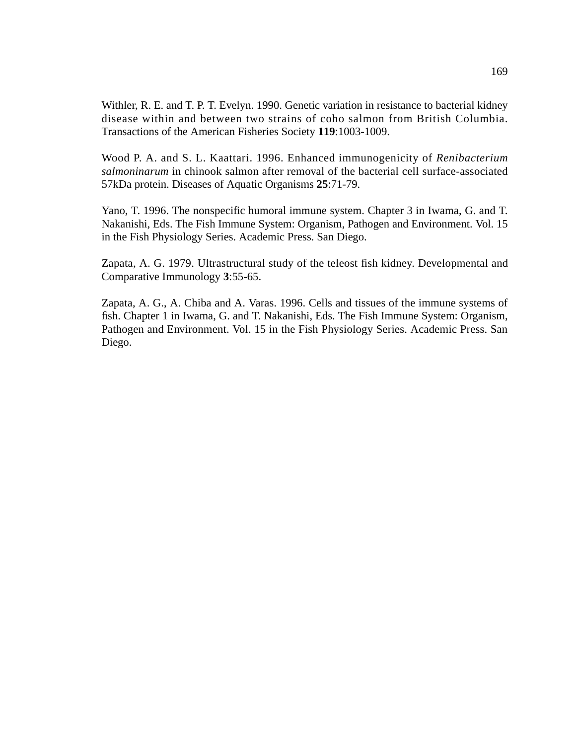Withler, R. E. and T. P. T. Evelyn. 1990. Genetic variation in resistance to bacterial kidney disease within and between two strains of coho salmon from British Columbia. Transactions of the American Fisheries Society **119**:1003-1009.

Wood P. A. and S. L. Kaattari. 1996. Enhanced immunogenicity of *Renibacterium salmoninarum* in chinook salmon after removal of the bacterial cell surface-associated 57kDa protein. Diseases of Aquatic Organisms **25**:71-79.

Yano, T. 1996. The nonspecific humoral immune system. Chapter 3 in Iwama, G. and T. Nakanishi, Eds. The Fish Immune System: Organism, Pathogen and Environment. Vol. 15 in the Fish Physiology Series. Academic Press. San Diego.

Zapata, A. G. 1979. Ultrastructural study of the teleost fish kidney. Developmental and Comparative Immunology **3**:55-65.

Zapata, A. G., A. Chiba and A. Varas. 1996. Cells and tissues of the immune systems of fish. Chapter 1 in Iwama, G. and T. Nakanishi, Eds. The Fish Immune System: Organism, Pathogen and Environment. Vol. 15 in the Fish Physiology Series. Academic Press. San Diego.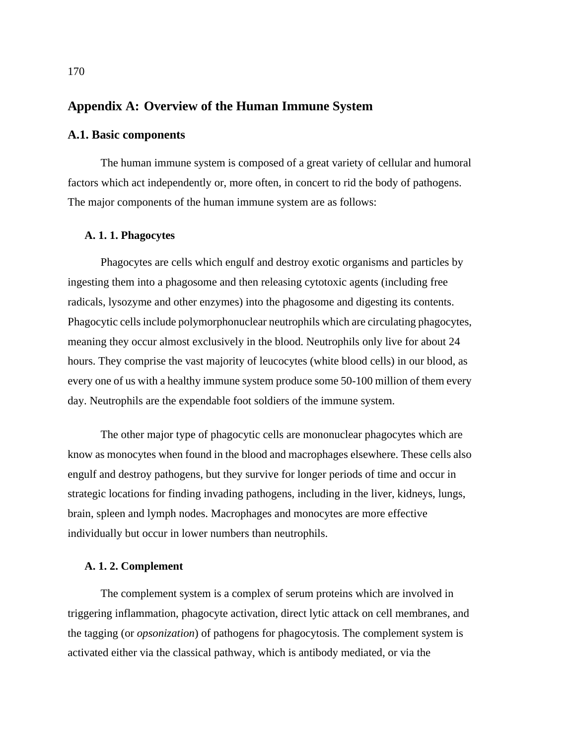# **Appendix A: Overview of the Human Immune System**

## **A.1. Basic components**

The human immune system is composed of a great variety of cellular and humoral factors which act independently or, more often, in concert to rid the body of pathogens. The major components of the human immune system are as follows:

#### **A. 1. 1. Phagocytes**

Phagocytes are cells which engulf and destroy exotic organisms and particles by ingesting them into a phagosome and then releasing cytotoxic agents (including free radicals, lysozyme and other enzymes) into the phagosome and digesting its contents. Phagocytic cells include polymorphonuclear neutrophils which are circulating phagocytes, meaning they occur almost exclusively in the blood. Neutrophils only live for about 24 hours. They comprise the vast majority of leucocytes (white blood cells) in our blood, as every one of us with a healthy immune system produce some 50-100 million of them every day. Neutrophils are the expendable foot soldiers of the immune system.

The other major type of phagocytic cells are mononuclear phagocytes which are know as monocytes when found in the blood and macrophages elsewhere. These cells also engulf and destroy pathogens, but they survive for longer periods of time and occur in strategic locations for finding invading pathogens, including in the liver, kidneys, lungs, brain, spleen and lymph nodes. Macrophages and monocytes are more effective individually but occur in lower numbers than neutrophils.

## **A. 1. 2. Complement**

The complement system is a complex of serum proteins which are involved in triggering inflammation, phagocyte activation, direct lytic attack on cell membranes, and the tagging (or *opsonization*) of pathogens for phagocytosis. The complement system is activated either via the classical pathway, which is antibody mediated, or via the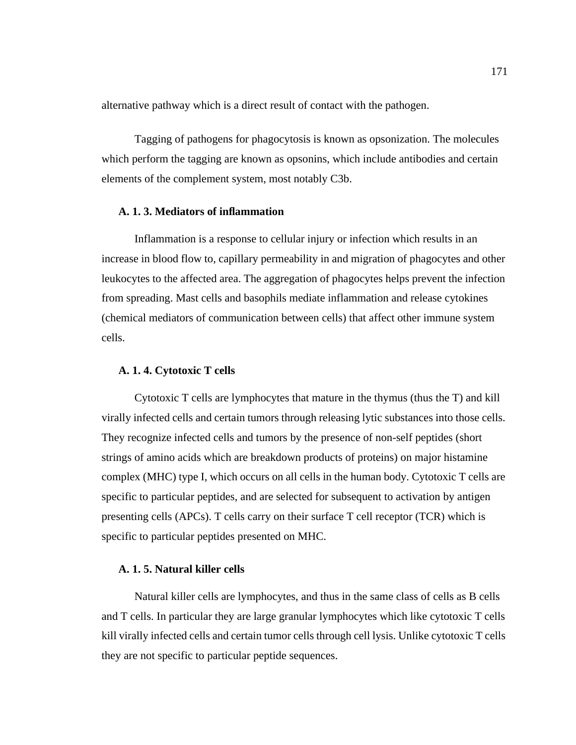alternative pathway which is a direct result of contact with the pathogen.

Tagging of pathogens for phagocytosis is known as opsonization. The molecules which perform the tagging are known as opsonins, which include antibodies and certain elements of the complement system, most notably C3b.

#### **A. 1. 3. Mediators of inflammation**

Inflammation is a response to cellular injury or infection which results in an increase in blood flow to, capillary permeability in and migration of phagocytes and other leukocytes to the affected area. The aggregation of phagocytes helps prevent the infection from spreading. Mast cells and basophils mediate inflammation and release cytokines (chemical mediators of communication between cells) that affect other immune system cells.

#### **A. 1. 4. Cytotoxic T cells**

Cytotoxic T cells are lymphocytes that mature in the thymus (thus the T) and kill virally infected cells and certain tumors through releasing lytic substances into those cells. They recognize infected cells and tumors by the presence of non-self peptides (short strings of amino acids which are breakdown products of proteins) on major histamine complex (MHC) type I, which occurs on all cells in the human body. Cytotoxic T cells are specific to particular peptides, and are selected for subsequent to activation by antigen presenting cells (APCs). T cells carry on their surface T cell receptor (TCR) which is specific to particular peptides presented on MHC.

### **A. 1. 5. Natural killer cells**

Natural killer cells are lymphocytes, and thus in the same class of cells as B cells and T cells. In particular they are large granular lymphocytes which like cytotoxic T cells kill virally infected cells and certain tumor cells through cell lysis. Unlike cytotoxic T cells they are not specific to particular peptide sequences.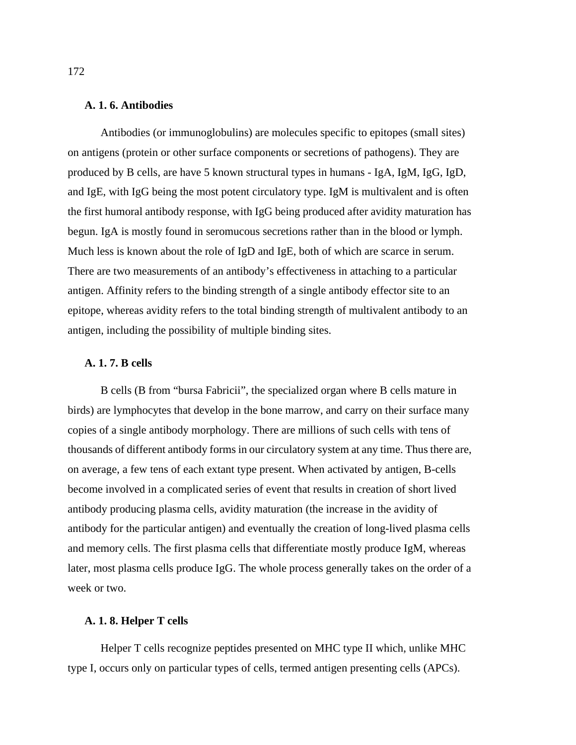#### **A. 1. 6. Antibodies**

Antibodies (or immunoglobulins) are molecules specific to epitopes (small sites) on antigens (protein or other surface components or secretions of pathogens). They are produced by B cells, are have 5 known structural types in humans - IgA, IgM, IgG, IgD, and IgE, with IgG being the most potent circulatory type. IgM is multivalent and is often the first humoral antibody response, with IgG being produced after avidity maturation has begun. IgA is mostly found in seromucous secretions rather than in the blood or lymph. Much less is known about the role of IgD and IgE, both of which are scarce in serum. There are two measurements of an antibody's effectiveness in attaching to a particular antigen. Affinity refers to the binding strength of a single antibody effector site to an epitope, whereas avidity refers to the total binding strength of multivalent antibody to an antigen, including the possibility of multiple binding sites.

#### **A. 1. 7. B cells**

B cells (B from "bursa Fabricii", the specialized organ where B cells mature in birds) are lymphocytes that develop in the bone marrow, and carry on their surface many copies of a single antibody morphology. There are millions of such cells with tens of thousands of different antibody forms in our circulatory system at any time. Thus there are, on average, a few tens of each extant type present. When activated by antigen, B-cells become involved in a complicated series of event that results in creation of short lived antibody producing plasma cells, avidity maturation (the increase in the avidity of antibody for the particular antigen) and eventually the creation of long-lived plasma cells and memory cells. The first plasma cells that differentiate mostly produce IgM, whereas later, most plasma cells produce IgG. The whole process generally takes on the order of a week or two.

### **A. 1. 8. Helper T cells**

Helper T cells recognize peptides presented on MHC type II which, unlike MHC type I, occurs only on particular types of cells, termed antigen presenting cells (APCs).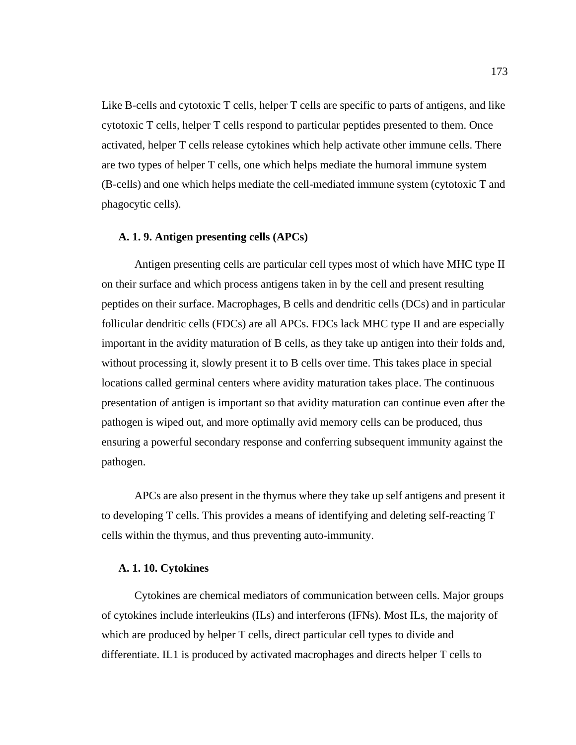Like B-cells and cytotoxic T cells, helper T cells are specific to parts of antigens, and like cytotoxic T cells, helper T cells respond to particular peptides presented to them. Once activated, helper T cells release cytokines which help activate other immune cells. There are two types of helper T cells, one which helps mediate the humoral immune system (B-cells) and one which helps mediate the cell-mediated immune system (cytotoxic T and phagocytic cells).

#### **A. 1. 9. Antigen presenting cells (APCs)**

Antigen presenting cells are particular cell types most of which have MHC type II on their surface and which process antigens taken in by the cell and present resulting peptides on their surface. Macrophages, B cells and dendritic cells (DCs) and in particular follicular dendritic cells (FDCs) are all APCs. FDCs lack MHC type II and are especially important in the avidity maturation of B cells, as they take up antigen into their folds and, without processing it, slowly present it to B cells over time. This takes place in special locations called germinal centers where avidity maturation takes place. The continuous presentation of antigen is important so that avidity maturation can continue even after the pathogen is wiped out, and more optimally avid memory cells can be produced, thus ensuring a powerful secondary response and conferring subsequent immunity against the pathogen.

APCs are also present in the thymus where they take up self antigens and present it to developing T cells. This provides a means of identifying and deleting self-reacting T cells within the thymus, and thus preventing auto-immunity.

#### **A. 1. 10. Cytokines**

Cytokines are chemical mediators of communication between cells. Major groups of cytokines include interleukins (ILs) and interferons (IFNs). Most ILs, the majority of which are produced by helper T cells, direct particular cell types to divide and differentiate. IL1 is produced by activated macrophages and directs helper T cells to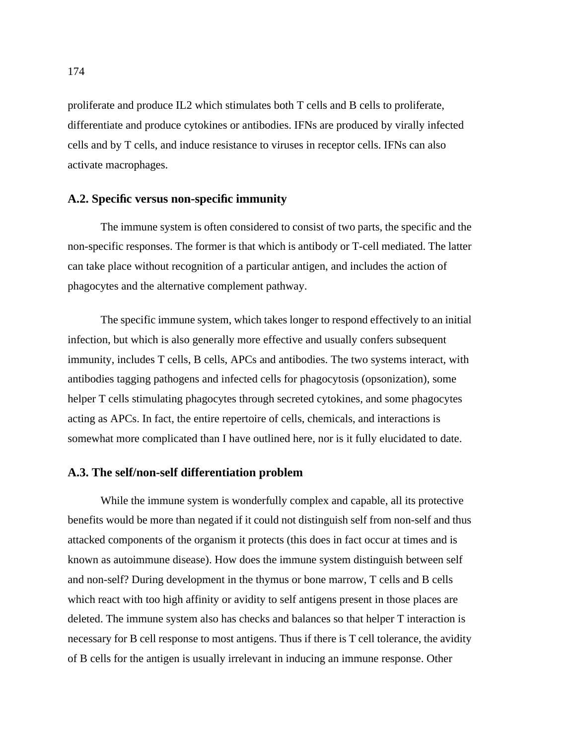proliferate and produce IL2 which stimulates both T cells and B cells to proliferate, differentiate and produce cytokines or antibodies. IFNs are produced by virally infected cells and by T cells, and induce resistance to viruses in receptor cells. IFNs can also activate macrophages.

#### **A.2. Specific versus non-specific immunity**

The immune system is often considered to consist of two parts, the specific and the non-specific responses. The former is that which is antibody or T-cell mediated. The latter can take place without recognition of a particular antigen, and includes the action of phagocytes and the alternative complement pathway.

The specific immune system, which takes longer to respond effectively to an initial infection, but which is also generally more effective and usually confers subsequent immunity, includes T cells, B cells, APCs and antibodies. The two systems interact, with antibodies tagging pathogens and infected cells for phagocytosis (opsonization), some helper T cells stimulating phagocytes through secreted cytokines, and some phagocytes acting as APCs. In fact, the entire repertoire of cells, chemicals, and interactions is somewhat more complicated than I have outlined here, nor is it fully elucidated to date.

# **A.3. The self/non-self differentiation problem**

While the immune system is wonderfully complex and capable, all its protective benefits would be more than negated if it could not distinguish self from non-self and thus attacked components of the organism it protects (this does in fact occur at times and is known as autoimmune disease). How does the immune system distinguish between self and non-self? During development in the thymus or bone marrow, T cells and B cells which react with too high affinity or avidity to self antigens present in those places are deleted. The immune system also has checks and balances so that helper T interaction is necessary for B cell response to most antigens. Thus if there is T cell tolerance, the avidity of B cells for the antigen is usually irrelevant in inducing an immune response. Other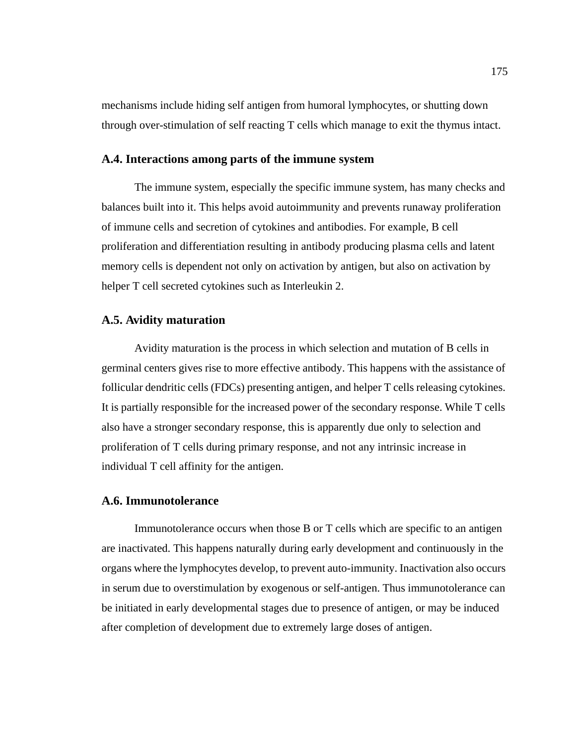mechanisms include hiding self antigen from humoral lymphocytes, or shutting down through over-stimulation of self reacting T cells which manage to exit the thymus intact.

#### **A.4. Interactions among parts of the immune system**

The immune system, especially the specific immune system, has many checks and balances built into it. This helps avoid autoimmunity and prevents runaway proliferation of immune cells and secretion of cytokines and antibodies. For example, B cell proliferation and differentiation resulting in antibody producing plasma cells and latent memory cells is dependent not only on activation by antigen, but also on activation by helper T cell secreted cytokines such as Interleukin 2.

# **A.5. Avidity maturation**

Avidity maturation is the process in which selection and mutation of B cells in germinal centers gives rise to more effective antibody. This happens with the assistance of follicular dendritic cells (FDCs) presenting antigen, and helper T cells releasing cytokines. It is partially responsible for the increased power of the secondary response. While T cells also have a stronger secondary response, this is apparently due only to selection and proliferation of T cells during primary response, and not any intrinsic increase in individual T cell affinity for the antigen.

### **A.6. Immunotolerance**

Immunotolerance occurs when those B or T cells which are specific to an antigen are inactivated. This happens naturally during early development and continuously in the organs where the lymphocytes develop, to prevent auto-immunity. Inactivation also occurs in serum due to overstimulation by exogenous or self-antigen. Thus immunotolerance can be initiated in early developmental stages due to presence of antigen, or may be induced after completion of development due to extremely large doses of antigen.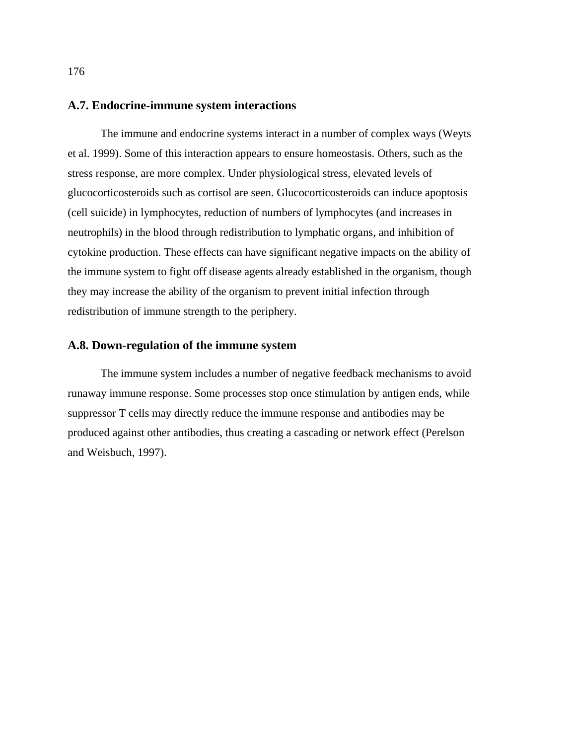# **A.7. Endocrine-immune system interactions**

The immune and endocrine systems interact in a number of complex ways (Weyts et al. 1999). Some of this interaction appears to ensure homeostasis. Others, such as the stress response, are more complex. Under physiological stress, elevated levels of glucocorticosteroids such as cortisol are seen. Glucocorticosteroids can induce apoptosis (cell suicide) in lymphocytes, reduction of numbers of lymphocytes (and increases in neutrophils) in the blood through redistribution to lymphatic organs, and inhibition of cytokine production. These effects can have significant negative impacts on the ability of the immune system to fight off disease agents already established in the organism, though they may increase the ability of the organism to prevent initial infection through redistribution of immune strength to the periphery.

#### **A.8. Down-regulation of the immune system**

The immune system includes a number of negative feedback mechanisms to avoid runaway immune response. Some processes stop once stimulation by antigen ends, while suppressor T cells may directly reduce the immune response and antibodies may be produced against other antibodies, thus creating a cascading or network effect (Perelson and Weisbuch, 1997).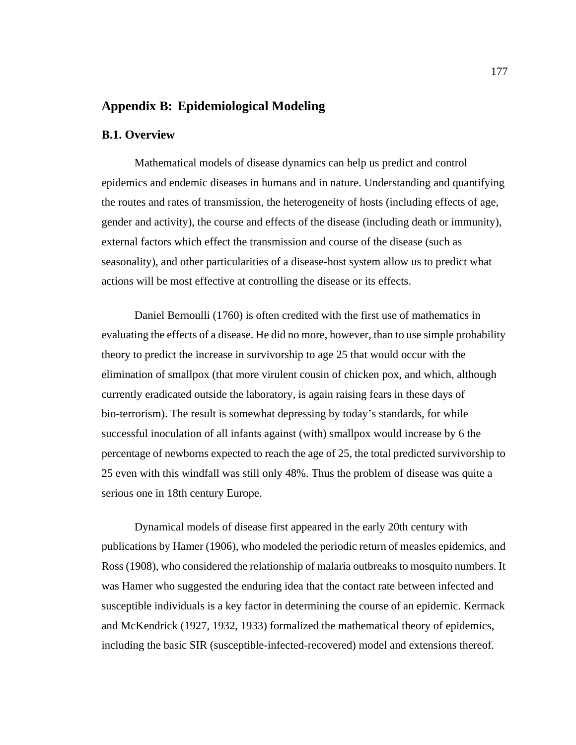# **Appendix B: Epidemiological Modeling**

### **B.1. Overview**

Mathematical models of disease dynamics can help us predict and control epidemics and endemic diseases in humans and in nature. Understanding and quantifying the routes and rates of transmission, the heterogeneity of hosts (including effects of age, gender and activity), the course and effects of the disease (including death or immunity), external factors which effect the transmission and course of the disease (such as seasonality), and other particularities of a disease-host system allow us to predict what actions will be most effective at controlling the disease or its effects.

Daniel Bernoulli (1760) is often credited with the first use of mathematics in evaluating the effects of a disease. He did no more, however, than to use simple probability theory to predict the increase in survivorship to age 25 that would occur with the elimination of smallpox (that more virulent cousin of chicken pox, and which, although currently eradicated outside the laboratory, is again raising fears in these days of bio-terrorism). The result is somewhat depressing by today's standards, for while successful inoculation of all infants against (with) smallpox would increase by 6 the percentage of newborns expected to reach the age of 25, the total predicted survivorship to 25 even with this windfall was still only 48%. Thus the problem of disease was quite a serious one in 18th century Europe.

Dynamical models of disease first appeared in the early 20th century with publications by Hamer (1906), who modeled the periodic return of measles epidemics, and Ross (1908), who considered the relationship of malaria outbreaks to mosquito numbers. It was Hamer who suggested the enduring idea that the contact rate between infected and susceptible individuals is a key factor in determining the course of an epidemic. Kermack and McKendrick (1927, 1932, 1933) formalized the mathematical theory of epidemics, including the basic SIR (susceptible-infected-recovered) model and extensions thereof.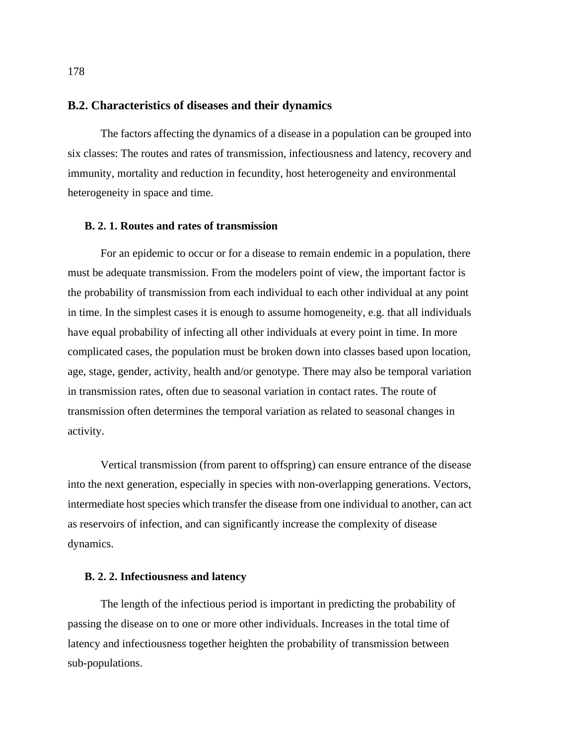# **B.2. Characteristics of diseases and their dynamics**

The factors affecting the dynamics of a disease in a population can be grouped into six classes: The routes and rates of transmission, infectiousness and latency, recovery and immunity, mortality and reduction in fecundity, host heterogeneity and environmental heterogeneity in space and time.

#### **B. 2. 1. Routes and rates of transmission**

For an epidemic to occur or for a disease to remain endemic in a population, there must be adequate transmission. From the modelers point of view, the important factor is the probability of transmission from each individual to each other individual at any point in time. In the simplest cases it is enough to assume homogeneity, e.g. that all individuals have equal probability of infecting all other individuals at every point in time. In more complicated cases, the population must be broken down into classes based upon location, age, stage, gender, activity, health and/or genotype. There may also be temporal variation in transmission rates, often due to seasonal variation in contact rates. The route of transmission often determines the temporal variation as related to seasonal changes in activity.

Vertical transmission (from parent to offspring) can ensure entrance of the disease into the next generation, especially in species with non-overlapping generations. Vectors, intermediate host species which transfer the disease from one individual to another, can act as reservoirs of infection, and can significantly increase the complexity of disease dynamics.

#### **B. 2. 2. Infectiousness and latency**

The length of the infectious period is important in predicting the probability of passing the disease on to one or more other individuals. Increases in the total time of latency and infectiousness together heighten the probability of transmission between sub-populations.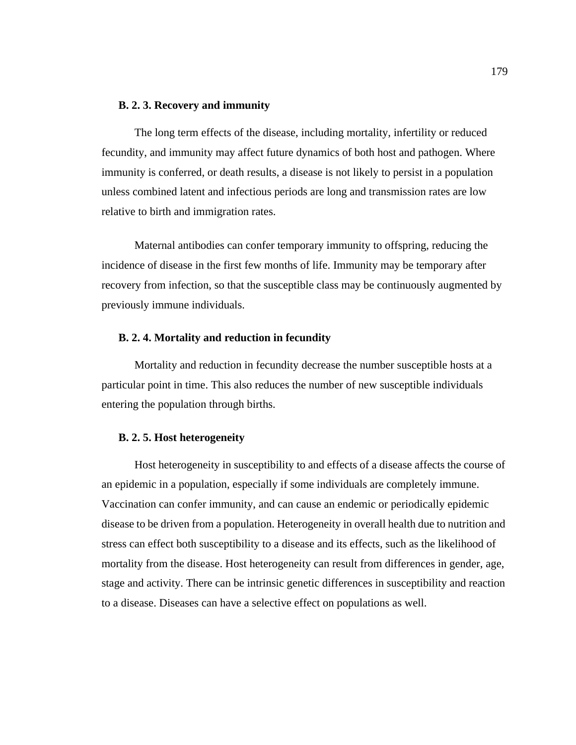#### **B. 2. 3. Recovery and immunity**

The long term effects of the disease, including mortality, infertility or reduced fecundity, and immunity may affect future dynamics of both host and pathogen. Where immunity is conferred, or death results, a disease is not likely to persist in a population unless combined latent and infectious periods are long and transmission rates are low relative to birth and immigration rates.

Maternal antibodies can confer temporary immunity to offspring, reducing the incidence of disease in the first few months of life. Immunity may be temporary after recovery from infection, so that the susceptible class may be continuously augmented by previously immune individuals.

#### **B. 2. 4. Mortality and reduction in fecundity**

Mortality and reduction in fecundity decrease the number susceptible hosts at a particular point in time. This also reduces the number of new susceptible individuals entering the population through births.

#### **B. 2. 5. Host heterogeneity**

Host heterogeneity in susceptibility to and effects of a disease affects the course of an epidemic in a population, especially if some individuals are completely immune. Vaccination can confer immunity, and can cause an endemic or periodically epidemic disease to be driven from a population. Heterogeneity in overall health due to nutrition and stress can effect both susceptibility to a disease and its effects, such as the likelihood of mortality from the disease. Host heterogeneity can result from differences in gender, age, stage and activity. There can be intrinsic genetic differences in susceptibility and reaction to a disease. Diseases can have a selective effect on populations as well.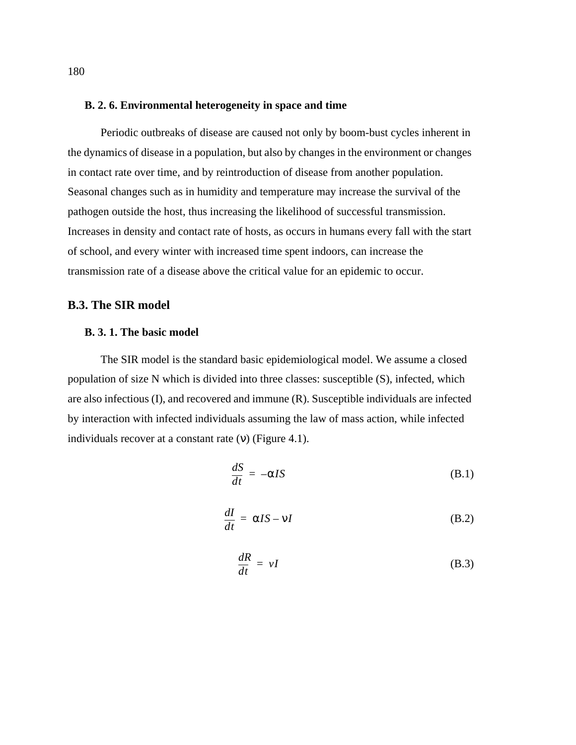#### <span id="page-193-0"></span>**B. 2. 6. Environmental heterogeneity in space and time**

Periodic outbreaks of disease are caused not only by boom-bust cycles inherent in the dynamics of disease in a population, but also by changes in the environment or changes in contact rate over time, and by reintroduction of disease from another population. Seasonal changes such as in humidity and temperature may increase the survival of the pathogen outside the host, thus increasing the likelihood of successful transmission. Increases in density and contact rate of hosts, as occurs in humans every fall with the start of school, and every winter with increased time spent indoors, can increase the transmission rate of a disease above the critical value for an epidemic to occur.

## **B.3. The SIR model**

# **B. 3. 1. The basic model**

The SIR model is the standard basic epidemiological model. We assume a closed population of size N which is divided into three classes: susceptible (S), infected, which are also infectious (I), and recovered and immune (R). Susceptible individuals are infected by interaction with infected individuals assuming the law of mass action, while infected individuals recover at a constant rate  $(v)$  (Figure 4.1).

$$
\frac{dS}{dt} = -\alpha IS \tag{B.1}
$$

$$
\frac{dI}{dt} = \alpha I S - vI \tag{B.2}
$$

$$
\frac{dR}{dt} = vI \tag{B.3}
$$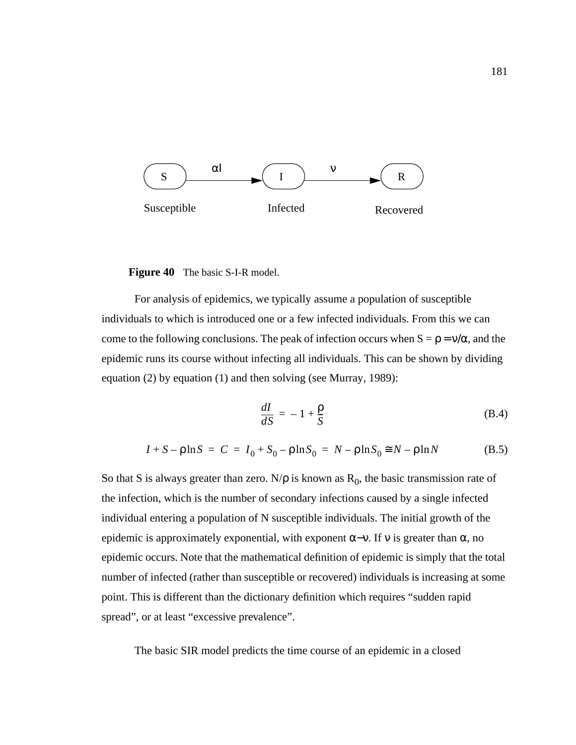

**Figure 40** The basic S-I-R model.

For analysis of epidemics, we typically assume a population of susceptible individuals to which is introduced one or a few infected individuals. From this we can come to the following conclusions. The peak of infection occurs when  $S = \rho = v/\alpha$ , and the epidemic runs its course without infecting all individuals. This can be shown by dividing equation (2) by equation (1) and then solving (see Murray, 1989):

$$
\frac{dI}{dS} = -1 + \frac{\rho}{S} \tag{B.4}
$$

$$
I + S - \rho \ln S = C = I_0 + S_0 - \rho \ln S_0 = N - \rho \ln S_0 \approx N - \rho \ln N
$$
 (B.5)

So that S is always greater than zero. N/ $\rho$  is known as  $R_0$ , the basic transmission rate of the infection, which is the number of secondary infections caused by a single infected individual entering a population of N susceptible individuals. The initial growth of the epidemic is approximately exponential, with exponent  $\alpha$ -ν. If v is greater than  $\alpha$ , no epidemic occurs. Note that the mathematical definition of epidemic is simply that the total number of infected (rather than susceptible or recovered) individuals is increasing at some point. This is different than the dictionary definition which requires "sudden rapid spread", or at least "excessive prevalence".

The basic SIR model predicts the time course of an epidemic in a closed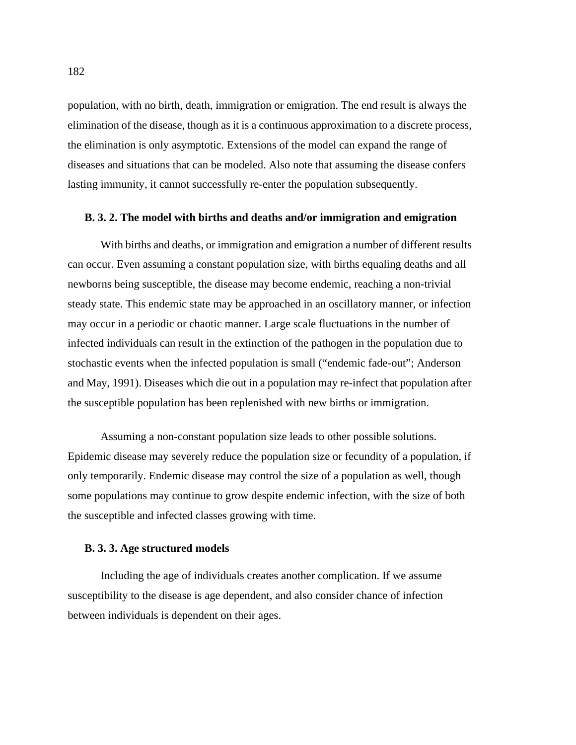population, with no birth, death, immigration or emigration. The end result is always the elimination of the disease, though as it is a continuous approximation to a discrete process, the elimination is only asymptotic. Extensions of the model can expand the range of diseases and situations that can be modeled. Also note that assuming the disease confers lasting immunity, it cannot successfully re-enter the population subsequently.

### **B. 3. 2. The model with births and deaths and/or immigration and emigration**

With births and deaths, or immigration and emigration a number of different results can occur. Even assuming a constant population size, with births equaling deaths and all newborns being susceptible, the disease may become endemic, reaching a non-trivial steady state. This endemic state may be approached in an oscillatory manner, or infection may occur in a periodic or chaotic manner. Large scale fluctuations in the number of infected individuals can result in the extinction of the pathogen in the population due to stochastic events when the infected population is small ("endemic fade-out"; Anderson and May, 1991). Diseases which die out in a population may re-infect that population after the susceptible population has been replenished with new births or immigration.

Assuming a non-constant population size leads to other possible solutions. Epidemic disease may severely reduce the population size or fecundity of a population, if only temporarily. Endemic disease may control the size of a population as well, though some populations may continue to grow despite endemic infection, with the size of both the susceptible and infected classes growing with time.

#### **B. 3. 3. Age structured models**

Including the age of individuals creates another complication. If we assume susceptibility to the disease is age dependent, and also consider chance of infection between individuals is dependent on their ages.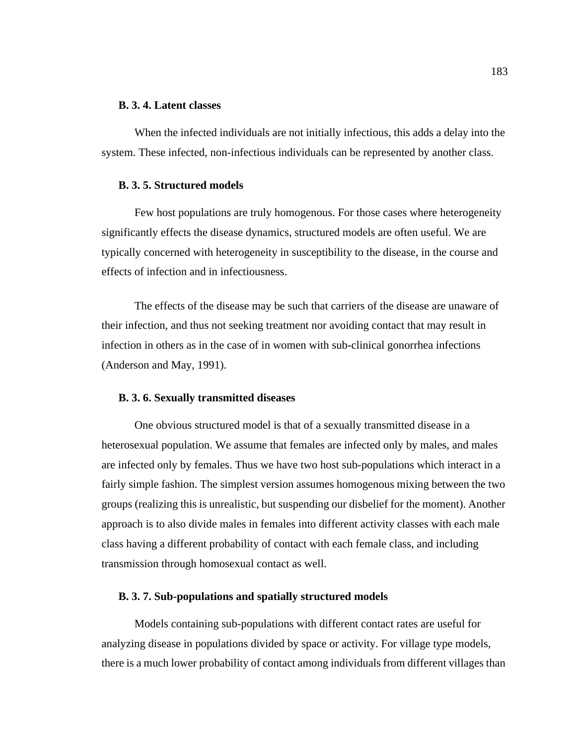#### **B. 3. 4. Latent classes**

When the infected individuals are not initially infectious, this adds a delay into the system. These infected, non-infectious individuals can be represented by another class.

### **B. 3. 5. Structured models**

Few host populations are truly homogenous. For those cases where heterogeneity significantly effects the disease dynamics, structured models are often useful. We are typically concerned with heterogeneity in susceptibility to the disease, in the course and effects of infection and in infectiousness.

The effects of the disease may be such that carriers of the disease are unaware of their infection, and thus not seeking treatment nor avoiding contact that may result in infection in others as in the case of in women with sub-clinical gonorrhea infections (Anderson and May, 1991).

### **B. 3. 6. Sexually transmitted diseases**

One obvious structured model is that of a sexually transmitted disease in a heterosexual population. We assume that females are infected only by males, and males are infected only by females. Thus we have two host sub-populations which interact in a fairly simple fashion. The simplest version assumes homogenous mixing between the two groups (realizing this is unrealistic, but suspending our disbelief for the moment). Another approach is to also divide males in females into different activity classes with each male class having a different probability of contact with each female class, and including transmission through homosexual contact as well.

### **B. 3. 7. Sub-populations and spatially structured models**

Models containing sub-populations with different contact rates are useful for analyzing disease in populations divided by space or activity. For village type models, there is a much lower probability of contact among individuals from different villages than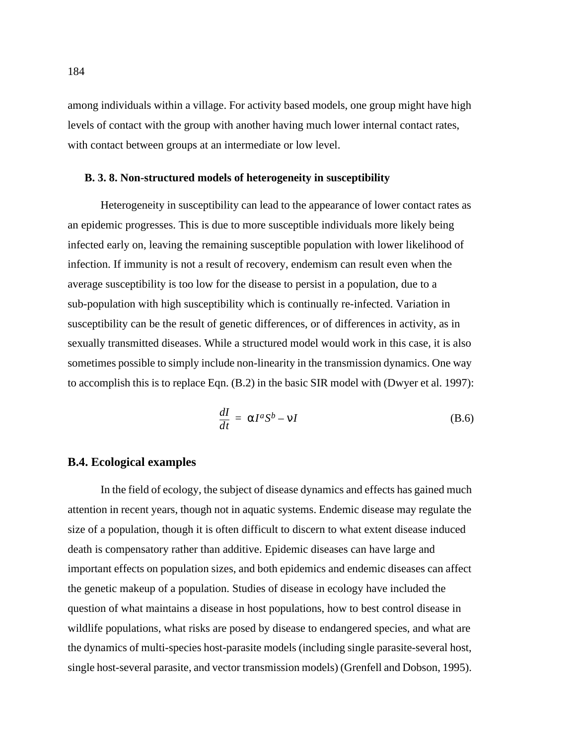among individuals within a village. For activity based models, one group might have high levels of contact with the group with another having much lower internal contact rates, with contact between groups at an intermediate or low level.

### **B. 3. 8. Non-structured models of heterogeneity in susceptibility**

Heterogeneity in susceptibility can lead to the appearance of lower contact rates as an epidemic progresses. This is due to more susceptible individuals more likely being infected early on, leaving the remaining susceptible population with lower likelihood of infection. If immunity is not a result of recovery, endemism can result even when the average susceptibility is too low for the disease to persist in a population, due to a sub-population with high susceptibility which is continually re-infected. Variation in susceptibility can be the result of genetic differences, or of differences in activity, as in sexually transmitted diseases. While a structured model would work in this case, it is also sometimes possible to simply include non-linearity in the transmission dynamics. One way to accomplish this is to replace [Eqn. \(B.2\)](#page-193-0) in the basic SIR model with (Dwyer et al. 1997):

$$
\frac{dI}{dt} = \alpha I^a S^b - \nu I \tag{B.6}
$$

# **B.4. Ecological examples**

In the field of ecology, the subject of disease dynamics and effects has gained much attention in recent years, though not in aquatic systems. Endemic disease may regulate the size of a population, though it is often difficult to discern to what extent disease induced death is compensatory rather than additive. Epidemic diseases can have large and important effects on population sizes, and both epidemics and endemic diseases can affect the genetic makeup of a population. Studies of disease in ecology have included the question of what maintains a disease in host populations, how to best control disease in wildlife populations, what risks are posed by disease to endangered species, and what are the dynamics of multi-species host-parasite models (including single parasite-several host, single host-several parasite, and vector transmission models) (Grenfell and Dobson, 1995).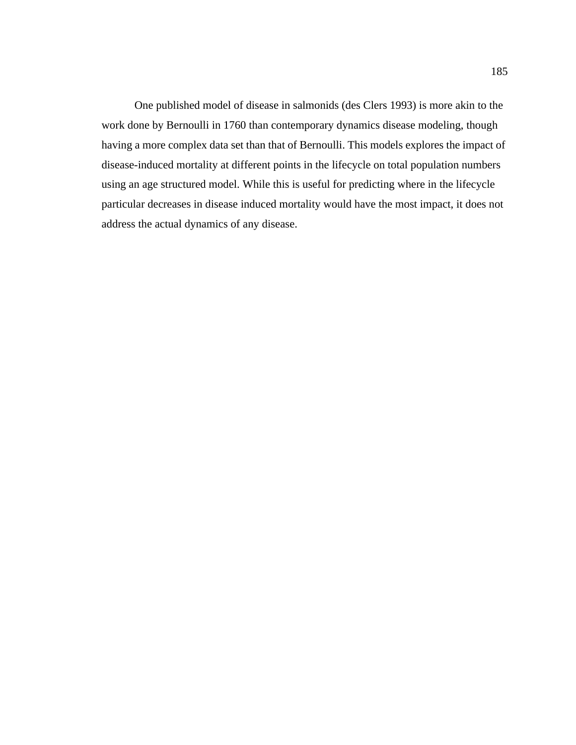One published model of disease in salmonids (des Clers 1993) is more akin to the work done by Bernoulli in 1760 than contemporary dynamics disease modeling, though having a more complex data set than that of Bernoulli. This models explores the impact of disease-induced mortality at different points in the lifecycle on total population numbers using an age structured model. While this is useful for predicting where in the lifecycle particular decreases in disease induced mortality would have the most impact, it does not address the actual dynamics of any disease.